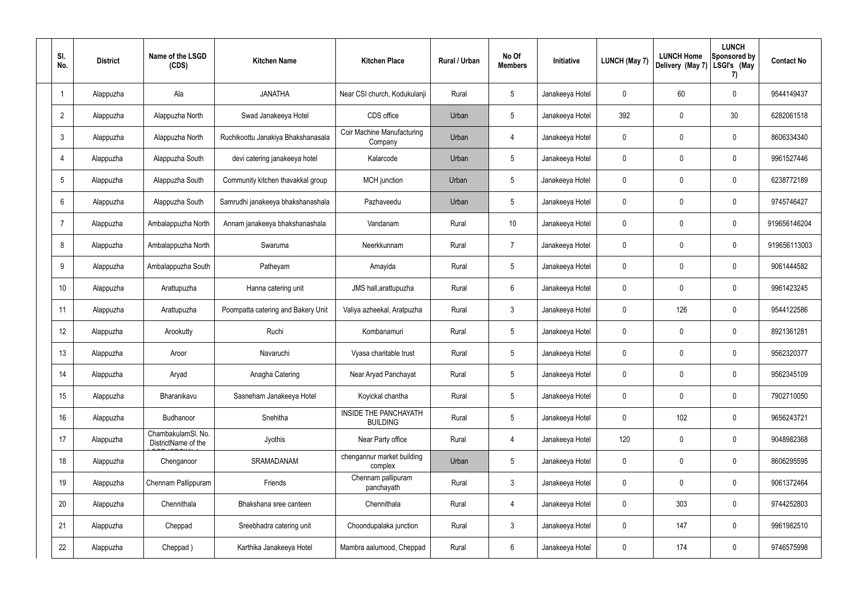| SI.<br>No.      | <b>District</b> | Name of the LSGD<br>(CDS)                 | <b>Kitchen Name</b>                | <b>Kitchen Place</b>                            | Rural / Urban | No Of<br><b>Members</b> | Initiative      | <b>LUNCH (May 7)</b> | <b>LUNCH Home</b><br>Delivery (May 7) | <b>LUNCH</b><br>Sponsored by<br>LSGI's (May<br>7) | <b>Contact No</b> |
|-----------------|-----------------|-------------------------------------------|------------------------------------|-------------------------------------------------|---------------|-------------------------|-----------------|----------------------|---------------------------------------|---------------------------------------------------|-------------------|
|                 | Alappuzha       | Ala                                       | <b>JANATHA</b>                     | Near CSI church, Kodukulanji                    | Rural         | $5\phantom{.0}$         | Janakeeya Hotel | $\mathbf 0$          | 60                                    | $\mathbf 0$                                       | 9544149437        |
| $\overline{2}$  | Alappuzha       | Alappuzha North                           | Swad Janakeeya Hotel               | CDS office                                      | Urban         | $5\phantom{.0}$         | Janakeeya Hotel | 392                  | 0                                     | 30                                                | 6282061518        |
| $\mathbf{3}$    | Alappuzha       | Alappuzha North                           | Ruchikoottu Janakiya Bhakshanasala | <b>Coir Machine Manufacturing</b><br>Company    | Urban         | $\overline{4}$          | Janakeeya Hotel | $\mathbf 0$          | 0                                     | $\mathbf 0$                                       | 8606334340        |
| $\overline{4}$  | Alappuzha       | Alappuzha South                           | devi catering janakeeya hotel      | Kalarcode                                       | Urban         | $5\phantom{.0}$         | Janakeeya Hotel | $\mathbf 0$          | 0                                     | $\mathbf 0$                                       | 9961527446        |
| $5\overline{)}$ | Alappuzha       | Alappuzha South                           | Community kitchen thavakkal group  | <b>MCH</b> junction                             | Urban         | $5\phantom{.0}$         | Janakeeya Hotel | $\mathbf 0$          | 0                                     | $\mathbf 0$                                       | 6238772189        |
| 6               | Alappuzha       | Alappuzha South                           | Samrudhi janakeeya bhakshanashala  | Pazhaveedu                                      | Urban         | $5\phantom{.0}$         | Janakeeya Hotel | $\mathbf 0$          | 0                                     | $\mathbf 0$                                       | 9745746427        |
| -7              | Alappuzha       | Ambalappuzha North                        | Annam janakeeya bhakshanashala     | Vandanam                                        | Rural         | 10 <sup>°</sup>         | Janakeeya Hotel | $\mathbf 0$          | 0                                     | $\mathbf 0$                                       | 919656146204      |
| 8               | Alappuzha       | Ambalappuzha North                        | Swaruma                            | Neerkkunnam                                     | Rural         | $\overline{7}$          | Janakeeya Hotel | $\mathbf 0$          | 0                                     | $\mathbf 0$                                       | 919656113003      |
| 9               | Alappuzha       | Ambalappuzha South                        | Patheyam                           | Amayida                                         | Rural         | $5\phantom{.0}$         | Janakeeya Hotel | $\mathbf 0$          | 0                                     | $\mathbf 0$                                       | 9061444582        |
| 10              | Alappuzha       | Arattupuzha                               | Hanna catering unit                | JMS hall, arattupuzha                           | Rural         | $6\phantom{.}6$         | Janakeeya Hotel | $\mathbf 0$          | $\mathbf 0$                           | $\mathbf 0$                                       | 9961423245        |
| 11              | Alappuzha       | Arattupuzha                               | Poompatta catering and Bakery Unit | Valiya azheekal, Aratpuzha                      | Rural         | $\mathbf{3}$            | Janakeeya Hotel | $\mathbf 0$          | 126                                   | $\mathbf 0$                                       | 9544122586        |
| 12              | Alappuzha       | Arookutty                                 | Ruchi                              | Kombanamuri                                     | Rural         | $5\phantom{.0}$         | Janakeeya Hotel | $\mathbf 0$          | $\mathbf 0$                           | $\mathbf 0$                                       | 8921361281        |
| 13              | Alappuzha       | Aroor                                     | Navaruchi                          | Vyasa charitable trust                          | Rural         | $5\phantom{.0}$         | Janakeeya Hotel | 0                    | $\mathbf 0$                           | $\mathbf 0$                                       | 9562320377        |
| 14              | Alappuzha       | Aryad                                     | Anagha Catering                    | Near Aryad Panchayat                            | Rural         | $5\phantom{.0}$         | Janakeeya Hotel | $\mathbf 0$          | $\mathbf 0$                           | $\mathbf 0$                                       | 9562345109        |
| 15              | Alappuzha       | Bharanikavu                               | Sasneham Janakeeya Hotel           | Koyickal chantha                                | Rural         | $5\phantom{.0}$         | Janakeeya Hotel | $\mathbf 0$          | $\mathbf 0$                           | $\mathbf 0$                                       | 7902710050        |
| 16              | Alappuzha       | Budhanoor                                 | Snehitha                           | <b>INSIDE THE PANCHAYATH</b><br><b>BUILDING</b> | Rural         | $5\phantom{.0}$         | Janakeeya Hotel | $\mathbf 0$          | 102                                   | $\mathbf 0$                                       | 9656243721        |
| 17              | Alappuzha       | ChambakulamSl. No.<br>DistrictName of the | Jyothis                            | Near Party office                               | Rural         | $\overline{4}$          | Janakeeya Hotel | 120                  | 0                                     | $\mathbf 0$                                       | 9048982368        |
| 18              | Alappuzha       | Chenganoor                                | SRAMADANAM                         | chengannur market building<br>complex           | Urban         | $5\phantom{.0}$         | Janakeeya Hotel | $\mathbf 0$          | 0                                     | $\mathbf 0$                                       | 8606295595        |
| 19              | Alappuzha       | Chennam Pallippuram                       | Friends                            | Chennam pallipuram<br>panchayath                | Rural         | $\mathbf{3}$            | Janakeeya Hotel | $\mathbf 0$          | 0                                     | $\mathbf 0$                                       | 9061372464        |
| 20              | Alappuzha       | Chennithala                               | Bhakshana sree canteen             | Chennithala                                     | Rural         | $\overline{4}$          | Janakeeya Hotel | 0                    | 303                                   | $\mathbf 0$                                       | 9744252803        |
| 21              | Alappuzha       | Cheppad                                   | Sreebhadra catering unit           | Choondupalaka junction                          | Rural         | $\mathbf{3}$            | Janakeeya Hotel | $\mathbf 0$          | 147                                   | $\mathbf 0$                                       | 9961982510        |
| 22              | Alappuzha       | Cheppad)                                  | Karthika Janakeeya Hotel           | Mambra aalumood, Cheppad                        | Rural         | $6\,$                   | Janakeeya Hotel | 0                    | 174                                   | $\mathbf 0$                                       | 9746575998        |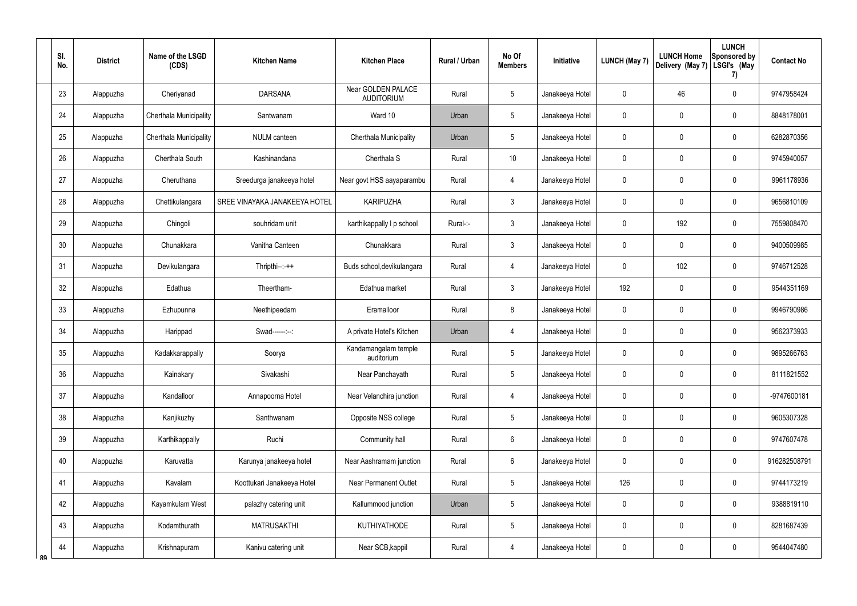|    | SI.<br>No. | <b>District</b> | Name of the LSGD<br>(CDS) | <b>Kitchen Name</b>           | <b>Kitchen Place</b>                    | Rural / Urban | No Of<br><b>Members</b> | Initiative      | <b>LUNCH (May 7)</b> | <b>LUNCH Home</b><br>Delivery (May 7) | <b>LUNCH</b><br>Sponsored by<br>LSGI's (May<br>7) | <b>Contact No</b> |
|----|------------|-----------------|---------------------------|-------------------------------|-----------------------------------------|---------------|-------------------------|-----------------|----------------------|---------------------------------------|---------------------------------------------------|-------------------|
|    | 23         | Alappuzha       | Cheriyanad                | <b>DARSANA</b>                | Near GOLDEN PALACE<br><b>AUDITORIUM</b> | Rural         | $\sqrt{5}$              | Janakeeya Hotel | $\mathbf 0$          | 46                                    | $\pmb{0}$                                         | 9747958424        |
|    | 24         | Alappuzha       | Cherthala Municipality    | Santwanam                     | Ward 10                                 | Urban         | $5\,$                   | Janakeeya Hotel | 0                    | 0                                     | $\pmb{0}$                                         | 8848178001        |
|    | 25         | Alappuzha       | Cherthala Municipality    | NULM canteen                  | Cherthala Municipality                  | Urban         | $5\,$                   | Janakeeya Hotel | 0                    | 0                                     | $\pmb{0}$                                         | 6282870356        |
|    | 26         | Alappuzha       | Cherthala South           | Kashinandana                  | Cherthala S                             | Rural         | 10 <sup>°</sup>         | Janakeeya Hotel | $\mathbf 0$          | 0                                     | $\pmb{0}$                                         | 9745940057        |
|    | 27         | Alappuzha       | Cheruthana                | Sreedurga janakeeya hotel     | Near govt HSS aayaparambu               | Rural         | $\overline{4}$          | Janakeeya Hotel | 0                    | 0                                     | $\pmb{0}$                                         | 9961178936        |
|    | 28         | Alappuzha       | Chettikulangara           | SREE VINAYAKA JANAKEEYA HOTEL | <b>KARIPUZHA</b>                        | Rural         | $\mathbf{3}$            | Janakeeya Hotel | $\mathbf 0$          | 0                                     | 0                                                 | 9656810109        |
|    | 29         | Alappuzha       | Chingoli                  | souhridam unit                | karthikappally I p school               | Rural-:-      | $\mathbf{3}$            | Janakeeya Hotel | 0                    | 192                                   | $\pmb{0}$                                         | 7559808470        |
|    | 30         | Alappuzha       | Chunakkara                | Vanitha Canteen               | Chunakkara                              | Rural         | $\mathbf{3}$            | Janakeeya Hotel | $\mathbf 0$          | 0                                     | 0                                                 | 9400509985        |
|    | 31         | Alappuzha       | Devikulangara             | Thripthi--:-++                | Buds school, devikulangara              | Rural         | $\overline{4}$          | Janakeeya Hotel | 0                    | 102                                   | $\pmb{0}$                                         | 9746712528        |
|    | 32         | Alappuzha       | Edathua                   | Theertham-                    | Edathua market                          | Rural         | $\mathbf{3}$            | Janakeeya Hotel | 192                  | $\mathbf 0$                           | $\pmb{0}$                                         | 9544351169        |
|    | 33         | Alappuzha       | Ezhupunna                 | Neethipeedam                  | Eramalloor                              | Rural         | 8                       | Janakeeya Hotel | $\mathbf 0$          | $\mathbf 0$                           | $\pmb{0}$                                         | 9946790986        |
|    | 34         | Alappuzha       | Harippad                  | Swad------:--:                | A private Hotel's Kitchen               | Urban         | $\overline{4}$          | Janakeeya Hotel | $\boldsymbol{0}$     | $\boldsymbol{0}$                      | $\pmb{0}$                                         | 9562373933        |
|    | $35\,$     | Alappuzha       | Kadakkarappally           | Soorya                        | Kandamangalam temple<br>auditorium      | Rural         | 5                       | Janakeeya Hotel | $\mathbf 0$          | $\mathbf 0$                           | 0                                                 | 9895266763        |
|    | 36         | Alappuzha       | Kainakary                 | Sivakashi                     | Near Panchayath                         | Rural         | $\sqrt{5}$              | Janakeeya Hotel | $\pmb{0}$            | $\mathbf 0$                           | $\pmb{0}$                                         | 8111821552        |
|    | 37         | Alappuzha       | Kandalloor                | Annapoorna Hotel              | Near Velanchira junction                | Rural         | $\overline{4}$          | Janakeeya Hotel | $\mathbf 0$          | $\mathbf 0$                           | $\pmb{0}$                                         | -9747600181       |
|    | 38         | Alappuzha       | Kanjikuzhy                | Santhwanam                    | Opposite NSS college                    | Rural         | $5\phantom{.0}$         | Janakeeya Hotel | $\pmb{0}$            | $\mathbf 0$                           | $\pmb{0}$                                         | 9605307328        |
|    | 39         | Alappuzha       | Karthikappally            | Ruchi                         | Community hall                          | Rural         | 6                       | Janakeeya Hotel | $\mathbf 0$          | $\mathbf 0$                           | $\pmb{0}$                                         | 9747607478        |
|    | 40         | Alappuzha       | Karuvatta                 | Karunya janakeeya hotel       | Near Aashramam junction                 | Rural         | 6                       | Janakeeya Hotel | $\pmb{0}$            | $\mathbf 0$                           | $\pmb{0}$                                         | 916282508791      |
|    | 41         | Alappuzha       | Kavalam                   | Koottukari Janakeeya Hotel    | <b>Near Permanent Outlet</b>            | Rural         | $5\phantom{.0}$         | Janakeeya Hotel | 126                  | $\mathbf 0$                           | $\pmb{0}$                                         | 9744173219        |
|    | 42         | Alappuzha       | Kayamkulam West           | palazhy catering unit         | Kallummood junction                     | Urban         | $\sqrt{5}$              | Janakeeya Hotel | $\mathbf 0$          | $\boldsymbol{0}$                      | $\pmb{0}$                                         | 9388819110        |
|    | 43         | Alappuzha       | Kodamthurath              | <b>MATRUSAKTHI</b>            | <b>KUTHIYATHODE</b>                     | Rural         | $5\phantom{.0}$         | Janakeeya Hotel | $\pmb{0}$            | $\mathbf 0$                           | $\pmb{0}$                                         | 8281687439        |
| RQ | 44         | Alappuzha       | Krishnapuram              | Kanivu catering unit          | Near SCB, kappil                        | Rural         | 4                       | Janakeeya Hotel | $\pmb{0}$            | $\mathbf 0$                           | $\pmb{0}$                                         | 9544047480        |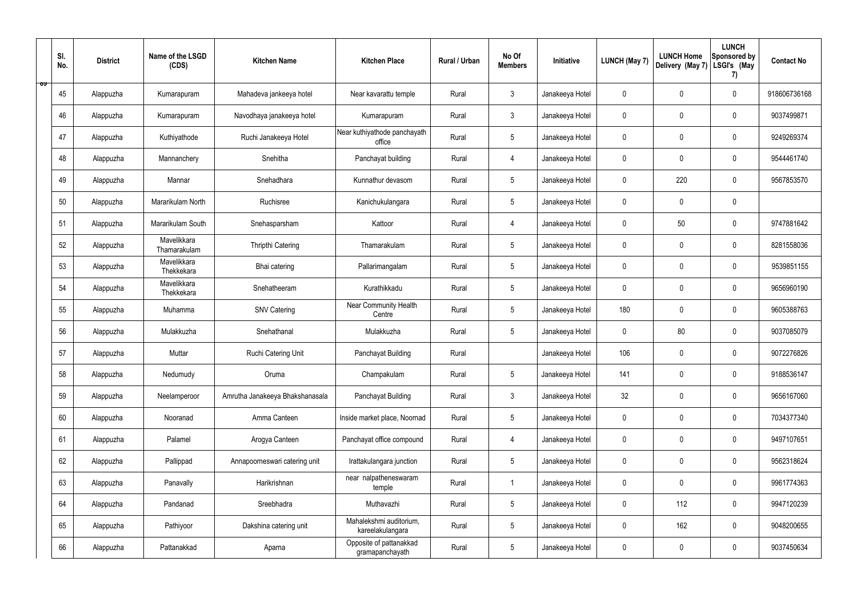|   | SI.<br>No. | <b>District</b> | Name of the LSGD<br>(CDS)   | <b>Kitchen Name</b>             | <b>Kitchen Place</b>                        | Rural / Urban | No Of<br><b>Members</b> | Initiative      | <b>LUNCH (May 7)</b> | <b>LUNCH Home</b><br>Delivery (May 7) | <b>LUNCH</b><br>Sponsored by<br>LSGI's (May<br>7) | <b>Contact No</b> |
|---|------------|-----------------|-----------------------------|---------------------------------|---------------------------------------------|---------------|-------------------------|-----------------|----------------------|---------------------------------------|---------------------------------------------------|-------------------|
| ಾ | 45         | Alappuzha       | Kumarapuram                 | Mahadeva jankeeya hotel         | Near kavarattu temple                       | Rural         | $\mathbf{3}$            | Janakeeya Hotel | $\mathbf 0$          | $\mathbf 0$                           | $\mathbf 0$                                       | 918606736168      |
|   | 46         | Alappuzha       | Kumarapuram                 | Navodhaya janakeeya hotel       | Kumarapuram                                 | Rural         | $\mathbf{3}$            | Janakeeya Hotel | $\mathbf 0$          | $\mathbf 0$                           | $\mathbf 0$                                       | 9037499871        |
|   | 47         | Alappuzha       | Kuthiyathode                | Ruchi Janakeeya Hotel           | Near kuthiyathode panchayath<br>office      | Rural         | $5\phantom{.0}$         | Janakeeya Hotel | $\mathbf 0$          | $\mathbf 0$                           | $\mathbf 0$                                       | 9249269374        |
|   | 48         | Alappuzha       | Mannanchery                 | Snehitha                        | Panchayat building                          | Rural         | $\overline{4}$          | Janakeeya Hotel | $\mathbf 0$          | $\mathbf 0$                           | $\mathbf 0$                                       | 9544461740        |
|   | 49         | Alappuzha       | Mannar                      | Snehadhara                      | Kunnathur devasom                           | Rural         | $5\phantom{.0}$         | Janakeeya Hotel | $\mathbf 0$          | 220                                   | $\mathbf 0$                                       | 9567853570        |
|   | 50         | Alappuzha       | Mararikulam North           | Ruchisree                       | Kanichukulangara                            | Rural         | $5\overline{)}$         | Janakeeya Hotel | $\mathbf 0$          | $\mathbf 0$                           | $\mathbf 0$                                       |                   |
|   | 51         | Alappuzha       | Mararikulam South           | Snehasparsham                   | Kattoor                                     | Rural         | $\overline{4}$          | Janakeeya Hotel | $\mathbf 0$          | 50                                    | $\mathbf 0$                                       | 9747881642        |
|   | 52         | Alappuzha       | Mavelikkara<br>Thamarakulam | Thripthi Catering               | Thamarakulam                                | Rural         | $5\phantom{.0}$         | Janakeeya Hotel | $\mathbf 0$          | $\mathbf 0$                           | $\mathbf 0$                                       | 8281558036        |
|   | 53         | Alappuzha       | Mavelikkara<br>Thekkekara   | Bhai catering                   | Pallarimangalam                             | Rural         | $5\phantom{.0}$         | Janakeeya Hotel | $\mathbf 0$          | $\mathbf 0$                           | $\mathbf 0$                                       | 9539851155        |
|   | 54         | Alappuzha       | Mavelikkara<br>Thekkekara   | Snehatheeram                    | Kurathikkadu                                | Rural         | $5\overline{)}$         | Janakeeya Hotel | $\mathbf 0$          | $\mathbf 0$                           | $\mathbf 0$                                       | 9656960190        |
|   | 55         | Alappuzha       | Muhamma                     | <b>SNV Catering</b>             | <b>Near Community Health</b><br>Centre      | Rural         | $5\phantom{.0}$         | Janakeeya Hotel | 180                  | $\mathbf 0$                           | $\mathbf 0$                                       | 9605388763        |
|   | 56         | Alappuzha       | Mulakkuzha                  | Snehathanal                     | Mulakkuzha                                  | Rural         | $5\phantom{.0}$         | Janakeeya Hotel | $\mathbf 0$          | 80                                    | $\mathbf 0$                                       | 9037085079        |
|   | 57         | Alappuzha       | Muttar                      | Ruchi Catering Unit             | Panchayat Building                          | Rural         |                         | Janakeeya Hotel | 106                  | 0                                     | $\mathbf 0$                                       | 9072276826        |
|   | 58         | Alappuzha       | Nedumudy                    | Oruma                           | Champakulam                                 | Rural         | $5\phantom{.0}$         | Janakeeya Hotel | 141                  | $\mathbf 0$                           | $\mathbf 0$                                       | 9188536147        |
|   | 59         | Alappuzha       | Neelamperoor                | Amrutha Janakeeya Bhakshanasala | Panchayat Building                          | Rural         | $\mathbf{3}$            | Janakeeya Hotel | 32                   | $\pmb{0}$                             | $\mathbf 0$                                       | 9656167060        |
|   | 60         | Alappuzha       | Nooranad                    | Amma Canteen                    | Inside market place, Noornad                | Rural         | $5\overline{)}$         | Janakeeya Hotel | $\pmb{0}$            | $\mathbf 0$                           | $\mathbf 0$                                       | 7034377340        |
|   | 61         | Alappuzha       | Palamel                     | Arogya Canteen                  | Panchayat office compound                   | Rural         | $\overline{4}$          | Janakeeya Hotel | $\pmb{0}$            | $\mathbf 0$                           | $\mathbf 0$                                       | 9497107651        |
|   | 62         | Alappuzha       | Pallippad                   | Annapoorneswari catering unit   | Irattakulangara junction                    | Rural         | 5 <sup>5</sup>          | Janakeeya Hotel | $\pmb{0}$            | $\mathbf 0$                           | $\mathbf 0$                                       | 9562318624        |
|   | 63         | Alappuzha       | Panavally                   | Harikrishnan                    | near nalpatheneswaram<br>temple             | Rural         | -1                      | Janakeeya Hotel | $\pmb{0}$            | $\pmb{0}$                             | $\mathbf 0$                                       | 9961774363        |
|   | 64         | Alappuzha       | Pandanad                    | Sreebhadra                      | Muthavazhi                                  | Rural         | $5\phantom{.0}$         | Janakeeya Hotel | $\pmb{0}$            | 112                                   | $\mathbf 0$                                       | 9947120239        |
|   | 65         | Alappuzha       | Pathiyoor                   | Dakshina catering unit          | Mahalekshmi auditorium,<br>kareelakulangara | Rural         | 5 <sup>5</sup>          | Janakeeya Hotel | $\pmb{0}$            | 162                                   | $\mathbf 0$                                       | 9048200655        |
|   | 66         | Alappuzha       | Pattanakkad                 | Aparna                          | Opposite of pattanakkad<br>gramapanchayath  | Rural         | $5\phantom{.0}$         | Janakeeya Hotel | 0                    | $\pmb{0}$                             | $\boldsymbol{0}$                                  | 9037450634        |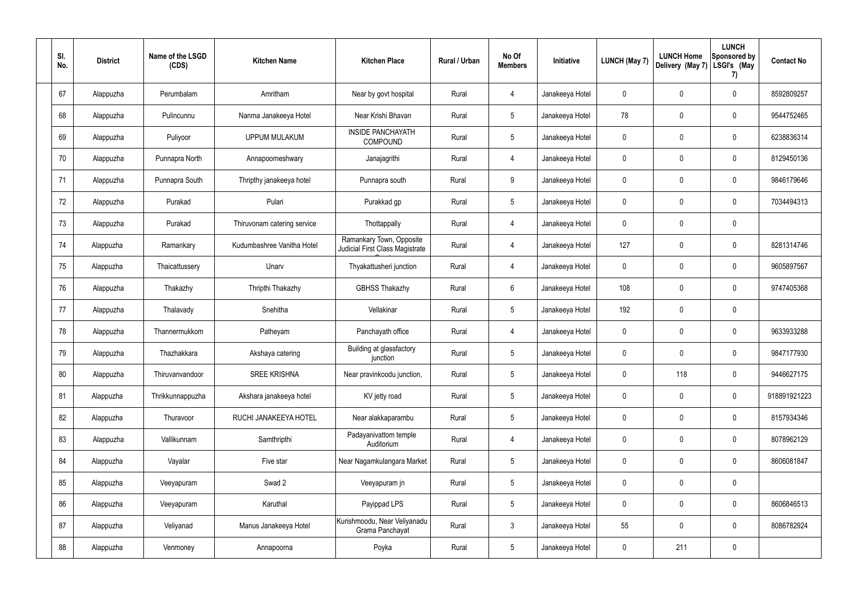| SI.<br>No. | <b>District</b> | Name of the LSGD<br>(CDS) | <b>Kitchen Name</b>         | <b>Kitchen Place</b>                                        | Rural / Urban | No Of<br><b>Members</b> | Initiative      | <b>LUNCH (May 7)</b> | <b>LUNCH Home</b><br>Delivery (May 7) | <b>LUNCH</b><br>Sponsored by<br>LSGI's (May<br>7) | <b>Contact No</b> |
|------------|-----------------|---------------------------|-----------------------------|-------------------------------------------------------------|---------------|-------------------------|-----------------|----------------------|---------------------------------------|---------------------------------------------------|-------------------|
| 67         | Alappuzha       | Perumbalam                | Amritham                    | Near by govt hospital                                       | Rural         | 4                       | Janakeeya Hotel | $\mathbf 0$          | $\mathbf 0$                           | $\mathbf 0$                                       | 8592809257        |
| 68         | Alappuzha       | Pulincunnu                | Nanma Janakeeya Hotel       | Near Krishi Bhavan                                          | Rural         | $5\phantom{.0}$         | Janakeeya Hotel | 78                   | $\mathbf 0$                           | $\overline{0}$                                    | 9544752465        |
| 69         | Alappuzha       | Puliyoor                  | <b>UPPUM MULAKUM</b>        | <b>INSIDE PANCHAYATH</b><br>COMPOUND                        | Rural         | $5\phantom{.0}$         | Janakeeya Hotel | $\mathbf 0$          | $\mathbf 0$                           | $\mathbf 0$                                       | 6238836314        |
| 70         | Alappuzha       | Punnapra North            | Annapoorneshwary            | Janajagrithi                                                | Rural         | $\overline{4}$          | Janakeeya Hotel | $\mathbf 0$          | $\mathbf 0$                           | $\mathbf 0$                                       | 8129450136        |
| 71         | Alappuzha       | Punnapra South            | Thripthy janakeeya hotel    | Punnapra south                                              | Rural         | 9                       | Janakeeya Hotel | $\mathbf 0$          | $\mathbf 0$                           | $\mathbf 0$                                       | 9846179646        |
| 72         | Alappuzha       | Purakad                   | Pulari                      | Purakkad gp                                                 | Rural         | $5\overline{)}$         | Janakeeya Hotel | $\mathbf 0$          | $\mathbf 0$                           | $\mathbf 0$                                       | 7034494313        |
| 73         | Alappuzha       | Purakad                   | Thiruvonam catering service | Thottappally                                                | Rural         | 4                       | Janakeeya Hotel | $\mathbf 0$          | $\mathbf 0$                           | $\mathbf 0$                                       |                   |
| 74         | Alappuzha       | Ramankary                 | Kudumbashree Vanitha Hotel  | Ramankary Town, Opposite<br>Judicial First Class Magistrate | Rural         | 4                       | Janakeeya Hotel | 127                  | $\mathbf 0$                           | $\mathbf 0$                                       | 8281314746        |
| 75         | Alappuzha       | Thaicattussery            | Unarv                       | Thyakattusheri junction                                     | Rural         | 4                       | Janakeeya Hotel | $\mathbf 0$          | $\mathbf 0$                           | $\mathbf 0$                                       | 9605897567        |
| 76         | Alappuzha       | Thakazhy                  | Thripthi Thakazhy           | <b>GBHSS Thakazhy</b>                                       | Rural         | 6                       | Janakeeya Hotel | 108                  | $\mathbf 0$                           | $\mathbf 0$                                       | 9747405368        |
| 77         | Alappuzha       | Thalavady                 | Snehitha                    | Vellakinar                                                  | Rural         | $5\overline{)}$         | Janakeeya Hotel | 192                  | 0                                     | $\mathbf 0$                                       |                   |
| 78         | Alappuzha       | Thannermukkom             | Patheyam                    | Panchayath office                                           | Rural         | 4                       | Janakeeya Hotel | $\mathbf 0$          | $\mathbf 0$                           | $\mathbf 0$                                       | 9633933288        |
| 79         | Alappuzha       | Thazhakkara               | Akshaya catering            | Building at glassfactory<br>junction                        | Rural         | $5\overline{)}$         | Janakeeya Hotel | $\mathbf 0$          | $\mathbf 0$                           | $\mathbf 0$                                       | 9847177930        |
| 80         | Alappuzha       | Thiruvanvandoor           | <b>SREE KRISHNA</b>         | Near pravinkoodu junction,                                  | Rural         | 5 <sub>5</sub>          | Janakeeya Hotel | $\mathbf 0$          | 118                                   | $\mathbf 0$                                       | 9446627175        |
| 81         | Alappuzha       | Thrikkunnappuzha          | Akshara janakeeya hotel     | KV jetty road                                               | Rural         | $5\overline{)}$         | Janakeeya Hotel | $\mathbf 0$          | $\pmb{0}$                             | $\boldsymbol{0}$                                  | 918891921223      |
| 82         | Alappuzha       | Thuravoor                 | RUCHI JANAKEEYA HOTEL       | Near alakkaparambu                                          | Rural         | $5\overline{)}$         | Janakeeya Hotel | $\pmb{0}$            | $\pmb{0}$                             | $\pmb{0}$                                         | 8157934346        |
| 83         | Alappuzha       | Vallikunnam               | Samthripthi                 | Padayanivattom temple<br>Auditorium                         | Rural         | $\overline{4}$          | Janakeeya Hotel | $\mathbf 0$          | $\pmb{0}$                             | $\pmb{0}$                                         | 8078962129        |
| 84         | Alappuzha       | Vayalar                   | Five star                   | Near Nagamkulangara Market                                  | Rural         | $5\overline{)}$         | Janakeeya Hotel | $\mathbf 0$          | $\pmb{0}$                             | $\pmb{0}$                                         | 8606081847        |
| 85         | Alappuzha       | Veeyapuram                | Swad 2                      | Veeyapuram jn                                               | Rural         | $5\phantom{.0}$         | Janakeeya Hotel | $\mathbf 0$          | $\pmb{0}$                             | $\mathbf 0$                                       |                   |
| 86         | Alappuzha       | Veeyapuram                | Karuthal                    | Payippad LPS                                                | Rural         | $5\overline{)}$         | Janakeeya Hotel | $\mathbf 0$          | $\pmb{0}$                             | $\pmb{0}$                                         | 8606846513        |
| 87         | Alappuzha       | Veliyanad                 | Manus Janakeeya Hotel       | Kurishmoodu, Near Veliyanadu<br>Grama Panchayat             | Rural         | $\mathbf{3}$            | Janakeeya Hotel | 55                   | $\pmb{0}$                             | $\mathbf 0$                                       | 8086782924        |
| 88         | Alappuzha       | Venmoney                  | Annapoorna                  | Poyka                                                       | Rural         | $5\overline{)}$         | Janakeeya Hotel | $\pmb{0}$            | 211                                   | $\pmb{0}$                                         |                   |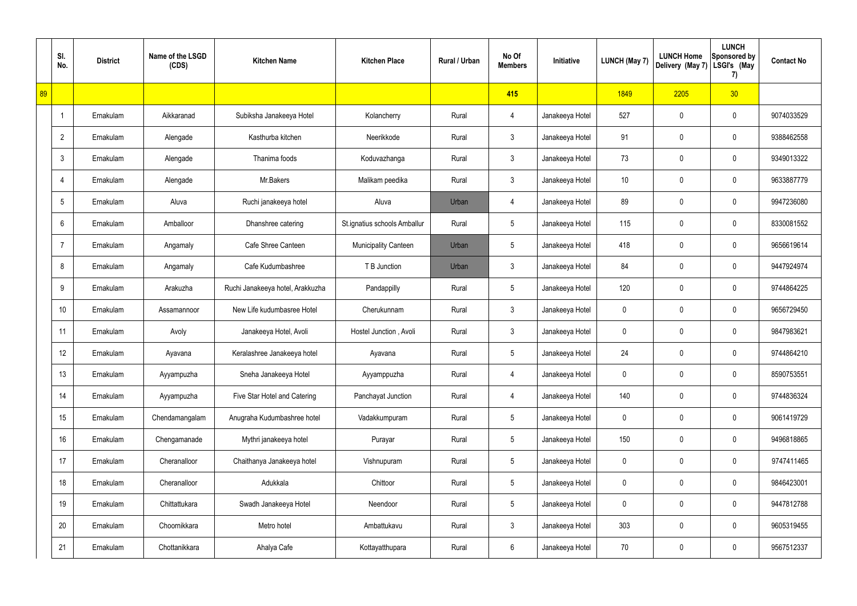|    | SI.<br>No.      | <b>District</b> | Name of the LSGD<br>(CDS) | <b>Kitchen Name</b>              | <b>Kitchen Place</b>         | Rural / Urban | No Of<br><b>Members</b> | Initiative      | <b>LUNCH (May 7)</b> | <b>LUNCH Home</b><br>Delivery (May 7) | <b>LUNCH</b><br><b>Sponsored by</b><br>LSGI's (May<br>7) | <b>Contact No</b> |
|----|-----------------|-----------------|---------------------------|----------------------------------|------------------------------|---------------|-------------------------|-----------------|----------------------|---------------------------------------|----------------------------------------------------------|-------------------|
| 89 |                 |                 |                           |                                  |                              |               | 415                     |                 | 1849                 | 2205                                  | 30 <sub>2</sub>                                          |                   |
|    | -1              | Ernakulam       | Aikkaranad                | Subiksha Janakeeya Hotel         | Kolancherry                  | Rural         | 4                       | Janakeeya Hotel | 527                  | 0                                     | $\pmb{0}$                                                | 9074033529        |
|    | $\overline{2}$  | Ernakulam       | Alengade                  | Kasthurba kitchen                | Neerikkode                   | Rural         | $\mathfrak{Z}$          | Janakeeya Hotel | 91                   | 0                                     | $\pmb{0}$                                                | 9388462558        |
|    | $\mathbf{3}$    | Ernakulam       | Alengade                  | Thanima foods                    | Koduvazhanga                 | Rural         | $\mathfrak{Z}$          | Janakeeya Hotel | 73                   | 0                                     | $\mathbf 0$                                              | 9349013322        |
|    | 4               | Ernakulam       | Alengade                  | Mr.Bakers                        | Malikam peedika              | Rural         | $\mathfrak{Z}$          | Janakeeya Hotel | 10                   | 0                                     | $\pmb{0}$                                                | 9633887779        |
|    | $5\phantom{.0}$ | Ernakulam       | Aluva                     | Ruchi janakeeya hotel            | Aluva                        | Urban         | 4                       | Janakeeya Hotel | 89                   | 0                                     | $\mathbf 0$                                              | 9947236080        |
|    | 6               | Ernakulam       | Amballoor                 | Dhanshree catering               | St.ignatius schools Amballur | Rural         | $5\phantom{.0}$         | Janakeeya Hotel | 115                  | 0                                     | $\pmb{0}$                                                | 8330081552        |
|    | $\overline{7}$  | Ernakulam       | Angamaly                  | Cafe Shree Canteen               | <b>Municipality Canteen</b>  | Urban         | $5\phantom{.0}$         | Janakeeya Hotel | 418                  | 0                                     | $\mathbf 0$                                              | 9656619614        |
|    | 8               | Ernakulam       | Angamaly                  | Cafe Kudumbashree                | T B Junction                 | Urban         | $\mathfrak{Z}$          | Janakeeya Hotel | 84                   | 0                                     | 0                                                        | 9447924974        |
|    | 9               | Ernakulam       | Arakuzha                  | Ruchi Janakeeya hotel, Arakkuzha | Pandappilly                  | Rural         | $5\phantom{.0}$         | Janakeeya Hotel | 120                  | 0                                     | $\mathbf 0$                                              | 9744864225        |
|    | 10 <sup>1</sup> | Ernakulam       | Assamannoor               | New Life kudumbasree Hotel       | Cherukunnam                  | Rural         | $\mathfrak{Z}$          | Janakeeya Hotel | $\mathbf 0$          | 0                                     | $\mathbf 0$                                              | 9656729450        |
|    | 11              | Ernakulam       | Avoly                     | Janakeeya Hotel, Avoli           | Hostel Junction, Avoli       | Rural         | $\mathbf{3}$            | Janakeeya Hotel | 0                    | 0                                     | $\mathbf 0$                                              | 9847983621        |
|    | 12              | Ernakulam       | Ayavana                   | Keralashree Janakeeya hotel      | Ayavana                      | Rural         | $5\phantom{.0}$         | Janakeeya Hotel | 24                   | 0                                     | 0                                                        | 9744864210        |
|    | 13              | Ernakulam       | Ayyampuzha                | Sneha Janakeeya Hotel            | Ayyamppuzha                  | Rural         | 4                       | Janakeeya Hotel | $\mathbf 0$          | 0                                     | $\mathbf 0$                                              | 8590753551        |
|    | 14              | Ernakulam       | Ayyampuzha                | Five Star Hotel and Catering     | Panchayat Junction           | Rural         | 4                       | Janakeeya Hotel | 140                  | $\mathbf 0$                           | $\mathbf 0$                                              | 9744836324        |
|    | 15              | Ernakulam       | Chendamangalam            | Anugraha Kudumbashree hotel      | Vadakkumpuram                | Rural         | $5\phantom{.0}$         | Janakeeya Hotel | $\mathbf 0$          | 0                                     | $\mathbf 0$                                              | 9061419729        |
|    | 16              | Ernakulam       | Chengamanade              | Mythri janakeeya hotel           | Purayar                      | Rural         | $5\phantom{.0}$         | Janakeeya Hotel | 150                  | $\mathbf 0$                           | $\mathbf 0$                                              | 9496818865        |
|    | 17              | Ernakulam       | Cheranalloor              | Chaithanya Janakeeya hotel       | Vishnupuram                  | Rural         | $5\phantom{.0}$         | Janakeeya Hotel | $\mathbf 0$          | 0                                     | $\mathbf 0$                                              | 9747411465        |
|    | 18              | Ernakulam       | Cheranalloor              | Adukkala                         | Chittoor                     | Rural         | $5\phantom{.0}$         | Janakeeya Hotel | $\mathbf 0$          | $\mathbf 0$                           | $\mathbf 0$                                              | 9846423001        |
|    | 19              | Ernakulam       | Chittattukara             | Swadh Janakeeya Hotel            | Neendoor                     | Rural         | $5\phantom{.0}$         | Janakeeya Hotel | $\mathbf 0$          | 0                                     | $\mathbf 0$                                              | 9447812788        |
|    | 20              | Ernakulam       | Choornikkara              | Metro hotel                      | Ambattukavu                  | Rural         | $\mathfrak{Z}$          | Janakeeya Hotel | 303                  | $\mathbf 0$                           | $\mathsf{0}$                                             | 9605319455        |
|    | 21              | Ernakulam       | Chottanikkara             | Ahalya Cafe                      | Kottayatthupara              | Rural         | 6                       | Janakeeya Hotel | 70                   | 0                                     | $\mathsf{0}$                                             | 9567512337        |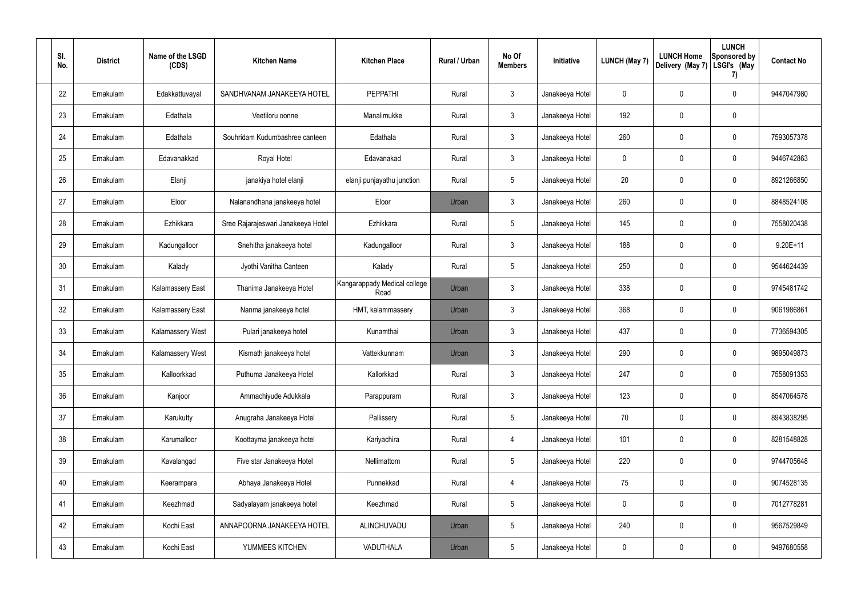| SI.<br>No. | <b>District</b> | Name of the LSGD<br>(CDS) | <b>Kitchen Name</b>                | <b>Kitchen Place</b>                 | Rural / Urban | No Of<br><b>Members</b> | Initiative      | <b>LUNCH (May 7)</b> | <b>LUNCH Home</b><br>Delivery (May 7) | <b>LUNCH</b><br><b>Sponsored by</b><br>LSGI's (May<br>7) | <b>Contact No</b> |
|------------|-----------------|---------------------------|------------------------------------|--------------------------------------|---------------|-------------------------|-----------------|----------------------|---------------------------------------|----------------------------------------------------------|-------------------|
| 22         | Ernakulam       | Edakkattuvayal            | SANDHVANAM JANAKEEYA HOTEL         | <b>PEPPATHI</b>                      | Rural         | 3                       | Janakeeya Hotel | 0                    | 0                                     | $\mathbf 0$                                              | 9447047980        |
| 23         | Ernakulam       | Edathala                  | Veetiloru oonne                    | Manalimukke                          | Rural         | $\mathfrak{Z}$          | Janakeeya Hotel | 192                  | 0                                     | 0                                                        |                   |
| 24         | Ernakulam       | Edathala                  | Souhridam Kudumbashree canteen     | Edathala                             | Rural         | $\mathbf{3}$            | Janakeeya Hotel | 260                  | 0                                     | $\mathbf 0$                                              | 7593057378        |
| 25         | Ernakulam       | Edavanakkad               | Royal Hotel                        | Edavanakad                           | Rural         | $\mathfrak{Z}$          | Janakeeya Hotel | 0                    | 0                                     | $\mathbf 0$                                              | 9446742863        |
| 26         | Ernakulam       | Elanji                    | janakiya hotel elanji              | elanji punjayathu junction           | Rural         | $5\phantom{.0}$         | Janakeeya Hotel | 20                   | 0                                     | $\mathbf 0$                                              | 8921266850        |
| 27         | Ernakulam       | Eloor                     | Nalanandhana janakeeya hotel       | Eloor                                | Urban         | 3                       | Janakeeya Hotel | 260                  | 0                                     | $\mathbf 0$                                              | 8848524108        |
| 28         | Ernakulam       | Ezhikkara                 | Sree Rajarajeswari Janakeeya Hotel | Ezhikkara                            | Rural         | $\overline{5}$          | Janakeeya Hotel | 145                  | 0                                     | $\mathbf 0$                                              | 7558020438        |
| 29         | Ernakulam       | Kadungalloor              | Snehitha janakeeya hotel           | Kadungalloor                         | Rural         | 3                       | Janakeeya Hotel | 188                  | 0                                     | $\mathbf 0$                                              | $9.20E + 11$      |
| 30         | Ernakulam       | Kalady                    | Jyothi Vanitha Canteen             | Kalady                               | Rural         | $\overline{5}$          | Janakeeya Hotel | 250                  | 0                                     | $\mathbf 0$                                              | 9544624439        |
| 31         | Ernakulam       | <b>Kalamassery East</b>   | Thanima Janakeeya Hotel            | Kangarappady Medical college<br>Road | Urban         | 3                       | Janakeeya Hotel | 338                  | 0                                     | 0                                                        | 9745481742        |
| 32         | Ernakulam       | <b>Kalamassery East</b>   | Nanma janakeeya hotel              | HMT, kalammassery                    | Urban         | 3                       | Janakeeya Hotel | 368                  | 0                                     | $\mathbf 0$                                              | 9061986861        |
| 33         | Ernakulam       | <b>Kalamassery West</b>   | Pulari janakeeya hotel             | Kunamthai                            | Urban         | 3                       | Janakeeya Hotel | 437                  | 0                                     | $\mathbf 0$                                              | 7736594305        |
| 34         | Ernakulam       | Kalamassery West          | Kismath janakeeya hotel            | Vattekkunnam                         | Urban         | 3                       | Janakeeya Hotel | 290                  | 0                                     | $\mathbf 0$                                              | 9895049873        |
| 35         | Ernakulam       | Kalloorkkad               | Puthuma Janakeeya Hotel            | Kallorkkad                           | Rural         | $\mathbf{3}$            | Janakeeya Hotel | 247                  | 0                                     | $\mathbf 0$                                              | 7558091353        |
| 36         | Ernakulam       | Kanjoor                   | Ammachiyude Adukkala               | Parappuram                           | Rural         | $\mathbf{3}$            | Janakeeya Hotel | 123                  | $\mathbf 0$                           | $\mathsf{0}$                                             | 8547064578        |
| 37         | Ernakulam       | Karukutty                 | Anugraha Janakeeya Hotel           | Pallissery                           | Rural         | $5\phantom{.0}$         | Janakeeya Hotel | 70                   | $\pmb{0}$                             | $\mathsf{0}$                                             | 8943838295        |
| 38         | Ernakulam       | Karumalloor               | Koottayma janakeeya hotel          | Kariyachira                          | Rural         | 4                       | Janakeeya Hotel | 101                  | $\mathbf 0$                           | $\mathsf{0}$                                             | 8281548828        |
| 39         | Ernakulam       | Kavalangad                | Five star Janakeeya Hotel          | Nellimattom                          | Rural         | $5\phantom{.0}$         | Janakeeya Hotel | 220                  | $\pmb{0}$                             | $\mathsf{0}$                                             | 9744705648        |
| 40         | Ernakulam       | Keerampara                | Abhaya Janakeeya Hotel             | Punnekkad                            | Rural         | 4                       | Janakeeya Hotel | 75                   | $\mathbf 0$                           | $\mathsf{0}$                                             | 9074528135        |
| 41         | Ernakulam       | Keezhmad                  | Sadyalayam janakeeya hotel         | Keezhmad                             | Rural         | $5\phantom{.0}$         | Janakeeya Hotel | 0                    | $\pmb{0}$                             | $\mathsf{0}$                                             | 7012778281        |
| 42         | Ernakulam       | Kochi East                | ANNAPOORNA JANAKEEYA HOTEL         | ALINCHUVADU                          | Urban         | 5                       | Janakeeya Hotel | 240                  | $\mathbf 0$                           | $\mathsf{0}$                                             | 9567529849        |
| 43         | Ernakulam       | Kochi East                | YUMMEES KITCHEN                    | VADUTHALA                            | Urban         | $5\phantom{.0}$         | Janakeeya Hotel | 0                    | $\pmb{0}$                             | $\mathsf{0}$                                             | 9497680558        |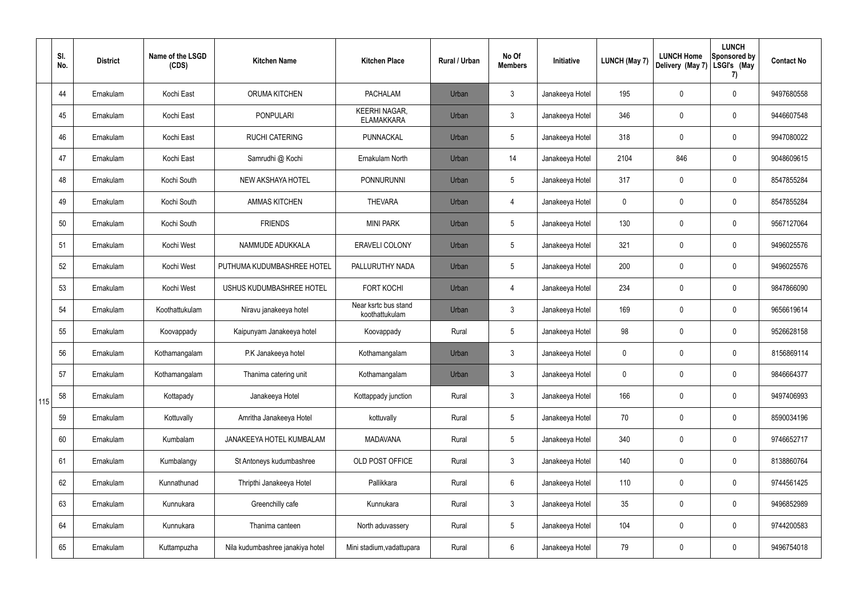|     | SI.<br>No. | <b>District</b> | Name of the LSGD<br>(CDS) | <b>Kitchen Name</b>              | <b>Kitchen Place</b>                      | <b>Rural / Urban</b> | No Of<br><b>Members</b> | Initiative      | <b>LUNCH (May 7)</b> | <b>LUNCH Home</b><br>Delivery (May 7) | <b>LUNCH</b><br>Sponsored by<br>LSGI's (May<br>7) | <b>Contact No</b> |
|-----|------------|-----------------|---------------------------|----------------------------------|-------------------------------------------|----------------------|-------------------------|-----------------|----------------------|---------------------------------------|---------------------------------------------------|-------------------|
|     | 44         | Ernakulam       | Kochi East                | ORUMA KITCHEN                    | <b>PACHALAM</b>                           | Urban                | $\mathbf{3}$            | Janakeeya Hotel | 195                  | $\mathbf 0$                           | $\mathbf 0$                                       | 9497680558        |
|     | 45         | Ernakulam       | Kochi East                | PONPULARI                        | <b>KEERHI NAGAR,</b><br><b>ELAMAKKARA</b> | Urban                | $\mathfrak{Z}$          | Janakeeya Hotel | 346                  | $\mathbf 0$                           | $\boldsymbol{0}$                                  | 9446607548        |
|     | 46         | Ernakulam       | Kochi East                | <b>RUCHI CATERING</b>            | PUNNACKAL                                 | Urban                | $5\phantom{.0}$         | Janakeeya Hotel | 318                  | $\mathbf 0$                           | $\mathbf 0$                                       | 9947080022        |
|     | 47         | Ernakulam       | Kochi East                | Samrudhi @ Kochi                 | Ernakulam North                           | Urban                | 14                      | Janakeeya Hotel | 2104                 | 846                                   | $\boldsymbol{0}$                                  | 9048609615        |
|     | 48         | Ernakulam       | Kochi South               | NEW AKSHAYA HOTEL                | PONNURUNNI                                | Urban                | $5\phantom{.0}$         | Janakeeya Hotel | 317                  | $\mathbf 0$                           | $\boldsymbol{0}$                                  | 8547855284        |
|     | 49         | Ernakulam       | Kochi South               | <b>AMMAS KITCHEN</b>             | <b>THEVARA</b>                            | Urban                | $\overline{4}$          | Janakeeya Hotel | 0                    | 0                                     | $\boldsymbol{0}$                                  | 8547855284        |
|     | 50         | Ernakulam       | Kochi South               | <b>FRIENDS</b>                   | <b>MINI PARK</b>                          | Urban                | $5\phantom{.0}$         | Janakeeya Hotel | 130                  | $\pmb{0}$                             | $\mathbf 0$                                       | 9567127064        |
|     | 51         | Ernakulam       | Kochi West                | NAMMUDE ADUKKALA                 | <b>ERAVELI COLONY</b>                     | Urban                | $5\phantom{.0}$         | Janakeeya Hotel | 321                  | $\pmb{0}$                             | $\pmb{0}$                                         | 9496025576        |
|     | 52         | Ernakulam       | Kochi West                | PUTHUMA KUDUMBASHREE HOTEL       | PALLURUTHY NADA                           | Urban                | $5\phantom{.0}$         | Janakeeya Hotel | 200                  | $\pmb{0}$                             | $\mathbf 0$                                       | 9496025576        |
|     | 53         | Ernakulam       | Kochi West                | USHUS KUDUMBASHREE HOTEL         | <b>FORT KOCHI</b>                         | Urban                | $\overline{4}$          | Janakeeya Hotel | 234                  | $\mathbf 0$                           | $\mathbf 0$                                       | 9847866090        |
|     | 54         | Ernakulam       | Koothattukulam            | Niravu janakeeya hotel           | Near ksrtc bus stand<br>koothattukulam    | Urban                | $\mathfrak{Z}$          | Janakeeya Hotel | 169                  | $\mathbf 0$                           | $\pmb{0}$                                         | 9656619614        |
|     | 55         | Ernakulam       | Koovappady                | Kaipunyam Janakeeya hotel        | Koovappady                                | Rural                | $5\phantom{.0}$         | Janakeeya Hotel | 98                   | 0                                     | $\boldsymbol{0}$                                  | 9526628158        |
|     | 56         | Ernakulam       | Kothamangalam             | P.K Janakeeya hotel              | Kothamangalam                             | Urban                | $\mathfrak{Z}$          | Janakeeya Hotel | 0                    | $\mathbf{0}$                          | $\mathbf 0$                                       | 8156869114        |
|     | 57         | Ernakulam       | Kothamangalam             | Thanima catering unit            | Kothamangalam                             | Urban                | $\mathbf{3}$            | Janakeeya Hotel | 0                    | $\mathbf 0$                           | $\pmb{0}$                                         | 9846664377        |
| 115 | 58         | Ernakulam       | Kottapady                 | Janakeeya Hotel                  | Kottappady junction                       | Rural                | $\mathbf{3}$            | Janakeeya Hotel | 166                  | $\mathbf 0$                           | $\pmb{0}$                                         | 9497406993        |
|     | 59         | Ernakulam       | Kottuvally                | Amritha Janakeeya Hotel          | kottuvally                                | Rural                | $5\phantom{.0}$         | Janakeeya Hotel | 70                   | $\mathbf 0$                           | $\pmb{0}$                                         | 8590034196        |
|     | 60         | Ernakulam       | Kumbalam                  | JANAKEEYA HOTEL KUMBALAM         | <b>MADAVANA</b>                           | Rural                | $5\phantom{.0}$         | Janakeeya Hotel | 340                  | $\mathbf 0$                           | $\pmb{0}$                                         | 9746652717        |
|     | 61         | Ernakulam       | Kumbalangy                | St Antoneys kudumbashree         | OLD POST OFFICE                           | Rural                | $\mathfrak{Z}$          | Janakeeya Hotel | 140                  | $\mathbf 0$                           | $\pmb{0}$                                         | 8138860764        |
|     | 62         | Ernakulam       | Kunnathunad               | Thripthi Janakeeya Hotel         | Pallikkara                                | Rural                | $6\overline{6}$         | Janakeeya Hotel | 110                  | $\mathbf 0$                           | $\pmb{0}$                                         | 9744561425        |
|     | 63         | Ernakulam       | Kunnukara                 | Greenchilly cafe                 | Kunnukara                                 | Rural                | $\mathbf{3}$            | Janakeeya Hotel | 35                   | $\mathbf 0$                           | $\pmb{0}$                                         | 9496852989        |
|     | 64         | Ernakulam       | Kunnukara                 | Thanima canteen                  | North aduvassery                          | Rural                | $5\phantom{.0}$         | Janakeeya Hotel | 104                  | $\pmb{0}$                             | $\pmb{0}$                                         | 9744200583        |
|     | 65         | Ernakulam       | Kuttampuzha               | Nila kudumbashree janakiya hotel | Mini stadium, vadattupara                 | Rural                | 6                       | Janakeeya Hotel | 79                   | $\mathbf 0$                           | $\pmb{0}$                                         | 9496754018        |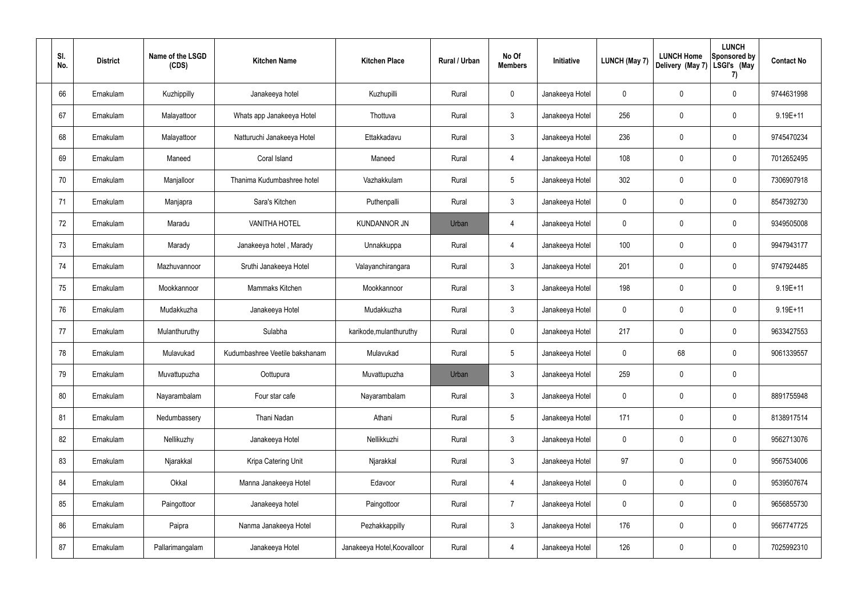| SI.<br>No. | <b>District</b> | Name of the LSGD<br>(CDS) | <b>Kitchen Name</b>            | <b>Kitchen Place</b>        | Rural / Urban | No Of<br><b>Members</b> | Initiative      | LUNCH (May 7) | <b>LUNCH Home</b><br>Delivery (May 7) | <b>LUNCH</b><br>Sponsored by<br>LSGI's (May<br>7) | <b>Contact No</b> |
|------------|-----------------|---------------------------|--------------------------------|-----------------------------|---------------|-------------------------|-----------------|---------------|---------------------------------------|---------------------------------------------------|-------------------|
| 66         | Ernakulam       | Kuzhippilly               | Janakeeya hotel                | Kuzhupilli                  | Rural         | $\mathbf 0$             | Janakeeya Hotel | 0             | 0                                     | $\mathbf 0$                                       | 9744631998        |
| 67         | Ernakulam       | Malayattoor               | Whats app Janakeeya Hotel      | Thottuva                    | Rural         | $\mathfrak{Z}$          | Janakeeya Hotel | 256           | $\pmb{0}$                             | $\mathbf 0$                                       | 9.19E+11          |
| 68         | Ernakulam       | Malayattoor               | Natturuchi Janakeeya Hotel     | Ettakkadavu                 | Rural         | $\mathfrak{Z}$          | Janakeeya Hotel | 236           | 0                                     | $\pmb{0}$                                         | 9745470234        |
| 69         | Ernakulam       | Maneed                    | Coral Island                   | Maneed                      | Rural         | 4                       | Janakeeya Hotel | 108           | 0                                     | $\pmb{0}$                                         | 7012652495        |
| 70         | Ernakulam       | Manjalloor                | Thanima Kudumbashree hotel     | Vazhakkulam                 | Rural         | $\overline{5}$          | Janakeeya Hotel | 302           | 0                                     | $\pmb{0}$                                         | 7306907918        |
| 71         | Ernakulam       | Manjapra                  | Sara's Kitchen                 | Puthenpalli                 | Rural         | $\mathfrak{Z}$          | Janakeeya Hotel | 0             | 0                                     | $\pmb{0}$                                         | 8547392730        |
| 72         | Ernakulam       | Maradu                    | <b>VANITHA HOTEL</b>           | <b>KUNDANNOR JN</b>         | Urban         | 4                       | Janakeeya Hotel | 0             | 0                                     | $\pmb{0}$                                         | 9349505008        |
| 73         | Ernakulam       | Marady                    | Janakeeya hotel, Marady        | Unnakkuppa                  | Rural         | 4                       | Janakeeya Hotel | 100           | 0                                     | $\mathbf 0$                                       | 9947943177        |
| 74         | Ernakulam       | Mazhuvannoor              | Sruthi Janakeeya Hotel         | Valayanchirangara           | Rural         | $\mathfrak{Z}$          | Janakeeya Hotel | 201           | 0                                     | $\mathbf 0$                                       | 9747924485        |
| 75         | Ernakulam       | Mookkannoor               | Mammaks Kitchen                | Mookkannoor                 | Rural         | $\mathfrak{Z}$          | Janakeeya Hotel | 198           | 0                                     | $\pmb{0}$                                         | $9.19E + 11$      |
| 76         | Ernakulam       | Mudakkuzha                | Janakeeya Hotel                | Mudakkuzha                  | Rural         | $\mathfrak{Z}$          | Janakeeya Hotel | 0             | 0                                     | $\pmb{0}$                                         | $9.19E + 11$      |
| 77         | Ernakulam       | Mulanthuruthy             | Sulabha                        | karikode, mulanthuruthy     | Rural         | $\mathbf 0$             | Janakeeya Hotel | 217           | 0                                     | $\pmb{0}$                                         | 9633427553        |
| 78         | Ernakulam       | Mulavukad                 | Kudumbashree Veetile bakshanam | Mulavukad                   | Rural         | 5                       | Janakeeya Hotel | 0             | 68                                    | $\mathbf 0$                                       | 9061339557        |
| 79         | Ernakulam       | Muvattupuzha              | Oottupura                      | Muvattupuzha                | Urban         | $\mathfrak{Z}$          | Janakeeya Hotel | 259           | 0                                     | $\pmb{0}$                                         |                   |
| 80         | Ernakulam       | Nayarambalam              | Four star cafe                 | Nayarambalam                | Rural         | $\mathfrak{Z}$          | Janakeeya Hotel | $\mathbf 0$   | $\mathbf 0$                           | $\pmb{0}$                                         | 8891755948        |
| 81         | Ernakulam       | Nedumbassery              | Thani Nadan                    | Athani                      | Rural         | $5\phantom{.0}$         | Janakeeya Hotel | 171           | $\mathbf 0$                           | $\pmb{0}$                                         | 8138917514        |
| 82         | Ernakulam       | Nellikuzhy                | Janakeeya Hotel                | Nellikkuzhi                 | Rural         | $\mathfrak{Z}$          | Janakeeya Hotel | $\mathbf 0$   | $\mathbf 0$                           | $\pmb{0}$                                         | 9562713076        |
| 83         | Ernakulam       | Njarakkal                 | Kripa Catering Unit            | Njarakkal                   | Rural         | $\mathbf{3}$            | Janakeeya Hotel | 97            | $\mathbf 0$                           | $\pmb{0}$                                         | 9567534006        |
| 84         | Ernakulam       | Okkal                     | Manna Janakeeya Hotel          | Edavoor                     | Rural         | $\overline{4}$          | Janakeeya Hotel | $\pmb{0}$     | $\mathbf 0$                           | $\pmb{0}$                                         | 9539507674        |
| 85         | Ernakulam       | Paingottoor               | Janakeeya hotel                | Paingottoor                 | Rural         | $\overline{7}$          | Janakeeya Hotel | $\mathbf 0$   | $\mathbf 0$                           | $\pmb{0}$                                         | 9656855730        |
| 86         | Ernakulam       | Paipra                    | Nanma Janakeeya Hotel          | Pezhakkappilly              | Rural         | $\mathfrak{Z}$          | Janakeeya Hotel | 176           | $\mathbf 0$                           | $\pmb{0}$                                         | 9567747725        |
| 87         | Ernakulam       | Pallarimangalam           | Janakeeya Hotel                | Janakeeya Hotel, Koovalloor | Rural         | 4                       | Janakeeya Hotel | 126           | 0                                     | $\pmb{0}$                                         | 7025992310        |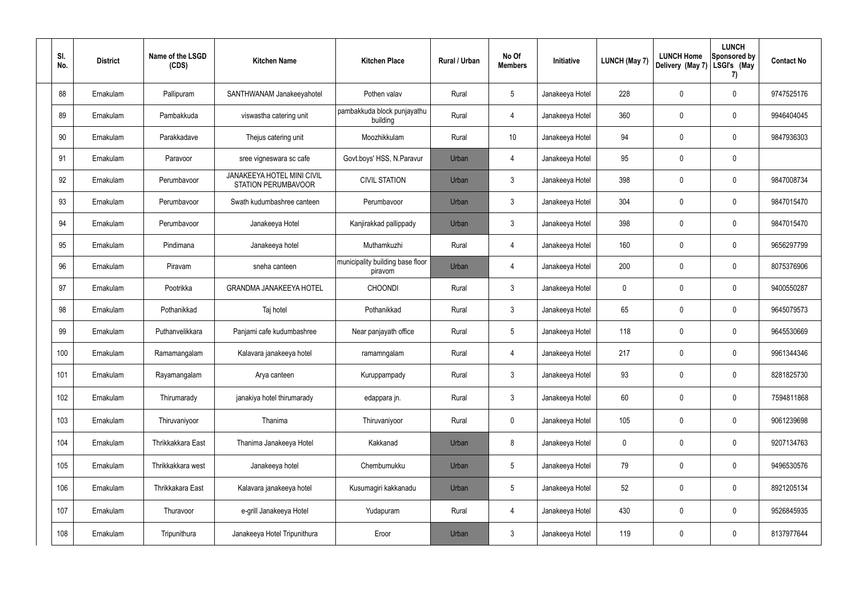| SI.<br>No. | <b>District</b> | Name of the LSGD<br>(CDS) | <b>Kitchen Name</b>                                             | <b>Kitchen Place</b>                        | Rural / Urban | No Of<br><b>Members</b> | Initiative      | <b>LUNCH (May 7)</b> | <b>LUNCH Home</b><br>Delivery (May 7) | <b>LUNCH</b><br>Sponsored by<br>LSGI's (May<br>7) | <b>Contact No</b> |
|------------|-----------------|---------------------------|-----------------------------------------------------------------|---------------------------------------------|---------------|-------------------------|-----------------|----------------------|---------------------------------------|---------------------------------------------------|-------------------|
| 88         | Ernakulam       | Pallipuram                | SANTHWANAM Janakeeyahotel                                       | Pothen valav                                | Rural         | $\sqrt{5}$              | Janakeeya Hotel | 228                  | 0                                     | $\pmb{0}$                                         | 9747525176        |
| 89         | Ernakulam       | Pambakkuda                | viswastha catering unit                                         | pambakkuda block punjayathu<br>building     | Rural         | $\overline{4}$          | Janakeeya Hotel | 360                  | $\mathbf 0$                           | $\pmb{0}$                                         | 9946404045        |
| 90         | Ernakulam       | Parakkadave               | Thejus catering unit                                            | Moozhikkulam                                | Rural         | 10 <sup>°</sup>         | Janakeeya Hotel | 94                   | 0                                     | $\pmb{0}$                                         | 9847936303        |
| 91         | Ernakulam       | Paravoor                  | sree vigneswara sc cafe                                         | Govt.boys' HSS, N.Paravur                   | Urban         | $\overline{4}$          | Janakeeya Hotel | 95                   | $\mathbf 0$                           | $\pmb{0}$                                         |                   |
| 92         | Ernakulam       | Perumbavoor               | <b>JANAKEEYA HOTEL MINI CIVIL</b><br><b>STATION PERUMBAVOOR</b> | <b>CIVIL STATION</b>                        | Urban         | $\mathbf{3}$            | Janakeeya Hotel | 398                  | 0                                     | $\pmb{0}$                                         | 9847008734        |
| 93         | Ernakulam       | Perumbayoor               | Swath kudumbashree canteen                                      | Perumbavoor                                 | Urban         | $\mathbf{3}$            | Janakeeya Hotel | 304                  | 0                                     | $\mathbf 0$                                       | 9847015470        |
| 94         | Ernakulam       | Perumbavoor               | Janakeeya Hotel                                                 | Kanjirakkad pallippady                      | Urban         | $\mathbf{3}$            | Janakeeya Hotel | 398                  | 0                                     | $\pmb{0}$                                         | 9847015470        |
| 95         | Ernakulam       | Pindimana                 | Janakeeya hotel                                                 | Muthamkuzhi                                 | Rural         | $\overline{4}$          | Janakeeya Hotel | 160                  | 0                                     | $\mathbf 0$                                       | 9656297799        |
| 96         | Ernakulam       | Piravam                   | sneha canteen                                                   | municipality building base floor<br>piravom | Urban         | $\overline{4}$          | Janakeeya Hotel | 200                  | 0                                     | $\mathbf 0$                                       | 8075376906        |
| 97         | Ernakulam       | Pootrikka                 | <b>GRANDMA JANAKEEYA HOTEL</b>                                  | <b>CHOONDI</b>                              | Rural         | $\mathfrak{Z}$          | Janakeeya Hotel | 0                    | 0                                     | $\pmb{0}$                                         | 9400550287        |
| 98         | Ernakulam       | Pothanikkad               | Taj hotel                                                       | Pothanikkad                                 | Rural         | $\mathbf{3}$            | Janakeeya Hotel | 65                   | $\mathbf 0$                           | $\pmb{0}$                                         | 9645079573        |
| 99         | Ernakulam       | Puthanvelikkara           | Panjami cafe kudumbashree                                       | Near panjayath office                       | Rural         | $5\phantom{.0}$         | Janakeeya Hotel | 118                  | 0                                     | $\pmb{0}$                                         | 9645530669        |
| 100        | Ernakulam       | Ramamangalam              | Kalavara janakeeya hotel                                        | ramamngalam                                 | Rural         | 4                       | Janakeeya Hotel | 217                  | 0                                     | $\mathbf 0$                                       | 9961344346        |
| 101        | Ernakulam       | Rayamangalam              | Arya canteen                                                    | Kuruppampady                                | Rural         | $\mathbf{3}$            | Janakeeya Hotel | 93                   | $\mathbf 0$                           | $\mathbf 0$                                       | 8281825730        |
| 102        | Ernakulam       | Thirumarady               | janakiya hotel thirumarady                                      | edappara jn.                                | Rural         | 3 <sup>1</sup>          | Janakeeya Hotel | 60                   | 0                                     | $\pmb{0}$                                         | 7594811868        |
| 103        | Ernakulam       | Thiruvaniyoor             | Thanima                                                         | Thiruvaniyoor                               | Rural         | $\pmb{0}$               | Janakeeya Hotel | 105                  | 0                                     | $\pmb{0}$                                         | 9061239698        |
| 104        | Ernakulam       | Thrikkakkara East         | Thanima Janakeeya Hotel                                         | Kakkanad                                    | Urban         | 8                       | Janakeeya Hotel | 0                    | 0                                     | $\mathbf 0$                                       | 9207134763        |
| 105        | Ernakulam       | Thrikkakkara west         | Janakeeya hotel                                                 | Chembumukku                                 | Urban         | $5\phantom{.0}$         | Janakeeya Hotel | 79                   | $\mathbf 0$                           | $\mathbf 0$                                       | 9496530576        |
| 106        | Ernakulam       | Thrikkakara East          | Kalavara janakeeya hotel                                        | Kusumagiri kakkanadu                        | Urban         | $5\phantom{.0}$         | Janakeeya Hotel | 52                   | $\mathbf 0$                           | $\pmb{0}$                                         | 8921205134        |
| 107        | Ernakulam       | Thuravoor                 | e-grill Janakeeya Hotel                                         | Yudapuram                                   | Rural         | $\overline{4}$          | Janakeeya Hotel | 430                  | $\mathbf 0$                           | $\pmb{0}$                                         | 9526845935        |
| 108        | Ernakulam       | Tripunithura              | Janakeeya Hotel Tripunithura                                    | Eroor                                       | Urban         | $\mathfrak{Z}$          | Janakeeya Hotel | 119                  | 0                                     | $\pmb{0}$                                         | 8137977644        |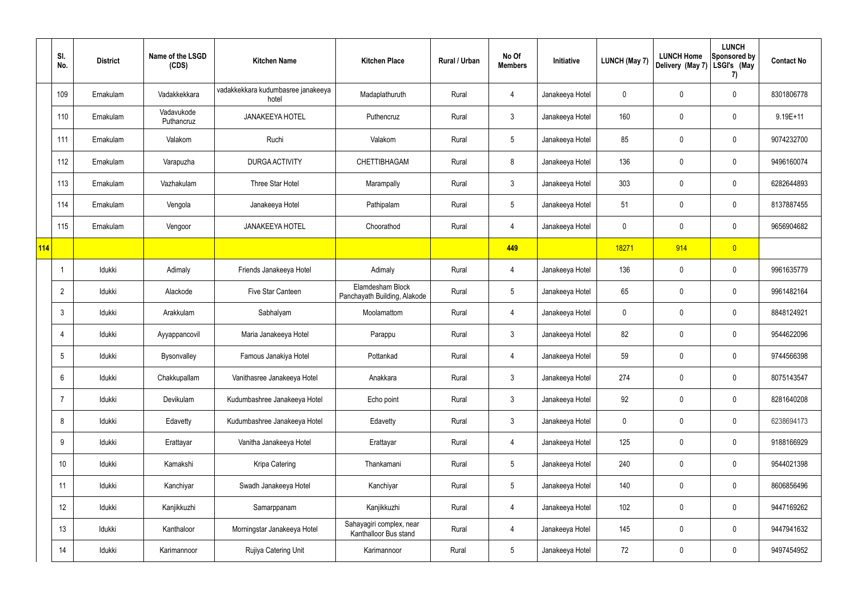|            | SI.<br>No.      | <b>District</b> | Name of the LSGD<br>(CDS) | <b>Kitchen Name</b>                         | <b>Kitchen Place</b>                              | <b>Rural / Urban</b> | No Of<br><b>Members</b> | Initiative      | <b>LUNCH (May 7)</b> | <b>LUNCH Home</b><br>Delivery (May 7) | <b>LUNCH</b><br><b>Sponsored by</b><br>LSGI's (May<br>7) | <b>Contact No</b> |
|------------|-----------------|-----------------|---------------------------|---------------------------------------------|---------------------------------------------------|----------------------|-------------------------|-----------------|----------------------|---------------------------------------|----------------------------------------------------------|-------------------|
|            | 109             | Ernakulam       | Vadakkekkara              | vadakkekkara kudumbasree janakeeya<br>hotel | Madaplathuruth                                    | Rural                | 4                       | Janakeeya Hotel | 0                    | 0                                     | $\pmb{0}$                                                | 8301806778        |
|            | 110             | Ernakulam       | Vadavukode<br>Puthancruz  | <b>JANAKEEYA HOTEL</b>                      | Puthencruz                                        | Rural                | $\mathbf{3}$            | Janakeeya Hotel | 160                  | 0                                     | $\pmb{0}$                                                | $9.19E + 11$      |
|            | 111             | Ernakulam       | Valakom                   | Ruchi                                       | Valakom                                           | Rural                | $5\phantom{.0}$         | Janakeeya Hotel | 85                   | 0                                     | $\pmb{0}$                                                | 9074232700        |
|            | 112             | Ernakulam       | Varapuzha                 | <b>DURGA ACTIVITY</b>                       | <b>CHETTIBHAGAM</b>                               | Rural                | 8                       | Janakeeya Hotel | 136                  | 0                                     | $\pmb{0}$                                                | 9496160074        |
|            | 113             | Ernakulam       | Vazhakulam                | Three Star Hotel                            | Marampally                                        | Rural                | $\mathfrak{Z}$          | Janakeeya Hotel | 303                  | 0                                     | $\pmb{0}$                                                | 6282644893        |
|            | 114             | Ernakulam       | Vengola                   | Janakeeya Hotel                             | Pathipalam                                        | Rural                | $5\phantom{.0}$         | Janakeeya Hotel | 51                   | 0                                     | $\pmb{0}$                                                | 8137887455        |
|            | 115             | Ernakulam       | Vengoor                   | <b>JANAKEEYA HOTEL</b>                      | Choorathod                                        | Rural                | 4                       | Janakeeya Hotel | $\mathbf 0$          | 0                                     | $\pmb{0}$                                                | 9656904682        |
| <b>114</b> |                 |                 |                           |                                             |                                                   |                      | 449                     |                 | 18271                | 914                                   | $\overline{0}$                                           |                   |
|            | J,              | Idukki          | Adimaly                   | Friends Janakeeya Hotel                     | Adimaly                                           | Rural                | 4                       | Janakeeya Hotel | 136                  | 0                                     | $\pmb{0}$                                                | 9961635779        |
|            | $\overline{2}$  | Idukki          | Alackode                  | Five Star Canteen                           | Elamdesham Block<br>Panchayath Building, Alakode  | Rural                | $5\phantom{.0}$         | Janakeeya Hotel | 65                   | 0                                     | $\pmb{0}$                                                | 9961482164        |
|            | 3               | Idukki          | Arakkulam                 | Sabhalyam                                   | Moolamattom                                       | Rural                | 4                       | Janakeeya Hotel | $\mathbf 0$          | 0                                     | $\pmb{0}$                                                | 8848124921        |
|            | $\overline{4}$  | Idukki          | Ayyappancovil             | Maria Janakeeya Hotel                       | Parappu                                           | Rural                | $\mathfrak{Z}$          | Janakeeya Hotel | 82                   | 0                                     | $\pmb{0}$                                                | 9544622096        |
|            | 5               | Idukki          | Bysonvalley               | Famous Janakiya Hotel                       | Pottankad                                         | Rural                |                         | Janakeeya Hotel | 59                   | 0                                     | $\mathbf 0$                                              | 9744566398        |
|            | $6\phantom{.}6$ | Idukki          | Chakkupallam              | Vanithasree Janakeeya Hotel                 | Anakkara                                          | Rural                | $\mathfrak{Z}$          | Janakeeya Hotel | 274                  | 0                                     | $\pmb{0}$                                                | 8075143547        |
|            | $\overline{7}$  | Idukki          | Devikulam                 | Kudumbashree Janakeeya Hotel                | Echo point                                        | Rural                | $\mathfrak{Z}$          | Janakeeya Hotel | 92                   | 0                                     | $\pmb{0}$                                                | 8281640208        |
|            | 8               | Idukki          | Edavetty                  | Kudumbashree Janakeeya Hotel                | Edavetty                                          | Rural                | $\mathbf{3}$            | Janakeeya Hotel | $\mathbf 0$          | 0                                     | $\pmb{0}$                                                | 6238694173        |
|            | 9               | Idukki          | Erattayar                 | Vanitha Janakeeya Hotel                     | Erattayar                                         | Rural                | 4                       | Janakeeya Hotel | 125                  | 0                                     | $\mathbf 0$                                              | 9188166929        |
|            | 10              | Idukki          | Kamakshi                  | Kripa Catering                              | Thankamani                                        | Rural                | $5\phantom{.0}$         | Janakeeya Hotel | 240                  | 0                                     | $\pmb{0}$                                                | 9544021398        |
|            | 11              | Idukki          | Kanchiyar                 | Swadh Janakeeya Hotel                       | Kanchiyar                                         | Rural                | $5\phantom{.0}$         | Janakeeya Hotel | 140                  | 0                                     | $\mathbf 0$                                              | 8606856496        |
|            | 12              | Idukki          | Kanjikkuzhi               | Samarppanam                                 | Kanjikkuzhi                                       | Rural                | 4                       | Janakeeya Hotel | 102                  | 0                                     | $\mathsf{0}$                                             | 9447169262        |
|            | 13              | Idukki          | Kanthaloor                | Morningstar Janakeeya Hotel                 | Sahayagiri complex, near<br>Kanthalloor Bus stand | Rural                | 4                       | Janakeeya Hotel | 145                  | 0                                     | $\mathbf 0$                                              | 9447941632        |
|            | 14              | Idukki          | Karimannoor               | Rujiya Catering Unit                        | Karimannoor                                       | Rural                | $5\phantom{.0}$         | Janakeeya Hotel | 72                   | 0                                     | $\mathsf{0}$                                             | 9497454952        |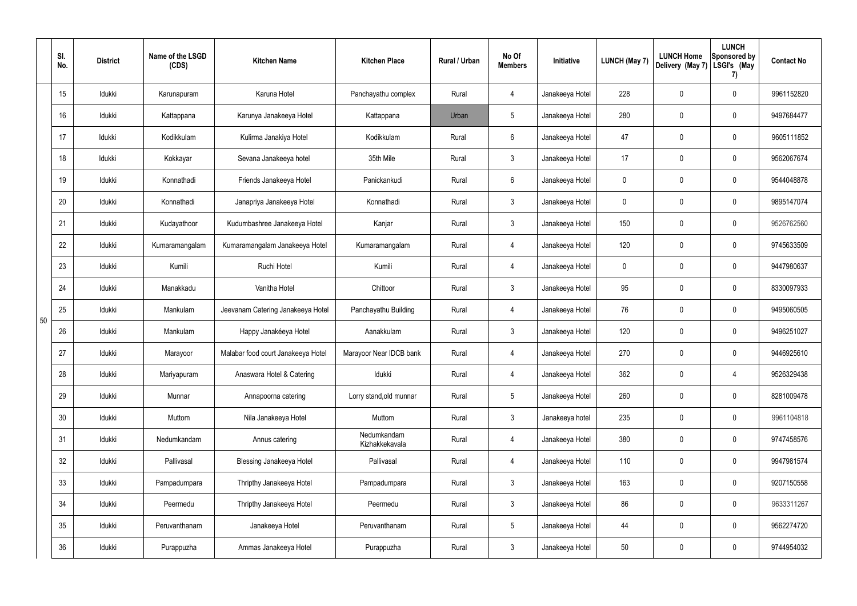|    | SI.<br>No.      | <b>District</b> | Name of the LSGD<br>(CDS) | <b>Kitchen Name</b>                | <b>Kitchen Place</b>          | <b>Rural / Urban</b> | No Of<br><b>Members</b> | Initiative      | LUNCH (May 7) | <b>LUNCH Home</b><br>Delivery (May 7) | <b>LUNCH</b><br>Sponsored by<br>LSGI's (May<br>7) | <b>Contact No</b> |
|----|-----------------|-----------------|---------------------------|------------------------------------|-------------------------------|----------------------|-------------------------|-----------------|---------------|---------------------------------------|---------------------------------------------------|-------------------|
|    | 15              | Idukki          | Karunapuram               | Karuna Hotel                       | Panchayathu complex           | Rural                | $\overline{4}$          | Janakeeya Hotel | 228           | 0                                     | 0                                                 | 9961152820        |
|    | 16              | Idukki          | Kattappana                | Karunya Janakeeya Hotel            | Kattappana                    | Urban                | $5\phantom{.0}$         | Janakeeya Hotel | 280           | $\mathbf 0$                           | 0                                                 | 9497684477        |
|    | 17              | Idukki          | Kodikkulam                | Kulirma Janakiya Hotel             | Kodikkulam                    | Rural                | 6                       | Janakeeya Hotel | 47            | 0                                     | 0                                                 | 9605111852        |
|    | 18              | Idukki          | Kokkayar                  | Sevana Janakeeya hotel             | 35th Mile                     | Rural                | $\mathfrak{Z}$          | Janakeeya Hotel | 17            | $\mathbf 0$                           | 0                                                 | 9562067674        |
|    | 19              | Idukki          | Konnathadi                | Friends Janakeeya Hotel            | Panickankudi                  | Rural                | 6                       | Janakeeya Hotel | 0             | 0                                     | 0                                                 | 9544048878        |
|    | 20              | Idukki          | Konnathadi                | Janapriya Janakeeya Hotel          | Konnathadi                    | Rural                | $\mathbf{3}$            | Janakeeya Hotel | $\mathbf 0$   | $\mathbf 0$                           | 0                                                 | 9895147074        |
|    | 21              | Idukki          | Kudayathoor               | Kudumbashree Janakeeya Hotel       | Kanjar                        | Rural                | $\mathbf{3}$            | Janakeeya Hotel | 150           | $\boldsymbol{0}$                      | 0                                                 | 9526762560        |
|    | 22              | Idukki          | Kumaramangalam            | Kumaramangalam Janakeeya Hotel     | Kumaramangalam                | Rural                | $\overline{4}$          | Janakeeya Hotel | 120           | 0                                     | 0                                                 | 9745633509        |
|    | 23              | Idukki          | Kumili                    | Ruchi Hotel                        | Kumili                        | Rural                | $\overline{4}$          | Janakeeya Hotel | $\mathbf 0$   | 0                                     | 0                                                 | 9447980637        |
|    | 24              | Idukki          | Manakkadu                 | Vanitha Hotel                      | Chittoor                      | Rural                | $\mathfrak{Z}$          | Janakeeya Hotel | 95            | 0                                     | 0                                                 | 8330097933        |
|    | 25              | Idukki          | Mankulam                  | Jeevanam Catering Janakeeya Hotel  | Panchayathu Building          | Rural                | $\overline{4}$          | Janakeeya Hotel | 76            | $\boldsymbol{0}$                      | 0                                                 | 9495060505        |
| 50 | 26              | Idukki          | Mankulam                  | Happy Janakéeya Hotel              | Aanakkulam                    | Rural                | 3                       | Janakeeya Hotel | 120           | 0                                     | 0                                                 | 9496251027        |
|    | 27              | Idukki          | Marayoor                  | Malabar food court Janakeeya Hotel | Marayoor Near IDCB bank       | Rural                | 4                       | Janakeeya Hotel | 270           | 0                                     | 0                                                 | 9446925610        |
|    | 28              | Idukki          | Mariyapuram               | Anaswara Hotel & Catering          | Idukki                        | Rural                | $\overline{4}$          | Janakeeya Hotel | 362           | $\mathbf 0$                           | $\overline{4}$                                    | 9526329438        |
|    | 29              | Idukki          | Munnar                    | Annapoorna catering                | Lorry stand, old munnar       | Rural                | $5\phantom{.0}$         | Janakeeya Hotel | 260           | $\mathbf 0$                           | $\mathbf 0$                                       | 8281009478        |
|    | 30 <sub>o</sub> | Idukki          | Muttom                    | Nila Janakeeya Hotel               | Muttom                        | Rural                | $\mathfrak{Z}$          | Janakeeya hotel | 235           | $\pmb{0}$                             | 0                                                 | 9961104818        |
|    | 31              | Idukki          | Nedumkandam               | Annus catering                     | Nedumkandam<br>Kizhakkekavala | Rural                | $\overline{4}$          | Janakeeya Hotel | 380           | $\overline{0}$                        | 0                                                 | 9747458576        |
|    | 32              | Idukki          | Pallivasal                | <b>Blessing Janakeeya Hotel</b>    | Pallivasal                    | Rural                | $\overline{4}$          | Janakeeya Hotel | 110           | $\pmb{0}$                             | 0                                                 | 9947981574        |
|    | 33              | Idukki          | Pampadumpara              | Thripthy Janakeeya Hotel           | Pampadumpara                  | Rural                | $\mathbf{3}$            | Janakeeya Hotel | 163           | $\overline{0}$                        | 0                                                 | 9207150558        |
|    | 34              | Idukki          | Peermedu                  | Thripthy Janakeeya Hotel           | Peermedu                      | Rural                | $\mathfrak{Z}$          | Janakeeya Hotel | 86            | $\pmb{0}$                             | 0                                                 | 9633311267        |
|    | 35              | Idukki          | Peruvanthanam             | Janakeeya Hotel                    | Peruvanthanam                 | Rural                | $5\phantom{.0}$         | Janakeeya Hotel | 44            | $\pmb{0}$                             | 0                                                 | 9562274720        |
|    | 36              | Idukki          | Purappuzha                | Ammas Janakeeya Hotel              | Purappuzha                    | Rural                | $\mathfrak{Z}$          | Janakeeya Hotel | 50            | $\pmb{0}$                             | 0                                                 | 9744954032        |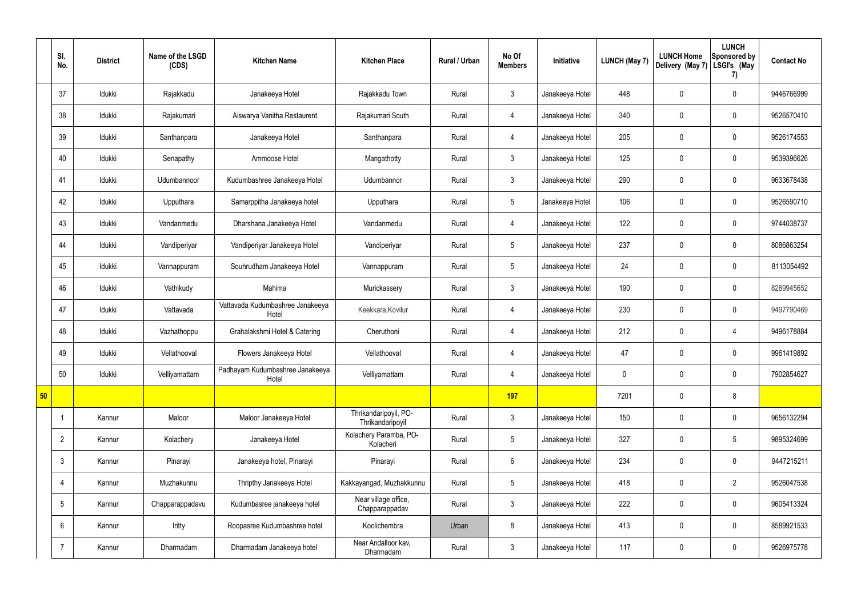|    | SI.<br>No.      | <b>District</b> | Name of the LSGD<br>(CDS) | <b>Kitchen Name</b>                       | <b>Kitchen Place</b>                      | Rural / Urban | No Of<br><b>Members</b> | Initiative      | <b>LUNCH (May 7)</b> | <b>LUNCH Home</b><br>Delivery (May 7) | <b>LUNCH</b><br>Sponsored by<br>LSGI's (May<br>7) | <b>Contact No</b> |
|----|-----------------|-----------------|---------------------------|-------------------------------------------|-------------------------------------------|---------------|-------------------------|-----------------|----------------------|---------------------------------------|---------------------------------------------------|-------------------|
|    | 37              | Idukki          | Rajakkadu                 | Janakeeya Hotel                           | Rajakkadu Town                            | Rural         | $\mathbf{3}$            | Janakeeya Hotel | 448                  | $\mathbf 0$                           | $\mathbf 0$                                       | 9446766999        |
|    | 38              | Idukki          | Rajakumari                | Aiswarya Vanitha Restaurent               | Rajakumari South                          | Rural         | $\overline{4}$          | Janakeeya Hotel | 340                  | $\mathbf 0$                           | $\mathbf 0$                                       | 9526570410        |
|    | 39              | Idukki          | Santhanpara               | Janakeeya Hotel                           | Santhanpara                               | Rural         | $\overline{4}$          | Janakeeya Hotel | 205                  | $\mathbf 0$                           | $\mathbf 0$                                       | 9526174553        |
|    | 40              | Idukki          | Senapathy                 | Ammoose Hotel                             | Mangathotty                               | Rural         | $\mathbf{3}$            | Janakeeya Hotel | 125                  | $\mathbf 0$                           | $\mathbf 0$                                       | 9539396626        |
|    | 41              | Idukki          | Udumbannoor               | Kudumbashree Janakeeya Hotel              | Udumbannor                                | Rural         | $\mathbf{3}$            | Janakeeya Hotel | 290                  | 0                                     | $\mathbf 0$                                       | 9633678438        |
|    | 42              | Idukki          | Upputhara                 | Samarppitha Janakeeya hotel               | Upputhara                                 | Rural         | $5\phantom{.0}$         | Janakeeya Hotel | 106                  | $\mathbf 0$                           | $\mathbf 0$                                       | 9526590710        |
|    | 43              | Idukki          | Vandanmedu                | Dharshana Janakeeya Hotel                 | Vandanmedu                                | Rural         | $\overline{4}$          | Janakeeya Hotel | 122                  | 0                                     | $\mathbf 0$                                       | 9744038737        |
|    | 44              | Idukki          | Vandiperiyar              | Vandiperiyar Janakeeya Hotel              | Vandiperiyar                              | Rural         | $5\overline{)}$         | Janakeeya Hotel | 237                  | $\mathbf 0$                           | $\mathbf 0$                                       | 8086863254        |
|    | 45              | Idukki          | Vannappuram               | Souhrudham Janakeeya Hotel                | Vannappuram                               | Rural         | $5\phantom{.0}$         | Janakeeya Hotel | 24                   | $\mathbf 0$                           | $\mathbf 0$                                       | 8113054492        |
|    | 46              | Idukki          | Vathikudy                 | Mahima                                    | Murickassery                              | Rural         | $\mathbf{3}$            | Janakeeya Hotel | 190                  | $\mathbf 0$                           | $\mathbf 0$                                       | 8289945652        |
|    | 47              | Idukki          | Vattavada                 | Vattavada Kudumbashree Janakeeya<br>Hotel | Keekkara, Kovilur                         | Rural         | $\overline{4}$          | Janakeeya Hotel | 230                  | 0                                     | $\mathbf 0$                                       | 9497790469        |
|    | 48              | Idukki          | Vazhathoppu               | Grahalakshmi Hotel & Catering             | Cheruthoni                                | Rural         | 4                       | Janakeeya Hotel | 212                  | $\mathbf 0$                           | 4                                                 | 9496178884        |
|    | 49              | Idukki          | Vellathooval              | Flowers Janakeeya Hotel                   | Vellathooval                              | Rural         | 4                       | Janakeeya Hotel | 47                   | $\mathbf 0$                           | $\mathbf 0$                                       | 9961419892        |
|    | 50              | Idukki          | Velliyamattam             | Padhayam Kudumbashree Janakeeya<br>Hotel  | Velliyamattam                             | Rural         | 4                       | Janakeeya Hotel | $\mathbf 0$          | $\mathbf 0$                           | $\mathbf 0$                                       | 7902854627        |
| 50 |                 |                 |                           |                                           |                                           |               | 197                     |                 | 7201                 | $\pmb{0}$                             | 8                                                 |                   |
|    |                 | Kannur          | Maloor                    | Maloor Janakeeya Hotel                    | Thrikandaripoyil, PO-<br>Thrikandaripoyil | Rural         | $\mathbf{3}$            | Janakeeya Hotel | 150                  | $\pmb{0}$                             | $\mathbf 0$                                       | 9656132294        |
|    | $\overline{2}$  | Kannur          | Kolachery                 | Janakeeya Hotel                           | Kolachery Paramba, PO-<br>Kolacheri       | Rural         | $5\overline{)}$         | Janakeeya Hotel | 327                  | $\pmb{0}$                             | $5\phantom{.0}$                                   | 9895324699        |
|    | $\mathbf{3}$    | Kannur          | Pinarayi                  | Janakeeya hotel, Pinarayi                 | Pinarayi                                  | Rural         | $6\overline{6}$         | Janakeeya Hotel | 234                  | $\pmb{0}$                             | $\mathbf 0$                                       | 9447215211        |
|    | $\overline{4}$  | Kannur          | Muzhakunnu                | Thripthy Janakeeya Hotel                  | Kakkayangad, Muzhakkunnu                  | Rural         | $5\overline{)}$         | Janakeeya Hotel | 418                  | 0                                     | $\overline{2}$                                    | 9526047538        |
|    | $5\phantom{.0}$ | Kannur          | Chapparappadavu           | Kudumbasree janakeeya hotel               | Near village office,<br>Chapparappadav    | Rural         | $\mathbf{3}$            | Janakeeya Hotel | 222                  | 0                                     | $\mathbf 0$                                       | 9605413324        |
|    | 6               | Kannur          | Iritty                    | Roopasree Kudumbashree hotel              | Koolichembra                              | Urban         | 8                       | Janakeeya Hotel | 413                  | $\pmb{0}$                             | $\mathbf 0$                                       | 8589921533        |
|    | $\overline{7}$  | Kannur          | Dharmadam                 | Dharmadam Janakeeya hotel                 | Near Andalloor kav,<br>Dharmadam          | Rural         | $\mathbf{3}$            | Janakeeya Hotel | 117                  | 0                                     | $\mathbf 0$                                       | 9526975778        |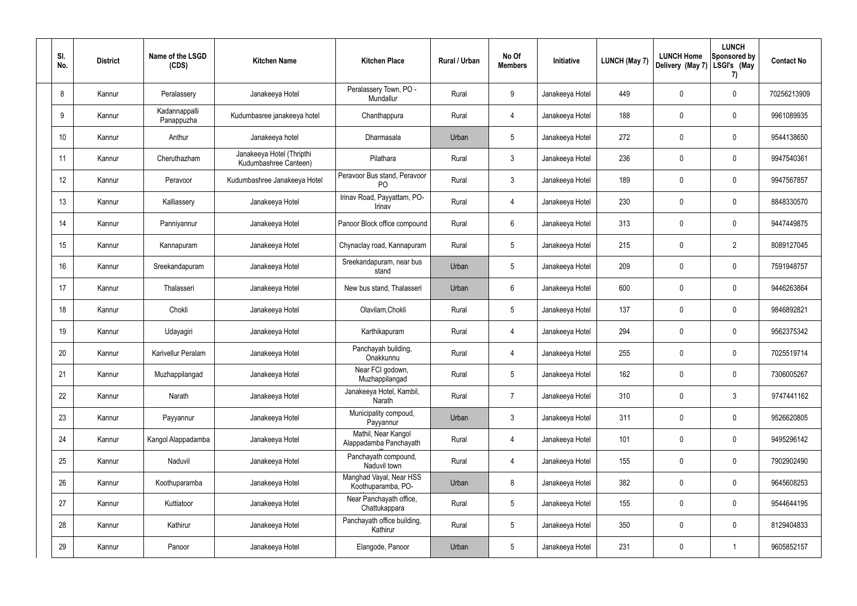| SI.<br>No. | <b>District</b> | Name of the LSGD<br>(CDS)   | <b>Kitchen Name</b>                                | <b>Kitchen Place</b>                           | Rural / Urban | No Of<br><b>Members</b> | Initiative      | LUNCH (May 7) | <b>LUNCH Home</b><br>Delivery (May 7) | <b>LUNCH</b><br>Sponsored by<br>LSGI's (May<br>7) | <b>Contact No</b> |
|------------|-----------------|-----------------------------|----------------------------------------------------|------------------------------------------------|---------------|-------------------------|-----------------|---------------|---------------------------------------|---------------------------------------------------|-------------------|
| 8          | Kannur          | Peralassery                 | Janakeeya Hotel                                    | Peralassery Town, PO -<br>Mundallur            | Rural         | 9                       | Janakeeya Hotel | 449           | 0                                     | $\pmb{0}$                                         | 70256213909       |
| 9          | Kannur          | Kadannappalli<br>Panappuzha | Kudumbasree janakeeya hotel                        | Chanthappura                                   | Rural         | $\overline{4}$          | Janakeeya Hotel | 188           | $\mathbf 0$                           | $\pmb{0}$                                         | 9961089935        |
| 10         | Kannur          | Anthur                      | Janakeeya hotel                                    | Dharmasala                                     | Urban         | $5\phantom{.0}$         | Janakeeya Hotel | 272           | 0                                     | $\pmb{0}$                                         | 9544138650        |
| 11         | Kannur          | Cheruthazham                | Janakeeya Hotel (Thripthi<br>Kudumbashree Canteen) | Pilathara                                      | Rural         | $\mathfrak{Z}$          | Janakeeya Hotel | 236           | $\mathbf 0$                           | $\pmb{0}$                                         | 9947540361        |
| 12         | Kannur          | Peravoor                    | Kudumbashree Janakeeya Hotel                       | Peravoor Bus stand, Peravoor<br>P <sub>O</sub> | Rural         | $3\phantom{a}$          | Janakeeya Hotel | 189           | 0                                     | $\pmb{0}$                                         | 9947567857        |
| 13         | Kannur          | Kalliassery                 | Janakeeya Hotel                                    | Irinav Road, Payyattam, PO-<br>Irinav          | Rural         | $\overline{4}$          | Janakeeya Hotel | 230           | 0                                     | $\pmb{0}$                                         | 8848330570        |
| 14         | Kannur          | Panniyannur                 | Janakeeya Hotel                                    | Panoor Block office compound                   | Rural         | $6\phantom{.}$          | Janakeeya Hotel | 313           | 0                                     | $\pmb{0}$                                         | 9447449875        |
| 15         | Kannur          | Kannapuram                  | Janakeeya Hotel                                    | Chynaclay road, Kannapuram                     | Rural         | $5\phantom{.0}$         | Janakeeya Hotel | 215           | 0                                     | $\overline{2}$                                    | 8089127045        |
| 16         | Kannur          | Sreekandapuram              | Janakeeya Hotel                                    | Sreekandapuram, near bus<br>stand              | Urban         | $5\phantom{.0}$         | Janakeeya Hotel | 209           | 0                                     | $\mathbf 0$                                       | 7591948757        |
| 17         | Kannur          | Thalasseri                  | Janakeeya Hotel                                    | New bus stand, Thalasseri                      | Urban         | 6                       | Janakeeya Hotel | 600           | 0                                     | $\pmb{0}$                                         | 9446263864        |
| 18         | Kannur          | Chokli                      | Janakeeya Hotel                                    | Olavilam, Chokli                               | Rural         | $5\phantom{.0}$         | Janakeeya Hotel | 137           | $\mathbf 0$                           | $\pmb{0}$                                         | 9846892821        |
| 19         | Kannur          | Udayagiri                   | Janakeeya Hotel                                    | Karthikapuram                                  | Rural         | $\overline{4}$          | Janakeeya Hotel | 294           | 0                                     | $\pmb{0}$                                         | 9562375342        |
| 20         | Kannur          | Karivellur Peralam          | Janakeeya Hotel                                    | Panchayah building,<br>Onakkunnu               | Rural         | 4                       | Janakeeya Hotel | 255           | $\mathbf 0$                           | 0                                                 | 7025519714        |
| 21         | Kannur          | Muzhappilangad              | Janakeeya Hotel                                    | Near FCI godown,<br>Muzhappilangad             | Rural         | $5\phantom{.0}$         | Janakeeya Hotel | 162           | 0                                     | $\pmb{0}$                                         | 7306005267        |
| 22         | Kannur          | Narath                      | Janakeeya Hotel                                    | Janakeeya Hotel, Kambil,<br>Narath             | Rural         | $\overline{7}$          | Janakeeya Hotel | 310           | 0                                     | $\mathfrak{Z}$                                    | 9747441162        |
| 23         | Kannur          | Payyannur                   | Janakeeya Hotel                                    | Municipality compoud,<br>Payyannur             | Urban         | 3 <sup>1</sup>          | Janakeeya Hotel | 311           | 0                                     | $\pmb{0}$                                         | 9526620805        |
| 24         | Kannur          | Kangol Alappadamba          | Janakeeya Hotel                                    | Mathil, Near Kangol<br>Alappadamba Panchayath  | Rural         | $\overline{4}$          | Janakeeya Hotel | 101           | 0                                     | $\pmb{0}$                                         | 9495296142        |
| 25         | Kannur          | Naduvil                     | Janakeeya Hotel                                    | Panchayath compound,<br>Naduvil town           | Rural         | $\overline{4}$          | Janakeeya Hotel | 155           | 0                                     | $\mathbf 0$                                       | 7902902490        |
| 26         | Kannur          | Koothuparamba               | Janakeeya Hotel                                    | Manghad Vayal, Near HSS<br>Koothuparamba, PO-  | Urban         | 8                       | Janakeeya Hotel | 382           | 0                                     | $\pmb{0}$                                         | 9645608253        |
| 27         | Kannur          | Kuttiatoor                  | Janakeeya Hotel                                    | Near Panchayath office,<br>Chattukappara       | Rural         | $5\phantom{.0}$         | Janakeeya Hotel | 155           | $\pmb{0}$                             | $\pmb{0}$                                         | 9544644195        |
| 28         | Kannur          | Kathirur                    | Janakeeya Hotel                                    | Panchayath office building,<br>Kathirur        | Rural         | $5\,$                   | Janakeeya Hotel | 350           | $\pmb{0}$                             | $\pmb{0}$                                         | 8129404833        |
| 29         | Kannur          | Panoor                      | Janakeeya Hotel                                    | Elangode, Panoor                               | Urban         | $\sqrt{5}$              | Janakeeya Hotel | 231           | 0                                     | $\mathbf{1}$                                      | 9605852157        |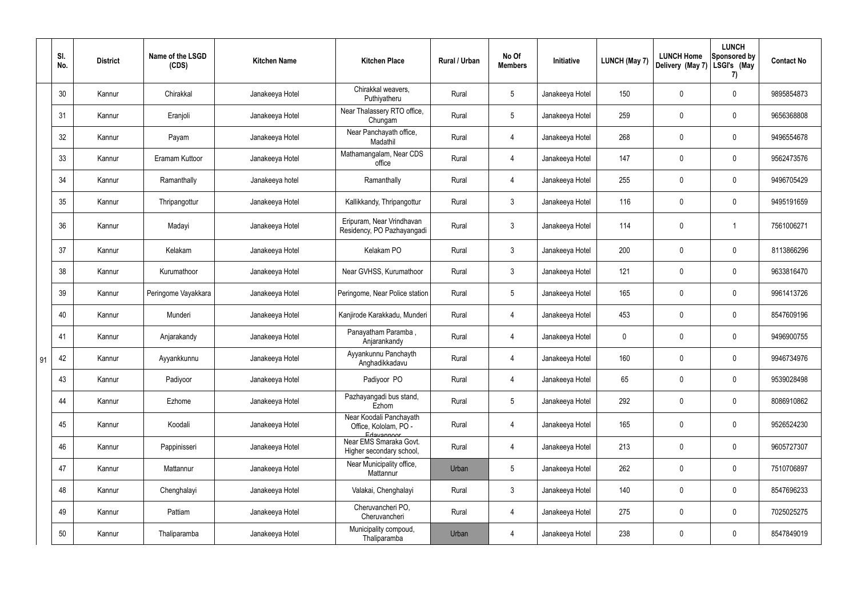|    | SI.<br>No. | <b>District</b> | Name of the LSGD<br>(CDS) | <b>Kitchen Name</b> | <b>Kitchen Place</b>                                           | Rural / Urban | No Of<br><b>Members</b> | Initiative      | <b>LUNCH (May 7)</b> | <b>LUNCH Home</b><br>Delivery (May 7) | <b>LUNCH</b><br>Sponsored by<br>LSGI's (May<br>7) | <b>Contact No</b> |
|----|------------|-----------------|---------------------------|---------------------|----------------------------------------------------------------|---------------|-------------------------|-----------------|----------------------|---------------------------------------|---------------------------------------------------|-------------------|
|    | 30         | Kannur          | Chirakkal                 | Janakeeya Hotel     | Chirakkal weavers,<br>Puthiyatheru                             | Rural         | $5\phantom{.0}$         | Janakeeya Hotel | 150                  | 0                                     | $\pmb{0}$                                         | 9895854873        |
|    | 31         | Kannur          | Eranjoli                  | Janakeeya Hotel     | Near Thalassery RTO office,<br>Chungam                         | Rural         | $5\phantom{.0}$         | Janakeeya Hotel | 259                  | $\mathbf 0$                           | $\pmb{0}$                                         | 9656368808        |
|    | 32         | Kannur          | Payam                     | Janakeeya Hotel     | Near Panchayath office,<br>Madathil                            | Rural         | $\overline{4}$          | Janakeeya Hotel | 268                  | 0                                     | $\pmb{0}$                                         | 9496554678        |
|    | 33         | Kannur          | Eramam Kuttoor            | Janakeeya Hotel     | Mathamangalam, Near CDS<br>office                              | Rural         | 4                       | Janakeeya Hotel | 147                  | $\mathbf 0$                           | $\pmb{0}$                                         | 9562473576        |
|    | 34         | Kannur          | Ramanthally               | Janakeeya hotel     | Ramanthally                                                    | Rural         | $\overline{4}$          | Janakeeya Hotel | 255                  | $\pmb{0}$                             | $\pmb{0}$                                         | 9496705429        |
|    | 35         | Kannur          | Thripangottur             | Janakeeya Hotel     | Kallikkandy, Thripangottur                                     | Rural         | $\mathbf{3}$            | Janakeeya Hotel | 116                  | $\pmb{0}$                             | $\pmb{0}$                                         | 9495191659        |
|    | 36         | Kannur          | Madayi                    | Janakeeya Hotel     | Eripuram, Near Vrindhavan<br>Residency, PO Pazhayangadi        | Rural         | $\mathbf{3}$            | Janakeeya Hotel | 114                  | $\mathbf 0$                           | $\mathbf 1$                                       | 7561006271        |
|    | 37         | Kannur          | Kelakam                   | Janakeeya Hotel     | Kelakam PO                                                     | Rural         | $\mathbf{3}$            | Janakeeya Hotel | 200                  | 0                                     | $\mathbf 0$                                       | 8113866296        |
|    | 38         | Kannur          | Kurumathoor               | Janakeeya Hotel     | Near GVHSS, Kurumathoor                                        | Rural         | $\mathbf{3}$            | Janakeeya Hotel | 121                  | 0                                     | $\pmb{0}$                                         | 9633816470        |
|    | 39         | Kannur          | Peringome Vayakkara       | Janakeeya Hotel     | Peringome, Near Police station                                 | Rural         | $5\phantom{.0}$         | Janakeeya Hotel | 165                  | 0                                     | $\pmb{0}$                                         | 9961413726        |
|    | 40         | Kannur          | Munderi                   | Janakeeya Hotel     | Kanjirode Karakkadu, Munderi                                   | Rural         | 4                       | Janakeeya Hotel | 453                  | 0                                     | $\pmb{0}$                                         | 8547609196        |
|    | 41         | Kannur          | Anjarakandy               | Janakeeya Hotel     | Panayatham Paramba,<br>Anjarankandy                            | Rural         | $\overline{4}$          | Janakeeya Hotel | 0                    | 0                                     | $\pmb{0}$                                         | 9496900755        |
| 91 | 42         | Kannur          | Ayyankkunnu               | Janakeeya Hotel     | Ayyankunnu Panchayth<br>Anghadikkadavu                         | Rural         | Δ                       | Janakeeya Hotel | 160                  | 0                                     | 0                                                 | 9946734976        |
|    | 43         | Kannur          | Padiyoor                  | Janakeeya Hotel     | Padiyoor PO                                                    | Rural         | $\overline{4}$          | Janakeeya Hotel | 65                   | 0                                     | $\mathbf 0$                                       | 9539028498        |
|    | 44         | Kannur          | Ezhome                    | Janakeeya Hotel     | Pazhayangadi bus stand,<br>Ezhom                               | Rural         | $5\overline{)}$         | Janakeeya Hotel | 292                  | 0                                     | $\boldsymbol{0}$                                  | 8086910862        |
|    | 45         | Kannur          | Koodali                   | Janakeeya Hotel     | Near Koodali Panchayath<br>Office, Kololam, PO -<br>Edavannoor | Rural         | $\overline{4}$          | Janakeeya Hotel | 165                  | $\pmb{0}$                             | $\pmb{0}$                                         | 9526524230        |
|    | 46         | Kannur          | Pappinisseri              | Janakeeya Hotel     | Near EMS Smaraka Govt.<br>Higher secondary school,             | Rural         | $\overline{4}$          | Janakeeya Hotel | 213                  | 0                                     | $\mathbf 0$                                       | 9605727307        |
|    | 47         | Kannur          | Mattannur                 | Janakeeya Hotel     | Near Municipality office,<br>Mattannur                         | Urban         | $5\overline{)}$         | Janakeeya Hotel | 262                  | 0                                     | $\mathbf 0$                                       | 7510706897        |
|    | 48         | Kannur          | Chenghalayi               | Janakeeya Hotel     | Valakai, Chenghalayi                                           | Rural         | $\mathbf{3}$            | Janakeeya Hotel | 140                  | 0                                     | $\mathbf 0$                                       | 8547696233        |
|    | 49         | Kannur          | Pattiam                   | Janakeeya Hotel     | Cheruvancheri PO,<br>Cheruvancheri                             | Rural         | $\overline{4}$          | Janakeeya Hotel | 275                  | 0                                     | $\mathbf 0$                                       | 7025025275        |
|    | 50         | Kannur          | Thaliparamba              | Janakeeya Hotel     | Municipality compoud,<br>Thaliparamba                          | Urban         | 4                       | Janakeeya Hotel | 238                  | 0                                     | $\pmb{0}$                                         | 8547849019        |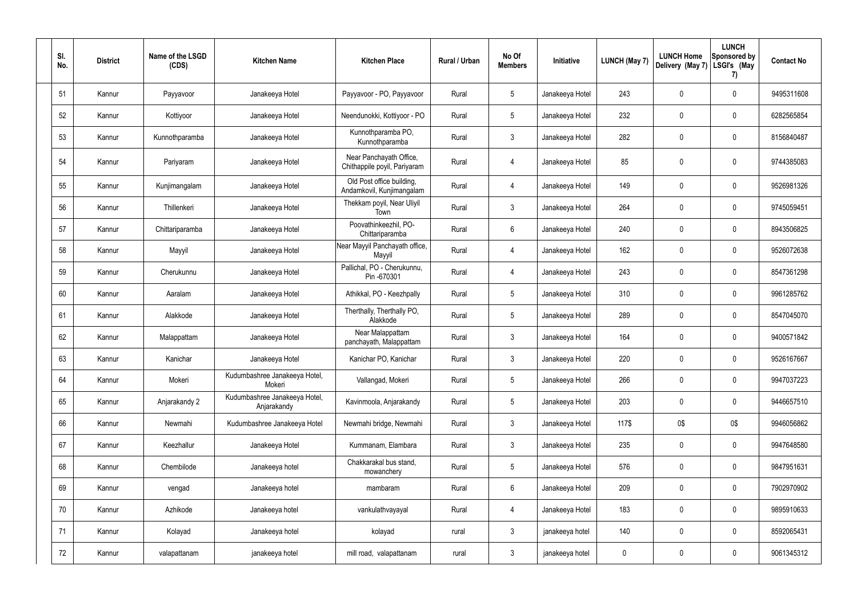| SI.<br>No. | <b>District</b> | Name of the LSGD<br>(CDS) | <b>Kitchen Name</b>                          | <b>Kitchen Place</b>                                    | Rural / Urban | No Of<br><b>Members</b> | Initiative      | <b>LUNCH (May 7)</b> | <b>LUNCH Home</b><br>Delivery (May 7) | <b>LUNCH</b><br>Sponsored by<br>LSGI's (May<br>7) | <b>Contact No</b> |
|------------|-----------------|---------------------------|----------------------------------------------|---------------------------------------------------------|---------------|-------------------------|-----------------|----------------------|---------------------------------------|---------------------------------------------------|-------------------|
| 51         | Kannur          | Payyavoor                 | Janakeeya Hotel                              | Payyavoor - PO, Payyavoor                               | Rural         | $5\phantom{.0}$         | Janakeeya Hotel | 243                  | 0                                     | $\boldsymbol{0}$                                  | 9495311608        |
| 52         | Kannur          | Kottiyoor                 | Janakeeya Hotel                              | Neendunokki, Kottiyoor - PO                             | Rural         | $5\phantom{.0}$         | Janakeeya Hotel | 232                  | 0                                     | $\boldsymbol{0}$                                  | 6282565854        |
| 53         | Kannur          | Kunnothparamba            | Janakeeya Hotel                              | Kunnothparamba PO,<br>Kunnothparamba                    | Rural         | $\mathbf{3}$            | Janakeeya Hotel | 282                  | 0                                     | $\boldsymbol{0}$                                  | 8156840487        |
| 54         | Kannur          | Pariyaram                 | Janakeeya Hotel                              | Near Panchayath Office,<br>Chithappile poyil, Pariyaram | Rural         | 4                       | Janakeeya Hotel | 85                   | 0                                     | $\pmb{0}$                                         | 9744385083        |
| 55         | Kannur          | Kunjimangalam             | Janakeeya Hotel                              | Old Post office building,<br>Andamkovil, Kunjimangalam  | Rural         | 4                       | Janakeeya Hotel | 149                  | 0                                     | $\pmb{0}$                                         | 9526981326        |
| 56         | Kannur          | Thillenkeri               | Janakeeya Hotel                              | Thekkam poyil, Near Uliyil<br>Town                      | Rural         | $\mathbf{3}$            | Janakeeya Hotel | 264                  | $\mathbf 0$                           | $\pmb{0}$                                         | 9745059451        |
| 57         | Kannur          | Chittariparamba           | Janakeeya Hotel                              | Poovathinkeezhil, PO-<br>Chittariparamba                | Rural         | $6\phantom{.}6$         | Janakeeya Hotel | 240                  | 0                                     | $\pmb{0}$                                         | 8943506825        |
| 58         | Kannur          | Mayyil                    | Janakeeya Hotel                              | Near Mayyil Panchayath office,<br>Mayyil                | Rural         | $\overline{4}$          | Janakeeya Hotel | 162                  | $\mathbf 0$                           | $\pmb{0}$                                         | 9526072638        |
| 59         | Kannur          | Cherukunnu                | Janakeeya Hotel                              | Pallichal, PO - Cherukunnu,<br>Pin -670301              | Rural         | 4                       | Janakeeya Hotel | 243                  | 0                                     | $\pmb{0}$                                         | 8547361298        |
| 60         | Kannur          | Aaralam                   | Janakeeya Hotel                              | Athikkal, PO - Keezhpally                               | Rural         | $5\phantom{.0}$         | Janakeeya Hotel | 310                  | 0                                     | $\pmb{0}$                                         | 9961285762        |
| 61         | Kannur          | Alakkode                  | Janakeeya Hotel                              | Therthally, Therthally PO,<br>Alakkode                  | Rural         | $5\overline{)}$         | Janakeeya Hotel | 289                  | 0                                     | $\mathbf 0$                                       | 8547045070        |
| 62         | Kannur          | Malappattam               | Janakeeya Hotel                              | Near Malappattam<br>panchayath, Malappattam             | Rural         | $\mathbf{3}$            | Janakeeya Hotel | 164                  | 0                                     | $\pmb{0}$                                         | 9400571842        |
| 63         | Kannur          | Kanichar                  | Janakeeya Hotel                              | Kanichar PO, Kanichar                                   | Rural         | 3                       | Janakeeya Hotel | 220                  | 0                                     | 0                                                 | 9526167667        |
| 64         | Kannur          | Mokeri                    | Kudumbashree Janakeeya Hotel,<br>Mokeri      | Vallangad, Mokeri                                       | Rural         | $5\overline{)}$         | Janakeeya Hotel | 266                  | 0                                     | $\mathbf 0$                                       | 9947037223        |
| 65         | Kannur          | Anjarakandy 2             | Kudumbashree Janakeeya Hotel,<br>Anjarakandy | Kavinmoola, Anjarakandy                                 | Rural         | $5\overline{)}$         | Janakeeya Hotel | 203                  | 0                                     | $\pmb{0}$                                         | 9446657510        |
| 66         | Kannur          | Newmahi                   | Kudumbashree Janakeeya Hotel                 | Newmahi bridge, Newmahi                                 | Rural         | $\mathbf{3}$            | Janakeeya Hotel | 117\$                | 0\$                                   | 0\$                                               | 9946056862        |
| 67         | Kannur          | Keezhallur                | Janakeeya Hotel                              | Kummanam, Elambara                                      | Rural         | $\mathbf{3}$            | Janakeeya Hotel | 235                  | 0                                     | $\boldsymbol{0}$                                  | 9947648580        |
| 68         | Kannur          | Chembilode                | Janakeeya hotel                              | Chakkarakal bus stand,<br>mowanchery                    | Rural         | $5\overline{)}$         | Janakeeya Hotel | 576                  | 0                                     | $\pmb{0}$                                         | 9847951631        |
| 69         | Kannur          | vengad                    | Janakeeya hotel                              | mambaram                                                | Rural         | 6                       | Janakeeya Hotel | 209                  | 0                                     | $\pmb{0}$                                         | 7902970902        |
| 70         | Kannur          | Azhikode                  | Janakeeya hotel                              | vankulathvayayal                                        | Rural         | $\overline{4}$          | Janakeeya Hotel | 183                  | 0                                     | $\pmb{0}$                                         | 9895910633        |
| 71         | Kannur          | Kolayad                   | Janakeeya hotel                              | kolayad                                                 | rural         | $\mathbf{3}$            | janakeeya hotel | 140                  | 0                                     | $\pmb{0}$                                         | 8592065431        |
| 72         | Kannur          | valapattanam              | janakeeya hotel                              | mill road, valapattanam                                 | rural         | $\mathfrak{Z}$          | janakeeya hotel | 0                    | 0                                     | $\pmb{0}$                                         | 9061345312        |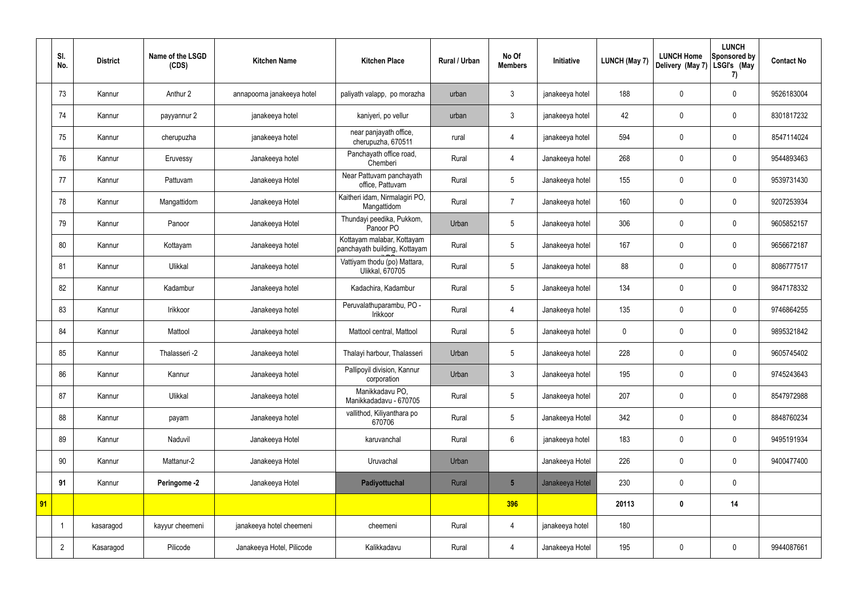|    | SI.<br>No.     | <b>District</b> | Name of the LSGD<br>(CDS) | <b>Kitchen Name</b>        | <b>Kitchen Place</b>                                        | Rural / Urban | No Of<br><b>Members</b> | Initiative      | <b>LUNCH (May 7)</b> | <b>LUNCH Home</b><br>Delivery (May 7) | <b>LUNCH</b><br>Sponsored by<br>LSGI's (May<br>7) | <b>Contact No</b> |
|----|----------------|-----------------|---------------------------|----------------------------|-------------------------------------------------------------|---------------|-------------------------|-----------------|----------------------|---------------------------------------|---------------------------------------------------|-------------------|
|    | 73             | Kannur          | Anthur 2                  | annapoorna janakeeya hotel | paliyath valapp, po morazha                                 | urban         | $\mathfrak{Z}$          | janakeeya hotel | 188                  | $\pmb{0}$                             | $\mathbf 0$                                       | 9526183004        |
|    | 74             | Kannur          | payyannur 2               | janakeeya hotel            | kaniyeri, po vellur                                         | urban         | $\mathfrak{Z}$          | janakeeya hotel | 42                   | $\mathbf 0$                           | $\mathbf 0$                                       | 8301817232        |
|    | 75             | Kannur          | cherupuzha                | janakeeya hotel            | near panjayath office,<br>cherupuzha, 670511                | rural         | 4                       | janakeeya hotel | 594                  | $\pmb{0}$                             | $\mathbf 0$                                       | 8547114024        |
|    | 76             | Kannur          | Eruvessy                  | Janakeeya hotel            | Panchayath office road,<br>Chemberi                         | Rural         | 4                       | Janakeeya hotel | 268                  | $\mathbf 0$                           | $\mathbf 0$                                       | 9544893463        |
|    | 77             | Kannur          | Pattuvam                  | Janakeeya Hotel            | Near Pattuvam panchayath<br>office, Pattuvam                | Rural         | 5                       | Janakeeya hotel | 155                  | $\mathbf 0$                           | $\mathbf 0$                                       | 9539731430        |
|    | 78             | Kannur          | Mangattidom               | Janakeeya Hotel            | Kaitheri idam, Nirmalagiri PO,<br>Mangattidom               | Rural         | $\overline{7}$          | Janakeeya hotel | 160                  | $\mathbf 0$                           | $\mathbf 0$                                       | 9207253934        |
|    | 79             | Kannur          | Panoor                    | Janakeeya Hotel            | Thundayi peedika, Pukkom,<br>Panoor PO                      | Urban         | 5                       | Janakeeya hotel | 306                  | $\pmb{0}$                             | $\mathbf 0$                                       | 9605852157        |
|    | 80             | Kannur          | Kottayam                  | Janakeeya hotel            | Kottayam malabar, Kottayam<br>panchayath building, Kottayam | Rural         | 5                       | Janakeeya hotel | 167                  | $\mathbf 0$                           | $\mathbf 0$                                       | 9656672187        |
|    | 81             | Kannur          | Ulikkal                   | Janakeeya hotel            | Vattiyam thodu (po) Mattara,<br>Ulikkal, 670705             | Rural         | 5                       | Janakeeya hotel | 88                   | $\pmb{0}$                             | $\mathbf 0$                                       | 8086777517        |
|    | 82             | Kannur          | Kadambur                  | Janakeeya hotel            | Kadachira, Kadambur                                         | Rural         | 5                       | Janakeeya hotel | 134                  | $\mathbf 0$                           | $\mathbf 0$                                       | 9847178332        |
|    | 83             | Kannur          | Irikkoor                  | Janakeeya hotel            | Peruvalathuparambu, PO -<br>Irikkoor                        | Rural         | $\overline{4}$          | Janakeeya hotel | 135                  | $\pmb{0}$                             | $\mathbf 0$                                       | 9746864255        |
|    | 84             | Kannur          | Mattool                   | Janakeeya hotel            | Mattool central, Mattool                                    | Rural         | 5                       | Janakeeya hotel | $\mathbf 0$          | $\mathbf 0$                           | $\mathbf 0$                                       | 9895321842        |
|    | 85             | Kannur          | Thalasseri -2             | Janakeeya hotel            | Thalayi harbour, Thalasseri                                 | Urban         | 5                       | Janakeeya hotel | 228                  | $\mathbf 0$                           | $\mathbf 0$                                       | 9605745402        |
|    | 86             | Kannur          | Kannur                    | Janakeeya hotel            | Pallipoyil division, Kannur<br>corporation                  | Urban         | $\mathbf{3}$            | Janakeeya hotel | 195                  | $\pmb{0}$                             | $\mathbf 0$                                       | 9745243643        |
|    | 87             | Kannur          | Ulikkal                   | Janakeeya hotel            | Manikkadavu PO,<br>Manikkadadavu - 670705                   | Rural         | 5                       | Janakeeya hotel | 207                  | $\pmb{0}$                             | $\mathbf 0$                                       | 8547972988        |
|    | 88             | Kannur          | payam                     | Janakeeya hotel            | vallithod, Kiliyanthara po<br>670706                        | Rural         | $5\overline{)}$         | Janakeeya Hotel | 342                  | $\pmb{0}$                             | $\mathbf 0$                                       | 8848760234        |
|    | 89             | Kannur          | Naduvil                   | Janakeeya Hotel            | karuvanchal                                                 | Rural         | $6\overline{6}$         | janakeeya hotel | 183                  | $\pmb{0}$                             | $\mathbf 0$                                       | 9495191934        |
|    | 90             | Kannur          | Mattanur-2                | Janakeeya Hotel            | Uruvachal                                                   | Urban         |                         | Janakeeya Hotel | 226                  | $\pmb{0}$                             | $\mathbf 0$                                       | 9400477400        |
|    | 91             | Kannur          | Peringome -2              | Janakeeya Hotel            | Padiyottuchal                                               | Rural         | $5\phantom{.0}$         | Janakeeya Hotel | 230                  | $\pmb{0}$                             | $\mathbf 0$                                       |                   |
| 91 |                |                 |                           |                            |                                                             |               | 396                     |                 | 20113                | $\pmb{0}$                             | 14                                                |                   |
|    |                | kasaragod       | kayyur cheemeni           | janakeeya hotel cheemeni   | cheemeni                                                    | Rural         | $\overline{4}$          | janakeeya hotel | 180                  |                                       |                                                   |                   |
|    | $\overline{2}$ | Kasaragod       | Pilicode                  | Janakeeya Hotel, Pilicode  | Kalikkadavu                                                 | Rural         | $\overline{4}$          | Janakeeya Hotel | 195                  | $\pmb{0}$                             | $\mathbf 0$                                       | 9944087661        |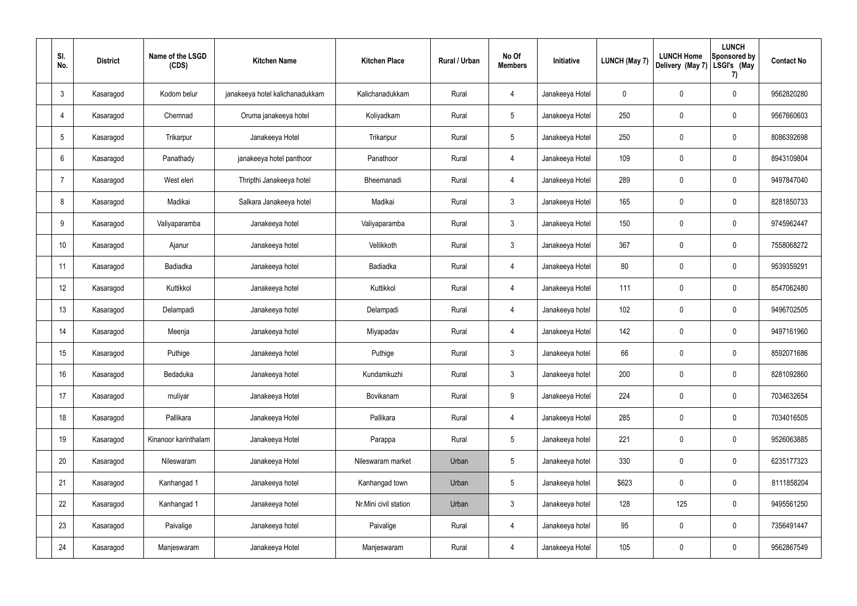| SI.<br>No.      | <b>District</b> | Name of the LSGD<br>(CDS) | <b>Kitchen Name</b>             | <b>Kitchen Place</b>  | <b>Rural / Urban</b> | No Of<br><b>Members</b> | Initiative      | <b>LUNCH (May 7)</b> | <b>LUNCH Home</b><br>Delivery (May 7) | <b>LUNCH</b><br>Sponsored by<br>LSGI's (May<br>7) | <b>Contact No</b> |
|-----------------|-----------------|---------------------------|---------------------------------|-----------------------|----------------------|-------------------------|-----------------|----------------------|---------------------------------------|---------------------------------------------------|-------------------|
| $\mathbf{3}$    | Kasaragod       | Kodom belur               | janakeeya hotel kalichanadukkam | Kalichanadukkam       | Rural                | 4                       | Janakeeya Hotel | $\mathbf 0$          | $\mathbf 0$                           | $\mathbf 0$                                       | 9562820280        |
| 4               | Kasaragod       | Chemnad                   | Oruma janakeeya hotel           | Koliyadkam            | Rural                | $5\overline{)}$         | Janakeeya Hotel | 250                  | $\mathbf 0$                           | $\mathbf 0$                                       | 9567660603        |
| $5\phantom{.0}$ | Kasaragod       | Trikarpur                 | Janakeeya Hotel                 | Trikaripur            | Rural                | $5\overline{)}$         | Janakeeya Hotel | 250                  | $\mathbf 0$                           | $\mathbf 0$                                       | 8086392698        |
| 6               | Kasaragod       | Panathady                 | janakeeya hotel panthoor        | Panathoor             | Rural                | $\overline{4}$          | Janakeeya Hotel | 109                  | $\mathbf 0$                           | $\mathbf 0$                                       | 8943109804        |
| 7               | Kasaragod       | West eleri                | Thripthi Janakeeya hotel        | Bheemanadi            | Rural                | $\overline{4}$          | Janakeeya Hotel | 289                  | $\mathbf 0$                           | $\mathbf 0$                                       | 9497847040        |
| 8               | Kasaragod       | Madikai                   | Salkara Janakeeya hotel         | Madikai               | Rural                | $\mathbf{3}$            | Janakeeya Hotel | 165                  | $\mathbf 0$                           | $\mathbf 0$                                       | 8281850733        |
| 9               | Kasaragod       | Valiyaparamba             | Janakeeya hotel                 | Valiyaparamba         | Rural                | $\mathbf{3}$            | Janakeeya Hotel | 150                  | $\mathbf 0$                           | $\mathbf 0$                                       | 9745962447        |
| 10              | Kasaragod       | Ajanur                    | Janakeeya hotel                 | Vellikkoth            | Rural                | $\mathbf{3}$            | Janakeeya Hotel | 367                  | $\mathbf 0$                           | $\mathbf 0$                                       | 7558068272        |
| 11              | Kasaragod       | Badiadka                  | Janakeeya hotel                 | Badiadka              | Rural                | $\overline{4}$          | Janakeeya Hotel | 80                   | $\mathbf 0$                           | $\mathbf 0$                                       | 9539359291        |
| 12              | Kasaragod       | Kuttikkol                 | Janakeeya hotel                 | Kuttikkol             | Rural                | $\overline{4}$          | Janakeeya Hotel | 111                  | $\mathbf 0$                           | $\mathbf 0$                                       | 8547062480        |
| 13              | Kasaragod       | Delampadi                 | Janakeeya hotel                 | Delampadi             | Rural                | $\overline{4}$          | Janakeeya hotel | 102                  | $\mathbf 0$                           | $\pmb{0}$                                         | 9496702505        |
| 14              | Kasaragod       | Meenja                    | Janakeeya hotel                 | Miyapadav             | Rural                | 4                       | Janakeeya Hotel | 142                  | $\mathbf 0$                           | $\mathbf 0$                                       | 9497161960        |
| 15              | Kasaragod       | Puthige                   | Janakeeya hotel                 | Puthige               | Rural                | $\mathbf{3}$            | Janakeeya hotel | 66                   | $\mathbf 0$                           | $\mathbf 0$                                       | 8592071686        |
| 16              | Kasaragod       | Bedaduka                  | Janakeeya hotel                 | Kundamkuzhi           | Rural                | $\mathfrak{Z}$          | Janakeeya hotel | 200                  | $\pmb{0}$                             | $\mathbf 0$                                       | 8281092860        |
| 17              | Kasaragod       | muliyar                   | Janakeeya Hotel                 | Bovikanam             | Rural                | 9                       | Janakeeya Hotel | 224                  | $\pmb{0}$                             | $\mathbf 0$                                       | 7034632654        |
| 18              | Kasaragod       | Pallikara                 | Janakeeya Hotel                 | Pallikara             | Rural                | $\overline{4}$          | Janakeeya Hotel | 285                  | $\pmb{0}$                             | $\mathbf 0$                                       | 7034016505        |
| 19              | Kasaragod       | Kinanoor karinthalam      | Janakeeya Hotel                 | Parappa               | Rural                | $5\phantom{.0}$         | Janakeeya hotel | 221                  | $\pmb{0}$                             | $\mathbf 0$                                       | 9526063885        |
| 20              | Kasaragod       | Nileswaram                | Janakeeya Hotel                 | Nileswaram market     | Urban                | $5\phantom{.0}$         | Janakeeya hotel | 330                  | $\pmb{0}$                             | $\mathbf 0$                                       | 6235177323        |
| 21              | Kasaragod       | Kanhangad 1               | Janakeeya hotel                 | Kanhangad town        | Urban                | $5\phantom{.0}$         | Janakeeya hotel | \$623                | $\pmb{0}$                             | $\mathbf 0$                                       | 8111858204        |
| 22              | Kasaragod       | Kanhangad 1               | Janakeeya hotel                 | Nr.Mini civil station | Urban                | $\mathfrak{Z}$          | Janakeeya hotel | 128                  | 125                                   | $\mathbf 0$                                       | 9495561250        |
| 23              | Kasaragod       | Paivalige                 | Janakeeya hotel                 | Paivalige             | Rural                | $\overline{4}$          | Janakeeya hotel | 95                   | $\pmb{0}$                             | $\mathbf 0$                                       | 7356491447        |
| 24              | Kasaragod       | Manjeswaram               | Janakeeya Hotel                 | Manjeswaram           | Rural                | 4                       | Janakeeya Hotel | 105                  | $\pmb{0}$                             | $\mathbf 0$                                       | 9562867549        |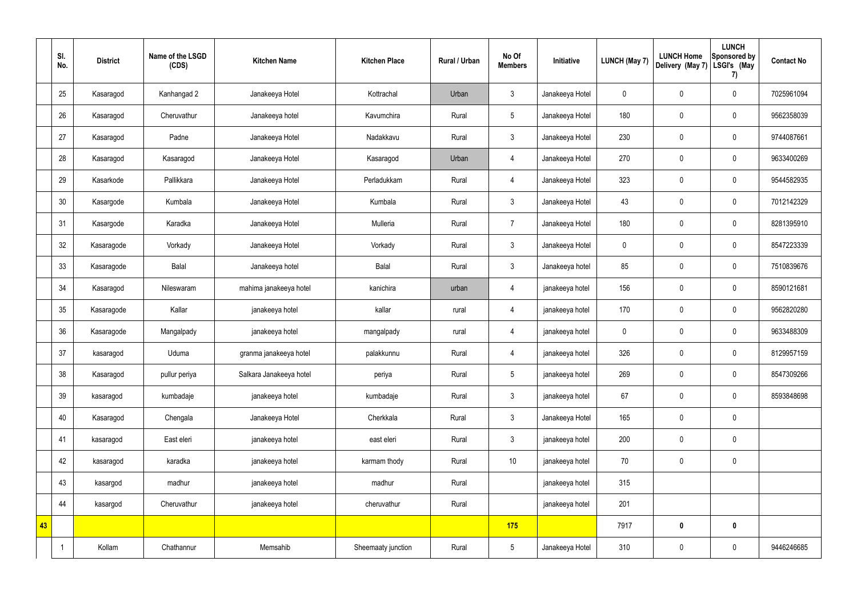|    | SI.<br>No. | <b>District</b> | Name of the LSGD<br>(CDS) | <b>Kitchen Name</b>     | <b>Kitchen Place</b> | Rural / Urban | No Of<br><b>Members</b> | Initiative      | <b>LUNCH (May 7)</b> | <b>LUNCH Home</b><br>Delivery (May 7) | <b>LUNCH</b><br>Sponsored by<br>LSGI's (May<br>7) | <b>Contact No</b> |
|----|------------|-----------------|---------------------------|-------------------------|----------------------|---------------|-------------------------|-----------------|----------------------|---------------------------------------|---------------------------------------------------|-------------------|
|    | 25         | Kasaragod       | Kanhangad 2               | Janakeeya Hotel         | Kottrachal           | Urban         | $\mathfrak{Z}$          | Janakeeya Hotel | $\mathbf 0$          | $\pmb{0}$                             | $\mathbf 0$                                       | 7025961094        |
|    | 26         | Kasaragod       | Cheruvathur               | Janakeeya hotel         | Kavumchira           | Rural         | $5\phantom{.0}$         | Janakeeya Hotel | 180                  | $\pmb{0}$                             | $\mathbf 0$                                       | 9562358039        |
|    | 27         | Kasaragod       | Padne                     | Janakeeya Hotel         | Nadakkavu            | Rural         | $\mathfrak{Z}$          | Janakeeya Hotel | 230                  | $\pmb{0}$                             | $\mathbf 0$                                       | 9744087661        |
|    | 28         | Kasaragod       | Kasaragod                 | Janakeeya Hotel         | Kasaragod            | Urban         | 4                       | Janakeeya Hotel | 270                  | $\pmb{0}$                             | $\mathbf 0$                                       | 9633400269        |
|    | 29         | Kasarkode       | Pallikkara                | Janakeeya Hotel         | Perladukkam          | Rural         | $\overline{4}$          | Janakeeya Hotel | 323                  | $\pmb{0}$                             | $\mathbf 0$                                       | 9544582935        |
|    | 30         | Kasargode       | Kumbala                   | Janakeeya Hotel         | Kumbala              | Rural         | $\mathbf{3}$            | Janakeeya Hotel | 43                   | $\pmb{0}$                             | $\mathbf 0$                                       | 7012142329        |
|    | 31         | Kasargode       | Karadka                   | Janakeeya Hotel         | Mulleria             | Rural         | $\overline{7}$          | Janakeeya Hotel | 180                  | $\pmb{0}$                             | $\mathbf 0$                                       | 8281395910        |
|    | 32         | Kasaragode      | Vorkady                   | Janakeeya Hotel         | Vorkady              | Rural         | $\mathfrak{Z}$          | Janakeeya Hotel | $\mathbf 0$          | $\pmb{0}$                             | $\mathbf 0$                                       | 8547223339        |
|    | 33         | Kasaragode      | Balal                     | Janakeeya hotel         | Balal                | Rural         | $\mathfrak{Z}$          | Janakeeya hotel | 85                   | $\pmb{0}$                             | $\mathbf 0$                                       | 7510839676        |
|    | 34         | Kasaragod       | Nileswaram                | mahima janakeeya hotel  | kanichira            | urban         | $\overline{4}$          | janakeeya hotel | 156                  | $\pmb{0}$                             | $\mathbf 0$                                       | 8590121681        |
|    | 35         | Kasaragode      | Kallar                    | janakeeya hotel         | kallar               | rural         | $\overline{4}$          | janakeeya hotel | 170                  | $\pmb{0}$                             | $\mathbf 0$                                       | 9562820280        |
|    | 36         | Kasaragode      | Mangalpady                | janakeeya hotel         | mangalpady           | rural         | 4                       | janakeeya hotel | $\mathbf 0$          | $\pmb{0}$                             | $\mathbf 0$                                       | 9633488309        |
|    | 37         | kasaragod       | Uduma                     | granma janakeeya hotel  | palakkunnu           | Rural         | 4                       | janakeeya hotel | 326                  | $\pmb{0}$                             | $\mathbf 0$                                       | 8129957159        |
|    | 38         | Kasaragod       | pullur periya             | Salkara Janakeeya hotel | periya               | Rural         | $5\phantom{.0}$         | janakeeya hotel | 269                  | $\pmb{0}$                             | $\mathbf 0$                                       | 8547309266        |
|    | 39         | kasaragod       | kumbadaje                 | janakeeya hotel         | kumbadaje            | Rural         | $\mathbf{3}$            | janakeeya hotel | 67                   | $\pmb{0}$                             | $\mathbf 0$                                       | 8593848698        |
|    | 40         | Kasaragod       | Chengala                  | Janakeeya Hotel         | Cherkkala            | Rural         | $\mathbf{3}$            | Janakeeya Hotel | 165                  | $\pmb{0}$                             | $\mathbf 0$                                       |                   |
|    | 41         | kasaragod       | East eleri                | janakeeya hotel         | east eleri           | Rural         | $\mathbf{3}$            | janakeeya hotel | 200                  | $\pmb{0}$                             | $\mathbf 0$                                       |                   |
|    | 42         | kasaragod       | karadka                   | janakeeya hotel         | karmam thody         | Rural         | $10$                    | janakeeya hotel | 70                   | $\pmb{0}$                             | $\mathbf 0$                                       |                   |
|    | 43         | kasargod        | madhur                    | janakeeya hotel         | madhur               | Rural         |                         | janakeeya hotel | 315                  |                                       |                                                   |                   |
|    | 44         | kasargod        | Cheruvathur               | janakeeya hotel         | cheruvathur          | Rural         |                         | janakeeya hotel | 201                  |                                       |                                                   |                   |
| 43 |            |                 |                           |                         |                      |               | 175                     |                 | 7917                 | $\bm{0}$                              | $\mathbf 0$                                       |                   |
|    |            | Kollam          | Chathannur                | Memsahib                | Sheemaaty junction   | Rural         | $5\phantom{.0}$         | Janakeeya Hotel | 310                  | $\pmb{0}$                             | $\pmb{0}$                                         | 9446246685        |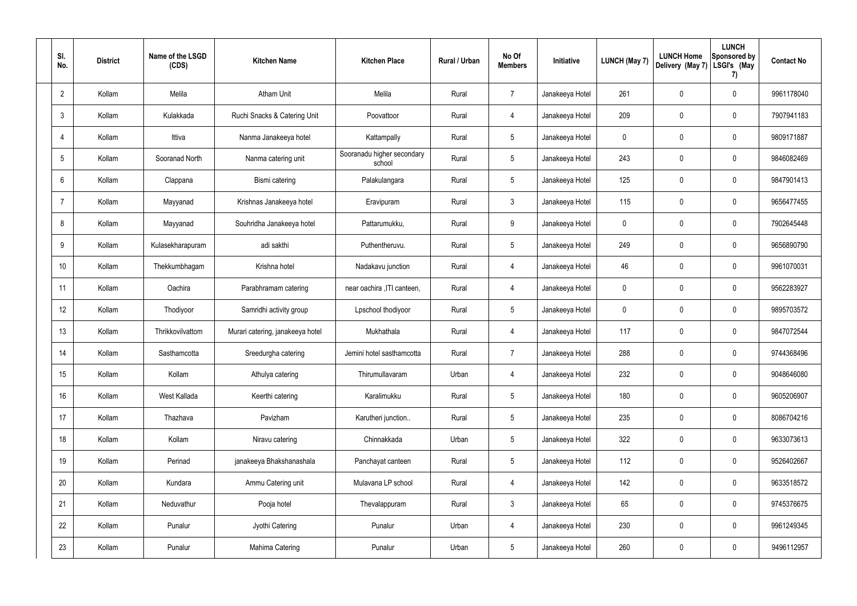| SI.<br>No.      | <b>District</b> | Name of the LSGD<br>(CDS) | <b>Kitchen Name</b>              | <b>Kitchen Place</b>                 | Rural / Urban | No Of<br><b>Members</b> | Initiative      | <b>LUNCH (May 7)</b> | <b>LUNCH Home</b><br>Delivery (May 7) | <b>LUNCH</b><br>Sponsored by<br>LSGI's (May<br>7) | <b>Contact No</b> |
|-----------------|-----------------|---------------------------|----------------------------------|--------------------------------------|---------------|-------------------------|-----------------|----------------------|---------------------------------------|---------------------------------------------------|-------------------|
| $\overline{2}$  | Kollam          | Melila                    | <b>Atham Unit</b>                | Melila                               | Rural         | $\overline{7}$          | Janakeeya Hotel | 261                  | 0                                     | $\mathbf 0$                                       | 9961178040        |
| $\mathbf{3}$    | Kollam          | Kulakkada                 | Ruchi Snacks & Catering Unit     | Poovattoor                           | Rural         | $\overline{4}$          | Janakeeya Hotel | 209                  | 0                                     | $\boldsymbol{0}$                                  | 7907941183        |
| $\overline{4}$  | Kollam          | Ittiva                    | Nanma Janakeeya hotel            | Kattampally                          | Rural         | $5\phantom{.0}$         | Janakeeya Hotel | 0                    | 0                                     | $\mathbf 0$                                       | 9809171887        |
| $5\phantom{.0}$ | Kollam          | Sooranad North            | Nanma catering unit              | Sooranadu higher secondary<br>school | Rural         | $5\phantom{.0}$         | Janakeeya Hotel | 243                  | 0                                     | $\mathbf 0$                                       | 9846082469        |
| 6               | Kollam          | Clappana                  | Bismi catering                   | Palakulangara                        | Rural         | $5\phantom{.0}$         | Janakeeya Hotel | 125                  | 0                                     | $\mathbf 0$                                       | 9847901413        |
| -7              | Kollam          | Mayyanad                  | Krishnas Janakeeya hotel         | Eravipuram                           | Rural         | $\mathbf{3}$            | Janakeeya Hotel | 115                  | 0                                     | $\mathbf 0$                                       | 9656477455        |
| 8               | Kollam          | Mayyanad                  | Souhridha Janakeeya hotel        | Pattarumukku,                        | Rural         | 9                       | Janakeeya Hotel | 0                    | 0                                     | $\mathbf 0$                                       | 7902645448        |
| 9               | Kollam          | Kulasekharapuram          | adi sakthi                       | Puthentheruvu.                       | Rural         | $5\overline{)}$         | Janakeeya Hotel | 249                  | 0                                     | $\mathbf 0$                                       | 9656890790        |
| 10              | Kollam          | Thekkumbhagam             | Krishna hotel                    | Nadakavu junction                    | Rural         | 4                       | Janakeeya Hotel | 46                   | 0                                     | $\mathbf 0$                                       | 9961070031        |
| 11              | Kollam          | Oachira                   | Parabhramam catering             | near oachira , ITI canteen,          | Rural         | $\overline{4}$          | Janakeeya Hotel | 0                    | 0                                     | $\mathbf 0$                                       | 9562283927        |
| 12              | Kollam          | Thodiyoor                 | Samridhi activity group          | Lpschool thodiyoor                   | Rural         | $5\,$                   | Janakeeya Hotel | 0                    | 0                                     | $\mathbf 0$                                       | 9895703572        |
| 13              | Kollam          | Thrikkovilvattom          | Murari catering, janakeeya hotel | Mukhathala                           | Rural         | 4                       | Janakeeya Hotel | 117                  | 0                                     | $\mathbf 0$                                       | 9847072544        |
| 14              | Kollam          | Sasthamcotta              | Sreedurgha catering              | Jemini hotel sasthamcotta            | Rural         | $\overline{7}$          | Janakeeya Hotel | 288                  | 0                                     | $\mathbf 0$                                       | 9744368496        |
| 15              | Kollam          | Kollam                    | Athulya catering                 | Thirumullavaram                      | Urban         | $\overline{4}$          | Janakeeya Hotel | 232                  | 0                                     | $\mathbf 0$                                       | 9048646080        |
| 16              | Kollam          | West Kallada              | Keerthi catering                 | Karalimukku                          | Rural         | $5\phantom{.0}$         | Janakeeya Hotel | 180                  | 0                                     | $\pmb{0}$                                         | 9605206907        |
| 17              | Kollam          | Thazhava                  | Pavizham                         | Karutheri junction                   | Rural         | $5\phantom{.0}$         | Janakeeya Hotel | 235                  | 0                                     | $\pmb{0}$                                         | 8086704216        |
| 18              | Kollam          | Kollam                    | Niravu catering                  | Chinnakkada                          | Urban         | $5\phantom{.0}$         | Janakeeya Hotel | 322                  | 0                                     | $\pmb{0}$                                         | 9633073613        |
| 19              | Kollam          | Perinad                   | janakeeya Bhakshanashala         | Panchayat canteen                    | Rural         | $5\phantom{.0}$         | Janakeeya Hotel | 112                  | 0                                     | $\pmb{0}$                                         | 9526402667        |
| 20              | Kollam          | Kundara                   | Ammu Catering unit               | Mulavana LP school                   | Rural         | $\overline{4}$          | Janakeeya Hotel | 142                  | 0                                     | $\pmb{0}$                                         | 9633518572        |
| 21              | Kollam          | Neduvathur                | Pooja hotel                      | Thevalappuram                        | Rural         | $\mathbf{3}$            | Janakeeya Hotel | 65                   | 0                                     | $\pmb{0}$                                         | 9745376675        |
| 22              | Kollam          | Punalur                   | Jyothi Catering                  | Punalur                              | Urban         | $\overline{4}$          | Janakeeya Hotel | 230                  | $\mathbf 0$                           | $\pmb{0}$                                         | 9961249345        |
| 23              | Kollam          | Punalur                   | Mahima Catering                  | Punalur                              | Urban         | $5\phantom{.0}$         | Janakeeya Hotel | 260                  | 0                                     | $\pmb{0}$                                         | 9496112957        |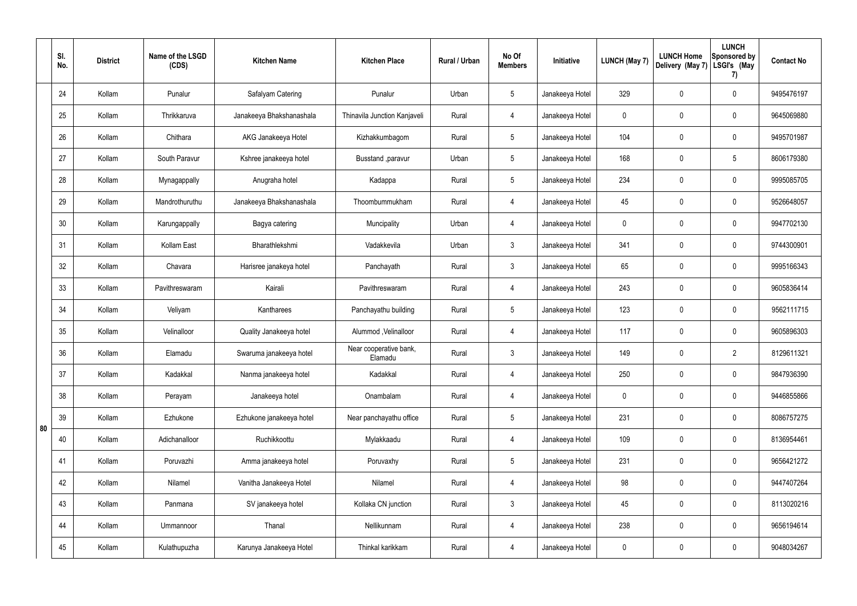|    | SI.<br>No. | <b>District</b> | Name of the LSGD<br>(CDS) | <b>Kitchen Name</b>      | <b>Kitchen Place</b>              | Rural / Urban | No Of<br><b>Members</b> | Initiative      | <b>LUNCH (May 7)</b> | <b>LUNCH Home</b><br>Delivery (May 7) | <b>LUNCH</b><br>Sponsored by<br>LSGI's (May<br>7) | <b>Contact No</b> |
|----|------------|-----------------|---------------------------|--------------------------|-----------------------------------|---------------|-------------------------|-----------------|----------------------|---------------------------------------|---------------------------------------------------|-------------------|
|    | 24         | Kollam          | Punalur                   | Safalyam Catering        | Punalur                           | Urban         | $5\phantom{.0}$         | Janakeeya Hotel | 329                  | 0                                     | $\mathbf 0$                                       | 9495476197        |
|    | 25         | Kollam          | Thrikkaruva               | Janakeeya Bhakshanashala | Thinavila Junction Kanjaveli      | Rural         | 4                       | Janakeeya Hotel | $\mathbf 0$          | 0                                     | $\pmb{0}$                                         | 9645069880        |
|    | 26         | Kollam          | Chithara                  | AKG Janakeeya Hotel      | Kizhakkumbagom                    | Rural         | $5\phantom{.0}$         | Janakeeya Hotel | 104                  | 0                                     | $\mathbf 0$                                       | 9495701987        |
|    | 27         | Kollam          | South Paravur             | Kshree janakeeya hotel   | Busstand ,paravur                 | Urban         | $5\phantom{.0}$         | Janakeeya Hotel | 168                  | 0                                     | $5\phantom{.0}$                                   | 8606179380        |
|    | 28         | Kollam          | Mynagappally              | Anugraha hotel           | Kadappa                           | Rural         | $5\phantom{.0}$         | Janakeeya Hotel | 234                  | 0                                     | $\mathbf 0$                                       | 9995085705        |
|    | 29         | Kollam          | Mandrothuruthu            | Janakeeya Bhakshanashala | Thoombummukham                    | Rural         | $\overline{4}$          | Janakeeya Hotel | 45                   | 0                                     | $\pmb{0}$                                         | 9526648057        |
|    | 30         | Kollam          | Karungappally             | Bagya catering           | Muncipality                       | Urban         | $\overline{4}$          | Janakeeya Hotel | $\mathbf 0$          | 0                                     | $\mathbf 0$                                       | 9947702130        |
|    | 31         | Kollam          | Kollam East               | Bharathlekshmi           | Vadakkevila                       | Urban         | $\mathbf{3}$            | Janakeeya Hotel | 341                  | 0                                     | $\mathbf 0$                                       | 9744300901        |
|    | 32         | Kollam          | Chavara                   | Harisree janakeya hotel  | Panchayath                        | Rural         | 3 <sup>1</sup>          | Janakeeya Hotel | 65                   | 0                                     | $\mathbf 0$                                       | 9995166343        |
|    | 33         | Kollam          | Pavithreswaram            | Kairali                  | Pavithreswaram                    | Rural         | 4                       | Janakeeya Hotel | 243                  | 0                                     | $\pmb{0}$                                         | 9605836414        |
|    | 34         | Kollam          | Veliyam                   | Kantharees               | Panchayathu building              | Rural         | $5\phantom{.0}$         | Janakeeya Hotel | 123                  | 0                                     | $\mathbf 0$                                       | 9562111715        |
|    | 35         | Kollam          | Velinalloor               | Quality Janakeeya hotel  | Alummod, Velinalloor              | Rural         | 4                       | Janakeeya Hotel | 117                  | 0                                     | $\pmb{0}$                                         | 9605896303        |
|    | 36         | Kollam          | Elamadu                   | Swaruma janakeeya hotel  | Near cooperative bank,<br>Elamadu | Rural         | $\mathbf{3}$            | Janakeeya Hotel | 149                  | 0                                     | $\overline{2}$                                    | 8129611321        |
|    | 37         | Kollam          | Kadakkal                  | Nanma janakeeya hotel    | Kadakkal                          | Rural         | $\overline{4}$          | Janakeeya Hotel | 250                  | 0                                     | $\mathbf 0$                                       | 9847936390        |
|    | 38         | Kollam          | Perayam                   | Janakeeya hotel          | Onambalam                         | Rural         | $\overline{4}$          | Janakeeya Hotel | $\mathbf 0$          | 0                                     | $\mathbf 0$                                       | 9446855866        |
| 80 | 39         | Kollam          | Ezhukone                  | Ezhukone janakeeya hotel | Near panchayathu office           | Rural         | $5\phantom{.0}$         | Janakeeya Hotel | 231                  | 0                                     | $\mathbf 0$                                       | 8086757275        |
|    | 40         | Kollam          | Adichanalloor             | Ruchikkoottu             | Mylakkaadu                        | Rural         | $\overline{4}$          | Janakeeya Hotel | 109                  | 0                                     | $\mathbf 0$                                       | 8136954461        |
|    | 41         | Kollam          | Poruvazhi                 | Amma janakeeya hotel     | Poruvaxhy                         | Rural         | $5\phantom{.0}$         | Janakeeya Hotel | 231                  | 0                                     | $\mathbf 0$                                       | 9656421272        |
|    | 42         | Kollam          | Nilamel                   | Vanitha Janakeeya Hotel  | Nilamel                           | Rural         | $\overline{4}$          | Janakeeya Hotel | 98                   | 0                                     | $\mathbf 0$                                       | 9447407264        |
|    | 43         | Kollam          | Panmana                   | SV janakeeya hotel       | Kollaka CN junction               | Rural         | $\mathfrak{Z}$          | Janakeeya Hotel | 45                   | 0                                     | $\mathbf 0$                                       | 8113020216        |
|    | 44         | Kollam          | Ummannoor                 | Thanal                   | Nellikunnam                       | Rural         | $\overline{4}$          | Janakeeya Hotel | 238                  | 0                                     | $\mathbf 0$                                       | 9656194614        |
|    | 45         | Kollam          | Kulathupuzha              | Karunya Janakeeya Hotel  | Thinkal karikkam                  | Rural         | 4                       | Janakeeya Hotel | 0                    | 0                                     | $\boldsymbol{0}$                                  | 9048034267        |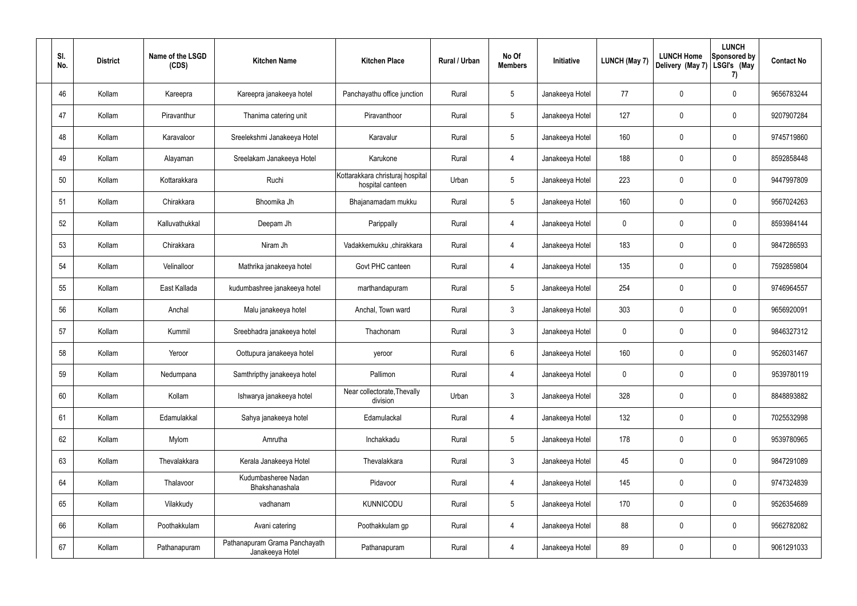| SI.<br>No. | <b>District</b> | Name of the LSGD<br>(CDS) | <b>Kitchen Name</b>                              | <b>Kitchen Place</b>                                 | Rural / Urban | No Of<br><b>Members</b> | Initiative      | <b>LUNCH (May 7)</b> | <b>LUNCH Home</b><br>Delivery (May 7) | <b>LUNCH</b><br><b>Sponsored by</b><br>LSGI's (May<br>7) | <b>Contact No</b> |
|------------|-----------------|---------------------------|--------------------------------------------------|------------------------------------------------------|---------------|-------------------------|-----------------|----------------------|---------------------------------------|----------------------------------------------------------|-------------------|
| 46         | Kollam          | Kareepra                  | Kareepra janakeeya hotel                         | Panchayathu office junction                          | Rural         | $5\phantom{.0}$         | Janakeeya Hotel | 77                   | 0                                     | $\mathbf 0$                                              | 9656783244        |
| 47         | Kollam          | Piravanthur               | Thanima catering unit                            | Piravanthoor                                         | Rural         | $5\phantom{.0}$         | Janakeeya Hotel | 127                  | 0                                     | 0                                                        | 9207907284        |
| 48         | Kollam          | Karavaloor                | Sreelekshmi Janakeeya Hotel                      | Karavalur                                            | Rural         | $5\phantom{.0}$         | Janakeeya Hotel | 160                  | 0                                     | $\mathbf 0$                                              | 9745719860        |
| 49         | Kollam          | Alayaman                  | Sreelakam Janakeeya Hotel                        | Karukone                                             | Rural         | 4                       | Janakeeya Hotel | 188                  | 0                                     | $\mathbf 0$                                              | 8592858448        |
| 50         | Kollam          | Kottarakkara              | Ruchi                                            | Kottarakkara christuraj hospital<br>hospital canteen | Urban         | $5\phantom{.0}$         | Janakeeya Hotel | 223                  | 0                                     | $\mathbf 0$                                              | 9447997809        |
| 51         | Kollam          | Chirakkara                | Bhoomika Jh                                      | Bhajanamadam mukku                                   | Rural         | $5\phantom{.0}$         | Janakeeya Hotel | 160                  | 0                                     | $\mathbf 0$                                              | 9567024263        |
| 52         | Kollam          | Kalluvathukkal            | Deepam Jh                                        | Parippally                                           | Rural         | 4                       | Janakeeya Hotel | 0                    | 0                                     | $\mathbf 0$                                              | 8593984144        |
| 53         | Kollam          | Chirakkara                | Niram Jh                                         | Vadakkemukku ,chirakkara                             | Rural         | 4                       | Janakeeya Hotel | 183                  | 0                                     | $\mathbf 0$                                              | 9847286593        |
| 54         | Kollam          | Velinalloor               | Mathrika janakeeya hotel                         | Govt PHC canteen                                     | Rural         | 4                       | Janakeeya Hotel | 135                  | 0                                     | $\mathbf 0$                                              | 7592859804        |
| 55         | Kollam          | East Kallada              | kudumbashree janakeeya hotel                     | marthandapuram                                       | Rural         | 5                       | Janakeeya Hotel | 254                  | 0                                     | $\mathbf 0$                                              | 9746964557        |
| 56         | Kollam          | Anchal                    | Malu janakeeya hotel                             | Anchal, Town ward                                    | Rural         | 3                       | Janakeeya Hotel | 303                  | 0                                     | $\mathbf 0$                                              | 9656920091        |
| 57         | Kollam          | Kummil                    | Sreebhadra janakeeya hotel                       | Thachonam                                            | Rural         | 3                       | Janakeeya Hotel | 0                    | 0                                     | 0                                                        | 9846327312        |
| 58         | Kollam          | Yeroor                    | Oottupura janakeeya hotel                        | yeroor                                               | Rural         | 6                       | Janakeeya Hotel | 160                  | 0                                     | $\mathbf 0$                                              | 9526031467        |
| 59         | Kollam          | Nedumpana                 | Samthripthy janakeeya hotel                      | Pallimon                                             | Rural         | $\overline{4}$          | Janakeeya Hotel | $\mathbf 0$          | 0                                     | $\pmb{0}$                                                | 9539780119        |
| 60         | Kollam          | Kollam                    | Ishwarya janakeeya hotel                         | Near collectorate, Thevally<br>division              | Urban         | $\mathfrak{Z}$          | Janakeeya Hotel | 328                  | $\mathbf 0$                           | $\mathbf 0$                                              | 8848893882        |
| 61         | Kollam          | Edamulakkal               | Sahya janakeeya hotel                            | Edamulackal                                          | Rural         | 4                       | Janakeeya Hotel | 132                  | 0                                     | $\mathbf 0$                                              | 7025532998        |
| 62         | Kollam          | Mylom                     | Amrutha                                          | Inchakkadu                                           | Rural         | $\overline{5}$          | Janakeeya Hotel | 178                  | $\mathbf 0$                           | $\mathsf{0}$                                             | 9539780965        |
| 63         | Kollam          | Thevalakkara              | Kerala Janakeeya Hotel                           | Thevalakkara                                         | Rural         | $\mathbf{3}$            | Janakeeya Hotel | 45                   | $\mathbf 0$                           | $\mathsf{0}$                                             | 9847291089        |
| 64         | Kollam          | Thalavoor                 | Kudumbasheree Nadan<br>Bhakshanashala            | Pidavoor                                             | Rural         | 4                       | Janakeeya Hotel | 145                  | $\mathbf 0$                           | $\mathsf{0}$                                             | 9747324839        |
| 65         | Kollam          | Vilakkudy                 | vadhanam                                         | <b>KUNNICODU</b>                                     | Rural         | $5\,$                   | Janakeeya Hotel | 170                  | $\pmb{0}$                             | $\mathsf{0}$                                             | 9526354689        |
| 66         | Kollam          | Poothakkulam              | Avani catering                                   | Poothakkulam gp                                      | Rural         | 4                       | Janakeeya Hotel | 88                   | $\mathbf 0$                           | $\mathbf 0$                                              | 9562782082        |
| 67         | Kollam          | Pathanapuram              | Pathanapuram Grama Panchayath<br>Janakeeya Hotel | Pathanapuram                                         | Rural         | $\overline{4}$          | Janakeeya Hotel | 89                   | $\pmb{0}$                             | $\mathsf{0}$                                             | 9061291033        |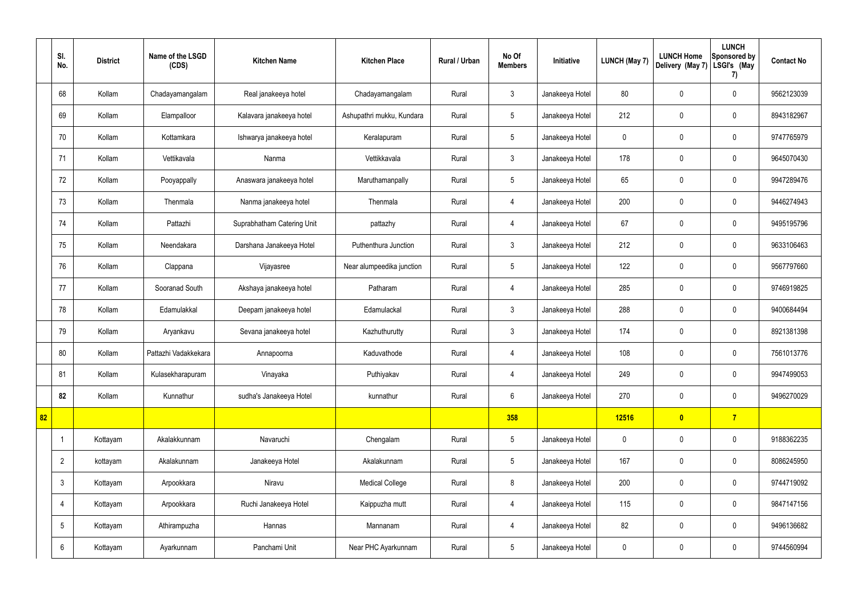|    | SI.<br>No.      | <b>District</b> | Name of the LSGD<br>(CDS) | <b>Kitchen Name</b>        | <b>Kitchen Place</b>      | Rural / Urban | No Of<br><b>Members</b> | Initiative      | <b>LUNCH (May 7)</b> | <b>LUNCH Home</b><br>Delivery (May 7) | <b>LUNCH</b><br>Sponsored by<br>LSGI's (May<br>7) | <b>Contact No</b> |
|----|-----------------|-----------------|---------------------------|----------------------------|---------------------------|---------------|-------------------------|-----------------|----------------------|---------------------------------------|---------------------------------------------------|-------------------|
|    | 68              | Kollam          | Chadayamangalam           | Real janakeeya hotel       | Chadayamangalam           | Rural         | $\mathfrak{Z}$          | Janakeeya Hotel | 80                   | $\mathbf 0$                           | $\mathbf 0$                                       | 9562123039        |
|    | 69              | Kollam          | Elampalloor               | Kalavara janakeeya hotel   | Ashupathri mukku, Kundara | Rural         | $5\phantom{.0}$         | Janakeeya Hotel | 212                  | $\mathbf 0$                           | $\mathbf 0$                                       | 8943182967        |
|    | 70              | Kollam          | Kottamkara                | Ishwarya janakeeya hotel   | Keralapuram               | Rural         | $5\,$                   | Janakeeya Hotel | $\mathbf 0$          | $\mathbf 0$                           | $\mathbf 0$                                       | 9747765979        |
|    | 71              | Kollam          | Vettikavala               | Nanma                      | Vettikkavala              | Rural         | $\mathbf{3}$            | Janakeeya Hotel | 178                  | $\mathbf 0$                           | $\mathbf 0$                                       | 9645070430        |
|    | 72              | Kollam          | Pooyappally               | Anaswara janakeeya hotel   | Maruthamanpally           | Rural         | $5\overline{)}$         | Janakeeya Hotel | 65                   | $\mathbf 0$                           | $\mathbf 0$                                       | 9947289476        |
|    | 73              | Kollam          | Thenmala                  | Nanma janakeeya hotel      | Thenmala                  | Rural         | 4                       | Janakeeya Hotel | 200                  | $\mathbf 0$                           | $\mathbf 0$                                       | 9446274943        |
|    | 74              | Kollam          | Pattazhi                  | Suprabhatham Catering Unit | pattazhy                  | Rural         | $\overline{4}$          | Janakeeya Hotel | 67                   | $\mathbf 0$                           | $\mathbf 0$                                       | 9495195796        |
|    | 75              | Kollam          | Neendakara                | Darshana Janakeeya Hotel   | Puthenthura Junction      | Rural         | $\mathbf{3}$            | Janakeeya Hotel | 212                  | $\mathbf 0$                           | $\mathbf 0$                                       | 9633106463        |
|    | 76              | Kollam          | Clappana                  | Vijayasree                 | Near alumpeedika junction | Rural         | $5\overline{)}$         | Janakeeya Hotel | 122                  | $\mathbf 0$                           | $\mathbf 0$                                       | 9567797660        |
|    | 77              | Kollam          | Sooranad South            | Akshaya janakeeya hotel    | Patharam                  | Rural         | 4                       | Janakeeya Hotel | 285                  | $\pmb{0}$                             | $\mathbf 0$                                       | 9746919825        |
|    | 78              | Kollam          | Edamulakkal               | Deepam janakeeya hotel     | Edamulackal               | Rural         | $\mathbf{3}$            | Janakeeya Hotel | 288                  | $\pmb{0}$                             | $\mathbf 0$                                       | 9400684494        |
|    | 79              | Kollam          | Aryankavu                 | Sevana janakeeya hotel     | Kazhuthurutty             | Rural         | $\mathbf{3}$            | Janakeeya Hotel | 174                  | $\mathbf 0$                           | $\mathbf 0$                                       | 8921381398        |
|    | 80              | Kollam          | Pattazhi Vadakkekara      | Annapoorna                 | Kaduvathode               | Rural         | 4                       | Janakeeya Hotel | 108                  | $\mathbf 0$                           | $\mathbf 0$                                       | 7561013776        |
|    | 81              | Kollam          | Kulasekharapuram          | Vinayaka                   | Puthiyakav                | Rural         | 4                       | Janakeeya Hotel | 249                  | $\pmb{0}$                             | $\mathbf 0$                                       | 9947499053        |
|    | 82              | Kollam          | Kunnathur                 | sudha's Janakeeya Hotel    | kunnathur                 | Rural         | $6\overline{6}$         | Janakeeya Hotel | 270                  | $\pmb{0}$                             | $\mathbf 0$                                       | 9496270029        |
| 82 |                 |                 |                           |                            |                           |               | 358                     |                 | 12516                | $\mathbf{0}$                          | $\overline{7}$                                    |                   |
|    |                 | Kottayam        | Akalakkunnam              | Navaruchi                  | Chengalam                 | Rural         | $5\phantom{.0}$         | Janakeeya Hotel | $\mathbf 0$          | $\pmb{0}$                             | $\mathbf 0$                                       | 9188362235        |
|    | $\overline{2}$  | kottayam        | Akalakunnam               | Janakeeya Hotel            | Akalakunnam               | Rural         | $5\overline{)}$         | Janakeeya Hotel | 167                  | $\pmb{0}$                             | $\mathbf 0$                                       | 8086245950        |
|    | $\mathfrak{Z}$  | Kottayam        | Arpookkara                | Niravu                     | <b>Medical College</b>    | Rural         | 8                       | Janakeeya Hotel | 200                  | $\pmb{0}$                             | $\mathbf 0$                                       | 9744719092        |
|    | 4               | Kottayam        | Arpookkara                | Ruchi Janakeeya Hotel      | Kaippuzha mutt            | Rural         | $\overline{4}$          | Janakeeya Hotel | 115                  | $\pmb{0}$                             | $\mathbf 0$                                       | 9847147156        |
|    | $5\phantom{.0}$ | Kottayam        | Athirampuzha              | Hannas                     | Mannanam                  | Rural         | $\overline{4}$          | Janakeeya Hotel | 82                   | $\pmb{0}$                             | $\mathbf 0$                                       | 9496136682        |
|    | 6               | Kottayam        | Ayarkunnam                | Panchami Unit              | Near PHC Ayarkunnam       | Rural         | $5\overline{)}$         | Janakeeya Hotel | $\pmb{0}$            | $\pmb{0}$                             | $\boldsymbol{0}$                                  | 9744560994        |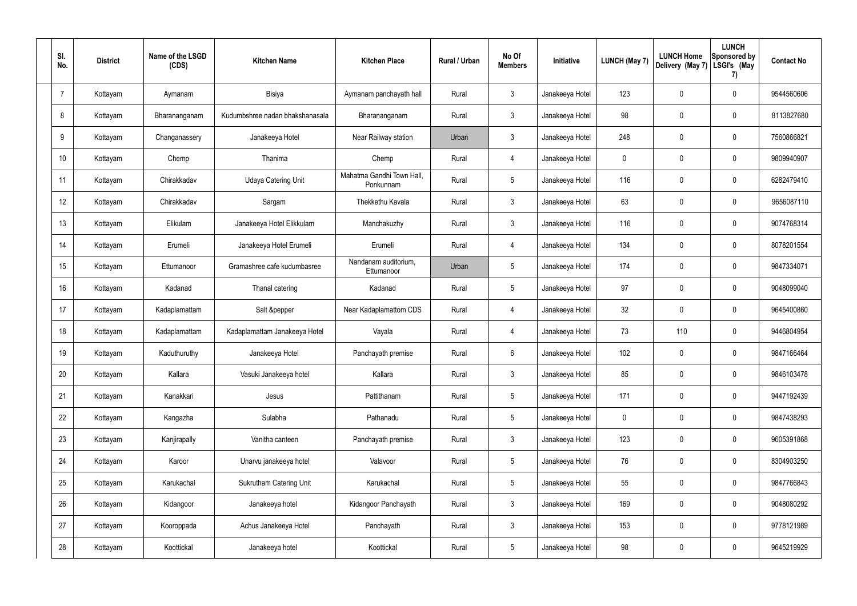| SI.<br>No. | <b>District</b> | Name of the LSGD<br>(CDS) | <b>Kitchen Name</b>             | <b>Kitchen Place</b>                   | Rural / Urban | No Of<br><b>Members</b> | Initiative      | <b>LUNCH (May 7)</b> | <b>LUNCH Home</b><br>Delivery (May 7) | <b>LUNCH</b><br><b>Sponsored by</b><br>LSGI's (May<br>7) | <b>Contact No</b> |
|------------|-----------------|---------------------------|---------------------------------|----------------------------------------|---------------|-------------------------|-----------------|----------------------|---------------------------------------|----------------------------------------------------------|-------------------|
| 7          | Kottayam        | Aymanam                   | Bisiya                          | Aymanam panchayath hall                | Rural         | $\mathfrak{Z}$          | Janakeeya Hotel | 123                  | 0                                     | $\mathbf 0$                                              | 9544560606        |
| 8          | Kottayam        | Bharananganam             | Kudumbshree nadan bhakshanasala | Bharananganam                          | Rural         | $\mathbf{3}$            | Janakeeya Hotel | 98                   | 0                                     | $\mathbf 0$                                              | 8113827680        |
| 9          | Kottayam        | Changanassery             | Janakeeya Hotel                 | Near Railway station                   | Urban         | $\mathbf{3}$            | Janakeeya Hotel | 248                  | 0                                     | $\mathbf 0$                                              | 7560866821        |
| 10         | Kottayam        | Chemp                     | Thanima                         | Chemp                                  | Rural         | $\overline{4}$          | Janakeeya Hotel | 0                    | 0                                     | $\mathbf 0$                                              | 9809940907        |
| 11         | Kottayam        | Chirakkadav               | <b>Udaya Catering Unit</b>      | Mahatma Gandhi Town Hall,<br>Ponkunnam | Rural         | $5\phantom{.0}$         | Janakeeya Hotel | 116                  | 0                                     | $\mathbf 0$                                              | 6282479410        |
| 12         | Kottayam        | Chirakkadav               | Sargam                          | Thekkethu Kavala                       | Rural         | $\mathfrak{Z}$          | Janakeeya Hotel | 63                   | 0                                     | $\mathbf 0$                                              | 9656087110        |
| 13         | Kottayam        | Elikulam                  | Janakeeya Hotel Elikkulam       | Manchakuzhy                            | Rural         | $\mathbf{3}$            | Janakeeya Hotel | 116                  | 0                                     | $\mathbf 0$                                              | 9074768314        |
| 14         | Kottayam        | Erumeli                   | Janakeeya Hotel Erumeli         | Erumeli                                | Rural         | $\overline{4}$          | Janakeeya Hotel | 134                  | 0                                     | $\mathbf 0$                                              | 8078201554        |
| 15         | Kottayam        | Ettumanoor                | Gramashree cafe kudumbasree     | Nandanam auditorium,<br>Ettumanoor     | Urban         | $5\phantom{.0}$         | Janakeeya Hotel | 174                  | 0                                     | $\mathbf 0$                                              | 9847334071        |
| 16         | Kottayam        | Kadanad                   | Thanal catering                 | Kadanad                                | Rural         | $5\phantom{.0}$         | Janakeeya Hotel | 97                   | 0                                     | $\mathbf 0$                                              | 9048099040        |
| 17         | Kottayam        | Kadaplamattam             | Salt &pepper                    | Near Kadaplamattom CDS                 | Rural         | $\overline{4}$          | Janakeeya Hotel | 32                   | 0                                     | $\mathbf 0$                                              | 9645400860        |
| 18         | Kottayam        | Kadaplamattam             | Kadaplamattam Janakeeya Hotel   | Vayala                                 | Rural         | 4                       | Janakeeya Hotel | 73                   | 110                                   | $\mathbf 0$                                              | 9446804954        |
| 19         | Kottayam        | Kaduthuruthy              | Janakeeya Hotel                 | Panchayath premise                     | Rural         | 6                       | Janakeeya Hotel | 102                  | 0                                     | $\mathbf 0$                                              | 9847166464        |
| 20         | Kottayam        | Kallara                   | Vasuki Janakeeya hotel          | Kallara                                | Rural         | $\mathbf{3}$            | Janakeeya Hotel | 85                   | $\mathbf 0$                           | $\mathbf 0$                                              | 9846103478        |
| 21         | Kottayam        | Kanakkari                 | Jesus                           | Pattithanam                            | Rural         | $5\phantom{.0}$         | Janakeeya Hotel | 171                  | $\mathbf 0$                           | $\mathbf 0$                                              | 9447192439        |
| 22         | Kottayam        | Kangazha                  | Sulabha                         | Pathanadu                              | Rural         | $5\phantom{.0}$         | Janakeeya Hotel | 0                    | $\mathbf 0$                           | $\mathbf 0$                                              | 9847438293        |
| 23         | Kottayam        | Kanjirapally              | Vanitha canteen                 | Panchayath premise                     | Rural         | $\mathbf{3}$            | Janakeeya Hotel | 123                  | $\mathbf 0$                           | $\mathbf 0$                                              | 9605391868        |
| 24         | Kottayam        | Karoor                    | Unarvu janakeeya hotel          | Valavoor                               | Rural         | $5\phantom{.0}$         | Janakeeya Hotel | 76                   | $\pmb{0}$                             | $\mathbf 0$                                              | 8304903250        |
| 25         | Kottayam        | Karukachal                | <b>Sukrutham Catering Unit</b>  | Karukachal                             | Rural         | $5\,$                   | Janakeeya Hotel | 55                   | $\mathbf 0$                           | $\mathbf 0$                                              | 9847766843        |
| 26         | Kottayam        | Kidangoor                 | Janakeeya hotel                 | Kidangoor Panchayath                   | Rural         | $\mathfrak{Z}$          | Janakeeya Hotel | 169                  | $\pmb{0}$                             | $\mathbf 0$                                              | 9048080292        |
| 27         | Kottayam        | Kooroppada                | Achus Janakeeya Hotel           | Panchayath                             | Rural         | $\mathbf{3}$            | Janakeeya Hotel | 153                  | $\mathbf 0$                           | $\mathbf 0$                                              | 9778121989        |
| 28         | Kottayam        | Koottickal                | Janakeeya hotel                 | Koottickal                             | Rural         | $5\phantom{.0}$         | Janakeeya Hotel | 98                   | $\pmb{0}$                             | $\mathbf 0$                                              | 9645219929        |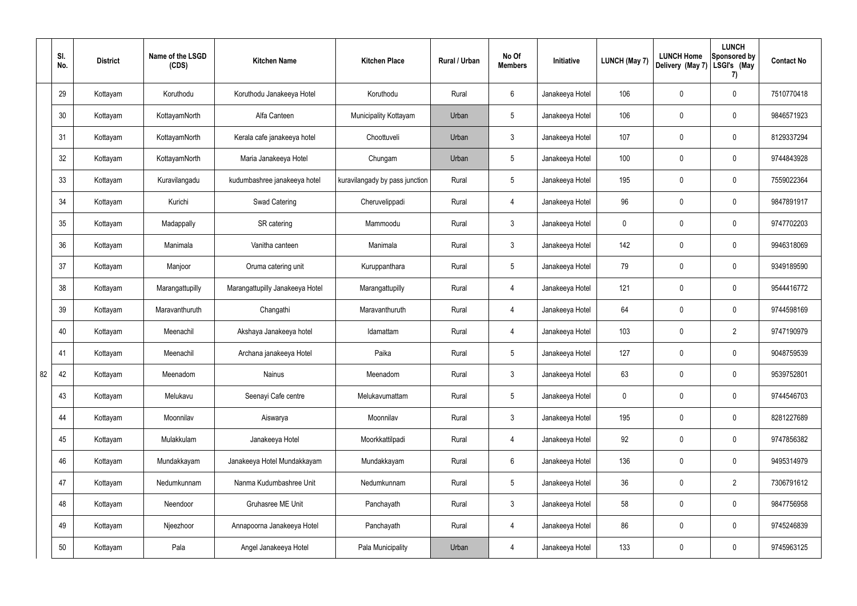|    | SI.<br>No. | <b>District</b> | Name of the LSGD<br>(CDS) | <b>Kitchen Name</b>             | <b>Kitchen Place</b>           | Rural / Urban | No Of<br><b>Members</b> | Initiative      | <b>LUNCH (May 7)</b> | <b>LUNCH Home</b><br>Delivery (May 7) | <b>LUNCH</b><br>Sponsored by<br>LSGI's (May<br>7) | <b>Contact No</b> |
|----|------------|-----------------|---------------------------|---------------------------------|--------------------------------|---------------|-------------------------|-----------------|----------------------|---------------------------------------|---------------------------------------------------|-------------------|
|    | 29         | Kottayam        | Koruthodu                 | Koruthodu Janakeeya Hotel       | Koruthodu                      | Rural         | $6\phantom{.}6$         | Janakeeya Hotel | 106                  | 0                                     | $\mathbf 0$                                       | 7510770418        |
|    | 30         | Kottayam        | KottayamNorth             | Alfa Canteen                    | Municipality Kottayam          | Urban         | $5\phantom{.0}$         | Janakeeya Hotel | 106                  | 0                                     | $\boldsymbol{0}$                                  | 9846571923        |
|    | 31         | Kottayam        | KottayamNorth             | Kerala cafe janakeeya hotel     | Choottuveli                    | Urban         | $\mathbf{3}$            | Janakeeya Hotel | 107                  | 0                                     | $\mathbf 0$                                       | 8129337294        |
|    | 32         | Kottayam        | KottayamNorth             | Maria Janakeeya Hotel           | Chungam                        | Urban         | $5\phantom{.0}$         | Janakeeya Hotel | 100                  | 0                                     | $\mathbf 0$                                       | 9744843928        |
|    | 33         | Kottayam        | Kuravilangadu             | kudumbashree janakeeya hotel    | kuravilangady by pass junction | Rural         | $5\phantom{.0}$         | Janakeeya Hotel | 195                  | 0                                     | $\mathbf 0$                                       | 7559022364        |
|    | 34         | Kottayam        | Kurichi                   | <b>Swad Catering</b>            | Cheruvelippadi                 | Rural         | 4                       | Janakeeya Hotel | 96                   | 0                                     | $\mathbf 0$                                       | 9847891917        |
|    | 35         | Kottayam        | Madappally                | SR catering                     | Mammoodu                       | Rural         | $\mathfrak{Z}$          | Janakeeya Hotel | $\mathbf 0$          | 0                                     | $\mathbf 0$                                       | 9747702203        |
|    | 36         | Kottayam        | Manimala                  | Vanitha canteen                 | Manimala                       | Rural         | $\mathbf{3}$            | Janakeeya Hotel | 142                  | 0                                     | $\mathbf 0$                                       | 9946318069        |
|    | 37         | Kottayam        | Manjoor                   | Oruma catering unit             | Kuruppanthara                  | Rural         | $5\phantom{.0}$         | Janakeeya Hotel | 79                   | 0                                     | $\mathbf 0$                                       | 9349189590        |
|    | 38         | Kottayam        | Marangattupilly           | Marangattupilly Janakeeya Hotel | Marangattupilly                | Rural         | 4                       | Janakeeya Hotel | 121                  | 0                                     | $\mathbf 0$                                       | 9544416772        |
|    | 39         | Kottayam        | Maravanthuruth            | Changathi                       | Maravanthuruth                 | Rural         | $\overline{4}$          | Janakeeya Hotel | 64                   | 0                                     | $\mathbf 0$                                       | 9744598169        |
|    | 40         | Kottayam        | Meenachil                 | Akshaya Janakeeya hotel         | Idamattam                      | Rural         | 4                       | Janakeeya Hotel | 103                  | 0                                     | $\overline{2}$                                    | 9747190979        |
|    | 41         | Kottayam        | Meenachil                 | Archana janakeeya Hotel         | Paika                          | Rural         | $5\phantom{.0}$         | Janakeeya Hotel | 127                  | 0                                     | $\mathbf 0$                                       | 9048759539        |
| 82 | 42         | Kottayam        | Meenadom                  | Nainus                          | Meenadom                       | Rural         | $\mathbf{3}$            | Janakeeya Hotel | 63                   | 0                                     | $\pmb{0}$                                         | 9539752801        |
|    | 43         | Kottayam        | Melukavu                  | Seenayi Cafe centre             | Melukavumattam                 | Rural         | $5\overline{)}$         | Janakeeya Hotel | 0                    | 0                                     | $\pmb{0}$                                         | 9744546703        |
|    | 44         | Kottayam        | Moonnilav                 | Aiswarya                        | Moonnilav                      | Rural         | $\mathbf{3}$            | Janakeeya Hotel | 195                  | 0                                     | $\mathbf 0$                                       | 8281227689        |
|    | 45         | Kottayam        | Mulakkulam                | Janakeeya Hotel                 | Moorkkattilpadi                | Rural         | $\overline{4}$          | Janakeeya Hotel | 92                   | 0                                     | $\pmb{0}$                                         | 9747856382        |
|    | 46         | Kottayam        | Mundakkayam               | Janakeeya Hotel Mundakkayam     | Mundakkayam                    | Rural         | $6\overline{6}$         | Janakeeya Hotel | 136                  | 0                                     | $\pmb{0}$                                         | 9495314979        |
|    | 47         | Kottayam        | Nedumkunnam               | Nanma Kudumbashree Unit         | Nedumkunnam                    | Rural         | $5\phantom{.0}$         | Janakeeya Hotel | 36                   | 0                                     | $\overline{2}$                                    | 7306791612        |
|    | 48         | Kottayam        | Neendoor                  | Gruhasree ME Unit               | Panchayath                     | Rural         | $\mathfrak{Z}$          | Janakeeya Hotel | 58                   | 0                                     | $\pmb{0}$                                         | 9847756958        |
|    | 49         | Kottayam        | Njeezhoor                 | Annapoorna Janakeeya Hotel      | Panchayath                     | Rural         | $\overline{4}$          | Janakeeya Hotel | 86                   | 0                                     | $\pmb{0}$                                         | 9745246839        |
|    | 50         | Kottayam        | Pala                      | Angel Janakeeya Hotel           | Pala Municipality              | Urban         | $\overline{4}$          | Janakeeya Hotel | 133                  | 0                                     | $\pmb{0}$                                         | 9745963125        |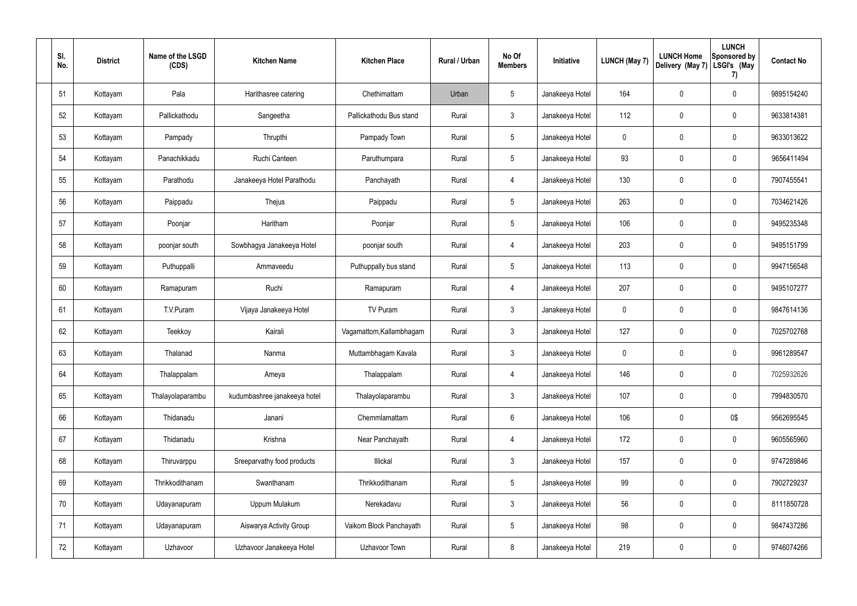| SI.<br>No. | <b>District</b> | Name of the LSGD<br>(CDS) | <b>Kitchen Name</b>          | <b>Kitchen Place</b>     | <b>Rural / Urban</b> | No Of<br><b>Members</b> | Initiative      | <b>LUNCH (May 7)</b> | <b>LUNCH Home</b><br>Delivery (May 7) | <b>LUNCH</b><br>Sponsored by<br>LSGI's (May<br>7) | <b>Contact No</b> |
|------------|-----------------|---------------------------|------------------------------|--------------------------|----------------------|-------------------------|-----------------|----------------------|---------------------------------------|---------------------------------------------------|-------------------|
| 51         | Kottayam        | Pala                      | Harithasree catering         | Chethimattam             | Urban                | $5\phantom{.0}$         | Janakeeya Hotel | 164                  | $\mathbf 0$                           | $\mathbf 0$                                       | 9895154240        |
| 52         | Kottayam        | Pallickathodu             | Sangeetha                    | Pallickathodu Bus stand  | Rural                | $\mathbf{3}$            | Janakeeya Hotel | 112                  | $\overline{0}$                        | 0                                                 | 9633814381        |
| 53         | Kottayam        | Pampady                   | Thrupthi                     | Pampady Town             | Rural                | $5\overline{)}$         | Janakeeya Hotel | 0                    | $\mathbf 0$                           | $\mathbf 0$                                       | 9633013622        |
| 54         | Kottayam        | Panachikkadu              | Ruchi Canteen                | Paruthumpara             | Rural                | $5\phantom{.0}$         | Janakeeya Hotel | 93                   | $\overline{0}$                        | 0                                                 | 9656411494        |
| 55         | Kottayam        | Parathodu                 | Janakeeya Hotel Parathodu    | Panchayath               | Rural                | $\overline{4}$          | Janakeeya Hotel | 130                  | $\mathbf 0$                           | 0                                                 | 7907455541        |
| 56         | Kottayam        | Paippadu                  | Thejus                       | Paippadu                 | Rural                | $5\phantom{.0}$         | Janakeeya Hotel | 263                  | $\mathbf 0$                           | $\pmb{0}$                                         | 7034621426        |
| 57         | Kottayam        | Poonjar                   | Haritham                     | Poonjar                  | Rural                | $5\phantom{.0}$         | Janakeeya Hotel | 106                  | $\mathbf 0$                           | $\pmb{0}$                                         | 9495235348        |
| 58         | Kottayam        | poonjar south             | Sowbhagya Janakeeya Hotel    | poonjar south            | Rural                | 4                       | Janakeeya Hotel | 203                  | $\overline{0}$                        | 0                                                 | 9495151799        |
| 59         | Kottayam        | Puthuppalli               | Ammaveedu                    | Puthuppally bus stand    | Rural                | $5\phantom{.0}$         | Janakeeya Hotel | 113                  | $\mathbf 0$                           | $\mathbf 0$                                       | 9947156548        |
| 60         | Kottayam        | Ramapuram                 | Ruchi                        | Ramapuram                | Rural                | 4                       | Janakeeya Hotel | 207                  | $\overline{0}$                        | $\pmb{0}$                                         | 9495107277        |
| 61         | Kottayam        | T.V.Puram                 | Vijaya Janakeeya Hotel       | TV Puram                 | Rural                | $\mathbf{3}$            | Janakeeya Hotel | 0                    | $\mathbf 0$                           | $\pmb{0}$                                         | 9847614136        |
| 62         | Kottayam        | Teekkoy                   | Kairali                      | Vagamattom, Kallambhagam | Rural                | $\mathbf{3}$            | Janakeeya Hotel | 127                  | $\mathbf 0$                           | $\pmb{0}$                                         | 7025702768        |
| 63         | Kottayam        | Thalanad                  | Nanma                        | Muttambhagam Kavala      | Rural                | $\mathbf{3}$            | Janakeeya Hotel | 0                    | $\mathbf 0$                           | $\mathbf 0$                                       | 9961289547        |
| 64         | Kottayam        | Thalappalam               | Ameya                        | Thalappalam              | Rural                | 4                       | Janakeeya Hotel | 146                  | $\overline{0}$                        | $\mathbf 0$                                       | 7025932626        |
| 65         | Kottayam        | Thalayolaparambu          | kudumbashree janakeeya hotel | Thalayolaparambu         | Rural                | $\mathbf{3}$            | Janakeeya Hotel | 107                  | $\overline{0}$                        | $\pmb{0}$                                         | 7994830570        |
| 66         | Kottayam        | Thidanadu                 | Janani                       | Chemmlamattam            | Rural                | $6\phantom{.}6$         | Janakeeya Hotel | 106                  | $\pmb{0}$                             | 0\$                                               | 9562695545        |
| 67         | Kottayam        | Thidanadu                 | Krishna                      | Near Panchayath          | Rural                | $\overline{4}$          | Janakeeya Hotel | 172                  | $\pmb{0}$                             | $\pmb{0}$                                         | 9605565960        |
| 68         | Kottayam        | Thiruvarppu               | Sreeparvathy food products   | Illickal                 | Rural                | $\mathfrak{Z}$          | Janakeeya Hotel | 157                  | $\pmb{0}$                             | $\pmb{0}$                                         | 9747289846        |
| 69         | Kottayam        | Thrikkodithanam           | Swanthanam                   | Thrikkodithanam          | Rural                | $5\phantom{.0}$         | Janakeeya Hotel | 99                   | $\overline{0}$                        | $\pmb{0}$                                         | 7902729237        |
| 70         | Kottayam        | Udayanapuram              | Uppum Mulakum                | Nerekadavu               | Rural                | $\mathbf{3}$            | Janakeeya Hotel | 56                   | $\pmb{0}$                             | $\pmb{0}$                                         | 8111850728        |
| 71         | Kottayam        | Udayanapuram              | Aiswarya Activity Group      | Vaikom Block Panchayath  | Rural                | 5                       | Janakeeya Hotel | 98                   | $\pmb{0}$                             | $\pmb{0}$                                         | 9847437286        |
| 72         | Kottayam        | Uzhavoor                  | Uzhavoor Janakeeya Hotel     | Uzhavoor Town            | Rural                | $\,8\,$                 | Janakeeya Hotel | 219                  | $\pmb{0}$                             | $\pmb{0}$                                         | 9746074266        |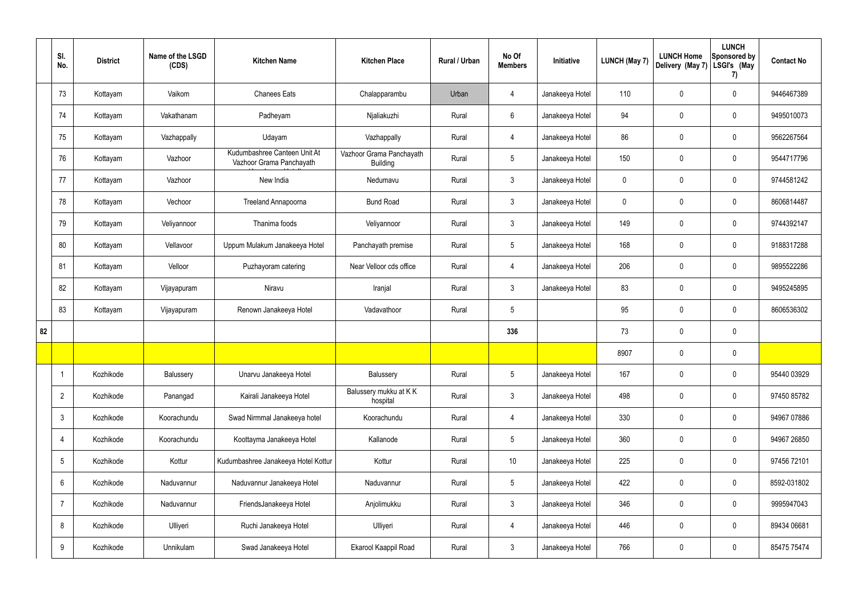|    | SI.<br>No.      | <b>District</b> | Name of the LSGD<br>(CDS) | <b>Kitchen Name</b>                                      | <b>Kitchen Place</b>                        | Rural / Urban | No Of<br><b>Members</b> | Initiative      | <b>LUNCH (May 7)</b> | <b>LUNCH Home</b><br>Delivery (May 7) | <b>LUNCH</b><br>Sponsored by<br>LSGI's (May<br>7) | <b>Contact No</b> |
|----|-----------------|-----------------|---------------------------|----------------------------------------------------------|---------------------------------------------|---------------|-------------------------|-----------------|----------------------|---------------------------------------|---------------------------------------------------|-------------------|
|    | 73              | Kottayam        | Vaikom                    | <b>Chanees Eats</b>                                      | Chalapparambu                               | Urban         | $\overline{4}$          | Janakeeya Hotel | 110                  | 0                                     | $\mathbf 0$                                       | 9446467389        |
|    | 74              | Kottayam        | Vakathanam                | Padheyam                                                 | Njaliakuzhi                                 | Rural         | $6\phantom{.}6$         | Janakeeya Hotel | 94                   | 0                                     | $\pmb{0}$                                         | 9495010073        |
|    | 75              | Kottayam        | Vazhappally               | Udayam                                                   | Vazhappally                                 | Rural         | $\overline{4}$          | Janakeeya Hotel | 86                   | 0                                     | $\pmb{0}$                                         | 9562267564        |
|    | 76              | Kottayam        | Vazhoor                   | Kudumbashree Canteen Unit At<br>Vazhoor Grama Panchayath | Vazhoor Grama Panchayath<br><b>Building</b> | Rural         | $5\phantom{.0}$         | Janakeeya Hotel | 150                  | 0                                     | $\pmb{0}$                                         | 9544717796        |
|    | 77              | Kottayam        | Vazhoor                   | New India                                                | Nedumavu                                    | Rural         | $\mathbf{3}$            | Janakeeya Hotel | $\mathbf 0$          | 0                                     | $\pmb{0}$                                         | 9744581242        |
|    | 78              | Kottayam        | Vechoor                   | <b>Treeland Annapoorna</b>                               | <b>Bund Road</b>                            | Rural         | $\mathbf{3}$            | Janakeeya Hotel | $\mathbf 0$          | 0                                     | $\pmb{0}$                                         | 8606814487        |
|    | 79              | Kottayam        | Veliyannoor               | Thanima foods                                            | Veliyannoor                                 | Rural         | 3                       | Janakeeya Hotel | 149                  | 0                                     | $\mathbf 0$                                       | 9744392147        |
|    | 80              | Kottayam        | Vellavoor                 | Uppum Mulakum Janakeeya Hotel                            | Panchayath premise                          | Rural         | $5\phantom{.0}$         | Janakeeya Hotel | 168                  | $\boldsymbol{0}$                      | $\mathbf 0$                                       | 9188317288        |
|    | 81              | Kottayam        | Velloor                   | Puzhayoram catering                                      | Near Velloor cds office                     | Rural         | $\overline{4}$          | Janakeeya Hotel | 206                  | 0                                     | $\pmb{0}$                                         | 9895522286        |
|    | 82              | Kottayam        | Vijayapuram               | Niravu                                                   | Iranjal                                     | Rural         | $\mathbf{3}$            | Janakeeya Hotel | 83                   | $\boldsymbol{0}$                      | $\boldsymbol{0}$                                  | 9495245895        |
|    | 83              | Kottayam        | Vijayapuram               | Renown Janakeeya Hotel                                   | Vadavathoor                                 | Rural         | $5\phantom{.0}$         |                 | 95                   | 0                                     | $\boldsymbol{0}$                                  | 8606536302        |
| 82 |                 |                 |                           |                                                          |                                             |               | 336                     |                 | 73                   | 0                                     | $\mathbf 0$                                       |                   |
|    |                 |                 |                           |                                                          |                                             |               |                         |                 | 8907                 | 0                                     | $\pmb{0}$                                         |                   |
|    |                 | Kozhikode       | Balussery                 | Unarvu Janakeeya Hotel                                   | Balussery                                   | Rural         | 5 <sub>5</sub>          | Janakeeya Hotel | 167                  | 0                                     | $\pmb{0}$                                         | 95440 03929       |
|    | $\overline{2}$  | Kozhikode       | Panangad                  | Kairali Janakeeya Hotel                                  | Balussery mukku at KK<br>hospital           | Rural         | $\mathbf{3}$            | Janakeeya Hotel | 498                  | 0                                     | $\pmb{0}$                                         | 97450 85782       |
|    | $\mathbf{3}$    | Kozhikode       | Koorachundu               | Swad Nirmmal Janakeeya hotel                             | Koorachundu                                 | Rural         | $\overline{4}$          | Janakeeya Hotel | 330                  | $\pmb{0}$                             | $\mathbf 0$                                       | 94967 07886       |
|    | 4               | Kozhikode       | Koorachundu               | Koottayma Janakeeya Hotel                                | Kallanode                                   | Rural         | $5\phantom{.0}$         | Janakeeya Hotel | 360                  | 0                                     | $\mathbf 0$                                       | 94967 26850       |
|    | $5\phantom{.0}$ | Kozhikode       | Kottur                    | Kudumbashree Janakeeya Hotel Kottur                      | Kottur                                      | Rural         | 10                      | Janakeeya Hotel | 225                  | 0                                     | $\mathbf 0$                                       | 97456 72101       |
|    | 6               | Kozhikode       | Naduvannur                | Naduvannur Janakeeya Hotel                               | Naduvannur                                  | Rural         | 5 <sup>5</sup>          | Janakeeya Hotel | 422                  | 0                                     | $\mathbf 0$                                       | 8592-031802       |
|    | $\overline{7}$  | Kozhikode       | Naduvannur                | FriendsJanakeeya Hotel                                   | Anjolimukku                                 | Rural         | 3 <sup>5</sup>          | Janakeeya Hotel | 346                  | 0                                     | $\mathbf 0$                                       | 9995947043        |
|    | 8               | Kozhikode       | Ulliyeri                  | Ruchi Janakeeya Hotel                                    | Ulliyeri                                    | Rural         | $\overline{4}$          | Janakeeya Hotel | 446                  | 0                                     | $\mathbf 0$                                       | 89434 06681       |
|    | 9               | Kozhikode       | Unnikulam                 | Swad Janakeeya Hotel                                     | Ekarool Kaappil Road                        | Rural         | $\mathbf{3}$            | Janakeeya Hotel | 766                  | 0                                     | $\boldsymbol{0}$                                  | 85475 75474       |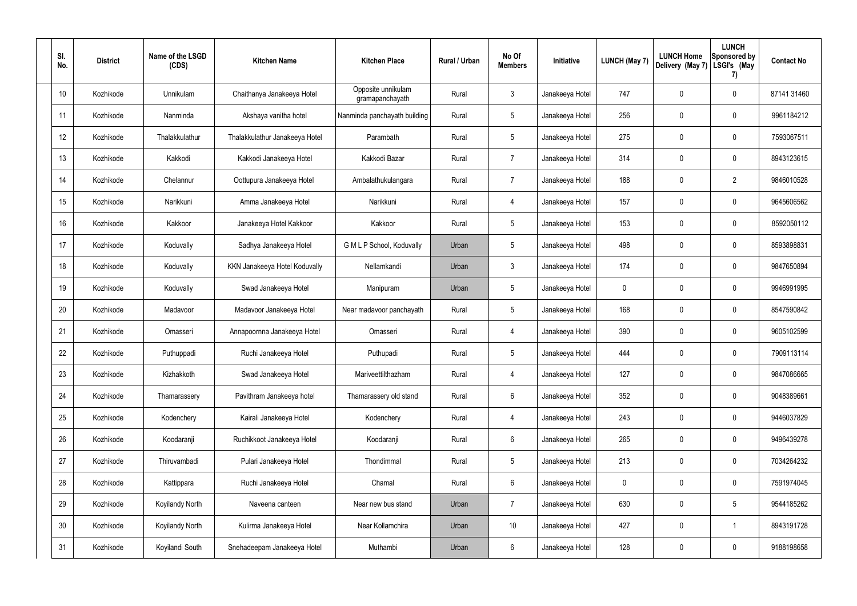| SI.<br>No.      | <b>District</b> | Name of the LSGD<br>(CDS) | <b>Kitchen Name</b>            | <b>Kitchen Place</b>                  | Rural / Urban | No Of<br><b>Members</b> | Initiative      | <b>LUNCH (May 7)</b> | <b>LUNCH Home</b><br>Delivery (May 7) | <b>LUNCH</b><br>Sponsored by<br>LSGI's (May<br>7) | <b>Contact No</b> |
|-----------------|-----------------|---------------------------|--------------------------------|---------------------------------------|---------------|-------------------------|-----------------|----------------------|---------------------------------------|---------------------------------------------------|-------------------|
| 10 <sup>°</sup> | Kozhikode       | Unnikulam                 | Chaithanya Janakeeya Hotel     | Opposite unnikulam<br>gramapanchayath | Rural         | 3                       | Janakeeya Hotel | 747                  | 0                                     | $\mathbf 0$                                       | 87141 31460       |
| 11              | Kozhikode       | Nanminda                  | Akshaya vanitha hotel          | Nanminda panchayath building          | Rural         | $5\phantom{.0}$         | Janakeeya Hotel | 256                  | 0                                     | $\mathbf 0$                                       | 9961184212        |
| 12              | Kozhikode       | Thalakkulathur            | Thalakkulathur Janakeeya Hotel | Parambath                             | Rural         | $5\phantom{.0}$         | Janakeeya Hotel | 275                  | 0                                     | $\mathbf 0$                                       | 7593067511        |
| 13              | Kozhikode       | Kakkodi                   | Kakkodi Janakeeya Hotel        | Kakkodi Bazar                         | Rural         | $\overline{7}$          | Janakeeya Hotel | 314                  | 0                                     | 0                                                 | 8943123615        |
| 14              | Kozhikode       | Chelannur                 | Oottupura Janakeeya Hotel      | Ambalathukulangara                    | Rural         | $\overline{7}$          | Janakeeya Hotel | 188                  | 0                                     | $\overline{2}$                                    | 9846010528        |
| 15              | Kozhikode       | Narikkuni                 | Amma Janakeeya Hotel           | Narikkuni                             | Rural         | 4                       | Janakeeya Hotel | 157                  | 0                                     | 0                                                 | 9645606562        |
| 16              | Kozhikode       | Kakkoor                   | Janakeeya Hotel Kakkoor        | Kakkoor                               | Rural         | $5\phantom{.0}$         | Janakeeya Hotel | 153                  | 0                                     | 0                                                 | 8592050112        |
| 17              | Kozhikode       | Koduvally                 | Sadhya Janakeeya Hotel         | G M L P School, Koduvally             | Urban         | 5                       | Janakeeya Hotel | 498                  | 0                                     | 0                                                 | 8593898831        |
| 18              | Kozhikode       | Koduvally                 | KKN Janakeeya Hotel Koduvally  | Nellamkandi                           | Urban         | 3                       | Janakeeya Hotel | 174                  | 0                                     | 0                                                 | 9847650894        |
| 19              | Kozhikode       | Koduvally                 | Swad Janakeeya Hotel           | Manipuram                             | Urban         | 5                       | Janakeeya Hotel | 0                    | 0                                     | 0                                                 | 9946991995        |
| 20              | Kozhikode       | Madavoor                  | Madavoor Janakeeya Hotel       | Near madavoor panchayath              | Rural         | $\overline{5}$          | Janakeeya Hotel | 168                  | 0                                     | 0                                                 | 8547590842        |
| 21              | Kozhikode       | Omasseri                  | Annapoornna Janakeeya Hotel    | Omasseri                              | Rural         | 4                       | Janakeeya Hotel | 390                  | 0                                     | 0                                                 | 9605102599        |
| 22              | Kozhikode       | Puthuppadi                | Ruchi Janakeeya Hotel          | Puthupadi                             | Rural         | 5                       | Janakeeya Hotel | 444                  | 0                                     | $\mathbf 0$                                       | 7909113114        |
| 23              | Kozhikode       | Kizhakkoth                | Swad Janakeeya Hotel           | Mariveettilthazham                    | Rural         | 4                       | Janakeeya Hotel | 127                  | 0                                     | $\pmb{0}$                                         | 9847086665        |
| 24              | Kozhikode       | Thamarassery              | Pavithram Janakeeya hotel      | Thamarassery old stand                | Rural         | 6                       | Janakeeya Hotel | 352                  | $\mathbf 0$                           | $\mathsf{0}$                                      | 9048389661        |
| 25              | Kozhikode       | Kodenchery                | Kairali Janakeeya Hotel        | Kodenchery                            | Rural         | 4                       | Janakeeya Hotel | 243                  | $\mathbf 0$                           | $\mathbf 0$                                       | 9446037829        |
| 26              | Kozhikode       | Koodaranji                | Ruchikkoot Janakeeya Hotel     | Koodaranji                            | Rural         | 6                       | Janakeeya Hotel | 265                  | $\mathbf 0$                           | $\mathsf{0}$                                      | 9496439278        |
| 27              | Kozhikode       | Thiruvambadi              | Pulari Janakeeya Hotel         | Thondimmal                            | Rural         | $\overline{5}$          | Janakeeya Hotel | 213                  | $\pmb{0}$                             | $\mathsf{0}$                                      | 7034264232        |
| 28              | Kozhikode       | Kattippara                | Ruchi Janakeeya Hotel          | Chamal                                | Rural         | 6                       | Janakeeya Hotel | 0                    | $\mathbf 0$                           | $\mathsf{0}$                                      | 7591974045        |
| 29              | Kozhikode       | Koyilandy North           | Naveena canteen                | Near new bus stand                    | Urban         | $\overline{7}$          | Janakeeya Hotel | 630                  | $\pmb{0}$                             | 5                                                 | 9544185262        |
| 30 <sub>2</sub> | Kozhikode       | Koyilandy North           | Kulirma Janakeeya Hotel        | Near Kollamchira                      | Urban         | 10 <sup>°</sup>         | Janakeeya Hotel | 427                  | $\mathbf 0$                           | $\mathbf{1}$                                      | 8943191728        |
| 31              | Kozhikode       | Koyilandi South           | Snehadeepam Janakeeya Hotel    | Muthambi                              | Urban         | $6\,$                   | Janakeeya Hotel | 128                  | $\pmb{0}$                             | $\pmb{0}$                                         | 9188198658        |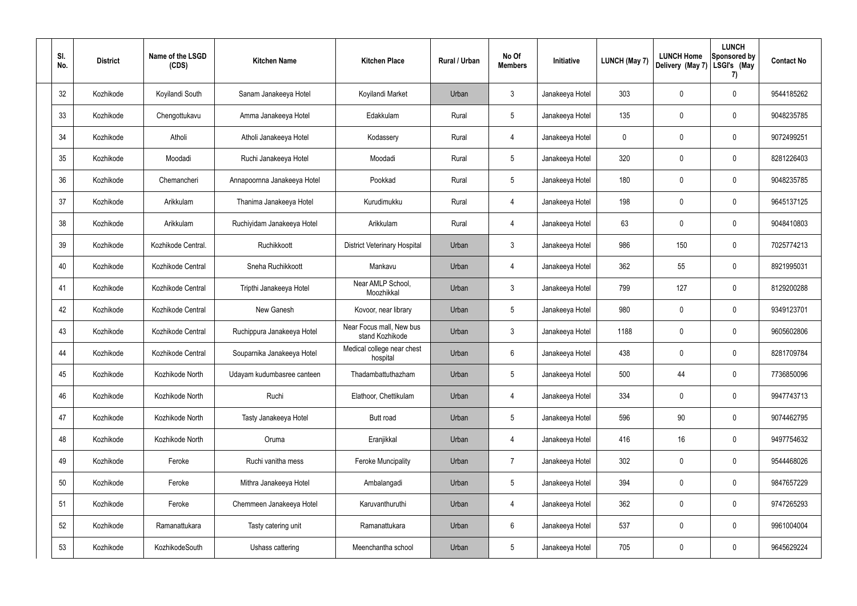| SI.<br>No. | <b>District</b> | Name of the LSGD<br>(CDS) | <b>Kitchen Name</b>         | <b>Kitchen Place</b>                        | Rural / Urban | No Of<br><b>Members</b> | Initiative      | <b>LUNCH (May 7)</b> | <b>LUNCH Home</b><br>Delivery (May 7) | <b>LUNCH</b><br><b>Sponsored by</b><br>LSGI's (May<br>7) | <b>Contact No</b> |
|------------|-----------------|---------------------------|-----------------------------|---------------------------------------------|---------------|-------------------------|-----------------|----------------------|---------------------------------------|----------------------------------------------------------|-------------------|
| 32         | Kozhikode       | Koyilandi South           | Sanam Janakeeya Hotel       | Koyilandi Market                            | Urban         | 3                       | Janakeeya Hotel | 303                  | 0                                     | $\mathbf 0$                                              | 9544185262        |
| 33         | Kozhikode       | Chengottukavu             | Amma Janakeeya Hotel        | Edakkulam                                   | Rural         | $5\phantom{.0}$         | Janakeeya Hotel | 135                  | 0                                     | 0                                                        | 9048235785        |
| 34         | Kozhikode       | Atholi                    | Atholi Janakeeya Hotel      | Kodassery                                   | Rural         | 4                       | Janakeeya Hotel | 0                    | 0                                     | $\mathbf 0$                                              | 9072499251        |
| 35         | Kozhikode       | Moodadi                   | Ruchi Janakeeya Hotel       | Moodadi                                     | Rural         | $5\phantom{.0}$         | Janakeeya Hotel | 320                  | 0                                     | $\mathbf 0$                                              | 8281226403        |
| 36         | Kozhikode       | Chemancheri               | Annapoornna Janakeeya Hotel | Pookkad                                     | Rural         | $5\phantom{.0}$         | Janakeeya Hotel | 180                  | 0                                     | $\mathbf 0$                                              | 9048235785        |
| 37         | Kozhikode       | Arikkulam                 | Thanima Janakeeya Hotel     | Kurudimukku                                 | Rural         | 4                       | Janakeeya Hotel | 198                  | 0                                     | $\mathbf 0$                                              | 9645137125        |
| 38         | Kozhikode       | Arikkulam                 | Ruchiyidam Janakeeya Hotel  | Arikkulam                                   | Rural         | 4                       | Janakeeya Hotel | 63                   | 0                                     | $\mathbf 0$                                              | 9048410803        |
| 39         | Kozhikode       | Kozhikode Central.        | Ruchikkoott                 | <b>District Veterinary Hospital</b>         | Urban         | 3                       | Janakeeya Hotel | 986                  | 150                                   | 0                                                        | 7025774213        |
| 40         | Kozhikode       | Kozhikode Central         | Sneha Ruchikkoott           | Mankavu                                     | Urban         | 4                       | Janakeeya Hotel | 362                  | 55                                    | 0                                                        | 8921995031        |
| 41         | Kozhikode       | Kozhikode Central         | Tripthi Janakeeya Hotel     | Near AMLP School,<br>Moozhikkal             | Urban         | 3                       | Janakeeya Hotel | 799                  | 127                                   | $\pmb{0}$                                                | 8129200288        |
| 42         | Kozhikode       | Kozhikode Central         | New Ganesh                  | Kovoor, near library                        | Urban         | $5\phantom{.0}$         | Janakeeya Hotel | 980                  | 0                                     | 0                                                        | 9349123701        |
| 43         | Kozhikode       | Kozhikode Central         | Ruchippura Janakeeya Hotel  | Near Focus mall, New bus<br>stand Kozhikode | Urban         | 3                       | Janakeeya Hotel | 1188                 | 0                                     | 0                                                        | 9605602806        |
| 44         | Kozhikode       | Kozhikode Central         | Souparnika Janakeeya Hotel  | Medical college near chest<br>hospital      | Urban         | 6                       | Janakeeya Hotel | 438                  | 0                                     | $\mathbf 0$                                              | 8281709784        |
| 45         | Kozhikode       | Kozhikode North           | Udayam kudumbasree canteen  | Thadambattuthazham                          | Urban         | 5                       | Janakeeya Hotel | 500                  | 44                                    | $\pmb{0}$                                                | 7736850096        |
| 46         | Kozhikode       | Kozhikode North           | Ruchi                       | Elathoor, Chettikulam                       | Urban         | 4                       | Janakeeya Hotel | 334                  | $\mathbf 0$                           | $\mathsf{0}$                                             | 9947743713        |
| 47         | Kozhikode       | Kozhikode North           | Tasty Janakeeya Hotel       | Butt road                                   | Urban         | $5\phantom{.0}$         | Janakeeya Hotel | 596                  | $90\,$                                | $\mathsf{0}$                                             | 9074462795        |
| 48         | Kozhikode       | Kozhikode North           | Oruma                       | Eranjikkal                                  | Urban         | 4                       | Janakeeya Hotel | 416                  | 16                                    | $\mathsf{0}$                                             | 9497754632        |
| 49         | Kozhikode       | Feroke                    | Ruchi vanitha mess          | <b>Feroke Muncipality</b>                   | Urban         | $\overline{7}$          | Janakeeya Hotel | 302                  | $\pmb{0}$                             | $\mathsf{0}$                                             | 9544468026        |
| 50         | Kozhikode       | Feroke                    | Mithra Janakeeya Hotel      | Ambalangadi                                 | Urban         | $5\,$                   | Janakeeya Hotel | 394                  | $\pmb{0}$                             | $\mathsf{0}$                                             | 9847657229        |
| 51         | Kozhikode       | Feroke                    | Chemmeen Janakeeya Hotel    | Karuvanthuruthi                             | Urban         | $\overline{4}$          | Janakeeya Hotel | 362                  | $\pmb{0}$                             | $\mathsf{0}$                                             | 9747265293        |
| 52         | Kozhikode       | Ramanattukara             | Tasty catering unit         | Ramanattukara                               | Urban         | $6\phantom{.}$          | Janakeeya Hotel | 537                  | $\mathbf 0$                           | $\mathsf{0}$                                             | 9961004004        |
| 53         | Kozhikode       | KozhikodeSouth            | Ushass cattering            | Meenchantha school                          | Urban         | $\sqrt{5}$              | Janakeeya Hotel | 705                  | $\pmb{0}$                             | $\pmb{0}$                                                | 9645629224        |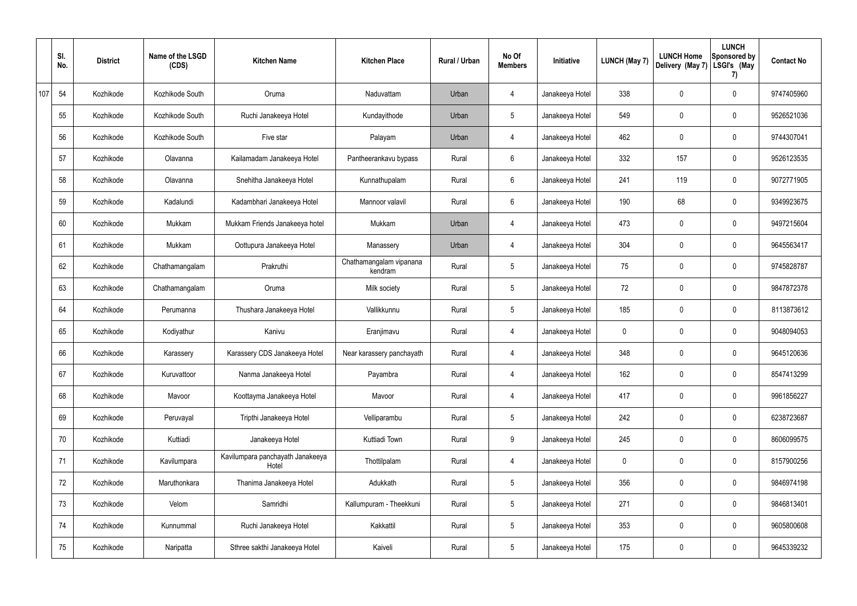|     | SI.<br>No. | <b>District</b> | Name of the LSGD<br>(CDS) | <b>Kitchen Name</b>                       | <b>Kitchen Place</b>               | Rural / Urban | No Of<br><b>Members</b> | Initiative      | <b>LUNCH (May 7)</b> | <b>LUNCH Home</b><br>Delivery (May 7) | <b>LUNCH</b><br>Sponsored by<br>LSGI's (May<br>7) | <b>Contact No</b> |
|-----|------------|-----------------|---------------------------|-------------------------------------------|------------------------------------|---------------|-------------------------|-----------------|----------------------|---------------------------------------|---------------------------------------------------|-------------------|
| 107 | 54         | Kozhikode       | Kozhikode South           | Oruma                                     | Naduvattam                         | Urban         | 4                       | Janakeeya Hotel | 338                  | 0                                     | $\mathbf 0$                                       | 9747405960        |
|     | 55         | Kozhikode       | Kozhikode South           | Ruchi Janakeeya Hotel                     | Kundayithode                       | Urban         | $5\phantom{.0}$         | Janakeeya Hotel | 549                  | 0                                     | $\boldsymbol{0}$                                  | 9526521036        |
|     | 56         | Kozhikode       | Kozhikode South           | Five star                                 | Palayam                            | Urban         | $\overline{4}$          | Janakeeya Hotel | 462                  | 0                                     | $\mathbf 0$                                       | 9744307041        |
|     | 57         | Kozhikode       | Olavanna                  | Kailamadam Janakeeya Hotel                | Pantheerankavu bypass              | Rural         | 6                       | Janakeeya Hotel | 332                  | 157                                   | $\mathbf 0$                                       | 9526123535        |
|     | 58         | Kozhikode       | Olavanna                  | Snehitha Janakeeya Hotel                  | Kunnathupalam                      | Rural         | $6\phantom{.}6$         | Janakeeya Hotel | 241                  | 119                                   | $\mathbf 0$                                       | 9072771905        |
|     | 59         | Kozhikode       | Kadalundi                 | Kadambhari Janakeeya Hotel                | Mannoor valavil                    | Rural         | 6                       | Janakeeya Hotel | 190                  | 68                                    | $\mathbf 0$                                       | 9349923675        |
|     | 60         | Kozhikode       | Mukkam                    | Mukkam Friends Janakeeya hotel            | Mukkam                             | Urban         | $\overline{4}$          | Janakeeya Hotel | 473                  | 0                                     | $\mathbf 0$                                       | 9497215604        |
|     | 61         | Kozhikode       | Mukkam                    | Oottupura Janakeeya Hotel                 | Manassery                          | Urban         | 4                       | Janakeeya Hotel | 304                  | 0                                     | $\mathbf 0$                                       | 9645563417        |
|     | 62         | Kozhikode       | Chathamangalam            | Prakruthi                                 | Chathamangalam vipanana<br>kendram | Rural         | $5\phantom{.0}$         | Janakeeya Hotel | 75                   | 0                                     | $\mathbf 0$                                       | 9745828787        |
|     | 63         | Kozhikode       | Chathamangalam            | Oruma                                     | Milk society                       | Rural         | $5\phantom{.0}$         | Janakeeya Hotel | 72                   | 0                                     | $\mathbf 0$                                       | 9847872378        |
|     | 64         | Kozhikode       | Perumanna                 | Thushara Janakeeya Hotel                  | Vallikkunnu                        | Rural         | $5\,$                   | Janakeeya Hotel | 185                  | 0                                     | $\mathbf 0$                                       | 8113873612        |
|     | 65         | Kozhikode       | Kodiyathur                | Kanivu                                    | Eranjimavu                         | Rural         | 4                       | Janakeeya Hotel | 0                    | 0                                     | $\mathbf 0$                                       | 9048094053        |
|     | 66         | Kozhikode       | Karassery                 | Karassery CDS Janakeeya Hotel             | Near karassery panchayath          | Rural         | 4                       | Janakeeya Hotel | 348                  | 0                                     | $\mathbf 0$                                       | 9645120636        |
|     | 67         | Kozhikode       | Kuruvattoor               | Nanma Janakeeya Hotel                     | Payambra                           | Rural         | $\overline{4}$          | Janakeeya Hotel | 162                  | 0                                     | $\pmb{0}$                                         | 8547413299        |
|     | 68         | Kozhikode       | Mavoor                    | Koottayma Janakeeya Hotel                 | Mavoor                             | Rural         | $\overline{4}$          | Janakeeya Hotel | 417                  | 0                                     | $\pmb{0}$                                         | 9961856227        |
|     | 69         | Kozhikode       | Peruvayal                 | Tripthi Janakeeya Hotel                   | Velliparambu                       | Rural         | $5\phantom{.0}$         | Janakeeya Hotel | 242                  | 0                                     | $\mathbf 0$                                       | 6238723687        |
|     | 70         | Kozhikode       | Kuttiadi                  | Janakeeya Hotel                           | Kuttiadi Town                      | Rural         | $9\,$                   | Janakeeya Hotel | 245                  | 0                                     | $\pmb{0}$                                         | 8606099575        |
|     | 71         | Kozhikode       | Kavilumpara               | Kavilumpara panchayath Janakeeya<br>Hotel | Thottilpalam                       | Rural         | $\overline{4}$          | Janakeeya Hotel | 0                    | $\mathbf 0$                           | $\pmb{0}$                                         | 8157900256        |
|     | 72         | Kozhikode       | Maruthonkara              | Thanima Janakeeya Hotel                   | Adukkath                           | Rural         | $5\,$                   | Janakeeya Hotel | 356                  | $\mathbf 0$                           | $\pmb{0}$                                         | 9846974198        |
|     | 73         | Kozhikode       | Velom                     | Samridhi                                  | Kallumpuram - Theekkuni            | Rural         | $5\phantom{.0}$         | Janakeeya Hotel | 271                  | 0                                     | $\pmb{0}$                                         | 9846813401        |
|     | 74         | Kozhikode       | Kunnummal                 | Ruchi Janakeeya Hotel                     | Kakkattil                          | Rural         | $\sqrt{5}$              | Janakeeya Hotel | 353                  | $\mathbf 0$                           | $\pmb{0}$                                         | 9605800608        |
|     | 75         | Kozhikode       | Naripatta                 | Sthree sakthi Janakeeya Hotel             | Kaiveli                            | Rural         | $5\phantom{.0}$         | Janakeeya Hotel | 175                  | $\pmb{0}$                             | $\pmb{0}$                                         | 9645339232        |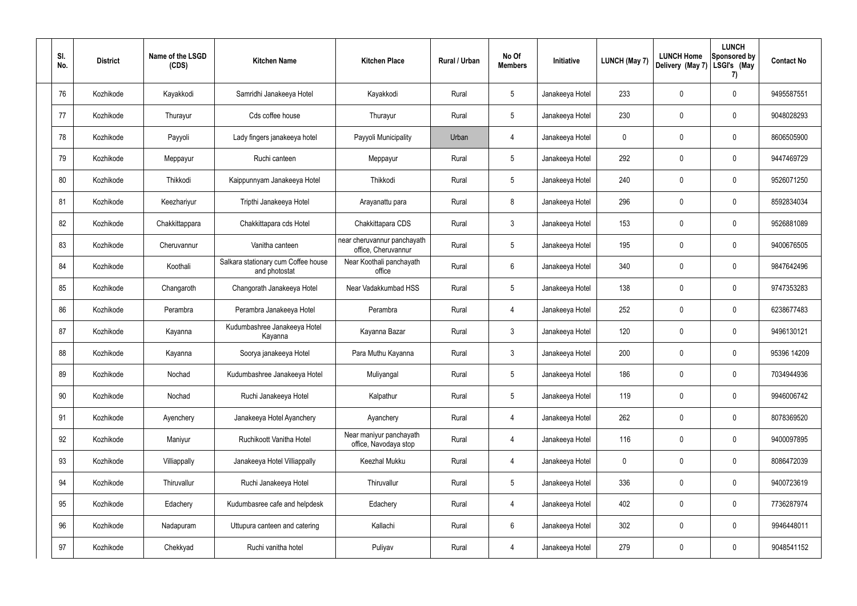| SI.<br>No. | <b>District</b> | Name of the LSGD<br>(CDS) | <b>Kitchen Name</b>                                  | <b>Kitchen Place</b>                               | Rural / Urban | No Of<br><b>Members</b> | Initiative      | <b>LUNCH (May 7)</b> | <b>LUNCH Home</b><br>Delivery (May 7) | <b>LUNCH</b><br>Sponsored by<br>LSGI's (May<br>7) | <b>Contact No</b> |
|------------|-----------------|---------------------------|------------------------------------------------------|----------------------------------------------------|---------------|-------------------------|-----------------|----------------------|---------------------------------------|---------------------------------------------------|-------------------|
| 76         | Kozhikode       | Kayakkodi                 | Samridhi Janakeeya Hotel                             | Kayakkodi                                          | Rural         | $5\phantom{.0}$         | Janakeeya Hotel | 233                  | 0                                     | $\mathbf 0$                                       | 9495587551        |
| 77         | Kozhikode       | Thurayur                  | Cds coffee house                                     | Thurayur                                           | Rural         | $5\phantom{.0}$         | Janakeeya Hotel | 230                  | 0                                     | 0                                                 | 9048028293        |
| 78         | Kozhikode       | Payyoli                   | Lady fingers janakeeya hotel                         | Payyoli Municipality                               | Urban         | 4                       | Janakeeya Hotel | 0                    | 0                                     | $\mathbf 0$                                       | 8606505900        |
| 79         | Kozhikode       | Meppayur                  | Ruchi canteen                                        | Meppayur                                           | Rural         | $5\phantom{.0}$         | Janakeeya Hotel | 292                  | 0                                     | $\mathbf 0$                                       | 9447469729        |
| 80         | Kozhikode       | Thikkodi                  | Kaippunnyam Janakeeya Hotel                          | Thikkodi                                           | Rural         | $5\phantom{.0}$         | Janakeeya Hotel | 240                  | 0                                     | $\mathbf 0$                                       | 9526071250        |
| 81         | Kozhikode       | Keezhariyur               | Tripthi Janakeeya Hotel                              | Arayanattu para                                    | Rural         | 8                       | Janakeeya Hotel | 296                  | 0                                     | $\mathbf 0$                                       | 8592834034        |
| 82         | Kozhikode       | Chakkittappara            | Chakkittapara cds Hotel                              | Chakkittapara CDS                                  | Rural         | $\mathbf{3}$            | Janakeeya Hotel | 153                  | 0                                     | $\mathbf 0$                                       | 9526881089        |
| 83         | Kozhikode       | Cheruvannur               | Vanitha canteen                                      | near cheruvannur panchayath<br>office, Cheruvannur | Rural         | $5\phantom{.0}$         | Janakeeya Hotel | 195                  | 0                                     | $\mathbf 0$                                       | 9400676505        |
| 84         | Kozhikode       | Koothali                  | Salkara stationary cum Coffee house<br>and photostat | Near Koothali panchayath<br>office                 | Rural         | 6                       | Janakeeya Hotel | 340                  | 0                                     | 0                                                 | 9847642496        |
| 85         | Kozhikode       | Changaroth                | Changorath Janakeeya Hotel                           | Near Vadakkumbad HSS                               | Rural         | 5                       | Janakeeya Hotel | 138                  | 0                                     | $\pmb{0}$                                         | 9747353283        |
| 86         | Kozhikode       | Perambra                  | Perambra Janakeeya Hotel                             | Perambra                                           | Rural         | 4                       | Janakeeya Hotel | 252                  | 0                                     | $\pmb{0}$                                         | 6238677483        |
| 87         | Kozhikode       | Kayanna                   | Kudumbashree Janakeeya Hotel<br>Kayanna              | Kayanna Bazar                                      | Rural         | 3                       | Janakeeya Hotel | 120                  | 0                                     | 0                                                 | 9496130121        |
| 88         | Kozhikode       | Kayanna                   | Soorya janakeeya Hotel                               | Para Muthu Kayanna                                 | Rural         | 3                       | Janakeeya Hotel | 200                  | 0                                     | 0                                                 | 95396 14209       |
| 89         | Kozhikode       | Nochad                    | Kudumbashree Janakeeya Hotel                         | Muliyangal                                         | Rural         | 5                       | Janakeeya Hotel | 186                  | 0                                     | $\pmb{0}$                                         | 7034944936        |
| 90         | Kozhikode       | Nochad                    | Ruchi Janakeeya Hotel                                | Kalpathur                                          | Rural         | $\overline{5}$          | Janakeeya Hotel | 119                  | $\mathbf 0$                           | $\mathbf 0$                                       | 9946006742        |
| 91         | Kozhikode       | Ayenchery                 | Janakeeya Hotel Ayanchery                            | Ayanchery                                          | Rural         | 4                       | Janakeeya Hotel | 262                  | $\mathbf 0$                           | $\mathbf 0$                                       | 8078369520        |
| 92         | Kozhikode       | Maniyur                   | Ruchikoott Vanitha Hotel                             | Near maniyur panchayath<br>office, Navodaya stop   | Rural         | $\overline{4}$          | Janakeeya Hotel | 116                  | $\mathbf 0$                           | $\mathsf{0}$                                      | 9400097895        |
| 93         | Kozhikode       | Villiappally              | Janakeeya Hotel Villiappally                         | Keezhal Mukku                                      | Rural         | 4                       | Janakeeya Hotel | 0                    | $\mathbf 0$                           | $\mathbf 0$                                       | 8086472039        |
| 94         | Kozhikode       | Thiruvallur               | Ruchi Janakeeya Hotel                                | Thiruvallur                                        | Rural         | $\overline{5}$          | Janakeeya Hotel | 336                  | $\mathbf 0$                           | $\mathsf{0}$                                      | 9400723619        |
| 95         | Kozhikode       | Edachery                  | Kudumbasree cafe and helpdesk                        | Edachery                                           | Rural         | 4                       | Janakeeya Hotel | 402                  | $\pmb{0}$                             | $\mathsf{0}$                                      | 7736287974        |
| 96         | Kozhikode       | Nadapuram                 | Uttupura canteen and catering                        | Kallachi                                           | Rural         | 6                       | Janakeeya Hotel | 302                  | $\mathbf 0$                           | $\mathbf 0$                                       | 9946448011        |
| 97         | Kozhikode       | Chekkyad                  | Ruchi vanitha hotel                                  | Puliyav                                            | Rural         | 4                       | Janakeeya Hotel | 279                  | $\pmb{0}$                             | $\pmb{0}$                                         | 9048541152        |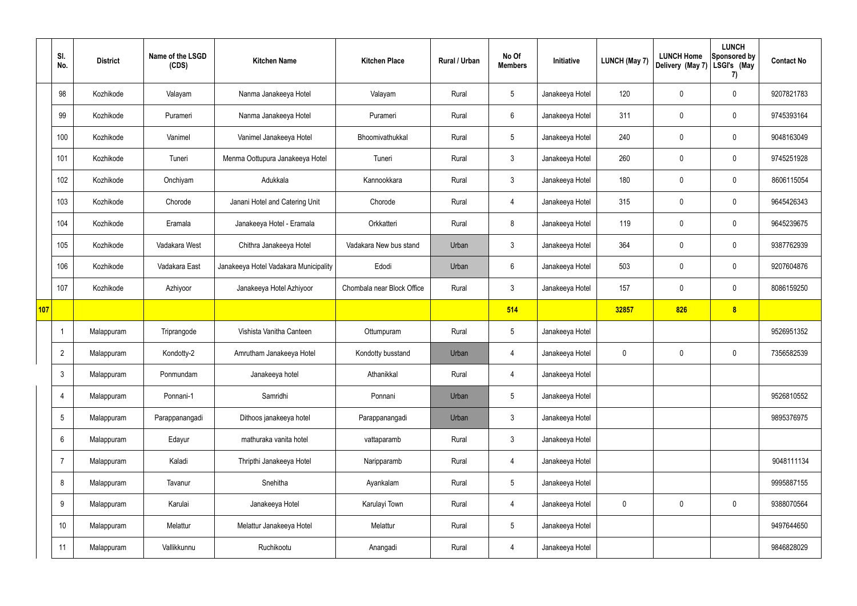|     | SI.<br>No.      | <b>District</b> | Name of the LSGD<br>(CDS) | <b>Kitchen Name</b>                   | <b>Kitchen Place</b>       | Rural / Urban | No Of<br><b>Members</b> | Initiative      | <b>LUNCH (May 7)</b> | <b>LUNCH Home</b><br>Delivery (May 7) | <b>LUNCH</b><br>Sponsored by<br>LSGI's (May<br>7) | <b>Contact No</b> |
|-----|-----------------|-----------------|---------------------------|---------------------------------------|----------------------------|---------------|-------------------------|-----------------|----------------------|---------------------------------------|---------------------------------------------------|-------------------|
|     | 98              | Kozhikode       | Valayam                   | Nanma Janakeeya Hotel                 | Valayam                    | Rural         | $5\phantom{.0}$         | Janakeeya Hotel | 120                  | 0                                     | $\mathbf 0$                                       | 9207821783        |
|     | 99              | Kozhikode       | Purameri                  | Nanma Janakeeya Hotel                 | Purameri                   | Rural         | $6\phantom{.}6$         | Janakeeya Hotel | 311                  | $\mathbf 0$                           | $\mathbf 0$                                       | 9745393164        |
|     | 100             | Kozhikode       | Vanimel                   | Vanimel Janakeeya Hotel               | Bhoomivathukkal            | Rural         | $5\overline{)}$         | Janakeeya Hotel | 240                  | $\mathbf 0$                           | $\mathbf 0$                                       | 9048163049        |
|     | 101             | Kozhikode       | Tuneri                    | Menma Oottupura Janakeeya Hotel       | Tuneri                     | Rural         | $\mathbf{3}$            | Janakeeya Hotel | 260                  | 0                                     | $\mathbf 0$                                       | 9745251928        |
|     | 102             | Kozhikode       | Onchiyam                  | Adukkala                              | Kannookkara                | Rural         | $\mathbf{3}$            | Janakeeya Hotel | 180                  | $\boldsymbol{0}$                      | $\mathbf 0$                                       | 8606115054        |
|     | 103             | Kozhikode       | Chorode                   | Janani Hotel and Catering Unit        | Chorode                    | Rural         | $\overline{4}$          | Janakeeya Hotel | 315                  | $\boldsymbol{0}$                      | $\mathbf 0$                                       | 9645426343        |
|     | 104             | Kozhikode       | Eramala                   | Janakeeya Hotel - Eramala             | Orkkatteri                 | Rural         | 8                       | Janakeeya Hotel | 119                  | $\boldsymbol{0}$                      | $\mathbf 0$                                       | 9645239675        |
|     | 105             | Kozhikode       | Vadakara West             | Chithra Janakeeya Hotel               | Vadakara New bus stand     | Urban         | $\mathbf{3}$            | Janakeeya Hotel | 364                  | 0                                     | $\mathbf 0$                                       | 9387762939        |
|     | 106             | Kozhikode       | Vadakara East             | Janakeeya Hotel Vadakara Municipality | Edodi                      | Urban         | $6\phantom{.}6$         | Janakeeya Hotel | 503                  | $\mathbf 0$                           | $\mathbf 0$                                       | 9207604876        |
|     | 107             | Kozhikode       | Azhiyoor                  | Janakeeya Hotel Azhiyoor              | Chombala near Block Office | Rural         | $\mathbf{3}$            | Janakeeya Hotel | 157                  | 0                                     | $\mathbf 0$                                       | 8086159250        |
| 107 |                 |                 |                           |                                       |                            |               | 514                     |                 | 32857                | 826                                   | $\boldsymbol{8}$                                  |                   |
|     |                 | Malappuram      | Triprangode               | Vishista Vanitha Canteen              | Ottumpuram                 | Rural         | $5\overline{)}$         | Janakeeya Hotel |                      |                                       |                                                   | 9526951352        |
|     | $\overline{2}$  | Malappuram      | Kondotty-2                | Amrutham Janakeeya Hotel              | Kondotty busstand          | Urban         | 4                       | Janakeeya Hotel | $\mathbf 0$          | $\mathbf 0$                           | $\mathbf 0$                                       | 7356582539        |
|     | $\mathfrak{Z}$  | Malappuram      | Ponmundam                 | Janakeeya hotel                       | Athanikkal                 | Rural         | $\overline{4}$          | Janakeeya Hotel |                      |                                       |                                                   |                   |
|     | 4               | Malappuram      | Ponnani-1                 | Samridhi                              | Ponnani                    | Urban         | $5\phantom{.0}$         | Janakeeya Hotel |                      |                                       |                                                   | 9526810552        |
|     | $5\phantom{.0}$ | Malappuram      | Parappanangadi            | Dithoos janakeeya hotel               | Parappanangadi             | Urban         | $\mathfrak{Z}$          | Janakeeya Hotel |                      |                                       |                                                   | 9895376975        |
|     | 6               | Malappuram      | Edayur                    | mathuraka vanita hotel                | vattaparamb                | Rural         | $\mathfrak{Z}$          | Janakeeya Hotel |                      |                                       |                                                   |                   |
|     | $\overline{7}$  | Malappuram      | Kaladi                    | Thripthi Janakeeya Hotel              | Naripparamb                | Rural         | $\overline{4}$          | Janakeeya Hotel |                      |                                       |                                                   | 9048111134        |
|     | 8               | Malappuram      | Tavanur                   | Snehitha                              | Ayankalam                  | Rural         | $5\phantom{.0}$         | Janakeeya Hotel |                      |                                       |                                                   | 9995887155        |
|     | 9               | Malappuram      | Karulai                   | Janakeeya Hotel                       | Karulayi Town              | Rural         | $\overline{4}$          | Janakeeya Hotel | $\mathbf 0$          | $\mathsf{0}$                          | $\mathbf 0$                                       | 9388070564        |
|     | 10 <sup>°</sup> | Malappuram      | Melattur                  | Melattur Janakeeya Hotel              | Melattur                   | Rural         | $5\phantom{.0}$         | Janakeeya Hotel |                      |                                       |                                                   | 9497644650        |
|     | 11              | Malappuram      | Vallikkunnu               | Ruchikootu                            | Anangadi                   | Rural         | $\overline{4}$          | Janakeeya Hotel |                      |                                       |                                                   | 9846828029        |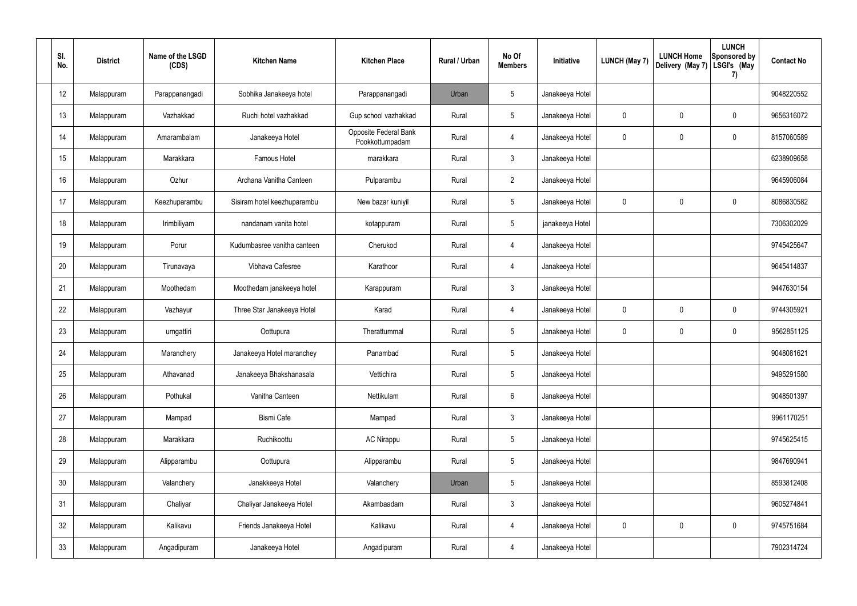| SI.<br>No.      | <b>District</b> | Name of the LSGD<br>(CDS) | <b>Kitchen Name</b>         | <b>Kitchen Place</b>                     | Rural / Urban | No Of<br><b>Members</b> | Initiative      | <b>LUNCH (May 7)</b> | <b>LUNCH Home</b><br>Delivery (May 7) | <b>LUNCH</b><br><b>Sponsored by</b><br>LSGI's (May<br>7) | <b>Contact No</b> |
|-----------------|-----------------|---------------------------|-----------------------------|------------------------------------------|---------------|-------------------------|-----------------|----------------------|---------------------------------------|----------------------------------------------------------|-------------------|
| 12              | Malappuram      | Parappanangadi            | Sobhika Janakeeya hotel     | Parappanangadi                           | Urban         | 5                       | Janakeeya Hotel |                      |                                       |                                                          | 9048220552        |
| 13              | Malappuram      | Vazhakkad                 | Ruchi hotel vazhakkad       | Gup school vazhakkad                     | Rural         | $5\phantom{.0}$         | Janakeeya Hotel | 0                    | 0                                     | $\mathbf 0$                                              | 9656316072        |
| 14              | Malappuram      | Amarambalam               | Janakeeya Hotel             | Opposite Federal Bank<br>Pookkottumpadam | Rural         | 4                       | Janakeeya Hotel | 0                    | 0                                     | $\mathbf 0$                                              | 8157060589        |
| 15              | Malappuram      | Marakkara                 | Famous Hotel                | marakkara                                | Rural         | 3                       | Janakeeya Hotel |                      |                                       |                                                          | 6238909658        |
| 16              | Malappuram      | Ozhur                     | Archana Vanitha Canteen     | Pulparambu                               | Rural         | $2^{\circ}$             | Janakeeya Hotel |                      |                                       |                                                          | 9645906084        |
| 17              | Malappuram      | Keezhuparambu             | Sisiram hotel keezhuparambu | New bazar kuniyil                        | Rural         | $5\phantom{.0}$         | Janakeeya Hotel | 0                    | 0                                     | $\mathbf 0$                                              | 8086830582        |
| 18              | Malappuram      | Irimbiliyam               | nandanam vanita hotel       | kotappuram                               | Rural         | 5                       | janakeeya Hotel |                      |                                       |                                                          | 7306302029        |
| 19              | Malappuram      | Porur                     | Kudumbasree vanitha canteen | Cherukod                                 | Rural         | 4                       | Janakeeya Hotel |                      |                                       |                                                          | 9745425647        |
| 20              | Malappuram      | Tirunavaya                | Vibhava Cafesree            | Karathoor                                | Rural         | 4                       | Janakeeya Hotel |                      |                                       |                                                          | 9645414837        |
| 21              | Malappuram      | Moothedam                 | Moothedam janakeeya hotel   | Karappuram                               | Rural         | 3                       | Janakeeya Hotel |                      |                                       |                                                          | 9447630154        |
| 22              | Malappuram      | Vazhayur                  | Three Star Janakeeya Hotel  | Karad                                    | Rural         | $\overline{4}$          | Janakeeya Hotel | 0                    | 0                                     | $\mathbf 0$                                              | 9744305921        |
| 23              | Malappuram      | urngattiri                | Oottupura                   | Therattummal                             | Rural         | 5                       | Janakeeya Hotel | 0                    | 0                                     | $\mathbf 0$                                              | 9562851125        |
| 24              | Malappuram      | Maranchery                | Janakeeya Hotel maranchey   | Panambad                                 | Rural         | $5\phantom{.0}$         | Janakeeya Hotel |                      |                                       |                                                          | 9048081621        |
| 25              | Malappuram      | Athavanad                 | Janakeeya Bhakshanasala     | Vettichira                               | Rural         | 5                       | Janakeeya Hotel |                      |                                       |                                                          | 9495291580        |
| 26              | Malappuram      | Pothukal                  | Vanitha Canteen             | Nettikulam                               | Rural         | $6\overline{6}$         | Janakeeya Hotel |                      |                                       |                                                          | 9048501397        |
| 27              | Malappuram      | Mampad                    | <b>Bismi Cafe</b>           | Mampad                                   | Rural         | $\mathbf{3}$            | Janakeeya Hotel |                      |                                       |                                                          | 9961170251        |
| 28              | Malappuram      | Marakkara                 | Ruchikoottu                 | <b>AC Nirappu</b>                        | Rural         | $\overline{5}$          | Janakeeya Hotel |                      |                                       |                                                          | 9745625415        |
| 29              | Malappuram      | Alipparambu               | Oottupura                   | Alipparambu                              | Rural         | $\overline{5}$          | Janakeeya Hotel |                      |                                       |                                                          | 9847690941        |
| 30 <sup>°</sup> | Malappuram      | Valanchery                | Janakkeeya Hotel            | Valanchery                               | Urban         | $\overline{5}$          | Janakeeya Hotel |                      |                                       |                                                          | 8593812408        |
| 31              | Malappuram      | Chaliyar                  | Chaliyar Janakeeya Hotel    | Akambaadam                               | Rural         | $\mathbf{3}$            | Janakeeya Hotel |                      |                                       |                                                          | 9605274841        |
| 32              | Malappuram      | Kalikavu                  | Friends Janakeeya Hotel     | Kalikavu                                 | Rural         | 4                       | Janakeeya Hotel | 0                    | $\mathbf 0$                           | $\mathsf{0}$                                             | 9745751684        |
| 33              | Malappuram      | Angadipuram               | Janakeeya Hotel             | Angadipuram                              | Rural         | $\overline{4}$          | Janakeeya Hotel |                      |                                       |                                                          | 7902314724        |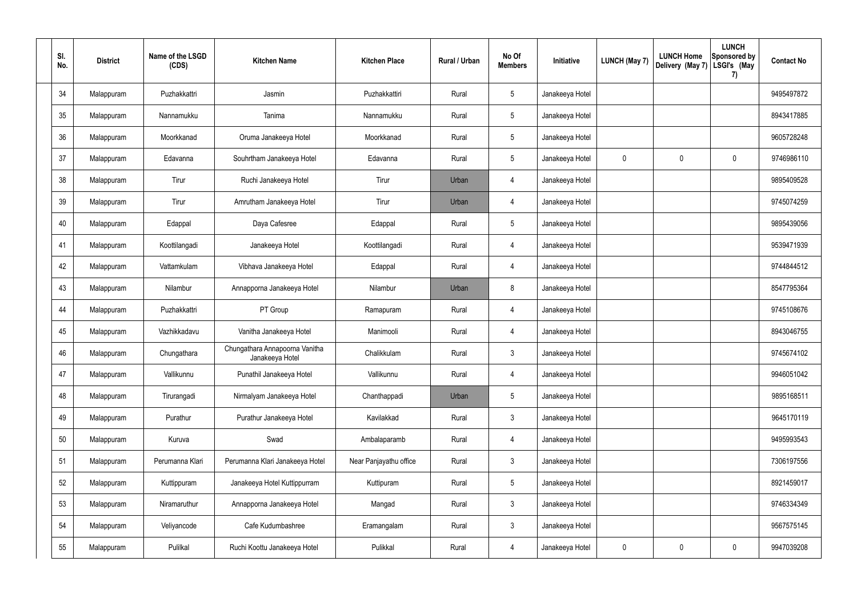| SI.<br>No. | <b>District</b> | Name of the LSGD<br>(CDS) | <b>Kitchen Name</b>                               | <b>Kitchen Place</b>   | Rural / Urban | No Of<br><b>Members</b> | Initiative      | <b>LUNCH (May 7)</b> | <b>LUNCH Home</b><br>Delivery (May 7) | <b>LUNCH</b><br>Sponsored by<br>LSGI's (May<br>7) | <b>Contact No</b> |
|------------|-----------------|---------------------------|---------------------------------------------------|------------------------|---------------|-------------------------|-----------------|----------------------|---------------------------------------|---------------------------------------------------|-------------------|
| 34         | Malappuram      | Puzhakkattri              | Jasmin                                            | Puzhakkattiri          | Rural         | $5\,$                   | Janakeeya Hotel |                      |                                       |                                                   | 9495497872        |
| 35         | Malappuram      | Nannamukku                | Tanima                                            | Nannamukku             | Rural         | $5\phantom{.0}$         | Janakeeya Hotel |                      |                                       |                                                   | 8943417885        |
| 36         | Malappuram      | Moorkkanad                | Oruma Janakeeya Hotel                             | Moorkkanad             | Rural         | $5\,$                   | Janakeeya Hotel |                      |                                       |                                                   | 9605728248        |
| 37         | Malappuram      | Edavanna                  | Souhrtham Janakeeya Hotel                         | Edavanna               | Rural         | $5\phantom{.0}$         | Janakeeya Hotel | 0                    | $\mathbf 0$                           | $\mathbf 0$                                       | 9746986110        |
| 38         | Malappuram      | Tirur                     | Ruchi Janakeeya Hotel                             | Tirur                  | Urban         | $\overline{4}$          | Janakeeya Hotel |                      |                                       |                                                   | 9895409528        |
| 39         | Malappuram      | Tirur                     | Amrutham Janakeeya Hotel                          | Tirur                  | Urban         | 4                       | Janakeeya Hotel |                      |                                       |                                                   | 9745074259        |
| 40         | Malappuram      | Edappal                   | Daya Cafesree                                     | Edappal                | Rural         | $5\,$                   | Janakeeya Hotel |                      |                                       |                                                   | 9895439056        |
| 41         | Malappuram      | Koottilangadi             | Janakeeya Hotel                                   | Koottilangadi          | Rural         | 4                       | Janakeeya Hotel |                      |                                       |                                                   | 9539471939        |
| 42         | Malappuram      | Vattamkulam               | Vibhava Janakeeya Hotel                           | Edappal                | Rural         | 4                       | Janakeeya Hotel |                      |                                       |                                                   | 9744844512        |
| 43         | Malappuram      | Nilambur                  | Annapporna Janakeeya Hotel                        | Nilambur               | Urban         | 8                       | Janakeeya Hotel |                      |                                       |                                                   | 8547795364        |
| 44         | Malappuram      | Puzhakkattri              | PT Group                                          | Ramapuram              | Rural         | $\overline{4}$          | Janakeeya Hotel |                      |                                       |                                                   | 9745108676        |
| 45         | Malappuram      | Vazhikkadavu              | Vanitha Janakeeya Hotel                           | Manimooli              | Rural         | 4                       | Janakeeya Hotel |                      |                                       |                                                   | 8943046755        |
| 46         | Malappuram      | Chungathara               | Chungathara Annapoorna Vanitha<br>Janakeeya Hotel | Chalikkulam            | Rural         | $\mathbf{3}$            | Janakeeya Hotel |                      |                                       |                                                   | 9745674102        |
| 47         | Malappuram      | Vallikunnu                | Punathil Janakeeya Hotel                          | Vallikunnu             | Rural         | $\overline{4}$          | Janakeeya Hotel |                      |                                       |                                                   | 9946051042        |
| 48         | Malappuram      | Tirurangadi               | Nirmalyam Janakeeya Hotel                         | Chanthappadi           | Urban         | $5\phantom{.0}$         | Janakeeya Hotel |                      |                                       |                                                   | 9895168511        |
| 49         | Malappuram      | Purathur                  | Purathur Janakeeya Hotel                          | Kavilakkad             | Rural         | $\mathbf{3}$            | Janakeeya Hotel |                      |                                       |                                                   | 9645170119        |
| 50         | Malappuram      | Kuruva                    | Swad                                              | Ambalaparamb           | Rural         | $\overline{4}$          | Janakeeya Hotel |                      |                                       |                                                   | 9495993543        |
| 51         | Malappuram      | Perumanna Klari           | Perumanna Klari Janakeeya Hotel                   | Near Panjayathu office | Rural         | $\mathbf{3}$            | Janakeeya Hotel |                      |                                       |                                                   | 7306197556        |
| 52         | Malappuram      | Kuttippuram               | Janakeeya Hotel Kuttippurram                      | Kuttipuram             | Rural         | $5\phantom{.0}$         | Janakeeya Hotel |                      |                                       |                                                   | 8921459017        |
| 53         | Malappuram      | Niramaruthur              | Annapporna Janakeeya Hotel                        | Mangad                 | Rural         | $\mathbf{3}$            | Janakeeya Hotel |                      |                                       |                                                   | 9746334349        |
| 54         | Malappuram      | Veliyancode               | Cafe Kudumbashree                                 | Eramangalam            | Rural         | $\mathfrak{Z}$          | Janakeeya Hotel |                      |                                       |                                                   | 9567575145        |
| 55         | Malappuram      | Pulilkal                  | Ruchi Koottu Janakeeya Hotel                      | Pulikkal               | Rural         | $\overline{4}$          | Janakeeya Hotel | 0                    | 0                                     | $\boldsymbol{0}$                                  | 9947039208        |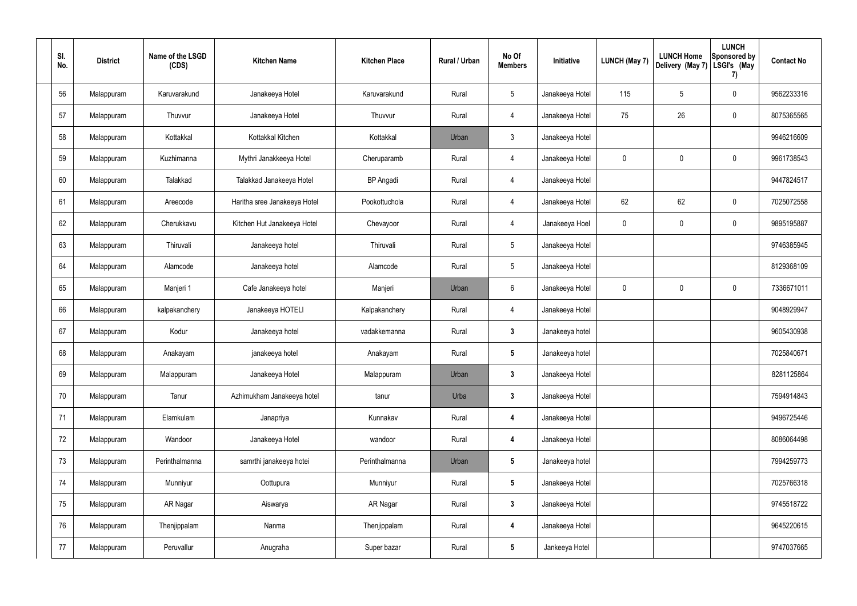| SI.<br>No. | <b>District</b> | Name of the LSGD<br>(CDS) | <b>Kitchen Name</b>          | <b>Kitchen Place</b> | Rural / Urban | No Of<br><b>Members</b> | Initiative      | <b>LUNCH (May 7)</b> | <b>LUNCH Home</b><br>Delivery (May 7) | <b>LUNCH</b><br>Sponsored by<br>LSGI's (May<br>7) | <b>Contact No</b> |
|------------|-----------------|---------------------------|------------------------------|----------------------|---------------|-------------------------|-----------------|----------------------|---------------------------------------|---------------------------------------------------|-------------------|
| 56         | Malappuram      | Karuvarakund              | Janakeeya Hotel              | Karuvarakund         | Rural         | $5\phantom{.0}$         | Janakeeya Hotel | 115                  | 5                                     | $\mathbf 0$                                       | 9562233316        |
| 57         | Malappuram      | Thuvvur                   | Janakeeya Hotel              | Thuvvur              | Rural         | $\overline{4}$          | Janakeeya Hotel | 75                   | 26                                    | $\pmb{0}$                                         | 8075365565        |
| 58         | Malappuram      | Kottakkal                 | Kottakkal Kitchen            | Kottakkal            | Urban         | $\mathbf{3}$            | Janakeeya Hotel |                      |                                       |                                                   | 9946216609        |
| 59         | Malappuram      | Kuzhimanna                | Mythri Janakkeeya Hotel      | Cheruparamb          | Rural         | $\overline{4}$          | Janakeeya Hotel | 0                    | 0                                     | $\mathbf 0$                                       | 9961738543        |
| 60         | Malappuram      | Talakkad                  | Talakkad Janakeeya Hotel     | <b>BP</b> Angadi     | Rural         | 4                       | Janakeeya Hotel |                      |                                       |                                                   | 9447824517        |
| 61         | Malappuram      | Areecode                  | Haritha sree Janakeeya Hotel | Pookottuchola        | Rural         | 4                       | Janakeeya Hotel | 62                   | 62                                    | $\mathbf 0$                                       | 7025072558        |
| 62         | Malappuram      | Cherukkavu                | Kitchen Hut Janakeeya Hotel  | Chevayoor            | Rural         | 4                       | Janakeeya Hoel  | $\mathbf 0$          | 0                                     | $\mathbf 0$                                       | 9895195887        |
| 63         | Malappuram      | Thiruvali                 | Janakeeya hotel              | Thiruvali            | Rural         | $\sqrt{5}$              | Janakeeya Hotel |                      |                                       |                                                   | 9746385945        |
| 64         | Malappuram      | Alamcode                  | Janakeeya hotel              | Alamcode             | Rural         | $\sqrt{5}$              | Janakeeya Hotel |                      |                                       |                                                   | 8129368109        |
| 65         | Malappuram      | Manjeri 1                 | Cafe Janakeeya hotel         | Manjeri              | Urban         | 6                       | Janakeeya Hotel | 0                    | $\mathbf 0$                           | $\mathbf 0$                                       | 7336671011        |
| 66         | Malappuram      | kalpakanchery             | Janakeeya HOTELI             | Kalpakanchery        | Rural         | $\overline{4}$          | Janakeeya Hotel |                      |                                       |                                                   | 9048929947        |
| 67         | Malappuram      | Kodur                     | Janakeeya hotel              | vadakkemanna         | Rural         | $\mathbf{3}$            | Janakeeya hotel |                      |                                       |                                                   | 9605430938        |
| 68         | Malappuram      | Anakayam                  | janakeeya hotel              | Anakayam             | Rural         | $5\phantom{.0}$         | Janakeeya hotel |                      |                                       |                                                   | 7025840671        |
| 69         | Malappuram      | Malappuram                | Janakeeya Hotel              | Malappuram           | Urban         | $\mathbf{3}$            | Janakeeya Hotel |                      |                                       |                                                   | 8281125864        |
| 70         | Malappuram      | Tanur                     | Azhimukham Janakeeya hotel   | tanur                | Urba          | 3 <sup>1</sup>          | Janakeeya Hotel |                      |                                       |                                                   | 7594914843        |
| 71         | Malappuram      | Elamkulam                 | Janapriya                    | Kunnakav             | Rural         | $\overline{\mathbf{4}}$ | Janakeeya Hotel |                      |                                       |                                                   | 9496725446        |
| 72         | Malappuram      | Wandoor                   | Janakeeya Hotel              | wandoor              | Rural         | 4                       | Janakeeya Hotel |                      |                                       |                                                   | 8086064498        |
| 73         | Malappuram      | Perinthalmanna            | samrthi janakeeya hotei      | Perinthalmanna       | Urban         | $5\phantom{.0}$         | Janakeeya hotel |                      |                                       |                                                   | 7994259773        |
| 74         | Malappuram      | Munniyur                  | Oottupura                    | Munniyur             | Rural         | $5\phantom{.0}$         | Janakeeya Hotel |                      |                                       |                                                   | 7025766318        |
| 75         | Malappuram      | AR Nagar                  | Aiswarya                     | AR Nagar             | Rural         | 3 <sup>1</sup>          | Janakeeya Hotel |                      |                                       |                                                   | 9745518722        |
| 76         | Malappuram      | Thenjippalam              | Nanma                        | Thenjippalam         | Rural         | $\boldsymbol{4}$        | Janakeeya Hotel |                      |                                       |                                                   | 9645220615        |
| 77         | Malappuram      | Peruvallur                | Anugraha                     | Super bazar          | Rural         | $5\phantom{.0}$         | Jankeeya Hotel  |                      |                                       |                                                   | 9747037665        |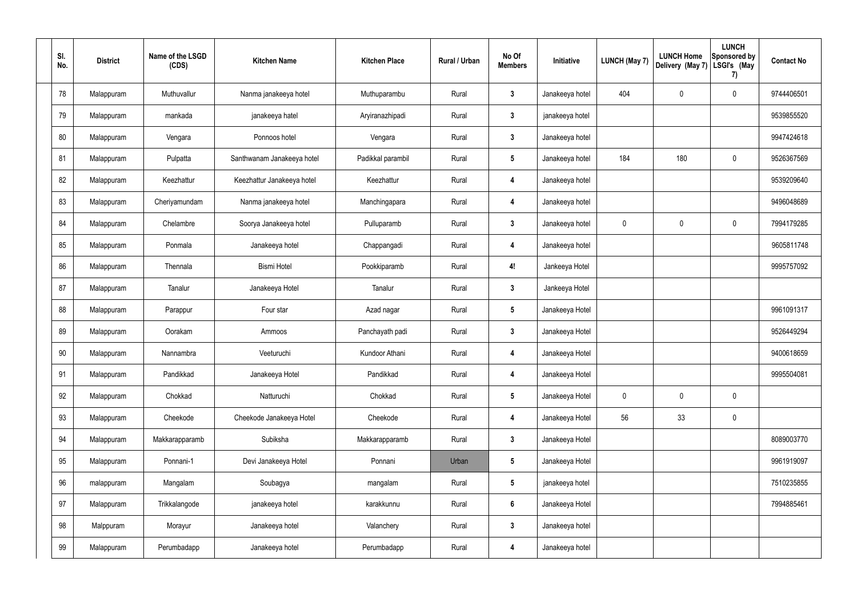| SI.<br>No. | <b>District</b> | Name of the LSGD<br>(CDS) | <b>Kitchen Name</b>        | <b>Kitchen Place</b> | Rural / Urban | No Of<br><b>Members</b> | Initiative      | <b>LUNCH (May 7)</b> | <b>LUNCH Home</b><br>Delivery (May 7) | <b>LUNCH</b><br>Sponsored by<br>LSGI's (May<br>7) | <b>Contact No</b> |
|------------|-----------------|---------------------------|----------------------------|----------------------|---------------|-------------------------|-----------------|----------------------|---------------------------------------|---------------------------------------------------|-------------------|
| 78         | Malappuram      | Muthuvallur               | Nanma janakeeya hotel      | Muthuparambu         | Rural         | $\mathbf{3}$            | Janakeeya hotel | 404                  | 0                                     | 0                                                 | 9744406501        |
| 79         | Malappuram      | mankada                   | janakeeya hatel            | Aryiranazhipadi      | Rural         | $\mathbf{3}$            | janakeeya hotel |                      |                                       |                                                   | 9539855520        |
| 80         | Malappuram      | Vengara                   | Ponnoos hotel              | Vengara              | Rural         | $\mathbf{3}$            | Janakeeya hotel |                      |                                       |                                                   | 9947424618        |
| 81         | Malappuram      | Pulpatta                  | Santhwanam Janakeeya hotel | Padikkal parambil    | Rural         | $5\phantom{.0}$         | Janakeeya hotel | 184                  | 180                                   | 0                                                 | 9526367569        |
| 82         | Malappuram      | Keezhattur                | Keezhattur Janakeeya hotel | Keezhattur           | Rural         | 4                       | Janakeeya hotel |                      |                                       |                                                   | 9539209640        |
| 83         | Malappuram      | Cheriyamundam             | Nanma janakeeya hotel      | Manchingapara        | Rural         | 4                       | Janakeeya hotel |                      |                                       |                                                   | 9496048689        |
| 84         | Malappuram      | Chelambre                 | Soorya Janakeeya hotel     | Pulluparamb          | Rural         | $\boldsymbol{3}$        | Janakeeya hotel | $\mathbf 0$          | 0                                     | 0                                                 | 7994179285        |
| 85         | Malappuram      | Ponmala                   | Janakeeya hotel            | Chappangadi          | Rural         | $\overline{4}$          | Janakeeya hotel |                      |                                       |                                                   | 9605811748        |
| 86         | Malappuram      | Thennala                  | <b>Bismi Hotel</b>         | Pookkiparamb         | Rural         | 4!                      | Jankeeya Hotel  |                      |                                       |                                                   | 9995757092        |
| 87         | Malappuram      | Tanalur                   | Janakeeya Hotel            | Tanalur              | Rural         | $\boldsymbol{3}$        | Jankeeya Hotel  |                      |                                       |                                                   |                   |
| 88         | Malappuram      | Parappur                  | Four star                  | Azad nagar           | Rural         | $5\phantom{.0}$         | Janakeeya Hotel |                      |                                       |                                                   | 9961091317        |
| 89         | Malappuram      | Oorakam                   | Ammoos                     | Panchayath padi      | Rural         | $\boldsymbol{3}$        | Janakeeya Hotel |                      |                                       |                                                   | 9526449294        |
| 90         | Malappuram      | Nannambra                 | Veeturuchi                 | Kundoor Athani       | Rural         | 4                       | Janakeeya Hotel |                      |                                       |                                                   | 9400618659        |
| 91         | Malappuram      | Pandikkad                 | Janakeeya Hotel            | Pandikkad            | Rural         | $\overline{4}$          | Janakeeya Hotel |                      |                                       |                                                   | 9995504081        |
| 92         | Malappuram      | Chokkad                   | Natturuchi                 | Chokkad              | Rural         | $5\phantom{.0}$         | Janakeeya Hotel | $\mathbf 0$          | $\mathbf 0$                           | 0                                                 |                   |
| 93         | Malappuram      | Cheekode                  | Cheekode Janakeeya Hotel   | Cheekode             | Rural         | 4                       | Janakeeya Hotel | 56                   | 33                                    | 0                                                 |                   |
| 94         | Malappuram      | Makkarapparamb            | Subiksha                   | Makkarapparamb       | Rural         | $\mathbf{3}$            | Janakeeya Hotel |                      |                                       |                                                   | 8089003770        |
| 95         | Malappuram      | Ponnani-1                 | Devi Janakeeya Hotel       | Ponnani              | Urban         | $5\phantom{.0}$         | Janakeeya Hotel |                      |                                       |                                                   | 9961919097        |
| 96         | malappuram      | Mangalam                  | Soubagya                   | mangalam             | Rural         | $5\phantom{.0}$         | janakeeya hotel |                      |                                       |                                                   | 7510235855        |
| 97         | Malappuram      | Trikkalangode             | janakeeya hotel            | karakkunnu           | Rural         | $6\phantom{1}$          | Janakeeya Hotel |                      |                                       |                                                   | 7994885461        |
| 98         | Malppuram       | Morayur                   | Janakeeya hotel            | Valanchery           | Rural         | $\mathbf{3}$            | Janakeeya hotel |                      |                                       |                                                   |                   |
| 99         | Malappuram      | Perumbadapp               | Janakeeya hotel            | Perumbadapp          | Rural         | 4                       | Janakeeya hotel |                      |                                       |                                                   |                   |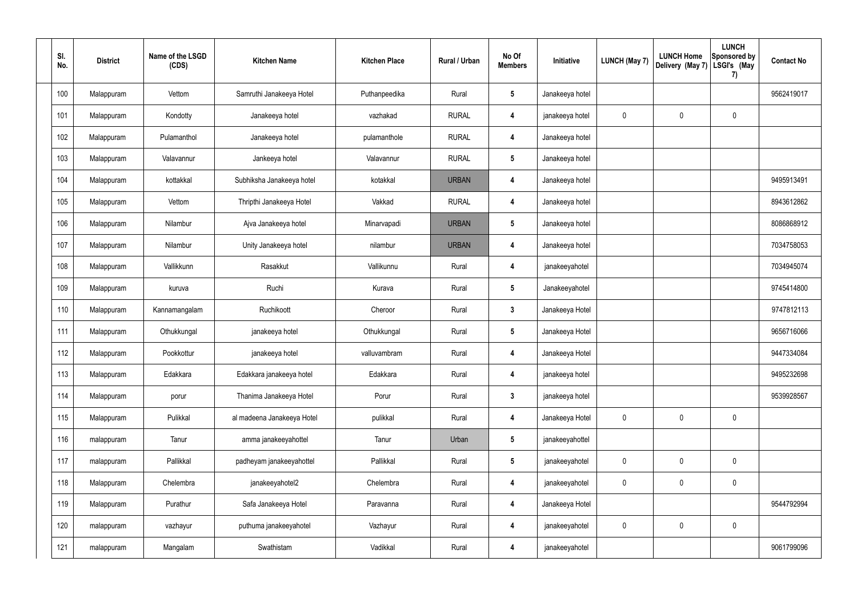| SI.<br>No. | <b>District</b> | Name of the LSGD<br>(CDS) | <b>Kitchen Name</b>        | <b>Kitchen Place</b> | Rural / Urban | No Of<br><b>Members</b> | Initiative      | <b>LUNCH (May 7)</b> | <b>LUNCH Home</b><br>Delivery (May 7) | <b>LUNCH</b><br>Sponsored by<br>LSGI's (May<br>7) | <b>Contact No</b> |
|------------|-----------------|---------------------------|----------------------------|----------------------|---------------|-------------------------|-----------------|----------------------|---------------------------------------|---------------------------------------------------|-------------------|
| 100        | Malappuram      | Vettom                    | Samruthi Janakeeya Hotel   | Puthanpeedika        | Rural         | $\sqrt{5}$              | Janakeeya hotel |                      |                                       |                                                   | 9562419017        |
| 101        | Malappuram      | Kondotty                  | Janakeeya hotel            | vazhakad             | <b>RURAL</b>  | $\overline{4}$          | janakeeya hotel | $\mathbf 0$          | $\mathbf 0$                           | 0                                                 |                   |
| 102        | Malappuram      | Pulamanthol               | Janakeeya hotel            | pulamanthole         | <b>RURAL</b>  | $\overline{4}$          | Janakeeya hotel |                      |                                       |                                                   |                   |
| 103        | Malappuram      | Valavannur                | Jankeeya hotel             | Valavannur           | <b>RURAL</b>  | $\sqrt{5}$              | Janakeeya hotel |                      |                                       |                                                   |                   |
| 104        | Malappuram      | kottakkal                 | Subhiksha Janakeeya hotel  | kotakkal             | <b>URBAN</b>  | $\overline{4}$          | Janakeeya hotel |                      |                                       |                                                   | 9495913491        |
| 105        | Malappuram      | Vettom                    | Thripthi Janakeeya Hotel   | Vakkad               | <b>RURAL</b>  | $\overline{4}$          | Janakeeya hotel |                      |                                       |                                                   | 8943612862        |
| 106        | Malappuram      | Nilambur                  | Ajva Janakeeya hotel       | Minarvapadi          | <b>URBAN</b>  | 5                       | Janakeeya hotel |                      |                                       |                                                   | 8086868912        |
| 107        | Malappuram      | Nilambur                  | Unity Janakeeya hotel      | nilambur             | <b>URBAN</b>  | -4                      | Janakeeya hotel |                      |                                       |                                                   | 7034758053        |
| 108        | Malappuram      | Vallikkunn                | Rasakkut                   | Vallikunnu           | Rural         | 4                       | janakeeyahotel  |                      |                                       |                                                   | 7034945074        |
| 109        | Malappuram      | kuruva                    | Ruchi                      | Kurava               | Rural         | $5\phantom{.0}$         | Janakeeyahotel  |                      |                                       |                                                   | 9745414800        |
| 110        | Malappuram      | Kannamangalam             | Ruchikoott                 | Cheroor              | Rural         | $\mathbf{3}$            | Janakeeya Hotel |                      |                                       |                                                   | 9747812113        |
| 111        | Malappuram      | Othukkungal               | janakeeya hotel            | Othukkungal          | Rural         | $5\phantom{.0}$         | Janakeeya Hotel |                      |                                       |                                                   | 9656716066        |
| 112        | Malappuram      | Pookkottur                | janakeeya hotel            | valluvambram         | Rural         | 4                       | Janakeeya Hotel |                      |                                       |                                                   | 9447334084        |
| 113        | Malappuram      | Edakkara                  | Edakkara janakeeya hotel   | Edakkara             | Rural         | 4                       | janakeeya hotel |                      |                                       |                                                   | 9495232698        |
| 114        | Malappuram      | porur                     | Thanima Janakeeya Hotel    | Porur                | Rural         | $\mathbf{3}$            | janakeeya hotel |                      |                                       |                                                   | 9539928567        |
| 115        | Malappuram      | Pulikkal                  | al madeena Janakeeya Hotel | pulikkal             | Rural         | $\boldsymbol{4}$        | Janakeeya Hotel | $\mathbf 0$          | $\pmb{0}$                             | 0                                                 |                   |
| 116        | malappuram      | Tanur                     | amma janakeeyahottel       | Tanur                | Urban         | $5\phantom{.0}$         | janakeeyahottel |                      |                                       |                                                   |                   |
| 117        | malappuram      | Pallikkal                 | padheyam janakeeyahottel   | Pallikkal            | Rural         | $5\phantom{.0}$         | janakeeyahotel  | $\mathbf 0$          | $\pmb{0}$                             | 0                                                 |                   |
| 118        | Malappuram      | Chelembra                 | janakeeyahotel2            | Chelembra            | Rural         | $\boldsymbol{4}$        | janakeeyahotel  | $\mathbf 0$          | $\mathbf 0$                           | 0                                                 |                   |
| 119        | Malappuram      | Purathur                  | Safa Janakeeya Hotel       | Paravanna            | Rural         | $\boldsymbol{4}$        | Janakeeya Hotel |                      |                                       |                                                   | 9544792994        |
| 120        | malappuram      | vazhayur                  | puthuma janakeeyahotel     | Vazhayur             | Rural         | $\boldsymbol{4}$        | janakeeyahotel  | $\mathbf 0$          | $\pmb{0}$                             | $\pmb{0}$                                         |                   |
| 121        | malappuram      | Mangalam                  | Swathistam                 | Vadikkal             | Rural         | $\boldsymbol{4}$        | janakeeyahotel  |                      |                                       |                                                   | 9061799096        |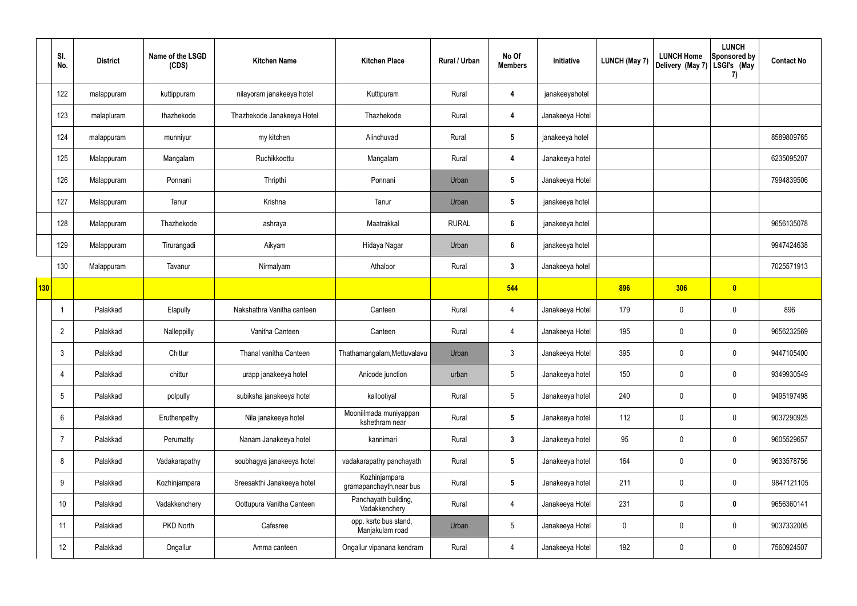|            | SI.<br>No.        | <b>District</b> | Name of the LSGD<br>(CDS) | <b>Kitchen Name</b>        | <b>Kitchen Place</b>                      | Rural / Urban | No Of<br><b>Members</b> | Initiative      | <b>LUNCH (May 7)</b> | <b>LUNCH Home</b><br>Delivery (May 7) | <b>LUNCH</b><br>Sponsored by<br>LSGI's (May<br>7) | <b>Contact No</b> |
|------------|-------------------|-----------------|---------------------------|----------------------------|-------------------------------------------|---------------|-------------------------|-----------------|----------------------|---------------------------------------|---------------------------------------------------|-------------------|
|            | 122               | malappuram      | kuttippuram               | nilayoram janakeeya hotel  | Kuttipuram                                | Rural         | 4                       | janakeeyahotel  |                      |                                       |                                                   |                   |
|            | 123               | malapluram      | thazhekode                | Thazhekode Janakeeya Hotel | Thazhekode                                | Rural         | $\overline{\mathbf{4}}$ | Janakeeya Hotel |                      |                                       |                                                   |                   |
|            | 124               | malappuram      | munniyur                  | my kitchen                 | Alinchuvad                                | Rural         | $5\phantom{.0}$         | janakeeya hotel |                      |                                       |                                                   | 8589809765        |
|            | 125               | Malappuram      | Mangalam                  | Ruchikkoottu               | Mangalam                                  | Rural         | 4                       | Janakeeya hotel |                      |                                       |                                                   | 6235095207        |
|            | 126               | Malappuram      | Ponnani                   | Thripthi                   | Ponnani                                   | Urban         | $5\phantom{.0}$         | Janakeeya Hotel |                      |                                       |                                                   | 7994839506        |
|            | 127               | Malappuram      | Tanur                     | Krishna                    | Tanur                                     | Urban         | $5\phantom{.0}$         | janakeeya hotel |                      |                                       |                                                   |                   |
|            | 128               | Malappuram      | Thazhekode                | ashraya                    | Maatrakkal                                | <b>RURAL</b>  | $6\phantom{.}6$         | janakeeya hotel |                      |                                       |                                                   | 9656135078        |
|            | 129               | Malappuram      | Tirurangadi               | Aikyam                     | Hidaya Nagar                              | Urban         | $6\phantom{1}$          | janakeeya hotel |                      |                                       |                                                   | 9947424638        |
|            | 130               | Malappuram      | Tavanur                   | Nirmalyam                  | Athaloor                                  | Rural         | $3\phantom{a}$          | Janakeeya hotel |                      |                                       |                                                   | 7025571913        |
| <b>130</b> |                   |                 |                           |                            |                                           |               | 544                     |                 | 896                  | 306                                   | $\bullet$                                         |                   |
|            | -1                | Palakkad        | Elapully                  | Nakshathra Vanitha canteen | Canteen                                   | Rural         | 4                       | Janakeeya Hotel | 179                  | 0                                     | $\boldsymbol{0}$                                  | 896               |
|            | $\overline{2}$    | Palakkad        | Nalleppilly               | Vanitha Canteen            | Canteen                                   | Rural         | 4                       | Janakeeya Hotel | 195                  | 0                                     | $\boldsymbol{0}$                                  | 9656232569        |
|            | 3                 | Palakkad        | Chittur                   | Thanal vanitha Canteen     | Thathamangalam, Mettuvalavu               | Urban         | $\mathbf{3}$            | Janakeeya Hotel | 395                  | 0                                     | $\mathbf 0$                                       | 9447105400        |
|            | 4                 | Palakkad        | chittur                   | urapp janakeeya hotel      | Anicode junction                          | urban         | 5                       | Janakeeya hotel | 150                  | 0                                     | $\mathbf 0$                                       | 9349930549        |
|            | $5\phantom{.0}$   | Palakkad        | polpully                  | subiksha janakeeya hotel   | kallootiyal                               | Rural         | $5\phantom{.0}$         | Janakeeya hotel | 240                  | 0                                     | $\mathbf 0$                                       | 9495197498        |
|            | 6                 | Palakkad        | Eruthenpathy              | Nila janakeeya hotel       | Mooniilmada muniyappan<br>kshethram near  | Rural         | $5\phantom{.0}$         | Janakeeya hotel | 112                  | $\mathbf 0$                           | $\mathbf 0$                                       | 9037290925        |
|            | $\overline{7}$    | Palakkad        | Perumatty                 | Nanam Janakeeya hotel      | kannimari                                 | Rural         | $3\phantom{a}$          | Janakeeya hotel | 95                   | $\mathbf 0$                           | $\mathbf 0$                                       | 9605529657        |
|            | 8                 | Palakkad        | Vadakarapathy             | soubhagya janakeeya hotel  | vadakarapathy panchayath                  | Rural         | $5\overline{)}$         | Janakeeya hotel | 164                  | 0                                     | $\mathbf 0$                                       | 9633578756        |
|            | 9                 | Palakkad        | Kozhinjampara             | Sreesakthi Janakeeya hotel | Kozhinjampara<br>gramapanchayth, near bus | Rural         | $5\phantom{.0}$         | Janakeeya hotel | 211                  | 0                                     | $\mathbf 0$                                       | 9847121105        |
|            | 10                | Palakkad        | Vadakkenchery             | Oottupura Vanitha Canteen  | Panchayath building,<br>Vadakkenchery     | Rural         | $\overline{4}$          | Janakeeya Hotel | 231                  | 0                                     | $\mathbf 0$                                       | 9656360141        |
|            | 11                | Palakkad        | PKD North                 | Cafesree                   | opp. ksrtc bus stand,<br>Manjakulam road  | Urban         | $5\phantom{.0}$         | Janakeeya Hotel | $\mathbf 0$          | 0                                     | $\mathbf 0$                                       | 9037332005        |
|            | $12 \overline{ }$ | Palakkad        | Ongallur                  | Amma canteen               | Ongallur vipanana kendram                 | Rural         | $\overline{4}$          | Janakeeya Hotel | 192                  | 0                                     | $\pmb{0}$                                         | 7560924507        |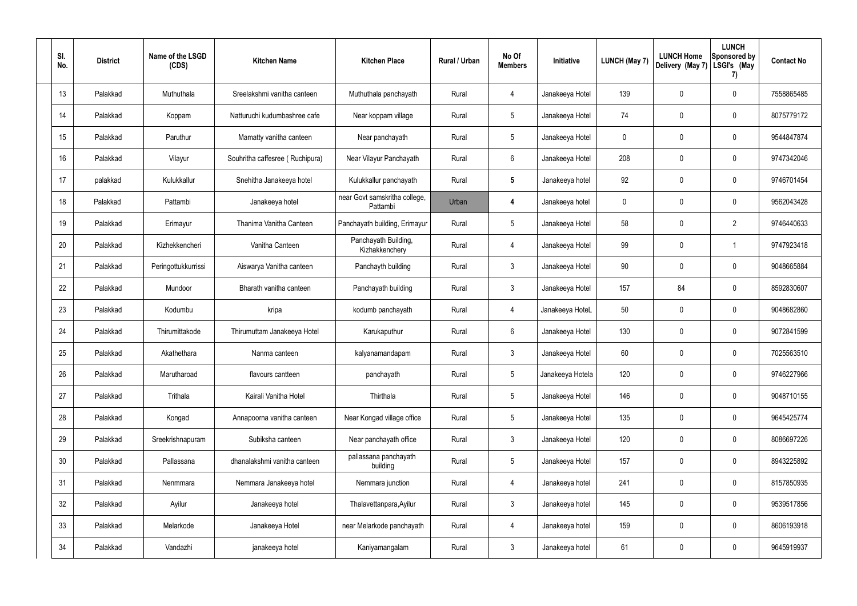| SI.<br>No.      | <b>District</b> | Name of the LSGD<br>(CDS) | <b>Kitchen Name</b>             | <b>Kitchen Place</b>                      | Rural / Urban | No Of<br><b>Members</b> | Initiative       | <b>LUNCH (May 7)</b> | <b>LUNCH Home</b><br>Delivery (May 7) | <b>LUNCH</b><br>Sponsored by<br>LSGI's (May<br>7) | <b>Contact No</b> |
|-----------------|-----------------|---------------------------|---------------------------------|-------------------------------------------|---------------|-------------------------|------------------|----------------------|---------------------------------------|---------------------------------------------------|-------------------|
| 13              | Palakkad        | Muthuthala                | Sreelakshmi vanitha canteen     | Muthuthala panchayath                     | Rural         | 4                       | Janakeeya Hotel  | 139                  | 0                                     | $\boldsymbol{0}$                                  | 7558865485        |
| 14              | Palakkad        | Koppam                    | Natturuchi kudumbashree cafe    | Near koppam village                       | Rural         | $5\phantom{.0}$         | Janakeeya Hotel  | 74                   | 0                                     | $\boldsymbol{0}$                                  | 8075779172        |
| 15              | Palakkad        | Paruthur                  | Mamatty vanitha canteen         | Near panchayath                           | Rural         | $5\phantom{.0}$         | Janakeeya Hotel  | 0                    | 0                                     | $\boldsymbol{0}$                                  | 9544847874        |
| 16              | Palakkad        | Vilayur                   | Souhritha caffesree (Ruchipura) | Near Vilayur Panchayath                   | Rural         | $6\phantom{.}$          | Janakeeya Hotel  | 208                  | 0                                     | $\boldsymbol{0}$                                  | 9747342046        |
| 17              | palakkad        | Kulukkallur               | Snehitha Janakeeya hotel        | Kulukkallur panchayath                    | Rural         | $5\phantom{.0}$         | Janakeeya hotel  | 92                   | 0                                     | $\boldsymbol{0}$                                  | 9746701454        |
| 18              | Palakkad        | Pattambi                  | Janakeeya hotel                 | near Govt samskritha college,<br>Pattambi | Urban         | 4                       | Janakeeya hotel  | 0                    | 0                                     | $\boldsymbol{0}$                                  | 9562043428        |
| 19              | Palakkad        | Erimayur                  | Thanima Vanitha Canteen         | Panchayath building, Erimayur             | Rural         | $5\,$                   | Janakeeya Hotel  | 58                   | 0                                     | $\overline{2}$                                    | 9746440633        |
| 20              | Palakkad        | Kizhekkencheri            | Vanitha Canteen                 | Panchayath Building,<br>Kizhakkenchery    | Rural         | 4                       | Janakeeya Hotel  | 99                   | 0                                     | -1                                                | 9747923418        |
| 21              | Palakkad        | Peringottukkurrissi       | Aiswarya Vanitha canteen        | Panchayth building                        | Rural         | $\mathbf{3}$            | Janakeeya Hotel  | 90                   | 0                                     | $\boldsymbol{0}$                                  | 9048665884        |
| 22              | Palakkad        | Mundoor                   | Bharath vanitha canteen         | Panchayath building                       | Rural         | $\mathbf{3}$            | Janakeeya Hotel  | 157                  | 84                                    | $\boldsymbol{0}$                                  | 8592830607        |
| 23              | Palakkad        | Kodumbu                   | kripa                           | kodumb panchayath                         | Rural         | $\overline{4}$          | Janakeeya HoteL  | 50                   | $\mathbf 0$                           | $\boldsymbol{0}$                                  | 9048682860        |
| 24              | Palakkad        | Thirumittakode            | Thirumuttam Janakeeya Hotel     | Karukaputhur                              | Rural         | 6                       | Janakeeya Hotel  | 130                  | 0                                     | $\boldsymbol{0}$                                  | 9072841599        |
| 25              | Palakkad        | Akathethara               | Nanma canteen                   | kalyanamandapam                           | Rural         | 3                       | Janakeeya Hotel  | 60                   | 0                                     | $\mathbf 0$                                       | 7025563510        |
| 26              | Palakkad        | Marutharoad               | flavours cantteen               | panchayath                                | Rural         | $5\phantom{.0}$         | Janakeeya Hotela | 120                  | $\mathbf 0$                           | $\mathbf 0$                                       | 9746227966        |
| 27              | Palakkad        | Trithala                  | Kairali Vanitha Hotel           | Thirthala                                 | Rural         | $5\phantom{.0}$         | Janakeeya Hotel  | 146                  | $\mathbf 0$                           | $\mathbf 0$                                       | 9048710155        |
| 28              | Palakkad        | Kongad                    | Annapoorna vanitha canteen      | Near Kongad village office                | Rural         | $5\phantom{.0}$         | Janakeeya Hotel  | 135                  | 0                                     | $\mathbf 0$                                       | 9645425774        |
| 29              | Palakkad        | Sreekrishnapuram          | Subiksha canteen                | Near panchayath office                    | Rural         | $\mathbf{3}$            | Janakeeya Hotel  | 120                  | $\mathbf 0$                           | $\mathbf 0$                                       | 8086697226        |
| 30 <sup>°</sup> | Palakkad        | Pallassana                | dhanalakshmi vanitha canteen    | pallassana panchayath<br>building         | Rural         | $5\phantom{.0}$         | Janakeeya Hotel  | 157                  | 0                                     | $\mathbf 0$                                       | 8943225892        |
| 31              | Palakkad        | Nenmmara                  | Nemmara Janakeeya hotel         | Nemmara junction                          | Rural         | $\overline{4}$          | Janakeeya hotel  | 241                  | $\mathbf 0$                           | $\mathbf 0$                                       | 8157850935        |
| 32              | Palakkad        | Ayilur                    | Janakeeya hotel                 | Thalavettanpara, Ayilur                   | Rural         | $\mathbf{3}$            | Janakeeya hotel  | 145                  | 0                                     | $\mathbf 0$                                       | 9539517856        |
| 33              | Palakkad        | Melarkode                 | Janakeeya Hotel                 | near Melarkode panchayath                 | Rural         | $\overline{4}$          | Janakeeya hotel  | 159                  | $\mathbf 0$                           | $\mathbf 0$                                       | 8606193918        |
| 34              | Palakkad        | Vandazhi                  | janakeeya hotel                 | Kaniyamangalam                            | Rural         | $\mathfrak{Z}$          | Janakeeya hotel  | 61                   | 0                                     | $\pmb{0}$                                         | 9645919937        |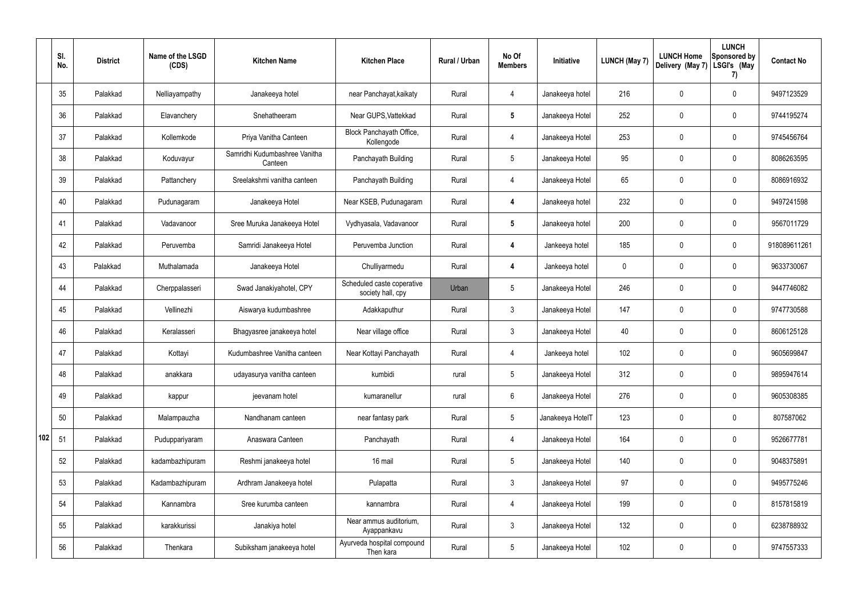|     | SI.<br>No. | <b>District</b> | Name of the LSGD<br>(CDS) | <b>Kitchen Name</b>                      | <b>Kitchen Place</b>                            | Rural / Urban | No Of<br><b>Members</b> | Initiative       | <b>LUNCH (May 7)</b> | <b>LUNCH Home</b><br>Delivery (May 7) | <b>LUNCH</b><br>Sponsored by<br>LSGI's (May<br>7) | <b>Contact No</b> |
|-----|------------|-----------------|---------------------------|------------------------------------------|-------------------------------------------------|---------------|-------------------------|------------------|----------------------|---------------------------------------|---------------------------------------------------|-------------------|
|     | 35         | Palakkad        | Nelliayampathy            | Janakeeya hotel                          | near Panchayat, kaikaty                         | Rural         | 4                       | Janakeeya hotel  | 216                  | 0                                     | $\mathbf 0$                                       | 9497123529        |
|     | 36         | Palakkad        | Elavanchery               | Snehatheeram                             | Near GUPS, Vattekkad                            | Rural         | $5\phantom{.0}$         | Janakeeya Hotel  | 252                  | 0                                     | $\mathbf 0$                                       | 9744195274        |
|     | 37         | Palakkad        | Kollemkode                | Priya Vanitha Canteen                    | Block Panchayath Office,<br>Kollengode          | Rural         | $\overline{4}$          | Janakeeya Hotel  | 253                  | 0                                     | $\mathbf 0$                                       | 9745456764        |
|     | 38         | Palakkad        | Koduvayur                 | Samridhi Kudumbashree Vanitha<br>Canteen | Panchayath Building                             | Rural         | $5\overline{)}$         | Janakeeya Hotel  | 95                   | 0                                     | $\mathbf 0$                                       | 8086263595        |
|     | 39         | Palakkad        | Pattanchery               | Sreelakshmi vanitha canteen              | Panchayath Building                             | Rural         | 4                       | Janakeeya Hotel  | 65                   | 0                                     | $\mathbf 0$                                       | 8086916932        |
|     | 40         | Palakkad        | Pudunagaram               | Janakeeya Hotel                          | Near KSEB, Pudunagaram                          | Rural         | $\overline{4}$          | Janakeeya hotel  | 232                  | 0                                     | $\mathbf 0$                                       | 9497241598        |
|     | 41         | Palakkad        | Vadavanoor                | Sree Muruka Janakeeya Hotel              | Vydhyasala, Vadavanoor                          | Rural         | $5\phantom{.0}$         | Janakeeya hotel  | 200                  | 0                                     | $\mathbf 0$                                       | 9567011729        |
|     | 42         | Palakkad        | Peruvemba                 | Samridi Janakeeya Hotel                  | Peruvemba Junction                              | Rural         | 4                       | Jankeeya hotel   | 185                  | 0                                     | $\mathbf 0$                                       | 918089611261      |
|     | 43         | Palakkad        | Muthalamada               | Janakeeya Hotel                          | Chulliyarmedu                                   | Rural         | $\overline{4}$          | Jankeeya hotel   | 0                    | 0                                     | $\mathbf 0$                                       | 9633730067        |
|     | 44         | Palakkad        | Cherppalasseri            | Swad Janakiyahotel, CPY                  | Scheduled caste coperative<br>society hall, cpy | Urban         | $5\phantom{.0}$         | Janakeeya Hotel  | 246                  | 0                                     | $\mathbf 0$                                       | 9447746082        |
|     | 45         | Palakkad        | Vellinezhi                | Aiswarya kudumbashree                    | Adakkaputhur                                    | Rural         | $\mathbf{3}$            | Janakeeya Hotel  | 147                  | 0                                     | $\mathbf 0$                                       | 9747730588        |
|     | 46         | Palakkad        | Keralasseri               | Bhagyasree janakeeya hotel               | Near village office                             | Rural         | $\mathbf{3}$            | Janakeeya Hotel  | 40                   | 0                                     | $\mathbf 0$                                       | 8606125128        |
|     | 47         | Palakkad        | Kottayi                   | Kudumbashree Vanitha canteen             | Near Kottayi Panchayath                         | Rural         | 4                       | Jankeeya hotel   | 102                  | 0                                     | 0                                                 | 9605699847        |
|     | 48         | Palakkad        | anakkara                  | udayasurya vanitha canteen               | kumbidi                                         | rural         | $5\phantom{.0}$         | Janakeeya Hotel  | 312                  | 0                                     | $\mathbf 0$                                       | 9895947614        |
|     | 49         | Palakkad        | kappur                    | jeevanam hotel                           | kumaranellur                                    | rural         | $6\overline{6}$         | Janakeeya Hotel  | 276                  | 0                                     | $\mathbf 0$                                       | 9605308385        |
|     | 50         | Palakkad        | Malampauzha               | Nandhanam canteen                        | near fantasy park                               | Rural         | $5\phantom{.0}$         | Janakeeya HotelT | 123                  | $\mathbf 0$                           | $\mathbf 0$                                       | 807587062         |
| 102 | 51         | Palakkad        | Puduppariyaram            | Anaswara Canteen                         | Panchayath                                      | Rural         | 4                       | Janakeeya Hotel  | 164                  | $\mathbf 0$                           | $\mathbf 0$                                       | 9526677781        |
|     | 52         | Palakkad        | kadambazhipuram           | Reshmi janakeeya hotel                   | 16 mail                                         | Rural         | $5\phantom{.0}$         | Janakeeya Hotel  | 140                  | 0                                     | $\pmb{0}$                                         | 9048375891        |
|     | 53         | Palakkad        | Kadambazhipuram           | Ardhram Janakeeya hotel                  | Pulapatta                                       | Rural         | $\mathbf{3}$            | Janakeeya Hotel  | 97                   | 0                                     | $\mathbf 0$                                       | 9495775246        |
|     | 54         | Palakkad        | Kannambra                 | Sree kurumba canteen                     | kannambra                                       | Rural         | $\overline{4}$          | Janakeeya Hotel  | 199                  | 0                                     | $\mathbf 0$                                       | 8157815819        |
|     | 55         | Palakkad        | karakkurissi              | Janakiya hotel                           | Near ammus auditorium,<br>Ayappankavu           | Rural         | $\mathbf{3}$            | Janakeeya Hotel  | 132                  | 0                                     | $\mathbf 0$                                       | 6238788932        |
|     | 56         | Palakkad        | Thenkara                  | Subiksham janakeeya hotel                | Ayurveda hospital compound<br>Then kara         | Rural         | 5 <sub>5</sub>          | Janakeeya Hotel  | 102                  | 0                                     | $\boldsymbol{0}$                                  | 9747557333        |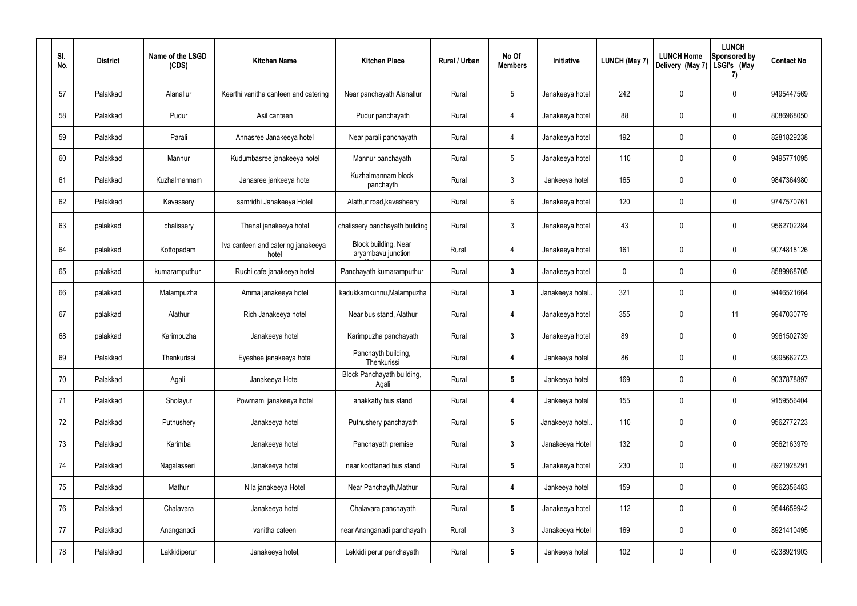| SI.<br>No. | <b>District</b> | Name of the LSGD<br>(CDS) | <b>Kitchen Name</b>                         | <b>Kitchen Place</b>                       | Rural / Urban | No Of<br><b>Members</b> | Initiative       | <b>LUNCH (May 7)</b> | <b>LUNCH Home</b><br>Delivery (May 7) | <b>LUNCH</b><br>Sponsored by<br>LSGI's (May<br>7) | <b>Contact No</b> |
|------------|-----------------|---------------------------|---------------------------------------------|--------------------------------------------|---------------|-------------------------|------------------|----------------------|---------------------------------------|---------------------------------------------------|-------------------|
| 57         | Palakkad        | Alanallur                 | Keerthi vanitha canteen and catering        | Near panchayath Alanallur                  | Rural         | $5\,$                   | Janakeeya hotel  | 242                  | 0                                     | $\mathbf 0$                                       | 9495447569        |
| 58         | Palakkad        | Pudur                     | Asil canteen                                | Pudur panchayath                           | Rural         | 4                       | Janakeeya hotel  | 88                   | 0                                     | $\pmb{0}$                                         | 8086968050        |
| 59         | Palakkad        | Parali                    | Annasree Janakeeya hotel                    | Near parali panchayath                     | Rural         | 4                       | Janakeeya hotel  | 192                  | 0                                     | $\pmb{0}$                                         | 8281829238        |
| 60         | Palakkad        | Mannur                    | Kudumbasree janakeeya hotel                 | Mannur panchayath                          | Rural         | $5\,$                   | Janakeeya hotel  | 110                  | 0                                     | $\pmb{0}$                                         | 9495771095        |
| 61         | Palakkad        | Kuzhalmannam              | Janasree jankeeya hotel                     | Kuzhalmannam block<br>panchayth            | Rural         | $\mathbf{3}$            | Jankeeya hotel   | 165                  | 0                                     | $\pmb{0}$                                         | 9847364980        |
| 62         | Palakkad        | Kavassery                 | samridhi Janakeeya Hotel                    | Alathur road, kavasheery                   | Rural         | $6\,$                   | Janakeeya hotel  | 120                  | 0                                     | $\pmb{0}$                                         | 9747570761        |
| 63         | palakkad        | chalissery                | Thanal janakeeya hotel                      | chalissery panchayath building             | Rural         | $\mathbf{3}$            | Janakeeya hotel  | 43                   | 0                                     | $\pmb{0}$                                         | 9562702284        |
| 64         | palakkad        | Kottopadam                | Iva canteen and catering janakeeya<br>hotel | Block building, Near<br>aryambavu junction | Rural         | 4                       | Janakeeya hotel  | 161                  | 0                                     | $\pmb{0}$                                         | 9074818126        |
| 65         | palakkad        | kumaramputhur             | Ruchi cafe janakeeya hotel                  | Panchayath kumaramputhur                   | Rural         | $\mathbf{3}$            | Janakeeya hotel  | 0                    | 0                                     | $\pmb{0}$                                         | 8589968705        |
| 66         | palakkad        | Malampuzha                | Amma janakeeya hotel                        | kadukkamkunnu, Malampuzha                  | Rural         | $3\phantom{a}$          | Janakeeya hotel. | 321                  | 0                                     | $\pmb{0}$                                         | 9446521664        |
| 67         | palakkad        | Alathur                   | Rich Janakeeya hotel                        | Near bus stand, Alathur                    | Rural         | 4                       | Janakeeya hotel  | 355                  | 0                                     | 11                                                | 9947030779        |
| 68         | palakkad        | Karimpuzha                | Janakeeya hotel                             | Karimpuzha panchayath                      | Rural         | $\mathbf{3}$            | Janakeeya hotel  | 89                   | 0                                     | $\pmb{0}$                                         | 9961502739        |
| 69         | Palakkad        | Thenkurissi               | Eyeshee janakeeya hotel                     | Panchayth building,<br>Thenkurissi         | Rural         | 4                       | Jankeeya hotel   | 86                   | 0                                     | 0                                                 | 9995662723        |
| 70         | Palakkad        | Agali                     | Janakeeya Hotel                             | Block Panchayath building,<br>Agali        | Rural         | $5\phantom{.0}$         | Jankeeya hotel   | 169                  | 0                                     | $\pmb{0}$                                         | 9037878897        |
| 71         | Palakkad        | Sholayur                  | Powrnami janakeeya hotel                    | anakkatty bus stand                        | Rural         | $\overline{\mathbf{4}}$ | Jankeeya hotel   | 155                  | 0                                     | $\pmb{0}$                                         | 9159556404        |
| 72         | Palakkad        | Puthushery                | Janakeeya hotel                             | Puthushery panchayath                      | Rural         | $5\phantom{.0}$         | Janakeeya hotel  | 110                  | 0                                     | $\pmb{0}$                                         | 9562772723        |
| 73         | Palakkad        | Karimba                   | Janakeeya hotel                             | Panchayath premise                         | Rural         | $3\phantom{a}$          | Janakeeya Hotel  | 132                  | 0                                     | $\pmb{0}$                                         | 9562163979        |
| 74         | Palakkad        | Nagalasseri               | Janakeeya hotel                             | near koottanad bus stand                   | Rural         | $5\phantom{.0}$         | Janakeeya hotel  | 230                  | 0                                     | $\boldsymbol{0}$                                  | 8921928291        |
| 75         | Palakkad        | Mathur                    | Nila janakeeya Hotel                        | Near Panchayth, Mathur                     | Rural         | $\overline{\mathbf{4}}$ | Jankeeya hotel   | 159                  | 0                                     | $\pmb{0}$                                         | 9562356483        |
| 76         | Palakkad        | Chalavara                 | Janakeeya hotel                             | Chalavara panchayath                       | Rural         | $5\phantom{.0}$         | Janakeeya hotel  | 112                  | 0                                     | $\pmb{0}$                                         | 9544659942        |
| 77         | Palakkad        | Ananganadi                | vanitha cateen                              | near Ananganadi panchayath                 | Rural         | $\mathbf{3}$            | Janakeeya Hotel  | 169                  | 0                                     | $\pmb{0}$                                         | 8921410495        |
| 78         | Palakkad        | Lakkidiperur              | Janakeeya hotel,                            | Lekkidi perur panchayath                   | Rural         | $5\phantom{.0}$         | Jankeeya hotel   | 102                  | 0                                     | $\boldsymbol{0}$                                  | 6238921903        |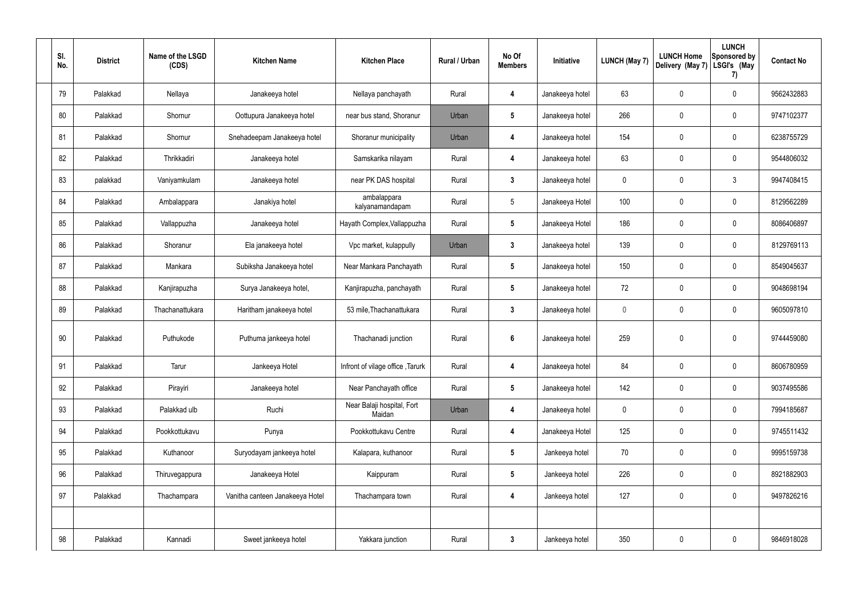| SI. | No. | <b>District</b> | Name of the LSGD<br>(CDS) | <b>Kitchen Name</b>             | <b>Kitchen Place</b>                 | Rural / Urban | No Of<br><b>Members</b> | Initiative      | <b>LUNCH (May 7)</b> | <b>LUNCH Home</b><br>Delivery (May 7) | <b>LUNCH</b><br>Sponsored by<br>LSGI's (May<br>7) | <b>Contact No</b> |
|-----|-----|-----------------|---------------------------|---------------------------------|--------------------------------------|---------------|-------------------------|-----------------|----------------------|---------------------------------------|---------------------------------------------------|-------------------|
|     | 79  | Palakkad        | Nellaya                   | Janakeeya hotel                 | Nellaya panchayath                   | Rural         | 4                       | Janakeeya hotel | 63                   | 0                                     | 0                                                 | 9562432883        |
|     | 80  | Palakkad        | Shornur                   | Oottupura Janakeeya hotel       | near bus stand, Shoranur             | Urban         | $5\phantom{.0}$         | Janakeeya hotel | 266                  | $\mathbf 0$                           | 0                                                 | 9747102377        |
|     | 81  | Palakkad        | Shornur                   | Snehadeepam Janakeeya hotel     | Shoranur municipality                | Urban         | 4                       | Janakeeya hotel | 154                  | 0                                     | 0                                                 | 6238755729        |
|     | 82  | Palakkad        | Thrikkadiri               | Janakeeya hotel                 | Samskarika nilayam                   | Rural         | $\overline{4}$          | Janakeeya hotel | 63                   | $\mathbf 0$                           | 0                                                 | 9544806032        |
|     | 83  | palakkad        | Vaniyamkulam              | Janakeeya hotel                 | near PK DAS hospital                 | Rural         | $\mathbf{3}$            | Janakeeya hotel | $\mathbf 0$          | 0                                     | $\mathfrak{Z}$                                    | 9947408415        |
|     | 84  | Palakkad        | Ambalappara               | Janakiya hotel                  | ambalappara<br>kalyanamandapam       | Rural         | $5\phantom{.0}$         | Janakeeya Hotel | 100                  | $\mathbf 0$                           | 0                                                 | 8129562289        |
|     | 85  | Palakkad        | Vallappuzha               | Janakeeya hotel                 | Hayath Complex, Vallappuzha          | Rural         | $5\phantom{.0}$         | Janakeeya Hotel | 186                  | 0                                     | 0                                                 | 8086406897        |
|     | 86  | Palakkad        | Shoranur                  | Ela janakeeya hotel             | Vpc market, kulappully               | Urban         | $\mathbf{3}$            | Janakeeya hotel | 139                  | $\mathbf 0$                           | 0                                                 | 8129769113        |
|     | 87  | Palakkad        | Mankara                   | Subiksha Janakeeya hotel        | Near Mankara Panchayath              | Rural         | $5\overline{)}$         | Janakeeya hotel | 150                  | $\mathbf 0$                           | 0                                                 | 8549045637        |
|     | 88  | Palakkad        | Kanjirapuzha              | Surya Janakeeya hotel,          | Kanjirapuzha, panchayath             | Rural         | $\sqrt{5}$              | Janakeeya hotel | 72                   | $\mathbf 0$                           | 0                                                 | 9048698194        |
|     | 89  | Palakkad        | Thachanattukara           | Haritham janakeeya hotel        | 53 mile, Thachanattukara             | Rural         | $\mathbf{3}$            | Janakeeya hotel | $\mathbf 0$          | $\mathbf 0$                           | 0                                                 | 9605097810        |
|     | 90  | Palakkad        | Puthukode                 | Puthuma jankeeya hotel          | Thachanadi junction                  | Rural         | $6\phantom{1}6$         | Janakeeya hotel | 259                  | $\mathbf 0$                           | 0                                                 | 9744459080        |
|     | 91  | Palakkad        | Tarur                     | Jankeeya Hotel                  | Infront of vilage office, Tarurk     | Rural         | $\overline{4}$          | Janakeeya hotel | 84                   | $\mathbf 0$                           | 0                                                 | 8606780959        |
|     | 92  | Palakkad        | Pirayiri                  | Janakeeya hotel                 | Near Panchayath office               | Rural         | $5\overline{)}$         | Janakeeya hotel | 142                  | $\mathbf 0$                           | 0                                                 | 9037495586        |
|     | 93  | Palakkad        | Palakkad ulb              | Ruchi                           | Near Balaji hospital, Fort<br>Maidan | Urban         | $\overline{\mathbf{4}}$ | Janakeeya hotel | $\mathbf 0$          | $\pmb{0}$                             | 0                                                 | 7994185687        |
|     | 94  | Palakkad        | Pookkottukavu             | Punya                           | Pookkottukavu Centre                 | Rural         | $\boldsymbol{4}$        | Janakeeya Hotel | 125                  | $\mathbf 0$                           | 0                                                 | 9745511432        |
|     | 95  | Palakkad        | Kuthanoor                 | Suryodayam jankeeya hotel       | Kalapara, kuthanoor                  | Rural         | $5\phantom{.0}$         | Jankeeya hotel  | 70                   | $\boldsymbol{0}$                      | 0                                                 | 9995159738        |
|     | 96  | Palakkad        | Thiruvegappura            | Janakeeya Hotel                 | Kaippuram                            | Rural         | $5\phantom{.0}$         | Jankeeya hotel  | 226                  | $\mathbf 0$                           | 0                                                 | 8921882903        |
|     | 97  | Palakkad        | Thachampara               | Vanitha canteen Janakeeya Hotel | Thachampara town                     | Rural         | $\boldsymbol{4}$        | Jankeeya hotel  | 127                  | $\pmb{0}$                             | 0                                                 | 9497826216        |
|     |     |                 |                           |                                 |                                      |               |                         |                 |                      |                                       |                                                   |                   |
|     | 98  | Palakkad        | Kannadi                   | Sweet jankeeya hotel            | Yakkara junction                     | Rural         | $\boldsymbol{3}$        | Jankeeya hotel  | 350                  | $\boldsymbol{0}$                      | 0                                                 | 9846918028        |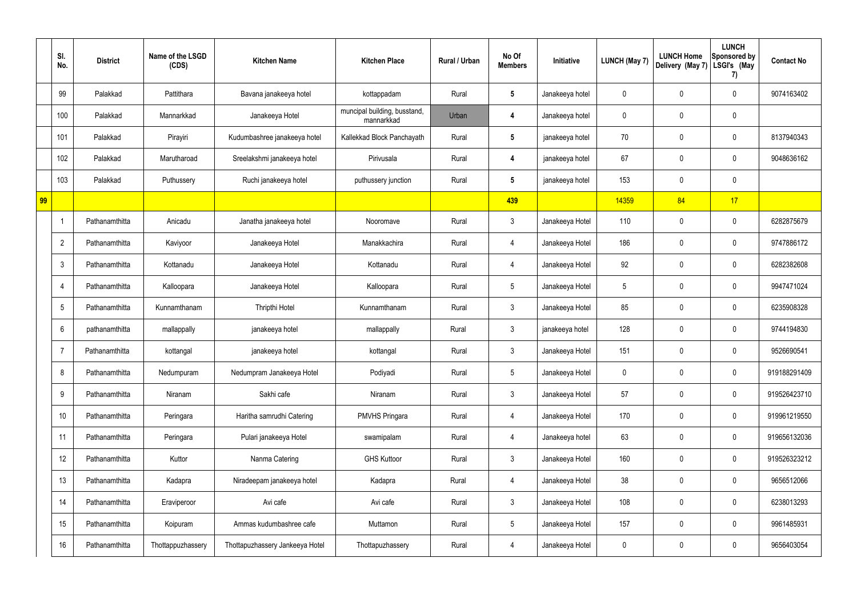|    | SI.<br>No.       | <b>District</b> | Name of the LSGD<br>(CDS) | <b>Kitchen Name</b>             | <b>Kitchen Place</b>                       | Rural / Urban | No Of<br><b>Members</b> | Initiative      | <b>LUNCH (May 7)</b> | <b>LUNCH Home</b><br>Delivery (May 7) | <b>LUNCH</b><br><b>Sponsored by</b><br>LSGI's (May<br>7) | <b>Contact No</b> |
|----|------------------|-----------------|---------------------------|---------------------------------|--------------------------------------------|---------------|-------------------------|-----------------|----------------------|---------------------------------------|----------------------------------------------------------|-------------------|
|    | 99               | Palakkad        | Pattithara                | Bavana janakeeya hotel          | kottappadam                                | Rural         | $5\phantom{.0}$         | Janakeeya hotel | 0                    | 0                                     | 0                                                        | 9074163402        |
|    | 100              | Palakkad        | Mannarkkad                | Janakeeya Hotel                 | muncipal building, busstand,<br>mannarkkad | Urban         | 4                       | Janakeeya hotel | 0                    | 0                                     | $\pmb{0}$                                                |                   |
|    | 101              | Palakkad        | Pirayiri                  | Kudumbashree janakeeya hotel    | Kallekkad Block Panchayath                 | Rural         | $5\phantom{.0}$         | janakeeya hotel | $70\,$               | 0                                     | 0                                                        | 8137940343        |
|    | 102              | Palakkad        | Marutharoad               | Sreelakshmi janakeeya hotel     | Pirivusala                                 | Rural         | 4                       | janakeeya hotel | 67                   | 0                                     | 0                                                        | 9048636162        |
|    | 103              | Palakkad        | Puthussery                | Ruchi janakeeya hotel           | puthussery junction                        | Rural         | $5\phantom{.0}$         | janakeeya hotel | 153                  | 0                                     | $\pmb{0}$                                                |                   |
| 99 |                  |                 |                           |                                 |                                            |               | 439                     |                 | 14359                | 84                                    | 17                                                       |                   |
|    | $\mathbf 1$      | Pathanamthitta  | Anicadu                   | Janatha janakeeya hotel         | Nooromave                                  | Rural         | $\mathfrak{Z}$          | Janakeeya Hotel | 110                  | 0                                     | $\pmb{0}$                                                | 6282875679        |
|    | $\overline{2}$   | Pathanamthitta  | Kaviyoor                  | Janakeeya Hotel                 | Manakkachira                               | Rural         | 4                       | Janakeeya Hotel | 186                  | $\mathbf 0$                           | $\pmb{0}$                                                | 9747886172        |
|    | $\mathfrak{Z}$   | Pathanamthitta  | Kottanadu                 | Janakeeya Hotel                 | Kottanadu                                  | Rural         | 4                       | Janakeeya Hotel | 92                   | 0                                     | $\pmb{0}$                                                | 6282382608        |
|    | $\overline{4}$   | Pathanamthitta  | Kalloopara                | Janakeeya Hotel                 | Kalloopara                                 | Rural         | $5\phantom{.0}$         | Janakeeya Hotel | 5                    | 0                                     | $\pmb{0}$                                                | 9947471024        |
|    | $5\phantom{.0}$  | Pathanamthitta  | Kunnamthanam              | Thripthi Hotel                  | Kunnamthanam                               | Rural         | $\mathfrak{Z}$          | Janakeeya Hotel | 85                   | 0                                     | $\pmb{0}$                                                | 6235908328        |
|    | $6\phantom{1}$   | pathanamthitta  | mallappally               | janakeeya hotel                 | mallappally                                | Rural         | $\mathfrak{Z}$          | janakeeya hotel | 128                  | 0                                     | $\pmb{0}$                                                | 9744194830        |
|    | $\overline{7}$   | Pathanamthitta  | kottangal                 | janakeeya hotel                 | kottangal                                  | Rural         | $\mathfrak{Z}$          | Janakeeya Hotel | 151                  | 0                                     | 0                                                        | 9526690541        |
|    | 8                | Pathanamthitta  | Nedumpuram                | Nedumpram Janakeeya Hotel       | Podiyadi                                   | Rural         | $5\phantom{.0}$         | Janakeeya Hotel | 0                    | $\mathbf 0$                           | $\mathbf 0$                                              | 919188291409      |
|    | $\boldsymbol{9}$ | Pathanamthitta  | Niranam                   | Sakhi cafe                      | Niranam                                    | Rural         | $\mathbf{3}$            | Janakeeya Hotel | 57                   | 0                                     | $\mathsf{0}$                                             | 919526423710      |
|    | 10               | Pathanamthitta  | Peringara                 | Haritha samrudhi Catering       | PMVHS Pringara                             | Rural         | 4                       | Janakeeya Hotel | 170                  | $\pmb{0}$                             | $\mathsf{0}$                                             | 919961219550      |
|    | 11               | Pathanamthitta  | Peringara                 | Pulari janakeeya Hotel          | swamipalam                                 | Rural         | 4                       | Janakeeya hotel | 63                   | 0                                     | $\mathbf 0$                                              | 919656132036      |
|    | 12               | Pathanamthitta  | Kuttor                    | Nanma Catering                  | <b>GHS Kuttoor</b>                         | Rural         | $\mathfrak{Z}$          | Janakeeya Hotel | 160                  | $\mathbf 0$                           | $\mathbf 0$                                              | 919526323212      |
|    | 13               | Pathanamthitta  | Kadapra                   | Niradeepam janakeeya hotel      | Kadapra                                    | Rural         | 4                       | Janakeeya Hotel | 38                   | 0                                     | $\mathsf{0}$                                             | 9656512066        |
|    | 14               | Pathanamthitta  | Eraviperoor               | Avi cafe                        | Avi cafe                                   | Rural         | $\mathfrak{Z}$          | Janakeeya Hotel | 108                  | $\mathbf 0$                           | $\pmb{0}$                                                | 6238013293        |
|    | 15               | Pathanamthitta  | Koipuram                  | Ammas kudumbashree cafe         | Muttamon                                   | Rural         | $5\phantom{.0}$         | Janakeeya Hotel | 157                  | 0                                     | $\mathsf{0}$                                             | 9961485931        |
|    | 16               | Pathanamthitta  | Thottappuzhassery         | Thottapuzhassery Jankeeya Hotel | Thottapuzhassery                           | Rural         | 4                       | Janakeeya Hotel | 0                    | 0                                     | $\pmb{0}$                                                | 9656403054        |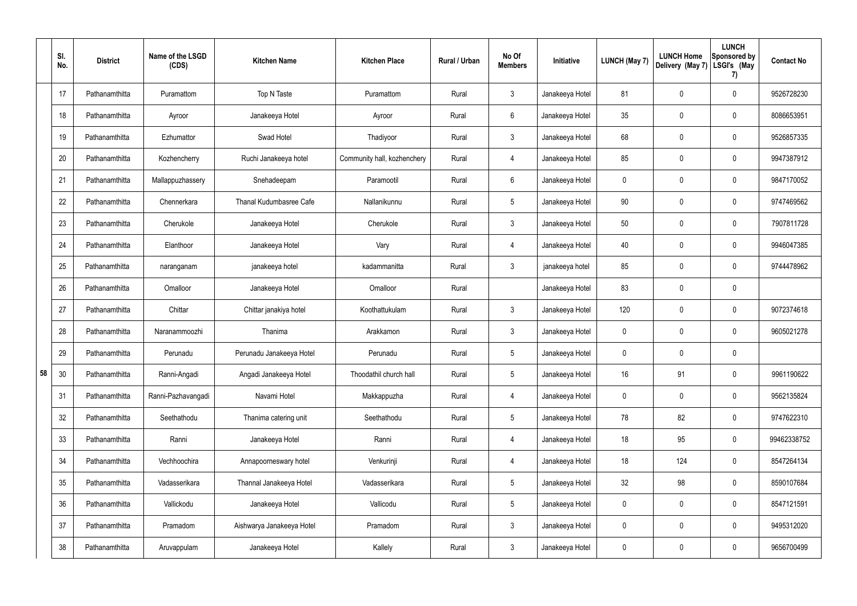|    | SI.<br>No. | <b>District</b> | Name of the LSGD<br>(CDS) | <b>Kitchen Name</b>       | <b>Kitchen Place</b>        | Rural / Urban | No Of<br><b>Members</b> | Initiative      | <b>LUNCH (May 7)</b> | <b>LUNCH Home</b><br>Delivery (May 7) | <b>LUNCH</b><br>Sponsored by<br>LSGI's (May<br>7) | <b>Contact No</b> |
|----|------------|-----------------|---------------------------|---------------------------|-----------------------------|---------------|-------------------------|-----------------|----------------------|---------------------------------------|---------------------------------------------------|-------------------|
|    | 17         | Pathanamthitta  | Puramattom                | Top N Taste               | Puramattom                  | Rural         | $\mathbf{3}$            | Janakeeya Hotel | 81                   | 0                                     | $\pmb{0}$                                         | 9526728230        |
|    | 18         | Pathanamthitta  | Ayroor                    | Janakeeya Hotel           | Ayroor                      | Rural         | $6\overline{6}$         | Janakeeya Hotel | 35                   | $\mathbf 0$                           | $\pmb{0}$                                         | 8086653951        |
|    | 19         | Pathanamthitta  | Ezhumattor                | Swad Hotel                | Thadiyoor                   | Rural         | $\mathbf{3}$            | Janakeeya Hotel | 68                   | 0                                     | $\pmb{0}$                                         | 9526857335        |
|    | 20         | Pathanamthitta  | Kozhencherry              | Ruchi Janakeeya hotel     | Community hall, kozhenchery | Rural         | 4                       | Janakeeya Hotel | 85                   | $\mathbf 0$                           | $\pmb{0}$                                         | 9947387912        |
|    | 21         | Pathanamthitta  | Mallappuzhassery          | Snehadeepam               | Paramootil                  | Rural         | $6\phantom{.}6$         | Janakeeya Hotel | 0                    | 0                                     | $\pmb{0}$                                         | 9847170052        |
|    | 22         | Pathanamthitta  | Chennerkara               | Thanal Kudumbasree Cafe   | Nallanikunnu                | Rural         | $5\,$                   | Janakeeya Hotel | 90                   | $\mathbf 0$                           | $\mathbf 0$                                       | 9747469562        |
|    | 23         | Pathanamthitta  | Cherukole                 | Janakeeya Hotel           | Cherukole                   | Rural         | $\mathbf{3}$            | Janakeeya Hotel | 50                   | 0                                     | $\pmb{0}$                                         | 7907811728        |
|    | 24         | Pathanamthitta  | Elanthoor                 | Janakeeya Hotel           | Vary                        | Rural         | 4                       | Janakeeya Hotel | 40                   | 0                                     | $\mathbf 0$                                       | 9946047385        |
|    | 25         | Pathanamthitta  | naranganam                | janakeeya hotel           | kadammanitta                | Rural         | $\mathbf{3}$            | janakeeya hotel | 85                   | 0                                     | $\mathbf 0$                                       | 9744478962        |
|    | 26         | Pathanamthitta  | Omalloor                  | Janakeeya Hotel           | Omalloor                    | Rural         |                         | Janakeeya Hotel | 83                   | $\mathbf 0$                           | $\pmb{0}$                                         |                   |
|    | 27         | Pathanamthitta  | Chittar                   | Chittar janakiya hotel    | Koothattukulam              | Rural         | $\mathbf{3}$            | Janakeeya Hotel | 120                  | $\mathbf 0$                           | $\pmb{0}$                                         | 9072374618        |
|    | 28         | Pathanamthitta  | Naranammoozhi             | Thanima                   | Arakkamon                   | Rural         | $\mathbf{3}$            | Janakeeya Hotel | 0                    | $\mathbf 0$                           | $\pmb{0}$                                         | 9605021278        |
|    | 29         | Pathanamthitta  | Perunadu                  | Perunadu Janakeeya Hotel  | Perunadu                    | Rural         | $5\phantom{.0}$         | Janakeeya Hotel | 0                    | 0                                     | $\pmb{0}$                                         |                   |
| 58 | 30         | Pathanamthitta  | Ranni-Angadi              | Angadi Janakeeya Hotel    | Thoodathil church hall      | Rural         | $5\phantom{.0}$         | Janakeeya Hotel | 16                   | 91                                    | $\pmb{0}$                                         | 9961190622        |
|    | 31         | Pathanamthitta  | Ranni-Pazhavangadi        | Navami Hotel              | Makkappuzha                 | Rural         | $\overline{4}$          | Janakeeya Hotel | 0                    | 0                                     | $\pmb{0}$                                         | 9562135824        |
|    | 32         | Pathanamthitta  | Seethathodu               | Thanima catering unit     | Seethathodu                 | Rural         | $5\phantom{.0}$         | Janakeeya Hotel | 78                   | 82                                    | $\mathbf 0$                                       | 9747622310        |
|    | 33         | Pathanamthitta  | Ranni                     | Janakeeya Hotel           | Ranni                       | Rural         | $\overline{4}$          | Janakeeya Hotel | 18                   | 95                                    | $\pmb{0}$                                         | 99462338752       |
|    | 34         | Pathanamthitta  | Vechhoochira              | Annapoorneswary hotel     | Venkurinji                  | Rural         | $\overline{4}$          | Janakeeya Hotel | 18                   | 124                                   | $\mathbf 0$                                       | 8547264134        |
|    | 35         | Pathanamthitta  | Vadasserikara             | Thannal Janakeeya Hotel   | Vadasserikara               | Rural         | $5\phantom{.0}$         | Janakeeya Hotel | 32                   | 98                                    | $\pmb{0}$                                         | 8590107684        |
|    | 36         | Pathanamthitta  | Vallickodu                | Janakeeya Hotel           | Vallicodu                   | Rural         | $5\phantom{.0}$         | Janakeeya Hotel | 0                    | 0                                     | $\mathbf 0$                                       | 8547121591        |
|    | 37         | Pathanamthitta  | Pramadom                  | Aishwarya Janakeeya Hotel | Pramadom                    | Rural         | $\mathbf{3}$            | Janakeeya Hotel | 0                    | 0                                     | $\mathbf 0$                                       | 9495312020        |
|    | 38         | Pathanamthitta  | Aruvappulam               | Janakeeya Hotel           | Kallely                     | Rural         | $\mathbf{3}$            | Janakeeya Hotel | 0                    | 0                                     | $\pmb{0}$                                         | 9656700499        |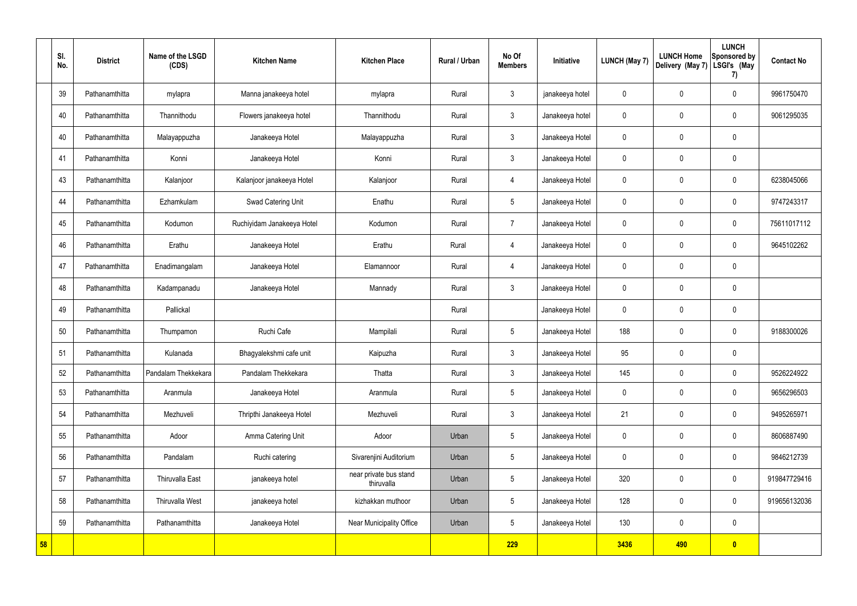|    | SI.<br>No. | <b>District</b> | Name of the LSGD<br>(CDS) | <b>Kitchen Name</b>        | <b>Kitchen Place</b>                 | Rural / Urban | No Of<br><b>Members</b> | Initiative      | <b>LUNCH (May 7)</b> | <b>LUNCH Home</b><br>Delivery (May 7) | <b>LUNCH</b><br>Sponsored by<br>LSGI's (May<br>7) | <b>Contact No</b> |
|----|------------|-----------------|---------------------------|----------------------------|--------------------------------------|---------------|-------------------------|-----------------|----------------------|---------------------------------------|---------------------------------------------------|-------------------|
|    | 39         | Pathanamthitta  | mylapra                   | Manna janakeeya hotel      | mylapra                              | Rural         | $\mathbf{3}$            | janakeeya hotel | 0                    | 0                                     | $\mathbf 0$                                       | 9961750470        |
|    | 40         | Pathanamthitta  | Thannithodu               | Flowers janakeeya hotel    | Thannithodu                          | Rural         | $\mathbf{3}$            | Janakeeya hotel | $\mathbf 0$          | 0                                     | $\boldsymbol{0}$                                  | 9061295035        |
|    | 40         | Pathanamthitta  | Malayappuzha              | Janakeeya Hotel            | Malayappuzha                         | Rural         | $\mathbf{3}$            | Janakeeya Hotel | $\mathbf 0$          | 0                                     | $\mathbf 0$                                       |                   |
|    | 41         | Pathanamthitta  | Konni                     | Janakeeya Hotel            | Konni                                | Rural         | $\mathbf{3}$            | Janakeeya Hotel | $\mathbf 0$          | 0                                     | $\mathbf 0$                                       |                   |
|    | 43         | Pathanamthitta  | Kalanjoor                 | Kalanjoor janakeeya Hotel  | Kalanjoor                            | Rural         | 4                       | Janakeeya Hotel | $\mathbf 0$          | 0                                     | $\mathbf 0$                                       | 6238045066        |
|    | 44         | Pathanamthitta  | Ezhamkulam                | Swad Catering Unit         | Enathu                               | Rural         | $5\phantom{.0}$         | Janakeeya Hotel | $\mathbf 0$          | 0                                     | $\mathbf 0$                                       | 9747243317        |
|    | 45         | Pathanamthitta  | Kodumon                   | Ruchiyidam Janakeeya Hotel | Kodumon                              | Rural         | $\overline{7}$          | Janakeeya Hotel | $\mathbf 0$          | 0                                     | $\mathbf 0$                                       | 75611017112       |
|    | 46         | Pathanamthitta  | Erathu                    | Janakeeya Hotel            | Erathu                               | Rural         | 4                       | Janakeeya Hotel | $\mathbf 0$          | 0                                     | $\mathbf 0$                                       | 9645102262        |
|    | 47         | Pathanamthitta  | Enadimangalam             | Janakeeya Hotel            | Elamannoor                           | Rural         | 4                       | Janakeeya Hotel | $\mathbf 0$          | 0                                     | $\pmb{0}$                                         |                   |
|    | 48         | Pathanamthitta  | Kadampanadu               | Janakeeya Hotel            | Mannady                              | Rural         | $\mathbf{3}$            | Janakeeya Hotel | $\mathbf 0$          | 0                                     | $\pmb{0}$                                         |                   |
|    | 49         | Pathanamthitta  | Pallickal                 |                            |                                      | Rural         |                         | Janakeeya Hotel | 0                    | 0                                     | $\pmb{0}$                                         |                   |
|    | 50         | Pathanamthitta  | Thumpamon                 | Ruchi Cafe                 | Mampilali                            | Rural         | $5\phantom{.0}$         | Janakeeya Hotel | 188                  | 0                                     | $\mathbf 0$                                       | 9188300026        |
|    | 51         | Pathanamthitta  | Kulanada                  | Bhagyalekshmi cafe unit    | Kaipuzha                             | Rural         | $\mathbf{3}$            | Janakeeya Hotel | 95                   | 0                                     | $\mathbf 0$                                       |                   |
|    | 52         | Pathanamthitta  | Pandalam Thekkekara       | Pandalam Thekkekara        | Thatta                               | Rural         | $\mathbf{3}$            | Janakeeya Hotel | 145                  | 0                                     | $\pmb{0}$                                         | 9526224922        |
|    | 53         | Pathanamthitta  | Aranmula                  | Janakeeya Hotel            | Aranmula                             | Rural         | $5\phantom{.0}$         | Janakeeya Hotel | 0                    | 0                                     | $\pmb{0}$                                         | 9656296503        |
|    | 54         | Pathanamthitta  | Mezhuveli                 | Thripthi Janakeeya Hotel   | Mezhuveli                            | Rural         | $\mathfrak{Z}$          | Janakeeya Hotel | 21                   | $\mathbf 0$                           | $\pmb{0}$                                         | 9495265971        |
|    | 55         | Pathanamthitta  | Adoor                     | Amma Catering Unit         | Adoor                                | Urban         | $5\phantom{.0}$         | Janakeeya Hotel | 0                    | 0                                     | $\pmb{0}$                                         | 8606887490        |
|    | 56         | Pathanamthitta  | Pandalam                  | Ruchi catering             | Sivarenjini Auditorium               | Urban         | $5\phantom{.0}$         | Janakeeya Hotel | 0                    | 0                                     | $\mathbf 0$                                       | 9846212739        |
|    | 57         | Pathanamthitta  | Thiruvalla East           | janakeeya hotel            | near private bus stand<br>thiruvalla | Urban         | $5\phantom{.0}$         | Janakeeya Hotel | 320                  | 0                                     | $\mathbf 0$                                       | 919847729416      |
|    | 58         | Pathanamthitta  | <b>Thiruvalla West</b>    | janakeeya hotel            | kizhakkan muthoor                    | Urban         | $5\phantom{.0}$         | Janakeeya Hotel | 128                  | 0                                     | $\mathbf 0$                                       | 919656132036      |
|    | 59         | Pathanamthitta  | Pathanamthitta            | Janakeeya Hotel            | Near Municipality Office             | Urban         | $5\overline{)}$         | Janakeeya Hotel | 130                  | 0                                     | $\pmb{0}$                                         |                   |
| 58 |            |                 |                           |                            |                                      |               | 229                     |                 | 3436                 | 490                                   | $\bullet$                                         |                   |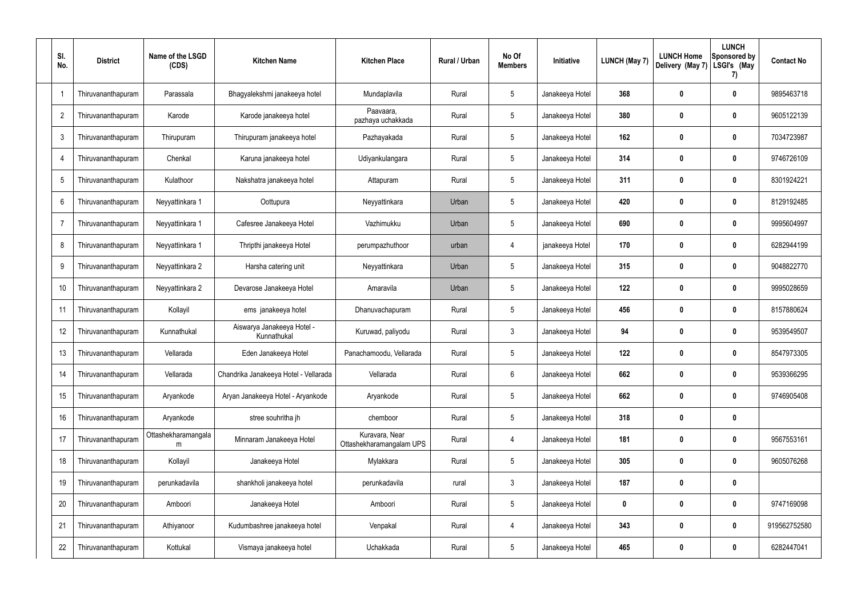| SI.<br>No.     | <b>District</b>    | Name of the LSGD<br>(CDS) | <b>Kitchen Name</b>                     | <b>Kitchen Place</b>                       | Rural / Urban | No Of<br><b>Members</b> | Initiative      | LUNCH (May 7) | <b>LUNCH Home</b><br>Delivery (May 7) | <b>LUNCH</b><br>Sponsored by<br>LSGI's (May<br>7) | <b>Contact No</b> |
|----------------|--------------------|---------------------------|-----------------------------------------|--------------------------------------------|---------------|-------------------------|-----------------|---------------|---------------------------------------|---------------------------------------------------|-------------------|
| -1             | Thiruvananthapuram | Parassala                 | Bhagyalekshmi janakeeya hotel           | Mundaplavila                               | Rural         | $5\phantom{.0}$         | Janakeeya Hotel | 368           | 0                                     | $\mathbf 0$                                       | 9895463718        |
| $\overline{2}$ | Thiruvananthapuram | Karode                    | Karode janakeeya hotel                  | Paavaara,<br>pazhaya uchakkada             | Rural         | $5\phantom{.0}$         | Janakeeya Hotel | 380           | 0                                     | $\mathbf 0$                                       | 9605122139        |
| 3              | Thiruvananthapuram | Thirupuram                | Thirupuram janakeeya hotel              | Pazhayakada                                | Rural         | $5\phantom{.0}$         | Janakeeya Hotel | 162           | 0                                     | $\mathbf 0$                                       | 7034723987        |
| $\overline{4}$ | Thiruvananthapuram | Chenkal                   | Karuna janakeeya hotel                  | Udiyankulangara                            | Rural         | $5\phantom{.0}$         | Janakeeya Hotel | 314           | 0                                     | $\mathbf 0$                                       | 9746726109        |
| 5              | Thiruvananthapuram | Kulathoor                 | Nakshatra janakeeya hotel               | Attapuram                                  | Rural         | $5\phantom{.0}$         | Janakeeya Hotel | 311           | 0                                     | $\mathbf 0$                                       | 8301924221        |
| 6              | Thiruvananthapuram | Neyyattinkara 1           | Oottupura                               | Neyyattinkara                              | Urban         | $5\phantom{.0}$         | Janakeeya Hotel | 420           | 0                                     | $\mathbf 0$                                       | 8129192485        |
| $\overline{7}$ | Thiruvananthapuram | Neyyattinkara 1           | Cafesree Janakeeya Hotel                | Vazhimukku                                 | Urban         | $5\phantom{.0}$         | Janakeeya Hotel | 690           | 0                                     | $\mathbf 0$                                       | 9995604997        |
| 8              | Thiruvananthapuram | Neyyattinkara 1           | Thripthi janakeeya Hotel                | perumpazhuthoor                            | urban         | 4                       | janakeeya Hotel | 170           | 0                                     | $\mathbf 0$                                       | 6282944199        |
| 9              | Thiruvananthapuram | Neyyattinkara 2           | Harsha catering unit                    | Neyyattinkara                              | Urban         | $5\phantom{.0}$         | Janakeeya Hotel | 315           | 0                                     | $\mathbf 0$                                       | 9048822770        |
| 10             | Thiruvananthapuram | Neyyattinkara 2           | Devarose Janakeeya Hotel                | Amaravila                                  | Urban         | $5\phantom{.0}$         | Janakeeya Hotel | 122           | 0                                     | $\mathbf 0$                                       | 9995028659        |
| 11             | Thiruvananthapuram | Kollayil                  | ems janakeeya hotel                     | Dhanuvachapuram                            | Rural         | $5\phantom{.0}$         | Janakeeya Hotel | 456           | $\boldsymbol{0}$                      | $\mathbf 0$                                       | 8157880624        |
| 12             | Thiruvananthapuram | Kunnathukal               | Aiswarya Janakeeya Hotel<br>Kunnathukal | Kuruwad, paliyodu                          | Rural         | $\mathbf{3}$            | Janakeeya Hotel | 94            | 0                                     | $\mathbf 0$                                       | 9539549507        |
| 13             | Thiruvananthapuram | Vellarada                 | Eden Janakeeya Hotel                    | Panachamoodu, Vellarada                    | Rural         | $5\phantom{.0}$         | Janakeeya Hotel | 122           | 0                                     | 0                                                 | 8547973305        |
| 14             | Thiruvananthapuram | Vellarada                 | Chandrika Janakeeya Hotel - Vellarada   | Vellarada                                  | Rural         | 6                       | Janakeeya Hotel | 662           | $\boldsymbol{0}$                      | $\mathbf 0$                                       | 9539366295        |
| 15             | Thiruvananthapuram | Aryankode                 | Aryan Janakeeya Hotel - Aryankode       | Aryankode                                  | Rural         | $5\phantom{.0}$         | Janakeeya Hotel | 662           | $\boldsymbol{0}$                      | $\mathbf 0$                                       | 9746905408        |
| 16             | Thiruvananthapuram | Aryankode                 | stree souhritha jh                      | chemboor                                   | Rural         | $\sqrt{5}$              | Janakeeya Hotel | 318           | $\boldsymbol{0}$                      | $\pmb{0}$                                         |                   |
| 17             | Thiruvananthapuram | Ottashekharamangala<br>m  | Minnaram Janakeeya Hotel                | Kuravara, Near<br>Ottashekharamangalam UPS | Rural         | $\overline{4}$          | Janakeeya Hotel | 181           | $\boldsymbol{0}$                      | $\pmb{0}$                                         | 9567553161        |
| 18             | Thiruvananthapuram | Kollayil                  | Janakeeya Hotel                         | Mylakkara                                  | Rural         | $\sqrt{5}$              | Janakeeya Hotel | 305           | $\boldsymbol{0}$                      | $\pmb{0}$                                         | 9605076268        |
| 19             | Thiruvananthapuram | perunkadavila             | shankholi janakeeya hotel               | perunkadavila                              | rural         | $\mathbf{3}$            | Janakeeya Hotel | 187           | $\boldsymbol{0}$                      | $\pmb{0}$                                         |                   |
| 20             | Thiruvananthapuram | Amboori                   | Janakeeya Hotel                         | Amboori                                    | Rural         | $\sqrt{5}$              | Janakeeya Hotel | 0             | $\boldsymbol{0}$                      | $\pmb{0}$                                         | 9747169098        |
| 21             | Thiruvananthapuram | Athiyanoor                | Kudumbashree janakeeya hotel            | Venpakal                                   | Rural         | 4                       | Janakeeya Hotel | 343           | $\boldsymbol{0}$                      | $\mathbf 0$                                       | 919562752580      |
| 22             | Thiruvananthapuram | Kottukal                  | Vismaya janakeeya hotel                 | Uchakkada                                  | Rural         | $\sqrt{5}$              | Janakeeya Hotel | 465           | $\boldsymbol{0}$                      | $\pmb{0}$                                         | 6282447041        |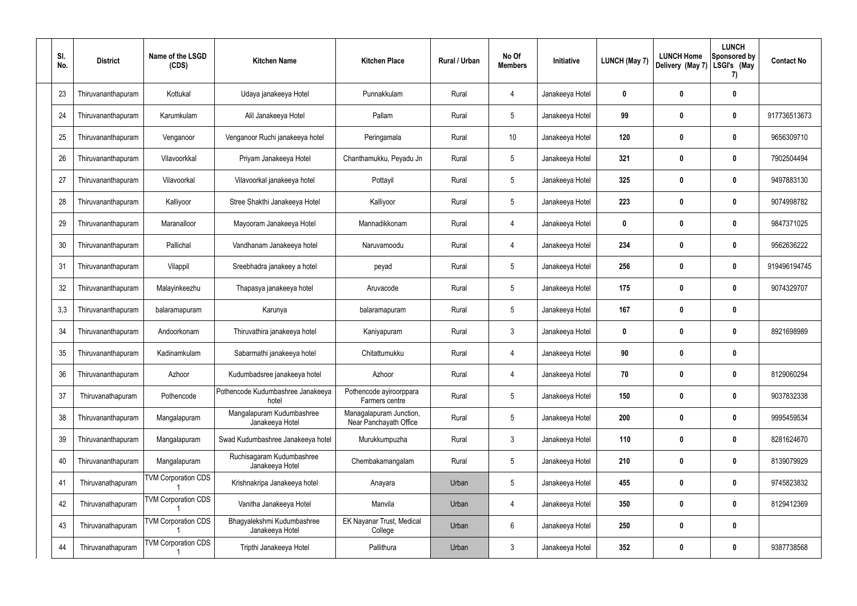| SI.<br>No. | <b>District</b>    | Name of the LSGD<br>(CDS)  | <b>Kitchen Name</b>                           | <b>Kitchen Place</b>                              | Rural / Urban | No Of<br><b>Members</b> | Initiative      | <b>LUNCH (May 7)</b> | <b>LUNCH Home</b><br>Delivery (May 7) | <b>LUNCH</b><br>Sponsored by<br>LSGI's (May<br>7) | <b>Contact No</b> |
|------------|--------------------|----------------------------|-----------------------------------------------|---------------------------------------------------|---------------|-------------------------|-----------------|----------------------|---------------------------------------|---------------------------------------------------|-------------------|
| 23         | Thiruvananthapuram | Kottukal                   | Udaya janakeeya Hotel                         | Punnakkulam                                       | Rural         | 4                       | Janakeeya Hotel | $\mathbf{0}$         | $\bf{0}$                              | $\boldsymbol{0}$                                  |                   |
| 24         | Thiruvananthapuram | Karumkulam                 | Alil Janakeeya Hotel                          | Pallam                                            | Rural         | $5\phantom{.0}$         | Janakeeya Hotel | 99                   | $\mathbf{0}$                          | $\boldsymbol{0}$                                  | 917736513673      |
| 25         | Thiruvananthapuram | Venganoor                  | Venganoor Ruchi janakeeya hotel               | Peringamala                                       | Rural         | 10 <sup>°</sup>         | Janakeeya Hotel | 120                  | $\boldsymbol{0}$                      | 0                                                 | 9656309710        |
| 26         | Thiruvananthapuram | Vilavoorkkal               | Priyam Janakeeya Hotel                        | Chanthamukku, Peyadu Jn                           | Rural         | $5\phantom{.0}$         | Janakeeya Hotel | 321                  | $\bf{0}$                              | 0                                                 | 7902504494        |
| 27         | Thiruvananthapuram | Vilavoorkal                | Vilavoorkal janakeeya hotel                   | Pottayil                                          | Rural         | $5\phantom{.0}$         | Janakeeya Hotel | 325                  | $\boldsymbol{0}$                      | 0                                                 | 9497883130        |
| 28         | Thiruvananthapuram | Kalliyoor                  | Stree Shakthi Janakeeya Hotel                 | Kalliyoor                                         | Rural         | $5\phantom{.0}$         | Janakeeya Hotel | 223                  | $\mathbf 0$                           | 0                                                 | 9074998782        |
| 29         | Thiruvananthapuram | Maranalloor                | Mayooram Janakeeya Hotel                      | Mannadikkonam                                     | Rural         | $\overline{4}$          | Janakeeya Hotel | $\mathbf{0}$         | $\bf{0}$                              | 0                                                 | 9847371025        |
| 30         | Thiruvananthapuram | Pallichal                  | Vandhanam Janakeeya hotel                     | Naruvamoodu                                       | Rural         | $\overline{4}$          | Janakeeya Hotel | 234                  | $\boldsymbol{0}$                      | 0                                                 | 9562636222        |
| 31         | Thiruvananthapuram | Vilappil                   | Sreebhadra janakeey a hotel                   | peyad                                             | Rural         | $5\phantom{.0}$         | Janakeeya Hotel | 256                  | $\boldsymbol{0}$                      | $\mathbf 0$                                       | 919496194745      |
| 32         | Thiruvananthapuram | Malayinkeezhu              | Thapasya janakeeya hotel                      | Aruvacode                                         | Rural         | $5\phantom{.0}$         | Janakeeya Hotel | 175                  | $\boldsymbol{0}$                      | 0                                                 | 9074329707        |
| 3,3        | Thiruvananthapuram | balaramapuram              | Karunya                                       | balaramapuram                                     | Rural         | $5\phantom{.0}$         | Janakeeya Hotel | 167                  | $\boldsymbol{0}$                      | $\boldsymbol{0}$                                  |                   |
| 34         | Thiruvananthapuram | Andoorkonam                | Thiruvathira janakeeya hotel                  | Kaniyapuram                                       | Rural         | $\mathbf{3}$            | Janakeeya Hotel | $\bf{0}$             | $\boldsymbol{0}$                      | 0                                                 | 8921698989        |
| 35         | Thiruvananthapuram | Kadinamkulam               | Sabarmathi janakeeya hotel                    | Chitattumukku                                     | Rural         | 4                       | Janakeeya Hotel | 90                   | $\boldsymbol{0}$                      | 0                                                 |                   |
| 36         | Thiruvananthapuram | Azhoor                     | Kudumbadsree janakeeya hotel                  | Azhoor                                            | Rural         | 4                       | Janakeeya Hotel | 70                   | $\boldsymbol{0}$                      | $\boldsymbol{0}$                                  | 8129060294        |
| 37         | Thiruvanathapuram  | Pothencode                 | Pothencode Kudumbashree Janakeeya<br>hotel    | Pothencode ayiroorppara<br>Farmers centre         | Rural         | $5\phantom{.0}$         | Janakeeya Hotel | 150                  | $\boldsymbol{0}$                      | $\pmb{0}$                                         | 9037832338        |
| 38         | Thiruvananthapuram | Mangalapuram               | Mangalapuram Kudumbashree<br>Janakeeya Hotel  | Managalapuram Junction,<br>Near Panchayath Office | Rural         | $5\phantom{.0}$         | Janakeeya Hotel | 200                  | $\boldsymbol{0}$                      | $\pmb{0}$                                         | 9995459534        |
| 39         | Thiruvananthapuram | Mangalapuram               | Swad Kudumbashree Janakeeya hotel             | Murukkumpuzha                                     | Rural         | $\mathbf{3}$            | Janakeeya Hotel | 110                  | $\mathbf 0$                           | $\pmb{0}$                                         | 8281624670        |
| 40         | Thiruvananthapuram | Mangalapuram               | Ruchisagaram Kudumbashree<br>Janakeeya Hotel  | Chembakamangalam                                  | Rural         | $5\phantom{.0}$         | Janakeeya Hotel | 210                  | $\boldsymbol{0}$                      | $\pmb{0}$                                         | 8139079929        |
| 41         | Thiruvanathapuram  | <b>TVM Corporation CDS</b> | Krishnakripa Janakeeya hotel                  | Anayara                                           | Urban         | $5\phantom{.0}$         | Janakeeya Hotel | 455                  | $\mathbf 0$                           | $\pmb{0}$                                         | 9745823832        |
| 42         | Thiruvanathapuram  | <b>TVM Corporation CDS</b> | Vanitha Janakeeya Hotel                       | Manvila                                           | Urban         | $\overline{4}$          | Janakeeya Hotel | 350                  | $\boldsymbol{0}$                      | $\pmb{0}$                                         | 8129412369        |
| 43         | Thiruvanathapuram  | <b>TVM Corporation CDS</b> | Bhagyalekshmi Kudumbashree<br>Janakeeya Hotel | <b>EK Nayanar Trust, Medical</b><br>College       | Urban         | $6\phantom{1}6$         | Janakeeya Hotel | 250                  | $\boldsymbol{0}$                      | $\pmb{0}$                                         |                   |
| 44         | Thiruvanathapuram  | <b>TVM Corporation CDS</b> | Tripthi Janakeeya Hotel                       | Pallithura                                        | Urban         | $\mathfrak{Z}$          | Janakeeya Hotel | 352                  | $\boldsymbol{0}$                      | $\boldsymbol{0}$                                  | 9387738568        |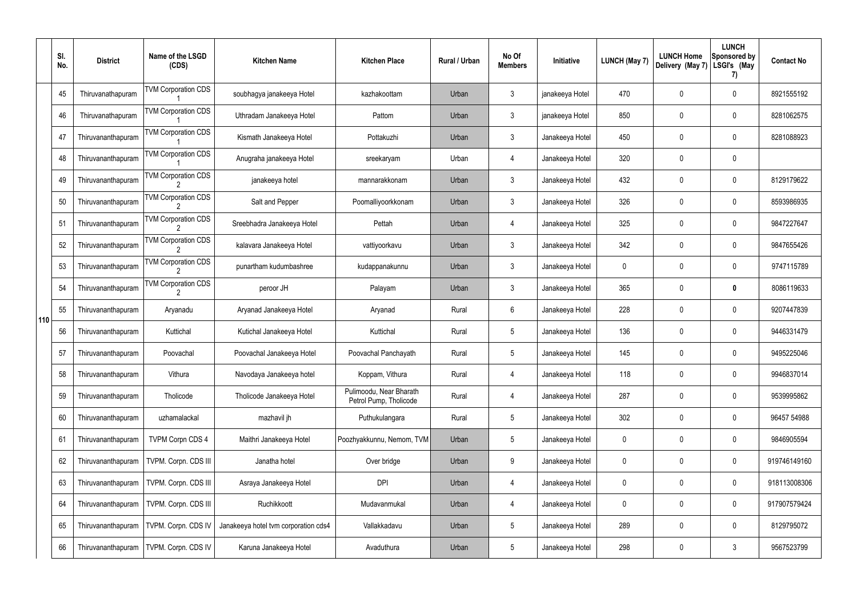|     | SI.<br>No. | <b>District</b>    | Name of the LSGD<br>(CDS)  | <b>Kitchen Name</b>                  | <b>Kitchen Place</b>                              | Rural / Urban | No Of<br><b>Members</b> | Initiative      | <b>LUNCH (May 7)</b> | <b>LUNCH Home</b><br>Delivery (May 7) | <b>LUNCH</b><br>Sponsored by<br>LSGI's (May<br>7) | <b>Contact No</b> |
|-----|------------|--------------------|----------------------------|--------------------------------------|---------------------------------------------------|---------------|-------------------------|-----------------|----------------------|---------------------------------------|---------------------------------------------------|-------------------|
|     | 45         | Thiruvanathapuram  | <b>TVM Corporation CDS</b> | soubhagya janakeeya Hotel            | kazhakoottam                                      | Urban         | $\mathbf{3}$            | janakeeya Hotel | 470                  | 0                                     | $\mathbf 0$                                       | 8921555192        |
|     | 46         | Thiruvanathapuram  | <b>TVM Corporation CDS</b> | Uthradam Janakeeya Hotel             | Pattom                                            | Urban         | $\mathbf{3}$            | janakeeya Hotel | 850                  | 0                                     | $\boldsymbol{0}$                                  | 8281062575        |
|     | 47         | Thiruvananthapuram | <b>TVM Corporation CDS</b> | Kismath Janakeeya Hotel              | Pottakuzhi                                        | Urban         | $\mathbf{3}$            | Janakeeya Hotel | 450                  | 0                                     | $\mathbf 0$                                       | 8281088923        |
|     | 48         | Thiruvananthapuram | <b>TVM Corporation CDS</b> | Anugraha janakeeya Hotel             | sreekaryam                                        | Urban         | 4                       | Janakeeya Hotel | 320                  | 0                                     | $\mathbf 0$                                       |                   |
|     | 49         | Thiruvananthapuram | <b>TVM Corporation CDS</b> | janakeeya hotel                      | mannarakkonam                                     | Urban         | $\mathbf{3}$            | Janakeeya Hotel | 432                  | 0                                     | $\mathbf 0$                                       | 8129179622        |
|     | 50         | Thiruvananthapuram | <b>TVM Corporation CDS</b> | Salt and Pepper                      | Poomalliyoorkkonam                                | Urban         | $\mathbf{3}$            | Janakeeya Hotel | 326                  | 0                                     | $\mathbf 0$                                       | 8593986935        |
|     | 51         | Thiruvananthapuram | <b>TVM Corporation CDS</b> | Sreebhadra Janakeeya Hotel           | Pettah                                            | Urban         | 4                       | Janakeeya Hotel | 325                  | 0                                     | $\mathbf 0$                                       | 9847227647        |
|     | 52         | Thiruvananthapuram | <b>TVM Corporation CDS</b> | kalavara Janakeeya Hotel             | vattiyoorkavu                                     | Urban         | $\mathbf{3}$            | Janakeeya Hotel | 342                  | 0                                     | $\mathbf 0$                                       | 9847655426        |
|     | 53         | Thiruvananthapuram | <b>TVM Corporation CDS</b> | punartham kudumbashree               | kudappanakunnu                                    | Urban         | $\mathbf{3}$            | Janakeeya Hotel | 0                    | 0                                     | $\mathbf 0$                                       | 9747115789        |
| 110 | 54         | Thiruvananthapuram | <b>TVM Corporation CDS</b> | peroor JH                            | Palayam                                           | Urban         | $\mathbf{3}$            | Janakeeya Hotel | 365                  | 0                                     | $\bm{0}$                                          | 8086119633        |
|     | 55         | Thiruvananthapuram | Aryanadu                   | Aryanad Janakeeya Hotel              | Aryanad                                           | Rural         | 6                       | Janakeeya Hotel | 228                  | 0                                     | $\mathbf 0$                                       | 9207447839        |
|     | 56         | Thiruvananthapuram | Kuttichal                  | Kutichal Janakeeya Hotel             | Kuttichal                                         | Rural         | $5\phantom{.0}$         | Janakeeya Hotel | 136                  | 0                                     | $\mathbf 0$                                       | 9446331479        |
|     | 57         | Thiruvananthapuram | Poovachal                  | Poovachal Janakeeya Hotel            | Poovachal Panchayath                              | Rural         | $5\phantom{.0}$         | Janakeeya Hotel | 145                  | 0                                     | 0                                                 | 9495225046        |
|     | 58         | Thiruvananthapuram | Vithura                    | Navodaya Janakeeya hotel             | Koppam, Vithura                                   | Rural         | 4                       | Janakeeya Hotel | 118                  | 0                                     | $\pmb{0}$                                         | 9946837014        |
|     | 59         | Thiruvananthapuram | Tholicode                  | Tholicode Janakeeya Hotel            | Pulimoodu, Near Bharath<br>Petrol Pump, Tholicode | Rural         | 4                       | Janakeeya Hotel | 287                  | 0                                     | $\pmb{0}$                                         | 9539995862        |
|     | 60         | Thiruvananthapuram | uzhamalackal               | mazhavil jh                          | Puthukulangara                                    | Rural         | $5\phantom{.0}$         | Janakeeya Hotel | 302                  | 0                                     | $\pmb{0}$                                         | 96457 54988       |
|     | 61         | Thiruvananthapuram | <b>TVPM Corpn CDS 4</b>    | Maithri Janakeeya Hotel              | Poozhyakkunnu, Nemom, TVM                         | Urban         | $5\,$                   | Janakeeya Hotel | 0                    | 0                                     | $\pmb{0}$                                         | 9846905594        |
|     | 62         | Thiruvananthapuram | TVPM. Corpn. CDS III       | Janatha hotel                        | Over bridge                                       | Urban         | 9                       | Janakeeya Hotel | 0                    | 0                                     | $\pmb{0}$                                         | 919746149160      |
|     | 63         | Thiruvananthapuram | TVPM. Corpn. CDS III       | Asraya Janakeeya Hotel               | <b>DPI</b>                                        | Urban         | 4                       | Janakeeya Hotel | 0                    | $\mathbf 0$                           | $\pmb{0}$                                         | 918113008306      |
|     | 64         | Thiruvananthapuram | TVPM. Corpn. CDS III       | Ruchikkoott                          | Mudavanmukal                                      | Urban         | 4                       | Janakeeya Hotel | 0                    | 0                                     | $\pmb{0}$                                         | 917907579424      |
|     | 65         | Thiruvananthapuram | TVPM. Corpn. CDS IV        | Janakeeya hotel tvm corporation cds4 | Vallakkadavu                                      | Urban         | $\sqrt{5}$              | Janakeeya Hotel | 289                  | 0                                     | $\pmb{0}$                                         | 8129795072        |
|     | 66         | Thiruvananthapuram | TVPM. Corpn. CDS IV        | Karuna Janakeeya Hotel               | Avaduthura                                        | Urban         | $5\phantom{.0}$         | Janakeeya Hotel | 298                  | 0                                     | $\mathfrak{Z}$                                    | 9567523799        |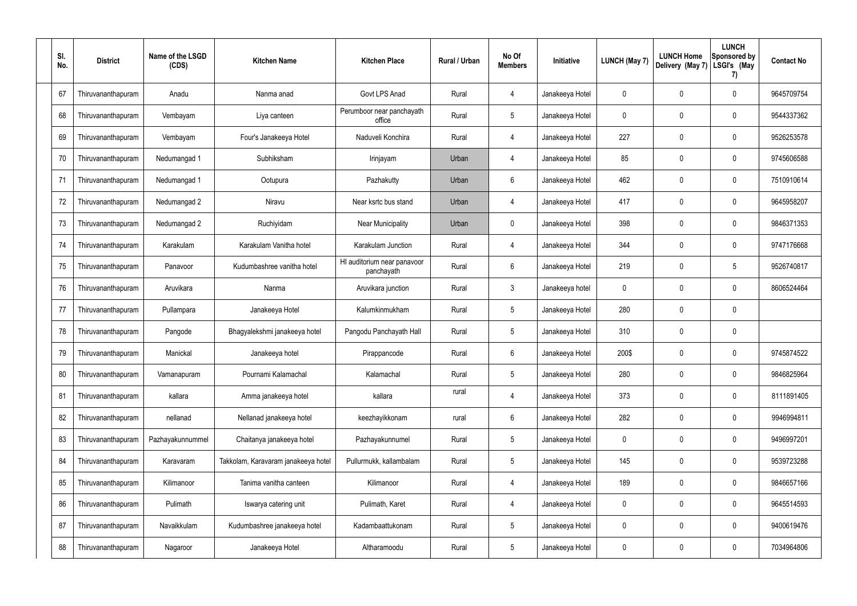| SI.<br>No. | <b>District</b>    | Name of the LSGD<br>(CDS) | <b>Kitchen Name</b>                 | <b>Kitchen Place</b>                      | Rural / Urban | No Of<br><b>Members</b> | Initiative      | <b>LUNCH (May 7)</b> | <b>LUNCH Home</b><br>Delivery (May 7) | <b>LUNCH</b><br>Sponsored by<br>LSGI's (May<br>7) | <b>Contact No</b> |
|------------|--------------------|---------------------------|-------------------------------------|-------------------------------------------|---------------|-------------------------|-----------------|----------------------|---------------------------------------|---------------------------------------------------|-------------------|
| 67         | Thiruvananthapuram | Anadu                     | Nanma anad                          | Govt LPS Anad                             | Rural         | 4                       | Janakeeya Hotel | $\mathbf{0}$         | $\mathbf 0$                           | 0                                                 | 9645709754        |
| 68         | Thiruvananthapuram | Vembayam                  | Liya canteen                        | Perumboor near panchayath<br>office       | Rural         | $5\phantom{.0}$         | Janakeeya Hotel | $\mathbf{0}$         | $\mathbf 0$                           | 0                                                 | 9544337362        |
| 69         | Thiruvananthapuram | Vembayam                  | Four's Janakeeya Hotel              | Naduveli Konchira                         | Rural         | $\overline{4}$          | Janakeeya Hotel | 227                  | $\mathbf 0$                           | 0                                                 | 9526253578        |
| 70         | Thiruvananthapuram | Nedumangad 1              | Subhiksham                          | Irinjayam                                 | Urban         | 4                       | Janakeeya Hotel | 85                   | $\mathbf 0$                           | 0                                                 | 9745606588        |
| 71         | Thiruvananthapuram | Nedumangad 1              | Ootupura                            | Pazhakutty                                | Urban         | $6\phantom{.}6$         | Janakeeya Hotel | 462                  | $\mathbf 0$                           | 0                                                 | 7510910614        |
| 72         | Thiruvananthapuram | Nedumangad 2              | Niravu                              | Near ksrtc bus stand                      | Urban         | 4                       | Janakeeya Hotel | 417                  | $\mathbf 0$                           | 0                                                 | 9645958207        |
| 73         | Thiruvananthapuram | Nedumangad 2              | Ruchiyidam                          | <b>Near Municipality</b>                  | Urban         | $\mathbf 0$             | Janakeeya Hotel | 398                  | $\mathbf 0$                           | 0                                                 | 9846371353        |
| 74         | Thiruvananthapuram | Karakulam                 | Karakulam Vanitha hotel             | Karakulam Junction                        | Rural         | 4                       | Janakeeya Hotel | 344                  | $\mathbf 0$                           | 0                                                 | 9747176668        |
| 75         | Thiruvananthapuram | Panavoor                  | Kudumbashree vanitha hotel          | HI auditorium near panavoor<br>panchayath | Rural         | $6\phantom{.}6$         | Janakeeya Hotel | 219                  | $\mathbf 0$                           | 5                                                 | 9526740817        |
| 76         | Thiruvananthapuram | Aruvikara                 | Nanma                               | Aruvikara junction                        | Rural         | $\mathbf{3}$            | Janakeeya hotel | $\mathbf{0}$         | $\mathbf 0$                           | 0                                                 | 8606524464        |
| 77         | Thiruvananthapuram | Pullampara                | Janakeeya Hotel                     | Kalumkinmukham                            | Rural         | $5\phantom{.0}$         | Janakeeya Hotel | 280                  | $\mathbf 0$                           | 0                                                 |                   |
| 78         | Thiruvananthapuram | Pangode                   | Bhagyalekshmi janakeeya hotel       | Pangodu Panchayath Hall                   | Rural         | $5\phantom{.0}$         | Janakeeya Hotel | 310                  | $\mathbf 0$                           | 0                                                 |                   |
| 79         | Thiruvananthapuram | Manickal                  | Janakeeya hotel                     | Pirappancode                              | Rural         | $6\phantom{.}6$         | Janakeeya Hotel | 200\$                | $\mathbf 0$                           | 0                                                 | 9745874522        |
| 80         | Thiruvananthapuram | Vamanapuram               | Pournami Kalamachal                 | Kalamachal                                | Rural         | $5\phantom{.0}$         | Janakeeya Hotel | 280                  | $\mathbf 0$                           | 0                                                 | 9846825964        |
| 81         | Thiruvananthapuram | kallara                   | Amma janakeeya hotel                | kallara                                   | rural         | $\overline{4}$          | Janakeeya Hotel | 373                  | $\mathbf 0$                           | 0                                                 | 8111891405        |
| 82         | Thiruvananthapuram | nellanad                  | Nellanad janakeeya hotel            | keezhayikkonam                            | rural         | $6\phantom{.}6$         | Janakeeya Hotel | 282                  | $\pmb{0}$                             | 0                                                 | 9946994811        |
| 83         | Thiruvananthapuram | Pazhayakunnummel          | Chaitanya janakeeya hotel           | Pazhayakunnumel                           | Rural         | $5\phantom{.0}$         | Janakeeya Hotel | $\mathbf 0$          | $\mathbf 0$                           | 0                                                 | 9496997201        |
| 84         | Thiruvananthapuram | Karavaram                 | Takkolam, Karavaram janakeeya hotel | Pullurmukk, kallambalam                   | Rural         | $\overline{5}$          | Janakeeya Hotel | 145                  | $\mathbf 0$                           | 0                                                 | 9539723288        |
| 85         | Thiruvananthapuram | Kilimanoor                | Tanima vanitha canteen              | Kilimanoor                                | Rural         | $\overline{4}$          | Janakeeya Hotel | 189                  | $\mathbf 0$                           | 0                                                 | 9846657166        |
| 86         | Thiruvananthapuram | Pulimath                  | Iswarya catering unit               | Pulimath, Karet                           | Rural         | $\overline{4}$          | Janakeeya Hotel | 0                    | $\mathbf 0$                           | 0                                                 | 9645514593        |
| 87         | Thiruvananthapuram | Navaikkulam               | Kudumbashree janakeeya hotel        | Kadambaattukonam                          | Rural         | $5\phantom{.0}$         | Janakeeya Hotel | 0                    | $\pmb{0}$                             | $\mathbf 0$                                       | 9400619476        |
| 88         | Thiruvananthapuram | Nagaroor                  | Janakeeya Hotel                     | Altharamoodu                              | Rural         | $\sqrt{5}$              | Janakeeya Hotel | 0                    | $\pmb{0}$                             | 0                                                 | 7034964806        |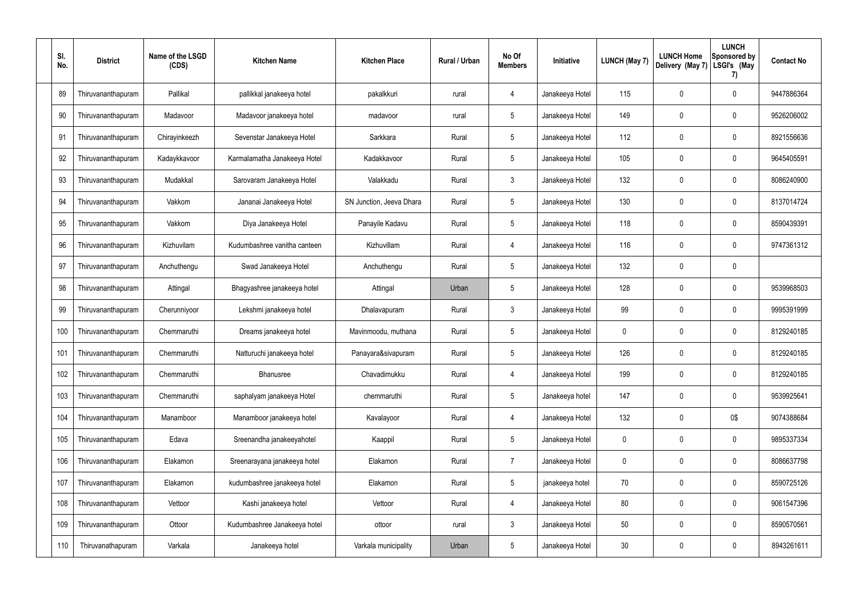| SI.<br>No. | <b>District</b>    | Name of the LSGD<br>(CDS) | <b>Kitchen Name</b>          | <b>Kitchen Place</b>     | Rural / Urban | No Of<br><b>Members</b> | Initiative      | <b>LUNCH (May 7)</b> | <b>LUNCH Home</b><br>Delivery (May 7) | <b>LUNCH</b><br>Sponsored by<br>LSGI's (May<br>7) | <b>Contact No</b> |
|------------|--------------------|---------------------------|------------------------------|--------------------------|---------------|-------------------------|-----------------|----------------------|---------------------------------------|---------------------------------------------------|-------------------|
| 89         | Thiruvananthapuram | Pallikal                  | pallikkal janakeeya hotel    | pakalkkuri               | rural         | 4                       | Janakeeya Hotel | 115                  | 0                                     | $\mathbf 0$                                       | 9447886364        |
| 90         | Thiruvananthapuram | Madavoor                  | Madavoor janakeeya hotel     | madavoor                 | rural         | $5\phantom{.0}$         | Janakeeya Hotel | 149                  | $\mathbf 0$                           | $\mathbf 0$                                       | 9526206002        |
| 91         | Thiruvananthapuram | Chirayinkeezh             | Sevenstar Janakeeya Hotel    | Sarkkara                 | Rural         | $5\phantom{.0}$         | Janakeeya Hotel | 112                  | 0                                     | $\mathbf 0$                                       | 8921556636        |
| 92         | Thiruvananthapuram | Kadaykkavoor              | Karmalamatha Janakeeya Hotel | Kadakkavoor              | Rural         | $5\phantom{.0}$         | Janakeeya Hotel | 105                  | $\mathbf 0$                           | $\mathbf 0$                                       | 9645405591        |
| 93         | Thiruvananthapuram | Mudakkal                  | Sarovaram Janakeeya Hotel    | Valakkadu                | Rural         | $\mathbf{3}$            | Janakeeya Hotel | 132                  | 0                                     | $\mathbf 0$                                       | 8086240900        |
| 94         | Thiruvananthapuram | Vakkom                    | Jananai Janakeeya Hotel      | SN Junction, Jeeva Dhara | Rural         | $5\phantom{.0}$         | Janakeeya Hotel | 130                  | $\mathbf 0$                           | $\mathbf 0$                                       | 8137014724        |
| 95         | Thiruvananthapuram | Vakkom                    | Diya Janakeeya Hotel         | Panayile Kadavu          | Rural         | $5\phantom{.0}$         | Janakeeya Hotel | 118                  | 0                                     | $\mathbf 0$                                       | 8590439391        |
| 96         | Thiruvananthapuram | Kizhuvilam                | Kudumbashree vanitha canteen | Kizhuvillam              | Rural         | 4                       | Janakeeya Hotel | 116                  | 0                                     | $\mathbf 0$                                       | 9747361312        |
| 97         | Thiruvananthapuram | Anchuthengu               | Swad Janakeeya Hotel         | Anchuthengu              | Rural         | $5\phantom{.0}$         | Janakeeya Hotel | 132                  | 0                                     | $\mathbf 0$                                       |                   |
| 98         | Thiruvananthapuram | Attingal                  | Bhagyashree janakeeya hotel  | Attingal                 | Urban         | $5\phantom{.0}$         | Janakeeya Hotel | 128                  | 0                                     | $\mathbf 0$                                       | 9539968503        |
| 99         | Thiruvananthapuram | Cherunniyoor              | Lekshmi janakeeya hotel      | Dhalavapuram             | Rural         | $\mathbf{3}$            | Janakeeya Hotel | 99                   | $\mathbf 0$                           | $\mathbf 0$                                       | 9995391999        |
| 100        | Thiruvananthapuram | Chemmaruthi               | Dreams janakeeya hotel       | Mavinmoodu, muthana      | Rural         | $5\phantom{.0}$         | Janakeeya Hotel | 0                    | $\mathbf 0$                           | $\mathbf 0$                                       | 8129240185        |
| 101        | Thiruvananthapuram | Chemmaruthi               | Natturuchi janakeeya hotel   | Panayara&sivapuram       | Rural         | $5\phantom{.0}$         | Janakeeya Hotel | 126                  | $\mathbf 0$                           | 0                                                 | 8129240185        |
| 102        | Thiruvananthapuram | Chemmaruthi               | Bhanusree                    | Chavadimukku             | Rural         | 4                       | Janakeeya Hotel | 199                  | 0                                     | $\mathbf 0$                                       | 8129240185        |
| 103        | Thiruvananthapuram | Chemmaruthi               | saphalyam janakeeya Hotel    | chemmaruthi              | Rural         | $5\phantom{.0}$         | Janakeeya hotel | 147                  | 0                                     | $\mathbf 0$                                       | 9539925641        |
| 104        | Thiruvananthapuram | Manamboor                 | Manamboor janakeeya hotel    | Kavalayoor               | Rural         | $\overline{4}$          | Janakeeya Hotel | 132                  | 0                                     | 0\$                                               | 9074388684        |
| 105        | Thiruvananthapuram | Edava                     | Sreenandha janakeeyahotel    | Kaappil                  | Rural         | $5\phantom{.0}$         | Janakeeya Hotel | 0                    | 0                                     | $\mathbf 0$                                       | 9895337334        |
| 106        | Thiruvananthapuram | Elakamon                  | Sreenarayana janakeeya hotel | Elakamon                 | Rural         | $\overline{7}$          | Janakeeya Hotel | 0                    | 0                                     | $\mathbf 0$                                       | 8086637798        |
| 107        | Thiruvananthapuram | Elakamon                  | kudumbashree janakeeya hotel | Elakamon                 | Rural         | $5\phantom{.0}$         | janakeeya hotel | 70                   | 0                                     | $\mathbf 0$                                       | 8590725126        |
| 108        | Thiruvananthapuram | Vettoor                   | Kashi janakeeya hotel        | Vettoor                  | Rural         | 4                       | Janakeeya Hotel | 80                   | $\mathbf 0$                           | $\mathbf 0$                                       | 9061547396        |
| 109        | Thiruvananthapuram | Ottoor                    | Kudumbashree Janakeeya hotel | ottoor                   | rural         | $\mathbf{3}$            | Janakeeya Hotel | 50                   | $\mathbf 0$                           | $\mathbf 0$                                       | 8590570561        |
| 110        | Thiruvanathapuram  | Varkala                   | Janakeeya hotel              | Varkala municipality     | Urban         | $5\phantom{.0}$         | Janakeeya Hotel | 30                   | 0                                     | $\overline{0}$                                    | 8943261611        |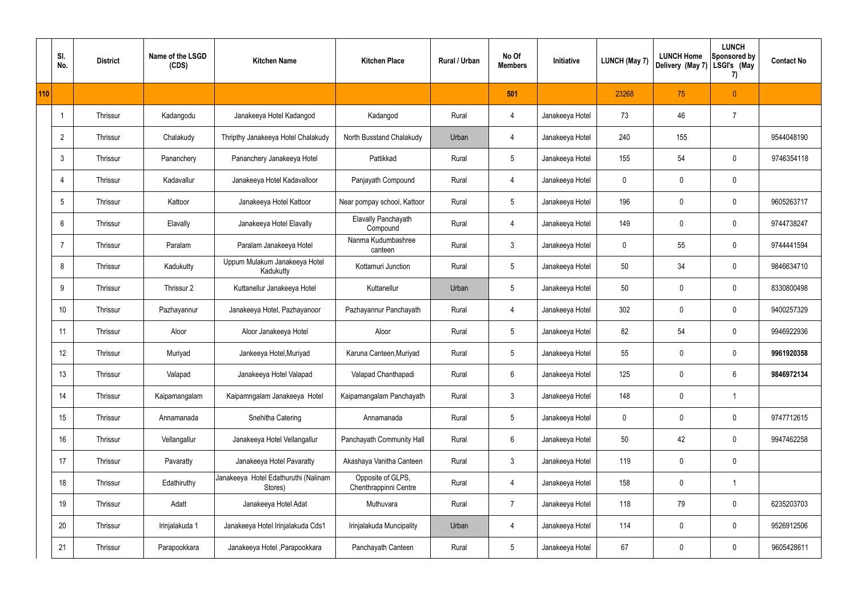|     | SI.<br>No.      | <b>District</b> | Name of the LSGD<br>(CDS) | <b>Kitchen Name</b>                             | <b>Kitchen Place</b>                       | Rural / Urban | No Of<br><b>Members</b> | Initiative      | <b>LUNCH (May 7)</b> | <b>LUNCH Home</b><br>Delivery (May 7) | <b>LUNCH</b><br>Sponsored by<br>LSGI's (May<br>7) | <b>Contact No</b> |
|-----|-----------------|-----------------|---------------------------|-------------------------------------------------|--------------------------------------------|---------------|-------------------------|-----------------|----------------------|---------------------------------------|---------------------------------------------------|-------------------|
| 110 |                 |                 |                           |                                                 |                                            |               | 501                     |                 | 23268                | 75                                    | $\mathbf{0}$                                      |                   |
|     |                 | Thrissur        | Kadangodu                 | Janakeeya Hotel Kadangod                        | Kadangod                                   | Rural         | $\overline{4}$          | Janakeeya Hotel | 73                   | 46                                    | $\overline{7}$                                    |                   |
|     | $\overline{2}$  | Thrissur        | Chalakudy                 | Thripthy Janakeeya Hotel Chalakudy              | North Busstand Chalakudy                   | Urban         | $\overline{4}$          | Janakeeya Hotel | 240                  | 155                                   |                                                   | 9544048190        |
|     | $\mathbf{3}$    | Thrissur        | Pananchery                | Pananchery Janakeeya Hotel                      | Pattikkad                                  | Rural         | $5\phantom{.0}$         | Janakeeya Hotel | 155                  | 54                                    | $\pmb{0}$                                         | 9746354118        |
|     | 4               | Thrissur        | Kadavallur                | Janakeeya Hotel Kadavalloor                     | Panjayath Compound                         | Rural         | $\overline{4}$          | Janakeeya Hotel | 0                    | 0                                     | $\pmb{0}$                                         |                   |
|     | $5\phantom{.0}$ | Thrissur        | Kattoor                   | Janakeeya Hotel Kattoor                         | Near pompay school, Kattoor                | Rural         | $5\phantom{.0}$         | Janakeeya Hotel | 196                  | 0                                     | $\pmb{0}$                                         | 9605263717        |
|     | 6               | Thrissur        | Elavally                  | Janakeeya Hotel Elavally                        | <b>Elavally Panchayath</b><br>Compound     | Rural         | $\overline{4}$          | Janakeeya Hotel | 149                  | 0                                     | $\pmb{0}$                                         | 9744738247        |
|     | $\overline{7}$  | Thrissur        | Paralam                   | Paralam Janakeeya Hotel                         | Nanma Kudumbashree<br>canteen              | Rural         | $\mathfrak{Z}$          | Janakeeya Hotel | 0                    | 55                                    | $\mathbf 0$                                       | 9744441594        |
|     | 8               | Thrissur        | Kadukutty                 | Uppum Mulakum Janakeeya Hotel<br>Kadukutty      | Kottamuri Junction                         | Rural         | $5\,$                   | Janakeeya Hotel | 50                   | 34                                    | $\mathbf 0$                                       | 9846634710        |
|     | 9               | Thrissur        | Thrissur 2                | Kuttanellur Janakeeya Hotel                     | Kuttanellur                                | Urban         | $5\phantom{.0}$         | Janakeeya Hotel | 50                   | 0                                     | $\pmb{0}$                                         | 8330800498        |
|     | 10              | Thrissur        | Pazhayannur               | Janakeeya Hotel, Pazhayanoor                    | Pazhayannur Panchayath                     | Rural         | $\overline{4}$          | Janakeeya Hotel | 302                  | $\mathbf 0$                           | $\pmb{0}$                                         | 9400257329        |
|     | 11              | Thrissur        | Aloor                     | Aloor Janakeeya Hotel                           | Aloor                                      | Rural         | $5\phantom{.0}$         | Janakeeya Hotel | 82                   | 54                                    | $\pmb{0}$                                         | 9946922936        |
|     | 12              | Thrissur        | Muriyad                   | Jankeeya Hotel, Muriyad                         | Karuna Canteen, Muriyad                    | Rural         | $5\phantom{.0}$         | Janakeeya Hotel | 55                   | 0                                     | $\mathbf 0$                                       | 9961920358        |
|     | 13              | Thrissur        | Valapad                   | Janakeeya Hotel Valapad                         | Valapad Chanthapadi                        | Rural         | $6\phantom{.}$          | Janakeeya Hotel | 125                  | $\mathbf 0$                           | $6\phantom{.}$                                    | 9846972134        |
|     | 14              | Thrissur        | Kaipamangalam             | Kaipamngalam Janakeeya Hotel                    | Kaipamangalam Panchayath                   | Rural         | $\mathbf{3}$            | Janakeeya Hotel | 148                  | 0                                     | $\mathbf{1}$                                      |                   |
|     | 15              | Thrissur        | Annamanada                | Snehitha Catering                               | Annamanada                                 | Rural         | $5\phantom{.0}$         | Janakeeya Hotel | 0                    | 0                                     | $\mathbf 0$                                       | 9747712615        |
|     | 16              | Thrissur        | Vellangallur              | Janakeeya Hotel Vellangallur                    | Panchayath Community Hall                  | Rural         | $6\phantom{.}6$         | Janakeeya Hotel | 50                   | 42                                    | $\mathbf 0$                                       | 9947462258        |
|     | 17              | Thrissur        | Pavaratty                 | Janakeeya Hotel Pavaratty                       | Akashaya Vanitha Canteen                   | Rural         | $\mathbf{3}$            | Janakeeya Hotel | 119                  | 0                                     | $\pmb{0}$                                         |                   |
|     | 18              | Thrissur        | Edathiruthy               | Janakeeya Hotel Edathuruthi (Nalinam<br>Stores) | Opposite of GLPS,<br>Chenthrappinni Centre | Rural         | $\overline{4}$          | Janakeeya Hotel | 158                  | $\mathbf 0$                           | $\mathbf{1}$                                      |                   |
|     | 19              | Thrissur        | Adatt                     | Janakeeya Hotel Adat                            | Muthuvara                                  | Rural         | $\overline{7}$          | Janakeeya Hotel | 118                  | 79                                    | $\pmb{0}$                                         | 6235203703        |
|     | 20              | Thrissur        | Irinjalakuda 1            | Janakeeya Hotel Irinjalakuda Cds1               | Irinjalakuda Muncipality                   | Urban         | 4                       | Janakeeya Hotel | 114                  | $\mathbf 0$                           | $\mathbf 0$                                       | 9526912506        |
|     | 21              | Thrissur        | Parapookkara              | Janakeeya Hotel, Parapookkara                   | Panchayath Canteen                         | Rural         | $5\,$                   | Janakeeya Hotel | 67                   | 0                                     | $\pmb{0}$                                         | 9605428611        |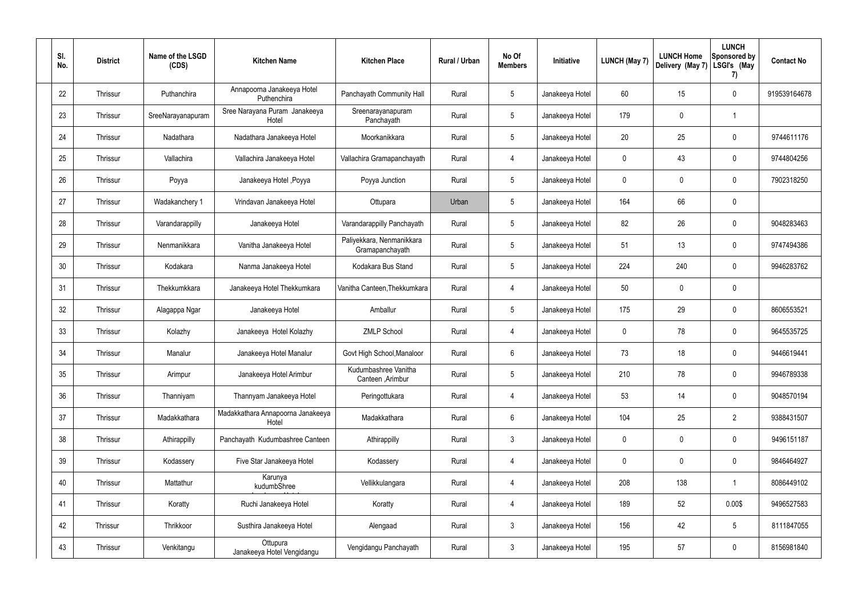| SI. | No. | <b>District</b> | Name of the LSGD<br>(CDS) | <b>Kitchen Name</b>                        | <b>Kitchen Place</b>                         | Rural / Urban | No Of<br><b>Members</b> | Initiative      | <b>LUNCH (May 7)</b> | <b>LUNCH Home</b><br>Delivery (May 7) | <b>LUNCH</b><br>Sponsored by<br>LSGI's (May<br>7) | <b>Contact No</b> |
|-----|-----|-----------------|---------------------------|--------------------------------------------|----------------------------------------------|---------------|-------------------------|-----------------|----------------------|---------------------------------------|---------------------------------------------------|-------------------|
|     | 22  | Thrissur        | Puthanchira               | Annapoorna Janakeeya Hotel<br>Puthenchira  | Panchayath Community Hall                    | Rural         | $5\phantom{.0}$         | Janakeeya Hotel | 60                   | 15                                    | $\mathbf 0$                                       | 919539164678      |
|     | 23  | Thrissur        | SreeNarayanapuram         | Sree Narayana Puram Janakeeya<br>Hotel     | Sreenarayanapuram<br>Panchayath              | Rural         | $5\phantom{.0}$         | Janakeeya Hotel | 179                  | $\mathbf 0$                           |                                                   |                   |
|     | 24  | Thrissur        | Nadathara                 | Nadathara Janakeeya Hotel                  | Moorkanikkara                                | Rural         | $5\phantom{.0}$         | Janakeeya Hotel | 20                   | 25                                    | $\mathbf 0$                                       | 9744611176        |
|     | 25  | Thrissur        | Vallachira                | Vallachira Janakeeya Hotel                 | Vallachira Gramapanchayath                   | Rural         | 4                       | Janakeeya Hotel | $\mathbf 0$          | 43                                    | $\pmb{0}$                                         | 9744804256        |
|     | 26  | Thrissur        | Poyya                     | Janakeeya Hotel , Poyya                    | Poyya Junction                               | Rural         | $5\phantom{.0}$         | Janakeeya Hotel | 0                    | $\boldsymbol{0}$                      | $\mathbf 0$                                       | 7902318250        |
|     | 27  | Thrissur        | Wadakanchery 1            | Vrindavan Janakeeya Hotel                  | Ottupara                                     | Urban         | $5\phantom{.0}$         | Janakeeya Hotel | 164                  | 66                                    | $\pmb{0}$                                         |                   |
|     | 28  | Thrissur        | Varandarappilly           | Janakeeya Hotel                            | Varandarappilly Panchayath                   | Rural         | $5\phantom{.0}$         | Janakeeya Hotel | 82                   | 26                                    | $\mathbf 0$                                       | 9048283463        |
|     | 29  | Thrissur        | Nenmanikkara              | Vanitha Janakeeya Hotel                    | Paliyekkara, Nenmanikkara<br>Gramapanchayath | Rural         | $5\phantom{.0}$         | Janakeeya Hotel | 51                   | 13                                    | $\mathbf 0$                                       | 9747494386        |
|     | 30  | Thrissur        | Kodakara                  | Nanma Janakeeya Hotel                      | Kodakara Bus Stand                           | Rural         | $5\phantom{.0}$         | Janakeeya Hotel | 224                  | 240                                   | $\mathbf 0$                                       | 9946283762        |
|     | 31  | Thrissur        | Thekkumkkara              | Janakeeya Hotel Thekkumkara                | Vanitha Canteen, Thekkumkara                 | Rural         | 4                       | Janakeeya Hotel | 50                   | $\boldsymbol{0}$                      | $\mathbf 0$                                       |                   |
|     | 32  | Thrissur        | Alagappa Ngar             | Janakeeya Hotel                            | Amballur                                     | Rural         | $5\,$                   | Janakeeya Hotel | 175                  | 29                                    | $\mathbf 0$                                       | 8606553521        |
|     | 33  | Thrissur        | Kolazhy                   | Janakeeya Hotel Kolazhy                    | <b>ZMLP School</b>                           | Rural         | 4                       | Janakeeya Hotel | $\mathbf 0$          | 78                                    | $\mathbf 0$                                       | 9645535725        |
|     | 34  | Thrissur        | Manalur                   | Janakeeya Hotel Manalur                    | Govt High School, Manaloor                   | Rural         | 6                       | Janakeeya Hotel | 73                   | 18                                    | 0                                                 | 9446619441        |
|     | 35  | Thrissur        | Arimpur                   | Janakeeya Hotel Arimbur                    | Kudumbashree Vanitha<br>Canteen , Arimbur    | Rural         | $5\phantom{.0}$         | Janakeeya Hotel | 210                  | 78                                    | $\mathbf 0$                                       | 9946789338        |
|     | 36  | Thrissur        | Thanniyam                 | Thannyam Janakeeya Hotel                   | Peringottukara                               | Rural         | $\overline{4}$          | Janakeeya Hotel | 53                   | 14                                    | $\mathbf 0$                                       | 9048570194        |
|     | 37  | Thrissur        | Madakkathara              | Madakkathara Annapoorna Janakeeya<br>Hotel | Madakkathara                                 | Rural         | $6\overline{6}$         | Janakeeya Hotel | 104                  | 25                                    | $\overline{2}$                                    | 9388431507        |
|     | 38  | Thrissur        | Athirappilly              | Panchayath Kudumbashree Canteen            | Athirappilly                                 | Rural         | $\mathbf{3}$            | Janakeeya Hotel | $\mathbf 0$          | 0                                     | $\mathbf 0$                                       | 9496151187        |
|     | 39  | Thrissur        | Kodassery                 | Five Star Janakeeya Hotel                  | Kodassery                                    | Rural         | $\overline{4}$          | Janakeeya Hotel | $\mathbf 0$          | 0                                     | $\mathbf 0$                                       | 9846464927        |
|     | 40  | Thrissur        | Mattathur                 | Karunya<br>kudumbShree                     | Vellikkulangara                              | Rural         | $\overline{4}$          | Janakeeya Hotel | 208                  | 138                                   | $\overline{1}$                                    | 8086449102        |
|     | 41  | Thrissur        | Koratty                   | Ruchi Janakeeya Hotel                      | Koratty                                      | Rural         | $\overline{4}$          | Janakeeya Hotel | 189                  | 52                                    | 0.00\$                                            | 9496527583        |
|     | 42  | Thrissur        | Thrikkoor                 | Susthira Janakeeya Hotel                   | Alengaad                                     | Rural         | $\mathbf{3}$            | Janakeeya Hotel | 156                  | 42                                    | $5\phantom{.0}$                                   | 8111847055        |
|     | 43  | Thrissur        | Venkitangu                | Ottupura<br>Janakeeya Hotel Vengidangu     | Vengidangu Panchayath                        | Rural         | $\mathfrak{Z}$          | Janakeeya Hotel | 195                  | 57                                    | $\mathbf 0$                                       | 8156981840        |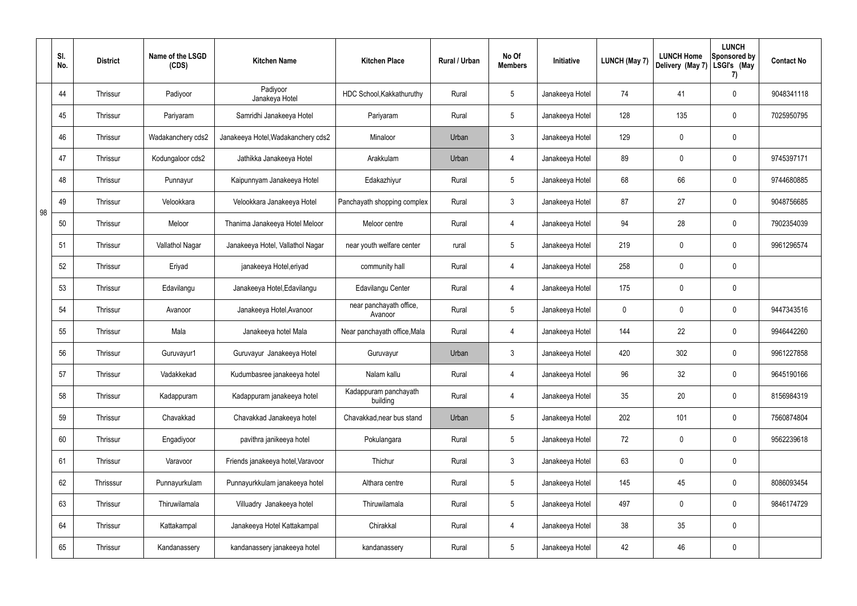|    | SI.<br>No. | <b>District</b> | Name of the LSGD<br>(CDS) | <b>Kitchen Name</b>                | <b>Kitchen Place</b>               | <b>Rural / Urban</b> | No Of<br><b>Members</b> | Initiative      | <b>LUNCH (May 7)</b> | <b>LUNCH Home</b><br>Delivery (May 7) | <b>LUNCH</b><br>Sponsored by<br>LSGI's (May<br>7) | <b>Contact No</b> |
|----|------------|-----------------|---------------------------|------------------------------------|------------------------------------|----------------------|-------------------------|-----------------|----------------------|---------------------------------------|---------------------------------------------------|-------------------|
|    | 44         | Thrissur        | Padiyoor                  | Padiyoor<br>Janakeya Hotel         | HDC School, Kakkathuruthy          | Rural                | 5                       | Janakeeya Hotel | 74                   | 41                                    | $\mathbf 0$                                       | 9048341118        |
|    | 45         | Thrissur        | Pariyaram                 | Samridhi Janakeeya Hotel           | Pariyaram                          | Rural                | 5                       | Janakeeya Hotel | 128                  | 135                                   | $\pmb{0}$                                         | 7025950795        |
|    | 46         | Thrissur        | Wadakanchery cds2         | Janakeeya Hotel, Wadakanchery cds2 | Minaloor                           | Urban                | $\mathbf{3}$            | Janakeeya Hotel | 129                  | 0                                     | $\pmb{0}$                                         |                   |
|    | 47         | Thrissur        | Kodungaloor cds2          | Jathikka Janakeeya Hotel           | Arakkulam                          | Urban                | 4                       | Janakeeya Hotel | 89                   | 0                                     | $\pmb{0}$                                         | 9745397171        |
|    | 48         | Thrissur        | Punnayur                  | Kaipunnyam Janakeeya Hotel         | Edakazhiyur                        | Rural                | $5\overline{)}$         | Janakeeya Hotel | 68                   | 66                                    | $\pmb{0}$                                         | 9744680885        |
| 98 | 49         | Thrissur        | Velookkara                | Velookkara Janakeeya Hotel         | Panchayath shopping complex        | Rural                | $\mathfrak{Z}$          | Janakeeya Hotel | 87                   | 27                                    | $\pmb{0}$                                         | 9048756685        |
|    | 50         | Thrissur        | Meloor                    | Thanima Janakeeya Hotel Meloor     | Meloor centre                      | Rural                | 4                       | Janakeeya Hotel | 94                   | 28                                    | $\pmb{0}$                                         | 7902354039        |
|    | 51         | Thrissur        | Vallathol Nagar           | Janakeeya Hotel, Vallathol Nagar   | near youth welfare center          | rural                | 5                       | Janakeeya Hotel | 219                  | 0                                     | $\pmb{0}$                                         | 9961296574        |
|    | 52         | Thrissur        | Eriyad                    | janakeeya Hotel, eriyad            | community hall                     | Rural                | 4                       | Janakeeya Hotel | 258                  | 0                                     | $\pmb{0}$                                         |                   |
|    | 53         | Thrissur        | Edavilangu                | Janakeeya Hotel, Edavilangu        | Edavilangu Center                  | Rural                | 4                       | Janakeeya Hotel | 175                  | 0                                     | $\pmb{0}$                                         |                   |
|    | 54         | Thrissur        | Avanoor                   | Janakeeya Hotel, Avanoor           | near panchayath office,<br>Avanoor | Rural                | 5                       | Janakeeya Hotel | 0                    | 0                                     | 0                                                 | 9447343516        |
|    | 55         | Thrissur        | Mala                      | Janakeeya hotel Mala               | Near panchayath office, Mala       | Rural                | 4                       | Janakeeya Hotel | 144                  | 22                                    | 0                                                 | 9946442260        |
|    | 56         | Thrissur        | Guruvayur1                | Guruvayur Janakeeya Hotel          | Guruvayur                          | Urban                | 3                       | Janakeeya Hotel | 420                  | 302                                   | $\mathbf 0$                                       | 9961227858        |
|    | 57         | Thrissur        | Vadakkekad                | Kudumbasree janakeeya hotel        | Nalam kallu                        | Rural                | $\overline{4}$          | Janakeeya Hotel | 96                   | 32                                    | $\pmb{0}$                                         | 9645190166        |
|    | 58         | Thrissur        | Kadappuram                | Kadappuram janakeeya hotel         | Kadappuram panchayath<br>building  | Rural                | $\overline{4}$          | Janakeeya Hotel | 35                   | 20                                    | $\pmb{0}$                                         | 8156984319        |
|    | 59         | Thrissur        | Chavakkad                 | Chavakkad Janakeeya hotel          | Chavakkad, near bus stand          | Urban                | $5\overline{)}$         | Janakeeya Hotel | 202                  | 101                                   | $\mathsf{0}$                                      | 7560874804        |
|    | 60         | Thrissur        | Engadiyoor                | pavithra janikeeya hotel           | Pokulangara                        | Rural                | $5\phantom{.0}$         | Janakeeya Hotel | 72                   | 0                                     | $\mathsf{0}$                                      | 9562239618        |
|    | 61         | Thrissur        | Varavoor                  | Friends janakeeya hotel, Varavoor  | Thichur                            | Rural                | $\mathbf{3}$            | Janakeeya Hotel | 63                   | 0                                     | $\pmb{0}$                                         |                   |
|    | 62         | Thrisssur       | Punnayurkulam             | Punnayurkkulam janakeeya hotel     | Althara centre                     | Rural                | $5\phantom{.0}$         | Janakeeya Hotel | 145                  | 45                                    | $\mathsf{0}$                                      | 8086093454        |
|    | 63         | Thrissur        | Thiruwilamala             | Villuadry Janakeeya hotel          | Thiruwilamala                      | Rural                | $5\phantom{.0}$         | Janakeeya Hotel | 497                  | $\mathbf 0$                           | $\mathbf 0$                                       | 9846174729        |
|    | 64         | Thrissur        | Kattakampal               | Janakeeya Hotel Kattakampal        | Chirakkal                          | Rural                | $\overline{4}$          | Janakeeya Hotel | 38                   | 35                                    | $\mathsf{0}$                                      |                   |
|    | 65         | Thrissur        | Kandanassery              | kandanassery janakeeya hotel       | kandanassery                       | Rural                | $5\phantom{.0}$         | Janakeeya Hotel | 42                   | 46                                    | $\pmb{0}$                                         |                   |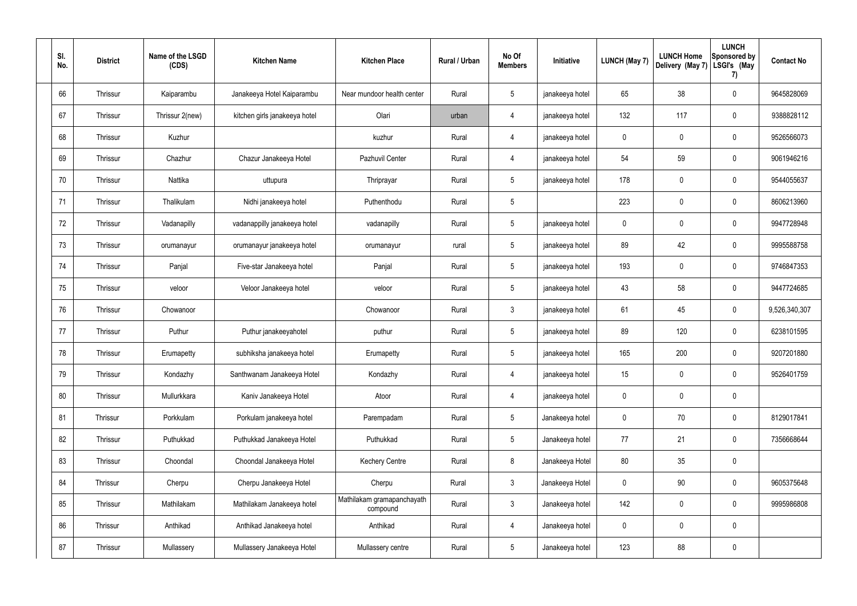| SI.<br>No. | <b>District</b> | Name of the LSGD<br>(CDS) | <b>Kitchen Name</b>           | <b>Kitchen Place</b>                   | Rural / Urban | No Of<br><b>Members</b> | Initiative      | <b>LUNCH (May 7)</b> | <b>LUNCH Home</b><br>Delivery (May 7) | <b>LUNCH</b><br>Sponsored by<br>LSGI's (May<br>7) | <b>Contact No</b> |
|------------|-----------------|---------------------------|-------------------------------|----------------------------------------|---------------|-------------------------|-----------------|----------------------|---------------------------------------|---------------------------------------------------|-------------------|
| 66         | Thrissur        | Kaiparambu                | Janakeeya Hotel Kaiparambu    | Near mundoor health center             | Rural         | $5\,$                   | janakeeya hotel | 65                   | 38                                    | $\mathbf 0$                                       | 9645828069        |
| 67         | Thrissur        | Thrissur 2(new)           | kitchen girls janakeeya hotel | Olari                                  | urban         | $\overline{4}$          | janakeeya hotel | 132                  | 117                                   | $\mathbf 0$                                       | 9388828112        |
| 68         | Thrissur        | Kuzhur                    |                               | kuzhur                                 | Rural         | 4                       | janakeeya hotel | $\mathbf 0$          | $\mathbf 0$                           | $\mathbf 0$                                       | 9526566073        |
| 69         | Thrissur        | Chazhur                   | Chazur Janakeeya Hotel        | Pazhuvil Center                        | Rural         | $\overline{4}$          | janakeeya hotel | 54                   | 59                                    | $\mathbf 0$                                       | 9061946216        |
| 70         | Thrissur        | Nattika                   | uttupura                      | Thriprayar                             | Rural         | $5\phantom{.0}$         | janakeeya hotel | 178                  | $\mathbf 0$                           | $\mathbf 0$                                       | 9544055637        |
| 71         | Thrissur        | Thalikulam                | Nidhi janakeeya hotel         | Puthenthodu                            | Rural         | $5\phantom{.0}$         |                 | 223                  | $\mathbf 0$                           | $\mathbf 0$                                       | 8606213960        |
| 72         | Thrissur        | Vadanapilly               | vadanappilly janakeeya hotel  | vadanapilly                            | Rural         | $5\phantom{.0}$         | janakeeya hotel | $\mathbf 0$          | $\mathbf 0$                           | $\mathbf 0$                                       | 9947728948        |
| 73         | Thrissur        | orumanayur                | orumanayur janakeeya hotel    | orumanayur                             | rural         | $5\phantom{.0}$         | janakeeya hotel | 89                   | 42                                    | $\mathbf 0$                                       | 9995588758        |
| 74         | Thrissur        | Panjal                    | Five-star Janakeeya hotel     | Panjal                                 | Rural         | $5\phantom{.0}$         | janakeeya hotel | 193                  | 0                                     | $\mathbf 0$                                       | 9746847353        |
| 75         | Thrissur        | veloor                    | Veloor Janakeeya hotel        | veloor                                 | Rural         | $5\phantom{.0}$         | janakeeya hotel | 43                   | 58                                    | $\mathbf 0$                                       | 9447724685        |
| 76         | Thrissur        | Chowanoor                 |                               | Chowanoor                              | Rural         | $\mathbf{3}$            | janakeeya hotel | 61                   | 45                                    | $\mathbf 0$                                       | 9,526,340,307     |
| 77         | Thrissur        | Puthur                    | Puthur janakeeyahotel         | puthur                                 | Rural         | $5\phantom{.0}$         | janakeeya hotel | 89                   | 120                                   | $\mathbf 0$                                       | 6238101595        |
| 78         | Thrissur        | Erumapetty                | subhiksha janakeeya hotel     | Erumapetty                             | Rural         | $5\phantom{.0}$         | janakeeya hotel | 165                  | 200                                   | $\mathbf 0$                                       | 9207201880        |
| 79         | Thrissur        | Kondazhy                  | Santhwanam Janakeeya Hotel    | Kondazhy                               | Rural         | 4                       | janakeeya hotel | 15 <sub>15</sub>     | $\mathsf{0}$                          | $\mathbf 0$                                       | 9526401759        |
| 80         | Thrissur        | Mullurkkara               | Kaniv Janakeeya Hotel         | Atoor                                  | Rural         | $\overline{4}$          | janakeeya hotel | $\mathbf 0$          | 0                                     | $\mathbf 0$                                       |                   |
| 81         | Thrissur        | Porkkulam                 | Porkulam janakeeya hotel      | Parempadam                             | Rural         | $5\overline{)}$         | Janakeeya hotel | $\pmb{0}$            | 70                                    | $\mathbf 0$                                       | 8129017841        |
| 82         | Thrissur        | Puthukkad                 | Puthukkad Janakeeya Hotel     | Puthukkad                              | Rural         | $5\phantom{.0}$         | Janakeeya hotel | 77                   | 21                                    | $\mathbf 0$                                       | 7356668644        |
| 83         | Thrissur        | Choondal                  | Choondal Janakeeya Hotel      | <b>Kechery Centre</b>                  | Rural         | $\bf 8$                 | Janakeeya Hotel | $80\,$               | 35                                    | $\mathbf 0$                                       |                   |
| 84         | Thrissur        | Cherpu                    | Cherpu Janakeeya Hotel        | Cherpu                                 | Rural         | $\mathfrak{Z}$          | Janakeeya Hotel | $\mathbf 0$          | 90                                    | $\mathbf 0$                                       | 9605375648        |
| 85         | Thrissur        | Mathilakam                | Mathilakam Janakeeya hotel    | Mathilakam gramapanchayath<br>compound | Rural         | $\mathfrak{Z}$          | Janakeeya hotel | 142                  | $\pmb{0}$                             | $\mathbf 0$                                       | 9995986808        |
| 86         | Thrissur        | Anthikad                  | Anthikad Janakeeya hotel      | Anthikad                               | Rural         | $\overline{4}$          | Janakeeya hotel | $\mathbf 0$          | 0                                     | $\mathbf 0$                                       |                   |
| 87         | Thrissur        | Mullassery                | Mullassery Janakeeya Hotel    | Mullassery centre                      | Rural         | $5\phantom{.0}$         | Janakeeya hotel | 123                  | 88                                    | $\mathbf 0$                                       |                   |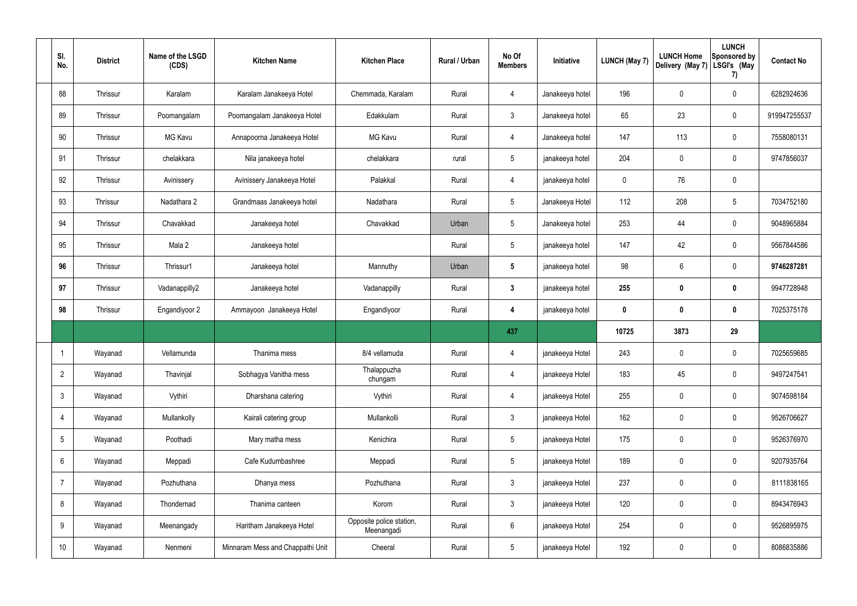| SI.<br>No.      | <b>District</b> | Name of the LSGD<br>(CDS) | <b>Kitchen Name</b>              | <b>Kitchen Place</b>                   | Rural / Urban | No Of<br><b>Members</b> | Initiative      | <b>LUNCH (May 7)</b> | <b>LUNCH Home</b><br>Delivery (May 7) | <b>LUNCH</b><br>Sponsored by<br>LSGI's (May<br>7) | <b>Contact No</b> |
|-----------------|-----------------|---------------------------|----------------------------------|----------------------------------------|---------------|-------------------------|-----------------|----------------------|---------------------------------------|---------------------------------------------------|-------------------|
| 88              | Thrissur        | Karalam                   | Karalam Janakeeya Hotel          | Chemmada, Karalam                      | Rural         | $\overline{4}$          | Janakeeya hotel | 196                  | $\mathbf 0$                           | $\mathbf 0$                                       | 6282924636        |
| 89              | Thrissur        | Poomangalam               | Poomangalam Janakeeya Hotel      | Edakkulam                              | Rural         | $\mathbf{3}$            | Janakeeya hotel | 65                   | 23                                    | $\mathbf 0$                                       | 919947255537      |
| 90              | Thrissur        | MG Kavu                   | Annapoorna Janakeeya Hotel       | <b>MG Kavu</b>                         | Rural         | 4                       | Janakeeya hotel | 147                  | 113                                   | $\mathbf 0$                                       | 7558080131        |
| 91              | Thrissur        | chelakkara                | Nila janakeeya hotel             | chelakkara                             | rural         | $5\overline{)}$         | janakeeya hotel | 204                  | $\mathbf 0$                           | $\mathbf 0$                                       | 9747856037        |
| 92              | Thrissur        | Avinissery                | Avinissery Janakeeya Hotel       | Palakkal                               | Rural         | 4                       | janakeeya hotel | $\mathbf 0$          | 76                                    | $\mathbf 0$                                       |                   |
| 93              | Thrissur        | Nadathara 2               | Grandmaas Janakeeya hotel        | Nadathara                              | Rural         | $5\overline{)}$         | Janakeeya Hotel | 112                  | 208                                   | $5\phantom{.0}$                                   | 7034752180        |
| 94              | Thrissur        | Chavakkad                 | Janakeeya hotel                  | Chavakkad                              | Urban         | $5\overline{)}$         | Janakeeya hotel | 253                  | 44                                    | $\mathbf 0$                                       | 9048965884        |
| 95              | Thrissur        | Mala 2                    | Janakeeya hotel                  |                                        | Rural         | $5\overline{)}$         | janakeeya hotel | 147                  | 42                                    | $\mathbf 0$                                       | 9567844586        |
| 96              | Thrissur        | Thrissur1                 | Janakeeya hotel                  | Mannuthy                               | Urban         | $5\phantom{.0}$         | janakeeya hotel | 98                   | 6                                     | $\mathbf 0$                                       | 9746287281        |
| 97              | Thrissur        | Vadanappilly2             | Janakeeya hotel                  | Vadanappilly                           | Rural         | $3\phantom{a}$          | janakeeya hotel | 255                  | $\pmb{0}$                             | $\mathbf 0$                                       | 9947728948        |
| 98              | Thrissur        | Engandiyoor 2             | Ammayoon Janakeeya Hotel         | Engandiyoor                            | Rural         | 4                       | janakeeya hotel | $\mathbf 0$          | $\pmb{0}$                             | $\mathbf 0$                                       | 7025375178        |
|                 |                 |                           |                                  |                                        |               | 437                     |                 | 10725                | 3873                                  | 29                                                |                   |
|                 | Wayanad         | Vellamunda                | Thanima mess                     | 8/4 vellamuda                          | Rural         | 4                       | janakeeya Hotel | 243                  | $\mathbf 0$                           | $\mathbf 0$                                       | 7025659685        |
| $\overline{2}$  | Wayanad         | Thavinjal                 | Sobhagya Vanitha mess            | Thalappuzha<br>chungam                 | Rural         | $\overline{4}$          | janakeeya Hotel | 183                  | 45                                    | $\mathbf 0$                                       | 9497247541        |
| $\mathfrak{Z}$  | Wayanad         | Vythiri                   | Dharshana catering               | Vythiri                                | Rural         | $\overline{4}$          | janakeeya Hotel | 255                  | $\pmb{0}$                             | $\mathbf 0$                                       | 9074598184        |
| 4               | Wayanad         | Mullankolly               | Kairali catering group           | Mullankolli                            | Rural         | $3\phantom{.0}$         | janakeeya Hotel | 162                  | $\pmb{0}$                             | $\mathbf 0$                                       | 9526706627        |
| $5\phantom{.0}$ | Wayanad         | Poothadi                  | Mary matha mess                  | Kenichira                              | Rural         | $5\overline{)}$         | janakeeya Hotel | 175                  | $\pmb{0}$                             | $\mathbf 0$                                       | 9526376970        |
| 6               | Wayanad         | Meppadi                   | Cafe Kudumbashree                | Meppadi                                | Rural         | $5\overline{)}$         | janakeeya Hotel | 189                  | $\pmb{0}$                             | $\mathbf 0$                                       | 9207935764        |
| $\overline{7}$  | Wayanad         | Pozhuthana                | Dhanya mess                      | Pozhuthana                             | Rural         | $3\phantom{.0}$         | janakeeya Hotel | 237                  | $\pmb{0}$                             | $\mathbf 0$                                       | 8111838165        |
| 8               | Wayanad         | Thondernad                | Thanima canteen                  | Korom                                  | Rural         | $3\phantom{.0}$         | janakeeya Hotel | 120                  | $\pmb{0}$                             | $\mathbf 0$                                       | 8943476943        |
| 9               | Wayanad         | Meenangady                | Haritham Janakeeya Hotel         | Opposite police station,<br>Meenangadi | Rural         | $6\phantom{.}6$         | janakeeya Hotel | 254                  | $\pmb{0}$                             | $\mathbf 0$                                       | 9526895975        |
| 10              | Wayanad         | Nenmeni                   | Minnaram Mess and Chappathi Unit | Cheeral                                | Rural         | 5 <sub>5</sub>          | janakeeya Hotel | 192                  | $\pmb{0}$                             | $\boldsymbol{0}$                                  | 8086835886        |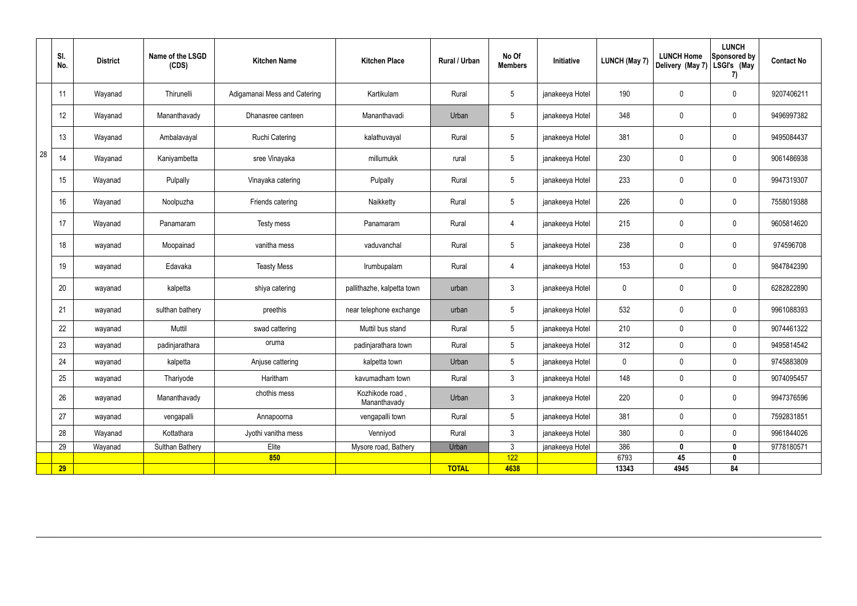|    | SI.<br>No. | <b>District</b> | Name of the LSGD<br>(CDS) | <b>Kitchen Name</b>          | <b>Kitchen Place</b>            | Rural / Urban | No Of<br><b>Members</b> | Initiative      | <b>LUNCH (May 7)</b> | <b>LUNCH Home</b><br>Delivery (May 7) | <b>LUNCH</b><br><b>Sponsored by</b><br>LSGI's (May<br>7) | <b>Contact No</b> |
|----|------------|-----------------|---------------------------|------------------------------|---------------------------------|---------------|-------------------------|-----------------|----------------------|---------------------------------------|----------------------------------------------------------|-------------------|
|    | 11         | Wayanad         | Thirunelli                | Adigamanai Mess and Catering | Kartikulam                      | Rural         | $5\phantom{.0}$         | janakeeya Hotel | 190                  | 0                                     | $\pmb{0}$                                                | 9207406211        |
|    | 12         | Wayanad         | Mananthavady              | Dhanasree canteen            | Mananthavadi                    | Urban         | $5\phantom{.0}$         | janakeeya Hotel | 348                  | 0                                     | $\pmb{0}$                                                | 9496997382        |
|    | 13         | Wayanad         | Ambalavayal               | <b>Ruchi Catering</b>        | kalathuvayal                    | Rural         | $5\phantom{.0}$         | janakeeya Hotel | 381                  | 0                                     | $\pmb{0}$                                                | 9495084437        |
| 28 | 14         | Wayanad         | Kaniyambetta              | sree Vinayaka                | millumukk                       | rural         | $5\,$                   | janakeeya Hotel | 230                  | 0                                     | $\pmb{0}$                                                | 9061486938        |
|    | 15         | Wayanad         | Pulpally                  | Vinayaka catering            | Pulpally                        | Rural         | $5\phantom{.0}$         | janakeeya Hotel | 233                  | 0                                     | $\pmb{0}$                                                | 9947319307        |
|    | 16         | Wayanad         | Noolpuzha                 | Friends catering             | Naikketty                       | Rural         | $5\phantom{.0}$         | janakeeya Hotel | 226                  | 0                                     | $\pmb{0}$                                                | 7558019388        |
|    | 17         | Wayanad         | Panamaram                 | Testy mess                   | Panamaram                       | Rural         | $\overline{4}$          | janakeeya Hotel | 215                  | 0                                     | $\pmb{0}$                                                | 9605814620        |
|    | 18         | wayanad         | Moopainad                 | vanitha mess                 | vaduvanchal                     | Rural         | $5\phantom{.0}$         | janakeeya Hotel | 238                  | 0                                     | $\pmb{0}$                                                | 974596708         |
|    | 19         | wayanad         | Edavaka                   | <b>Teasty Mess</b>           | Irumbupalam                     | Rural         | 4                       | janakeeya Hotel | 153                  | 0                                     | $\boldsymbol{0}$                                         | 9847842390        |
|    | 20         | wayanad         | kalpetta                  | shiya catering               | pallithazhe, kalpetta town      | urban         | $\mathfrak{Z}$          | janakeeya Hotel | 0                    | 0                                     | $\pmb{0}$                                                | 6282822890        |
|    | 21         | wayanad         | sulthan bathery           | preethis                     | near telephone exchange         | urban         | $5\,$                   | janakeeya Hotel | 532                  | 0                                     | $\boldsymbol{0}$                                         | 9961088393        |
|    | 22         | wayanad         | Muttil                    | swad cattering               | Muttil bus stand                | Rural         | 5 <sup>5</sup>          | janakeeya Hotel | 210                  | $\mathbf 0$                           | $\mathbf 0$                                              | 9074461322        |
|    | 23         | wayanad         | padinjarathara            | oruma                        | padinjarathara town             | Rural         | $5\phantom{.0}$         | janakeeya Hotel | 312                  | 0                                     | $\mathbf 0$                                              | 9495814542        |
|    | 24         | wayanad         | kalpetta                  | Anjuse cattering             | kalpetta town                   | Urban         | $5\phantom{.0}$         | janakeeya Hotel | $\mathbf 0$          | $\pmb{0}$                             | $\pmb{0}$                                                | 9745883809        |
|    | 25         | wayanad         | Thariyode                 | Haritham                     | kavumadham town                 | Rural         | $\mathbf{3}$            | janakeeya Hotel | 148                  | $\pmb{0}$                             | $\mathbf 0$                                              | 9074095457        |
|    | 26         | wayanad         | Mananthavady              | chothis mess                 | Kozhikode road,<br>Mananthavady | Urban         | $\mathbf{3}$            | janakeeya Hotel | 220                  | $\pmb{0}$                             | $\pmb{0}$                                                | 9947376596        |
|    | 27         | wayanad         | vengapalli                | Annapoorna                   | vengapalli town                 | Rural         | $5\phantom{.0}$         | janakeeya Hotel | 381                  | 0                                     | $\mathbf 0$                                              | 7592831851        |
|    | 28         | Wayanad         | Kottathara                | Jyothi vanitha mess          | Venniyod                        | Rural         | 3 <sup>7</sup>          | janakeeya Hotel | 380                  | 0                                     | $\mathbf 0$                                              | 9961844026        |
|    | 29         | Wayanad         | Sulthan Bathery           | Elite                        | Mysore road, Bathery            | Urban         | $\mathfrak{Z}$          | janakeeya Hotel | 386                  | $\mathbf 0$                           | $\bm{0}$                                                 | 9778180571        |
|    |            |                 |                           | 850                          |                                 |               | 122                     |                 | 6793                 | 45                                    | $\mathbf 0$                                              |                   |
|    | 29         |                 |                           |                              |                                 | <b>TOTAL</b>  | 4638                    |                 | 13343                | 4945                                  | 84                                                       |                   |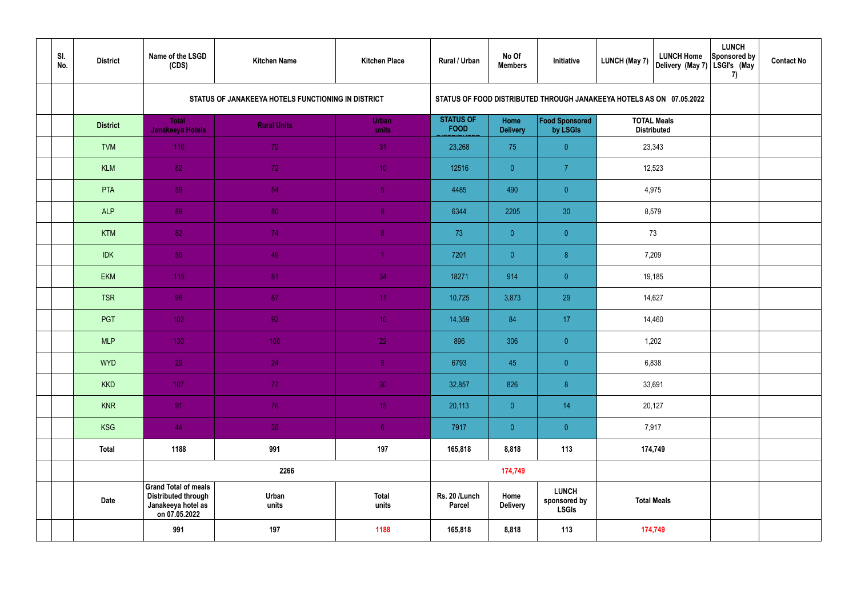| SI.<br>No. | <b>District</b> | Name of the LSGD<br>(CDS)                                                                        | <b>Kitchen Name</b>                                | <b>Kitchen Place</b>  | Rural / Urban                   | No Of<br><b>Members</b> | Initiative                                                           | <b>LUNCH (May 7)</b>                     | <b>LUNCH Home</b><br>Delivery (May 7) | <b>LUNCH</b><br>Sponsored by<br>LSGI's (May<br>7) | <b>Contact No</b> |
|------------|-----------------|--------------------------------------------------------------------------------------------------|----------------------------------------------------|-----------------------|---------------------------------|-------------------------|----------------------------------------------------------------------|------------------------------------------|---------------------------------------|---------------------------------------------------|-------------------|
|            |                 |                                                                                                  | STATUS OF JANAKEEYA HOTELS FUNCTIONING IN DISTRICT |                       |                                 |                         | STATUS OF FOOD DISTRIBUTED THROUGH JANAKEEYA HOTELS AS ON 07.05.2022 |                                          |                                       |                                                   |                   |
|            | <b>District</b> | <b>Total</b><br><b>Janakeeya Hotels</b>                                                          | <b>Rural Units</b>                                 | <b>Urban</b><br>units | <b>STATUS OF</b><br><b>FOOD</b> | Home<br><b>Delivery</b> | Food Sponsored<br>by LSGIs                                           | <b>TOTAL Meals</b><br><b>Distributed</b> |                                       |                                                   |                   |
|            | <b>TVM</b>      | 110                                                                                              | 79                                                 | 31                    | 23,268                          | 75                      | $\overline{0}$                                                       | 23,343                                   |                                       |                                                   |                   |
|            | <b>KLM</b>      | 82                                                                                               | 72                                                 | 10 <sup>°</sup>       | 12516                           | $\overline{0}$          | $\overline{7}$                                                       |                                          | 12,523                                |                                                   |                   |
|            | PTA             | 59                                                                                               | 54                                                 | 5 <sub>o</sub>        | 4485                            | 490                     | $\overline{0}$                                                       |                                          | 4,975                                 |                                                   |                   |
|            | <b>ALP</b>      | 89                                                                                               | 80                                                 | $\overline{9}$        | 6344                            | 2205                    | 30                                                                   | 8,579                                    |                                       |                                                   |                   |
|            | <b>KTM</b>      | 82                                                                                               | 74                                                 | 8 <sup>°</sup>        | 73                              | $\overline{0}$          | $\overline{0}$                                                       | 73                                       |                                       |                                                   |                   |
|            | <b>IDK</b>      | 50                                                                                               | 49                                                 | $\blacktriangleleft$  | 7201                            | $\overline{0}$          | 8 <sup>°</sup>                                                       | 7,209                                    |                                       |                                                   |                   |
|            | <b>EKM</b>      | 115                                                                                              | 81                                                 | 34                    | 18271                           | 914                     | $\overline{0}$                                                       |                                          | 19,185                                |                                                   |                   |
|            | <b>TSR</b>      | 98                                                                                               | 87                                                 | 11                    | 10,725                          | 3,873                   | 29                                                                   | 14,627                                   |                                       |                                                   |                   |
|            | <b>PGT</b>      | 102                                                                                              | 92                                                 | 10 <sup>°</sup>       | 14,359                          | 84                      | 17                                                                   | 14,460                                   |                                       |                                                   |                   |
|            | <b>MLP</b>      | 130                                                                                              | 108                                                | 22                    | 896                             | 306                     | $\overline{0}$                                                       |                                          | 1,202                                 |                                                   |                   |
|            | <b>WYD</b>      | 29                                                                                               | 24                                                 | 5 <sub>1</sub>        | 6793                            | 45                      | $\overline{0}$                                                       | 6,838                                    |                                       |                                                   |                   |
|            | <b>KKD</b>      | 107                                                                                              | 77                                                 | 30 <sup>°</sup>       | 32,857                          | 826                     | $\, 8$                                                               | 33,691                                   |                                       |                                                   |                   |
|            | <b>KNR</b>      | 91                                                                                               | 76                                                 | 15 <sub>1</sub>       | 20,113                          | $\overline{0}$          | 14                                                                   | 20,127                                   |                                       |                                                   |                   |
|            | <b>KSG</b>      | 44                                                                                               | 38                                                 | 6 <sup>1</sup>        | 7917                            | $\overline{0}$          | $\pmb{0}$                                                            | 7,917                                    |                                       |                                                   |                   |
|            | <b>Total</b>    | 1188                                                                                             | 991                                                | 197                   | 165,818                         | 8,818                   | 113                                                                  |                                          | 174,749                               |                                                   |                   |
|            |                 |                                                                                                  | 2266                                               |                       |                                 | 174,749                 |                                                                      |                                          |                                       |                                                   |                   |
|            | <b>Date</b>     | <b>Grand Total of meals</b><br><b>Distributed through</b><br>Janakeeya hotel as<br>on 07.05.2022 | Urban<br>units                                     | <b>Total</b><br>units | Rs. 20 /Lunch<br><b>Parcel</b>  | Home<br><b>Delivery</b> | <b>LUNCH</b><br>sponsored by<br>LSGIs                                |                                          | <b>Total Meals</b>                    |                                                   |                   |
|            |                 | 991                                                                                              | 197                                                | 1188                  | 165,818                         | 8,818                   | 113                                                                  |                                          | 174,749                               |                                                   |                   |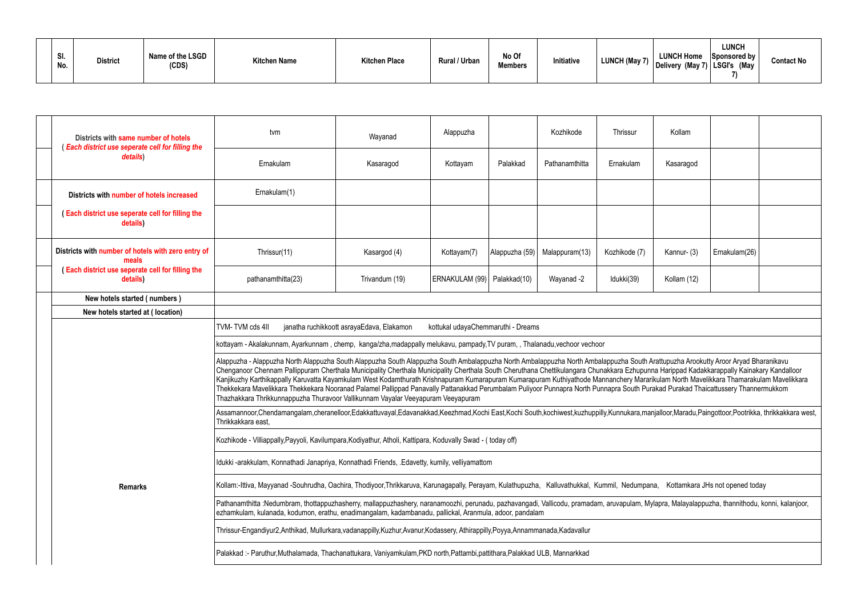| SI.<br>No. | <b>District</b> | Name of the LSGD<br>(CDS) | <b>Kitchen Name</b> | <b>Kitchen Place</b> | Rural / Urban | No Of<br><b>Members</b> | Initiative | <b>LUNCH Home</b><br><b>LUNCH (May 7</b><br>Delivery (May 7) LSGI's | <b>LUNCH</b><br>Sponsored by<br>।<br>(May | <b>Contact No</b> |
|------------|-----------------|---------------------------|---------------------|----------------------|---------------|-------------------------|------------|---------------------------------------------------------------------|-------------------------------------------|-------------------|
|------------|-----------------|---------------------------|---------------------|----------------------|---------------|-------------------------|------------|---------------------------------------------------------------------|-------------------------------------------|-------------------|

| Districts with same number of hotels<br>Each district use seperate cell for filling the | tvm                                                                                                                                                                                                                                                                                                                                                                                                                                                                                                                                                                                                                                                                                                                                                                                                                 | Wayanad                                                                                                                    | Alappuzha                          |                | Kozhikode      | Thrissur      | Kollam      |               |  |
|-----------------------------------------------------------------------------------------|---------------------------------------------------------------------------------------------------------------------------------------------------------------------------------------------------------------------------------------------------------------------------------------------------------------------------------------------------------------------------------------------------------------------------------------------------------------------------------------------------------------------------------------------------------------------------------------------------------------------------------------------------------------------------------------------------------------------------------------------------------------------------------------------------------------------|----------------------------------------------------------------------------------------------------------------------------|------------------------------------|----------------|----------------|---------------|-------------|---------------|--|
| details)                                                                                | Ernakulam                                                                                                                                                                                                                                                                                                                                                                                                                                                                                                                                                                                                                                                                                                                                                                                                           | Kasaragod                                                                                                                  | Kottayam                           | Palakkad       | Pathanamthitta | Ernakulam     | Kasaragod   |               |  |
| Districts with number of hotels increased                                               | Ernakulam(1)                                                                                                                                                                                                                                                                                                                                                                                                                                                                                                                                                                                                                                                                                                                                                                                                        |                                                                                                                            |                                    |                |                |               |             |               |  |
| <b>Each district use seperate cell for filling the</b><br>details)                      |                                                                                                                                                                                                                                                                                                                                                                                                                                                                                                                                                                                                                                                                                                                                                                                                                     |                                                                                                                            |                                    |                |                |               |             |               |  |
| Districts with number of hotels with zero entry of<br>meals                             | Thrissur(11)                                                                                                                                                                                                                                                                                                                                                                                                                                                                                                                                                                                                                                                                                                                                                                                                        | Kasargod (4)                                                                                                               | Kottayam(7)                        | Alappuzha (59) | Malappuram(13) | Kozhikode (7) | Kannur- (3) | Ernakulam(26) |  |
| (Each district use seperate cell for filling the<br>details)                            | pathanamthitta(23)                                                                                                                                                                                                                                                                                                                                                                                                                                                                                                                                                                                                                                                                                                                                                                                                  | Trivandum (19)                                                                                                             | ERNAKULAM (99)   Palakkad(10)      |                | Wayanad -2     | Idukki(39)    | Kollam (12) |               |  |
| New hotels started (numbers)                                                            |                                                                                                                                                                                                                                                                                                                                                                                                                                                                                                                                                                                                                                                                                                                                                                                                                     |                                                                                                                            |                                    |                |                |               |             |               |  |
| New hotels started at (location)                                                        |                                                                                                                                                                                                                                                                                                                                                                                                                                                                                                                                                                                                                                                                                                                                                                                                                     |                                                                                                                            |                                    |                |                |               |             |               |  |
|                                                                                         | TVM-TVM cds 4II                                                                                                                                                                                                                                                                                                                                                                                                                                                                                                                                                                                                                                                                                                                                                                                                     | janatha ruchikkoott asrayaEdava, Elakamon                                                                                  | kottukal udayaChemmaruthi - Dreams |                |                |               |             |               |  |
|                                                                                         | kottayam - Akalakunnam, Ayarkunnam, chemp, kanga/zha,madappally melukavu, pampady,TV puram,, Thalanadu,vechoor vechoor                                                                                                                                                                                                                                                                                                                                                                                                                                                                                                                                                                                                                                                                                              |                                                                                                                            |                                    |                |                |               |             |               |  |
|                                                                                         | Alappuzha - Alappuzha North Alappuzha South Alappuzha South Alappuzha South Ambalappuzha North Ambalappuzha South Arattupuzha Arookutty Aroor Aryad Bharanikavu<br>Chenganoor Chennam Pallippuram Cherthala Municipality Cherthala Municipality Cherthala South Cheruthana Chettikulangara Chunakkara Ezhupunna Harippad Kadakkarappally Kainakary Kandalloor<br>Kanjikuzhy Karthikappally Karuvatta Kayamkulam West Kodamthurath Krishnapuram Kumarapuram Kuthiyathode Mannanchery Mararikulam North Mavelikkara Thamarakulam Mavelikkara<br>Thekkekara Mavelikkara Thekkekara Nooranad Palamel Pallippad Panavally Pattanakkad Perumbalam Puliyoor Punnapra North Punnapra South Purakad Purakad Thaicattussery Thannermukkom<br>Thazhakkara Thrikkunnappuzha Thuravoor Vallikunnam Vayalar Veeyapuram Veeyapuram |                                                                                                                            |                                    |                |                |               |             |               |  |
|                                                                                         | Assamannoor,Chendamangalam,cheranelloor,Edakkattuvayal,Edavanakkad,Keezhmad,Kochi East,Kochi South,kochiwest,kuzhuppilly,Kunnukara,manjalloor,Maradu,Paingottoor,Pootrikka, thrikkakkara west,<br>Thrikkakkara east,                                                                                                                                                                                                                                                                                                                                                                                                                                                                                                                                                                                                |                                                                                                                            |                                    |                |                |               |             |               |  |
|                                                                                         | Kozhikode - Villiappally, Payyoli, Kavilumpara, Kodiyathur, Atholi, Kattipara, Koduvally Swad - (today off)                                                                                                                                                                                                                                                                                                                                                                                                                                                                                                                                                                                                                                                                                                         |                                                                                                                            |                                    |                |                |               |             |               |  |
|                                                                                         | Idukki-arakkulam, Konnathadi Janapriya, Konnathadi Friends, .Edavetty, kumily, velliyamattom                                                                                                                                                                                                                                                                                                                                                                                                                                                                                                                                                                                                                                                                                                                        |                                                                                                                            |                                    |                |                |               |             |               |  |
| <b>Remarks</b>                                                                          | Kollam:-Ittiva, Mayyanad -Souhrudha, Oachira, Thodiyoor,Thrikkaruva, Karunagapally, Perayam, Kulathupuzha, Kalluvathukkal, Kummil, Nedumpana, Kottamkara JHs not opened today                                                                                                                                                                                                                                                                                                                                                                                                                                                                                                                                                                                                                                       |                                                                                                                            |                                    |                |                |               |             |               |  |
|                                                                                         | Pathanamthitta :Nedumbram, thottappuzhasherry, mallappuzhashery, naranamoozhi, perunadu, pazhavangadi, Vallicodu, pramadam, aruvapulam, Mylapra, Malayalappuzha, thannithodu, konni, kalanjoor,<br>ezhamkulam, kulanada, kodumon, erathu, enadimangalam, kadambanadu, pallickal, Aranmula, adoor, pandalam                                                                                                                                                                                                                                                                                                                                                                                                                                                                                                          |                                                                                                                            |                                    |                |                |               |             |               |  |
|                                                                                         | Thrissur-Engandiyur2,Anthikad, Mullurkara,vadanappilly,Kuzhur,Avanur,Kodassery, Athirappilly,Poyya,Annammanada,Kadavallur                                                                                                                                                                                                                                                                                                                                                                                                                                                                                                                                                                                                                                                                                           |                                                                                                                            |                                    |                |                |               |             |               |  |
|                                                                                         |                                                                                                                                                                                                                                                                                                                                                                                                                                                                                                                                                                                                                                                                                                                                                                                                                     | Palakkad:- Paruthur, Muthalamada, Thachanattukara, Vaniyamkulam, PKD north, Pattambi, pattithara, Palakkad ULB, Mannarkkad |                                    |                |                |               |             |               |  |